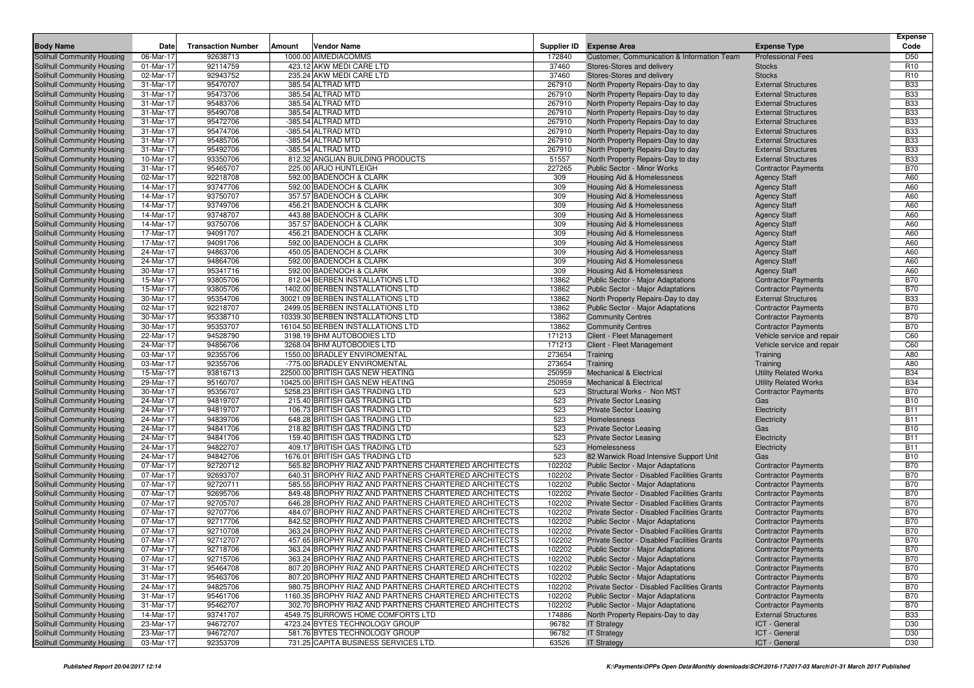| <b>Body Name</b>                                         | Date                   | <b>Transaction Number</b> | Amount | <b>Vendor Name</b>                                                                                           | Supplier ID      | <b>Expense Area</b>                                                                        | <b>Expense Type</b>                                      | <b>Expense</b><br>Code   |
|----------------------------------------------------------|------------------------|---------------------------|--------|--------------------------------------------------------------------------------------------------------------|------------------|--------------------------------------------------------------------------------------------|----------------------------------------------------------|--------------------------|
| Solihull Community Housing                               | 06-Mar-17              | 92638713                  |        | 1000.00 AIMEDIACOMMS                                                                                         | 172840           | Customer, Communication & Information Team                                                 | <b>Professional Fees</b>                                 | D <sub>50</sub>          |
| Solihull Community Housing                               | 01-Mar-17              | 92114759                  |        | 423.12 AKW MEDI CARE LTD                                                                                     | 37460            | Stores-Stores and delivery                                                                 | <b>Stocks</b>                                            | R <sub>10</sub>          |
| Solihull Community Housing                               | 02-Mar-17              | 92943752                  |        | 235.24 AKW MEDI CARE LTD                                                                                     | 37460            | Stores-Stores and delivery                                                                 | <b>Stocks</b>                                            | R <sub>10</sub>          |
| Solihull Community Housing                               | 31-Mar-17              | 95470707                  |        | 385.54 ALTRAD MTD                                                                                            | 267910           | North Property Repairs-Day to day                                                          | <b>External Structures</b>                               | <b>B33</b>               |
| Solihull Community Housing                               | 31-Mar-17              | 95473706                  |        | 385.54 ALTRAD MTD                                                                                            | 267910           | North Property Repairs-Day to day                                                          | <b>External Structures</b>                               | <b>B33</b>               |
| Solihull Community Housing                               | 31-Mar-17              | 95483706                  |        | 385.54 ALTRAD MTD                                                                                            | 267910           | North Property Repairs-Day to day                                                          | <b>External Structures</b>                               | <b>B33</b>               |
| Solihull Community Housing                               | 31-Mar-17              | 95490708                  |        | 385.54 ALTRAD MTD                                                                                            | 267910           | North Property Repairs-Day to day                                                          | <b>External Structures</b>                               | <b>B33</b>               |
| Solihull Community Housing                               | 31-Mar-17              | 95472706                  |        | -385.54 ALTRAD MTD                                                                                           | 267910           | North Property Repairs-Day to day                                                          | <b>External Structures</b>                               | <b>B33</b>               |
| Solihull Community Housing                               | 31-Mar-17              | 95474706                  |        | -385.54 ALTRAD MTD                                                                                           | 267910           | North Property Repairs-Day to day                                                          | <b>External Structures</b>                               | <b>B33</b>               |
| Solihull Community Housing                               | 31-Mar-17              | 95485706                  |        | -385.54 ALTRAD MTD                                                                                           | 267910           | North Property Repairs-Day to day                                                          | <b>External Structures</b>                               | <b>B33</b>               |
| Solihull Community Housing                               | 31-Mar-17              | 95492706                  |        | -385.54 ALTRAD MTD                                                                                           | 267910           | North Property Repairs-Day to day                                                          | <b>External Structures</b>                               | <b>B33</b>               |
| Solihull Community Housing                               | 10-Mar-17              | 93350706                  |        | 812.32 ANGLIAN BUILDING PRODUCTS                                                                             | 51557            | North Property Repairs-Day to day                                                          | <b>External Structures</b>                               | <b>B33</b>               |
| Solihull Community Housing                               | 31-Mar-17              | 95465707                  |        | 225.00 ARJO HUNTLEIGH                                                                                        | 227265           | <b>Public Sector - Minor Works</b>                                                         | <b>Contractor Payments</b>                               | <b>B70</b>               |
| Solihull Community Housing                               | 02-Mar-17              | 92218708                  |        | 592.00 BADENOCH & CLARK                                                                                      | 309              | Housing Aid & Homelessness                                                                 | <b>Agency Staff</b>                                      | A60                      |
| Solihull Community Housing                               | 14-Mar-17              | 93747706                  |        | 592.00 BADENOCH & CLARK                                                                                      | 309              | Housing Aid & Homelessness                                                                 | <b>Agency Staff</b>                                      | A60                      |
| Solihull Community Housing                               | 14-Mar-17              | 93750707                  |        | 357.57 BADENOCH & CLARK                                                                                      | 309              | Housing Aid & Homelessness                                                                 | <b>Agency Staff</b>                                      | A60                      |
| Solihull Community Housing                               | 14-Mar-17              | 93749706                  |        | 456.21 BADENOCH & CLARK                                                                                      | 309              | Housing Aid & Homelessness                                                                 | <b>Agency Staff</b>                                      | A60                      |
| Solihull Community Housing                               | 14-Mar-17              | 93748707                  |        | 443.88 BADENOCH & CLARK                                                                                      | 309              | Housing Aid & Homelessness                                                                 | <b>Agency Staff</b>                                      | A60                      |
| Solihull Community Housing                               | 14-Mar-17              | 93750706                  |        | 357.57 BADENOCH & CLARK                                                                                      | 309              | Housing Aid & Homelessness                                                                 | <b>Agency Staff</b>                                      | A60                      |
| Solihull Community Housing                               | 17-Mar-17              | 94091707                  |        | 456.21 BADENOCH & CLARK                                                                                      | 309              | Housing Aid & Homelessness                                                                 | <b>Agency Staff</b>                                      | A60                      |
| Solihull Community Housing                               | 17-Mar-17              | 94091706                  |        | 592.00 BADENOCH & CLARK                                                                                      | 309              | Housing Aid & Homelessness                                                                 | <b>Agency Staff</b>                                      | A60                      |
| Solihull Community Housing                               | 24-Mar-17              | 94863706                  |        | 450.05 BADENOCH & CLARK                                                                                      | 309              | Housing Aid & Homelessness                                                                 | <b>Agency Staff</b>                                      | A60                      |
| Solihull Community Housing                               | 24-Mar-17              | 94864706                  |        | 592.00 BADENOCH & CLARK                                                                                      | 309              | Housing Aid & Homelessness                                                                 | <b>Agency Staff</b>                                      | A60                      |
| Solihull Community Housing                               | 30-Mar-17              | 95341716                  |        | 592.00 BADENOCH & CLARK                                                                                      | 309              | Housing Aid & Homelessness                                                                 | <b>Agency Staff</b>                                      | A60                      |
| Solihull Community Housing                               | 15-Mar-17              | 93805706                  |        | 812.04 BERBEN INSTALLATIONS LTD                                                                              | 13862            | Public Sector - Major Adaptations                                                          | <b>Contractor Payments</b>                               | <b>B70</b>               |
| Solihull Community Housing                               | 15-Mar-17              | 93805706                  |        | 1402.00 BERBEN INSTALLATIONS LTD                                                                             | 13862            | Public Sector - Major Adaptations                                                          | <b>Contractor Payments</b>                               | <b>B70</b>               |
| Solihull Community Housing                               | 30-Mar-17              | 95354706                  |        | 30021.09 BERBEN INSTALLATIONS LTD                                                                            | 13862            | North Property Repairs-Day to day                                                          | <b>External Structures</b>                               | <b>B33</b>               |
| Solihull Community Housing                               | 02-Mar-17              | 92218707                  |        | 2499.05 BERBEN INSTALLATIONS LTD                                                                             | 13862            | Public Sector - Major Adaptations                                                          | <b>Contractor Payments</b>                               | <b>B70</b>               |
| Solihull Community Housing                               | 30-Mar-17              | 95338710                  |        | 10339.30 BERBEN INSTALLATIONS LTD                                                                            | 13862            | <b>Community Centres</b>                                                                   | <b>Contractor Payments</b>                               | <b>B70</b>               |
| Solihull Community Housing                               | 30-Mar-17              | 95353707                  |        | 16104.50 BERBEN INSTALLATIONS LTD                                                                            | 13862            | <b>Community Centres</b>                                                                   | <b>Contractor Payments</b>                               | <b>B70</b>               |
| Solihull Community Housing                               | 22-Mar-17              | 94528790                  |        | 3198.19 BHM AUTOBODIES LTD                                                                                   | 171213           | Client - Fleet Management                                                                  | Vehicle service and repair                               | C60                      |
| Solihull Community Housing                               | 24-Mar-17              | 94856706                  |        | 3268.04 BHM AUTOBODIES LTD                                                                                   | 171213           | Client - Fleet Management                                                                  | Vehicle service and repair                               | C60                      |
| Solihull Community Housing                               | 03-Mar-17              | 92355706                  |        | 1550.00 BRADLEY ENVIROMENTAL                                                                                 | 273654           | Training                                                                                   | Training                                                 | A80                      |
| Solihull Community Housing                               | 03-Mar-17              | 92355706                  |        | -775.00 BRADLEY ENVIROMENTAL                                                                                 | 273654           | Training                                                                                   | Training                                                 | A80                      |
| Solihull Community Housing                               | 15-Mar-17              | 93816713                  |        | 22500.00 BRITISH GAS NEW HEATING                                                                             | 250959           | Mechanical & Electrical                                                                    | <b>Utility Related Works</b>                             | <b>B34</b>               |
| Solihull Community Housing                               | 29-Mar-17              | 95160707                  |        | 10425.00 BRITISH GAS NEW HEATING                                                                             | 250959           | <b>Mechanical &amp; Electrical</b>                                                         | <b>Utility Related Works</b>                             | <b>B34</b>               |
| Solihull Community Housing                               | 30-Mar-17              | 95356707                  |        | 5258.23 BRITISH GAS TRADING LTD                                                                              | 523              | Structural Works - Non MST                                                                 | <b>Contractor Payments</b>                               | <b>B70</b>               |
| Solihull Community Housing                               | 24-Mar-17              | 94819707                  |        | 215.40 BRITISH GAS TRADING LTD                                                                               | 523              | <b>Private Sector Leasing</b>                                                              | Gas                                                      | <b>B10</b>               |
| Solihull Community Housing                               | 24-Mar-17              | 94819707                  |        | 106.73 BRITISH GAS TRADING LTD                                                                               | 523              | <b>Private Sector Leasing</b>                                                              | Electricity                                              | <b>B11</b>               |
| Solihull Community Housing                               | 24-Mar-17              | 94839706                  |        | 648.28 BRITISH GAS TRADING LTD                                                                               | 523              | Homelessness                                                                               | Electricity                                              | <b>B11</b>               |
| Solihull Community Housing                               | 24-Mar-17              | 94841706                  |        | 218.82 BRITISH GAS TRADING LTD                                                                               | 523              | <b>Private Sector Leasing</b>                                                              | Gas                                                      | <b>B10</b>               |
| Solihull Community Housing                               | 24-Mar-17              | 94841706                  |        | 159.40 BRITISH GAS TRADING LTD                                                                               | 523              | <b>Private Sector Leasing</b>                                                              | Electricity                                              | <b>B11</b>               |
| Solihull Community Housing                               | 24-Mar-17              | 94822707                  |        | 409.17 BRITISH GAS TRADING LTD                                                                               | 523              | Homelessness                                                                               | Electricity                                              | <b>B11</b>               |
| Solihull Community Housing                               | 24-Mar-17              | 94842706                  |        | 1676.01 BRITISH GAS TRADING LTD                                                                              | 523              | 82 Warwick Road Intensive Support Unit                                                     | Gas                                                      | <b>B10</b>               |
| Solihull Community Housing                               | 07-Mar-17              | 92720712                  |        | 565.82 BROPHY RIAZ AND PARTNERS CHARTERED ARCHITECTS                                                         | 102202           | <b>Public Sector - Major Adaptations</b>                                                   | <b>Contractor Payments</b>                               | <b>B70</b>               |
| Solihull Community Housing                               | 07-Mar-17              | 92693707                  |        | 640.31 BROPHY RIAZ AND PARTNERS CHARTERED ARCHITECTS<br>585.55 BROPHY RIAZ AND PARTNERS CHARTERED ARCHITECTS | 102202           | Private Sector - Disabled Facilities Grants                                                | <b>Contractor Payments</b>                               | <b>B70</b><br><b>B70</b> |
| Solihull Community Housing                               | 07-Mar-17              | 92720711                  |        |                                                                                                              | 102202           | Public Sector - Major Adaptations                                                          | <b>Contractor Payments</b>                               |                          |
| Solihull Community Housing<br>Solihull Community Housing | 07-Mar-17<br>07-Mar-17 | 92695706<br>92705707      |        | 849.48 BROPHY RIAZ AND PARTNERS CHARTERED ARCHITECTS<br>646.28 BROPHY RIAZ AND PARTNERS CHARTERED ARCHITECTS | 102202<br>102202 | Private Sector - Disabled Facilities Grants<br>Private Sector - Disabled Facilities Grants | <b>Contractor Payments</b><br><b>Contractor Payments</b> | <b>B70</b><br><b>B70</b> |
|                                                          |                        |                           |        | 484.07 BROPHY RIAZ AND PARTNERS CHARTERED ARCHITECTS                                                         |                  |                                                                                            |                                                          | <b>B70</b>               |
| Solihull Community Housing<br>Solihull Community Housing | 07-Mar-17<br>07-Mar-17 | 92707706                  |        |                                                                                                              | 102202           | Private Sector - Disabled Facilities Grants<br><b>Public Sector - Major Adaptations</b>    | <b>Contractor Payments</b>                               | <b>B70</b>               |
|                                                          |                        | 92717706<br>92710708      |        | 842.52 BROPHY RIAZ AND PARTNERS CHARTERED ARCHITECTS                                                         | 102202<br>102202 | Private Sector - Disabled Facilities Grants                                                | <b>Contractor Payments</b>                               | <b>B70</b>               |
| Solihull Community Housing<br>Solihull Community Housing | 07-Mar-17<br>07-Mar-17 | 92712707                  |        | 363.24 BROPHY RIAZ AND PARTNERS CHARTERED ARCHITECTS<br>457.65 BROPHY RIAZ AND PARTNERS CHARTERED ARCHITECTS | 102202           | Private Sector - Disabled Facilities Grants                                                | <b>Contractor Payments</b><br><b>Contractor Payments</b> | <b>B70</b>               |
| Solihull Community Housing                               | 07-Mar-17              | 92718706                  |        | 363.24 BROPHY RIAZ AND PARTNERS CHARTERED ARCHITECTS                                                         | 102202           | Public Sector - Major Adaptations                                                          | <b>Contractor Payments</b>                               | <b>B70</b>               |
| Solihull Community Housing                               | 07-Mar-17              | 92715706                  |        | 363.24 BROPHY RIAZ AND PARTNERS CHARTERED ARCHITECTS                                                         | 102202           | <b>Public Sector - Major Adaptations</b>                                                   | <b>Contractor Payments</b>                               | <b>B70</b>               |
| Solihull Community Housing                               | 31-Mar-17              | 95464708                  |        | 807.20 BROPHY RIAZ AND PARTNERS CHARTERED ARCHITECTS                                                         | 102202           | <b>Public Sector - Major Adaptations</b>                                                   | <b>Contractor Payments</b>                               | <b>B70</b>               |
| Solihull Community Housing                               | 31-Mar-17              | 95463706                  |        | 807.20 BROPHY RIAZ AND PARTNERS CHARTERED ARCHITECTS                                                         | 102202           | <b>Public Sector - Major Adaptations</b>                                                   | <b>Contractor Payments</b>                               | <b>B70</b>               |
| Solihull Community Housing                               | 24-Mar-17              | 94825706                  |        | 980.75 BROPHY RIAZ AND PARTNERS CHARTERED ARCHITECTS                                                         | 102202           | Private Sector - Disabled Facilities Grants                                                | <b>Contractor Payments</b>                               | <b>B70</b>               |
| Solihull Community Housing                               | 31-Mar-17              | 95461706                  |        | 1160.35 BROPHY RIAZ AND PARTNERS CHARTERED ARCHITECTS                                                        | 102202           | Public Sector - Major Adaptations                                                          | <b>Contractor Payments</b>                               | <b>B70</b>               |
| Solihull Community Housing                               | 31-Mar-17              | 95462707                  |        | 302.70 BROPHY RIAZ AND PARTNERS CHARTERED ARCHITECTS                                                         | 102202           | Public Sector - Major Adaptations                                                          | <b>Contractor Payments</b>                               | <b>B70</b>               |
| Solihull Community Housing                               | 14-Mar-17              | 93741707                  |        | 4549.75 BURROWS HOME COMFORTS LTD                                                                            | 174886           | North Property Repairs-Day to day                                                          | <b>External Structures</b>                               | <b>B33</b>               |
| Solihull Community Housing                               | 23-Mar-17              | 94672707                  |        | 4723.24 BYTES TECHNOLOGY GROUP                                                                               | 96782            | <b>IT Strategy</b>                                                                         | ICT - General                                            | D30                      |
| Solihull Community Housing                               | 23-Mar-17              | 94672707                  |        | 581.76 BYTES TECHNOLOGY GROUP                                                                                | 96782            | <b>IT Strategy</b>                                                                         | ICT - General                                            | D30                      |
| Solihull Community Housing                               | 03-Mar-17              | 92353709                  |        | 731.25 CAPITA BUSINESS SERVICES LTD.                                                                         | 63526            | <b>IT Strategy</b>                                                                         | ICT - General                                            | D30                      |
|                                                          |                        |                           |        |                                                                                                              |                  |                                                                                            |                                                          |                          |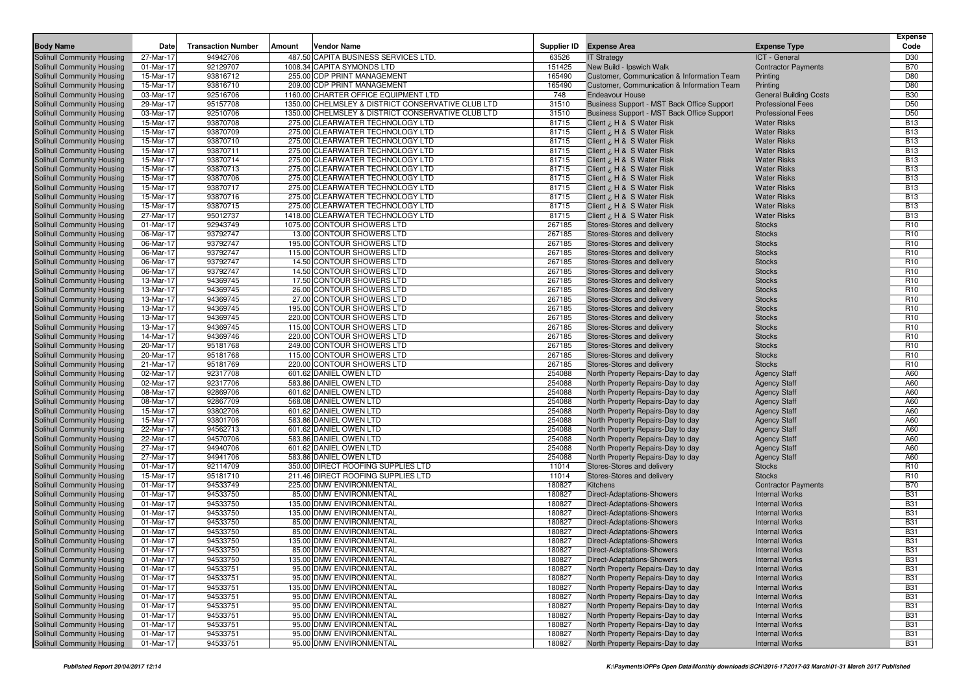| <b>Body Name</b>                                         | Date                   | <b>Transaction Number</b> | Amount | <b>Vendor Name</b>                                       |                  | Supplier ID Expense Area                                 | <b>Expense Type</b>                  | <b>Expense</b><br>Code             |
|----------------------------------------------------------|------------------------|---------------------------|--------|----------------------------------------------------------|------------------|----------------------------------------------------------|--------------------------------------|------------------------------------|
| <b>Solihull Community Housing</b>                        | 27-Mar-17              | 94942706                  |        | 487.50 CAPITA BUSINESS SERVICES LTD.                     | 63526            | <b>IT Strategy</b>                                       | ICT - General                        | D30                                |
| Solihull Community Housing                               | 01-Mar-17              | 92129707                  |        | 1008.34 CAPITA SYMONDS LTD                               | 151425           | New Build - Ipswich Walk                                 | <b>Contractor Payments</b>           | <b>B70</b>                         |
| Solihull Community Housing                               | 15-Mar-17              | 93816712                  |        | 255.00 CDP PRINT MANAGEMENT                              | 165490           | Customer, Communication & Information Team               | Printing                             | D80                                |
| Solihull Community Housing                               | 15-Mar-17              | 93816710                  |        | 209.00 CDP PRINT MANAGEMENT                              | 165490           | Customer, Communication & Information Team               | Printing                             | D80                                |
| Solihull Community Housing                               | 03-Mar-17              | 92516706                  |        | 1160.00 CHARTER OFFICE EQUIPMENT LTD                     | 748              | <b>Endeavour House</b>                                   | <b>General Building Costs</b>        | <b>B30</b>                         |
| Solihull Community Housing                               | 29-Mar-17              | 95157708                  |        | 1350.00 CHELMSLEY & DISTRICT CONSERVATIVE CLUB LTD       | 31510            | Business Support - MST Back Office Support               | <b>Professional Fees</b>             | D <sub>50</sub>                    |
| Solihull Community Housing                               | 03-Mar-17              | 92510706                  |        | 1350.00 CHELMSLEY & DISTRICT CONSERVATIVE CLUB LTD       | 31510            | Business Support - MST Back Office Support               | <b>Professional Fees</b>             | D <sub>50</sub>                    |
| Solihull Community Housing                               | 15-Mar-17              | 93870708                  |        | 275.00 CLEARWATER TECHNOLOGY LTD                         | 81715            | Client ¿ H & S Water Risk                                | <b>Water Risks</b>                   | <b>B13</b>                         |
| Solihull Community Housing                               | 15-Mar-17              | 93870709                  |        | 275.00 CLEARWATER TECHNOLOGY LTD                         | 81715            | Client ¿ H & S Water Risk                                | <b>Water Risks</b>                   | <b>B13</b>                         |
| Solihull Community Housing                               | 15-Mar-17              | 93870710                  |        | 275.00 CLEARWATER TECHNOLOGY LTD                         | 81715            | Client ¿ H & S Water Risk                                | <b>Water Risks</b>                   | <b>B13</b>                         |
| Solihull Community Housing                               | 15-Mar-17              | 93870711                  |        | 275.00 CLEARWATER TECHNOLOGY LTD                         | 81715            | Client ¿ H & S Water Risk                                | <b>Water Risks</b>                   | <b>B13</b>                         |
| Solihull Community Housing                               | 15-Mar-17              | 93870714                  |        | 275.00 CLEARWATER TECHNOLOGY LTD                         | 81715            | Client ¿ H & S Water Risk                                | <b>Water Risks</b>                   | <b>B13</b>                         |
| Solihull Community Housing                               | 15-Mar-17              | 93870713                  |        | 275.00 CLEARWATER TECHNOLOGY LTD                         | 81715            | Client ¿ H & S Water Risk                                | <b>Water Risks</b>                   | <b>B13</b>                         |
| Solihull Community Housing                               | 15-Mar-17              | 93870706                  |        | 275.00 CLEARWATER TECHNOLOGY LTD                         | 81715            | Client ¿ H & S Water Risk                                | <b>Water Risks</b>                   | <b>B13</b>                         |
| Solihull Community Housing                               | 15-Mar-17              | 93870717                  |        | 275.00 CLEARWATER TECHNOLOGY LTD                         | 81715            | Client ¿ H & S Water Risk                                | <b>Water Risks</b>                   | <b>B13</b>                         |
| Solihull Community Housing                               | 15-Mar-17              | 93870716                  |        | 275.00 CLEARWATER TECHNOLOGY LTD                         | 81715            | Client ¿ H & S Water Risk                                | <b>Water Risks</b>                   | <b>B13</b>                         |
| Solihull Community Housing                               | 15-Mar-17              | 93870715                  |        | 275.00 CLEARWATER TECHNOLOGY LTD                         | 81715            | Client ¿ H & S Water Risk                                | <b>Water Risks</b>                   | <b>B13</b>                         |
| Solihull Community Housing                               | 27-Mar-17              | 95012737                  |        | 1418.00 CLEARWATER TECHNOLOGY LTD                        | 81715            | Client ¿ H & S Water Risk                                | <b>Water Risks</b>                   | <b>B13</b>                         |
| <b>Solihull Community Housing</b>                        | 01-Mar-17              | 92943749                  |        | 1075.00 CONTOUR SHOWERS LTD                              | 267185           | Stores-Stores and delivery                               | <b>Stocks</b>                        | R <sub>10</sub>                    |
| Solihull Community Housing                               | 06-Mar-17              | 93792747                  |        | 13.00 CONTOUR SHOWERS LTD                                | 267185           | Stores-Stores and delivery                               | <b>Stocks</b>                        | R <sub>10</sub>                    |
| Solihull Community Housing                               | 06-Mar-17              | 93792747                  |        | 195.00 CONTOUR SHOWERS LTD                               | 267185           | Stores-Stores and delivery                               | <b>Stocks</b>                        | R <sub>10</sub>                    |
| Solihull Community Housing                               | 06-Mar-17              | 93792747                  |        | 115.00 CONTOUR SHOWERS LTD                               | 267185           | Stores-Stores and delivery                               | <b>Stocks</b>                        | R <sub>10</sub>                    |
| Solihull Community Housing                               | 06-Mar-17              | 93792747                  |        | 14.50 CONTOUR SHOWERS LTD                                | 267185           | Stores-Stores and delivery                               | <b>Stocks</b>                        | R <sub>10</sub>                    |
| Solihull Community Housing                               | 06-Mar-17              | 93792747                  |        | 14.50 CONTOUR SHOWERS LTD                                | 267185           | Stores-Stores and delivery                               | <b>Stocks</b>                        | R <sub>10</sub>                    |
| Solihull Community Housing                               | 13-Mar-17              | 94369745                  |        | 17.50 CONTOUR SHOWERS LTD                                | 267185           | Stores-Stores and delivery                               | <b>Stocks</b>                        | R <sub>10</sub>                    |
| Solihull Community Housing                               | 13-Mar-17              | 94369745                  |        | 26.00 CONTOUR SHOWERS LTD                                | 267185           | Stores-Stores and delivery                               | <b>Stocks</b>                        | R <sub>10</sub>                    |
| Solihull Community Housing                               | 13-Mar-17              | 94369745                  |        | 27.00 CONTOUR SHOWERS LTD                                | 267185           | Stores-Stores and delivery                               | <b>Stocks</b>                        | R <sub>10</sub>                    |
| Solihull Community Housing                               | 13-Mar-17              | 94369745                  |        | 195.00 CONTOUR SHOWERS LTD                               | 267185           | Stores-Stores and delivery                               | <b>Stocks</b>                        | R <sub>10</sub>                    |
| Solihull Community Housing                               | 13-Mar-17              | 94369745                  |        | 220.00 CONTOUR SHOWERS LTD                               | 267185           | Stores-Stores and delivery                               | <b>Stocks</b>                        | R <sub>10</sub>                    |
| Solihull Community Housing                               | 13-Mar-17              | 94369745                  |        | 115.00 CONTOUR SHOWERS LTD                               | 267185           | Stores-Stores and delivery                               | <b>Stocks</b>                        | R <sub>10</sub>                    |
| Solihull Community Housing                               | 14-Mar-17              | 94369746                  |        | 220.00 CONTOUR SHOWERS LTD                               | 267185           | Stores-Stores and delivery                               | <b>Stocks</b>                        | R <sub>10</sub>                    |
| Solihull Community Housing                               | 20-Mar-17<br>20-Mar-17 | 95181768                  |        | 249.00 CONTOUR SHOWERS LTD                               | 267185           | Stores-Stores and delivery<br>Stores-Stores and delivery | <b>Stocks</b>                        | R <sub>10</sub>                    |
| Solihull Community Housing                               |                        | 95181768<br>95181769      |        | 115.00 CONTOUR SHOWERS LTD<br>220.00 CONTOUR SHOWERS LTD | 267185           | Stores-Stores and delivery                               | <b>Stocks</b>                        | R <sub>10</sub><br>R <sub>10</sub> |
| Solihull Community Housing<br>Solihull Community Housing | 21-Mar-17<br>02-Mar-17 | 92317708                  |        | 601.62 DANIEL OWEN LTD                                   | 267185<br>254088 | North Property Repairs-Day to day                        | <b>Stocks</b><br><b>Agency Staff</b> | A60                                |
| Solihull Community Housing                               | 02-Mar-17              | 92317706                  |        | 583.86 DANIEL OWEN LTD                                   | 254088           | North Property Repairs-Day to day                        | <b>Agency Staff</b>                  | A60                                |
| Solihull Community Housing                               | 08-Mar-17              | 92869706                  |        | 601.62 DANIEL OWEN LTD                                   | 254088           | North Property Repairs-Day to day                        | <b>Agency Staff</b>                  | A60                                |
| Solihull Community Housing                               | 08-Mar-17              | 92867709                  |        | 568.08 DANIEL OWEN LTD                                   | 254088           | North Property Repairs-Day to day                        | <b>Agency Staff</b>                  | A60                                |
| Solihull Community Housing                               | 15-Mar-17              | 93802706                  |        | 601.62 DANIEL OWEN LTD                                   | 254088           | North Property Repairs-Day to day                        | <b>Agency Staff</b>                  | A60                                |
| Solihull Community Housing                               | 15-Mar-17              | 93801706                  |        | 583.86 DANIEL OWEN LTD                                   | 254088           | North Property Repairs-Day to day                        | <b>Agency Staff</b>                  | A60                                |
| Solihull Community Housing                               | 22-Mar-17              | 94562713                  |        | 601.62 DANIEL OWEN LTD                                   | 254088           | North Property Repairs-Day to day                        | <b>Agency Staff</b>                  | A60                                |
| Solihull Community Housing                               | 22-Mar-17              | 94570706                  |        | 583.86 DANIEL OWEN LTD                                   | 254088           | North Property Repairs-Day to day                        | <b>Agency Staff</b>                  | A60                                |
| Solihull Community Housing                               | 27-Mar-17              | 94940706                  |        | 601.62 DANIEL OWEN LTD                                   | 254088           | North Property Repairs-Day to day                        | <b>Agency Staff</b>                  | A60                                |
| Solihull Community Housing                               | 27-Mar-17              | 94941706                  |        | 583.86 DANIEL OWEN LTD                                   | 254088           | North Property Repairs-Day to day                        | <b>Agency Staff</b>                  | A60                                |
| Solihull Community Housing                               | 01-Mar-17              | 92114709                  |        | 350.00 DIRECT ROOFING SUPPLIES LTD                       | 11014            | Stores-Stores and delivery                               | <b>Stocks</b>                        | R <sub>10</sub>                    |
| Solihull Community Housing                               | 15-Mar-17              | 95181710                  |        | 211.46 DIRECT ROOFING SUPPLIES LTD                       | 11014            | Stores-Stores and delivery                               | <b>Stocks</b>                        | R <sub>10</sub>                    |
| Solihull Community Housing                               | 01-Mar-17              | 94533749                  |        | 225.00 DMW ENVIRONMENTAL                                 | 180827           | <b>Kitchens</b>                                          | <b>Contractor Payments</b>           | <b>B70</b>                         |
| Solihull Community Housing                               | 01-Mar-17              | 94533750                  |        | 85.00 DMW ENVIRONMENTAL                                  | 180827           | <b>Direct-Adaptations-Showers</b>                        | <b>Internal Works</b>                | <b>B31</b>                         |
| Solihull Community Housing                               | 01-Mar-17              | 94533750                  |        | 135.00 DMW ENVIRONMENTAL                                 | 180827           | <b>Direct-Adaptations-Showers</b>                        | <b>Internal Works</b>                | <b>B31</b>                         |
| Solihull Community Housing                               | 01-Mar-17              | 94533750                  |        | 135.00 DMW ENVIRONMENTAL                                 | 180827           | <b>Direct-Adaptations-Showers</b>                        | <b>Internal Works</b>                | <b>B31</b>                         |
| Solihull Community Housing                               | 01-Mar-17              | 94533750                  |        | 85.00 DMW ENVIRONMENTAL                                  | 180827           | <b>Direct-Adaptations-Showers</b>                        | <b>Internal Works</b>                | <b>B31</b>                         |
| Solihull Community Housing                               | 01-Mar-17              | 94533750                  |        | 85.00 DMW ENVIRONMENTAL                                  | 180827           | <b>Direct-Adaptations-Showers</b>                        | <b>Internal Works</b>                | <b>B31</b>                         |
| Solihull Community Housing                               | 01-Mar-17              | 94533750                  |        | 135.00 DMW ENVIRONMENTAL                                 | 180827           | <b>Direct-Adaptations-Showers</b>                        | <b>Internal Works</b>                | <b>B31</b>                         |
| Solihull Community Housing                               | 01-Mar-17              | 94533750                  |        | 85.00 DMW ENVIRONMENTAL                                  | 180827           | <b>Direct-Adaptations-Showers</b>                        | <b>Internal Works</b>                | B31                                |
| Solihull Community Housing                               | 01-Mar-17              | 94533750                  |        | 135.00 DMW ENVIRONMENTAL                                 | 180827           | <b>Direct-Adaptations-Showers</b>                        | <b>Internal Works</b>                | <b>B31</b>                         |
| Solihull Community Housing                               | 01-Mar-17              | 94533751                  |        | 95.00 DMW ENVIRONMENTAL                                  | 180827           | North Property Repairs-Day to day                        | <b>Internal Works</b>                | <b>B31</b>                         |
| Solihull Community Housing                               | 01-Mar-17              | 94533751                  |        | 95.00 DMW ENVIRONMENTAL                                  | 180827           | North Property Repairs-Day to day                        | <b>Internal Works</b>                | <b>B31</b>                         |
| Solihull Community Housing                               | 01-Mar-17              | 94533751                  |        | 135.00 DMW ENVIRONMENTAL                                 | 180827           | North Property Repairs-Day to day                        | <b>Internal Works</b>                | <b>B31</b>                         |
| Solihull Community Housing                               | 01-Mar-17              | 94533751                  |        | 95.00 DMW ENVIRONMENTAL                                  | 180827           | North Property Repairs-Day to day                        | <b>Internal Works</b>                | <b>B31</b>                         |
| Solihull Community Housing                               | 01-Mar-17              | 94533751                  |        | 95.00 DMW ENVIRONMENTAL                                  | 180827           | North Property Repairs-Day to day                        | <b>Internal Works</b>                | <b>B31</b>                         |
| Solihull Community Housing                               | 01-Mar-17              | 94533751                  |        | 95.00 DMW ENVIRONMENTAL                                  | 180827           | North Property Repairs-Day to day                        | <b>Internal Works</b>                | <b>B31</b>                         |
| Solihull Community Housing                               | 01-Mar-17              | 94533751                  |        | 95.00 DMW ENVIRONMENTAL                                  | 180827           | North Property Repairs-Day to day                        | <b>Internal Works</b>                | <b>B31</b>                         |
| Solihull Community Housing                               | 01-Mar-17              | 94533751                  |        | 95.00 DMW ENVIRONMENTAL                                  | 180827           | North Property Repairs-Day to day                        | <b>Internal Works</b>                | <b>B31</b>                         |
| Solihull Community Housing                               | 01-Mar-17              | 94533751                  |        | 95.00 DMW ENVIRONMENTAL                                  | 180827           | North Property Repairs-Day to day                        | <b>Internal Works</b>                | <b>B31</b>                         |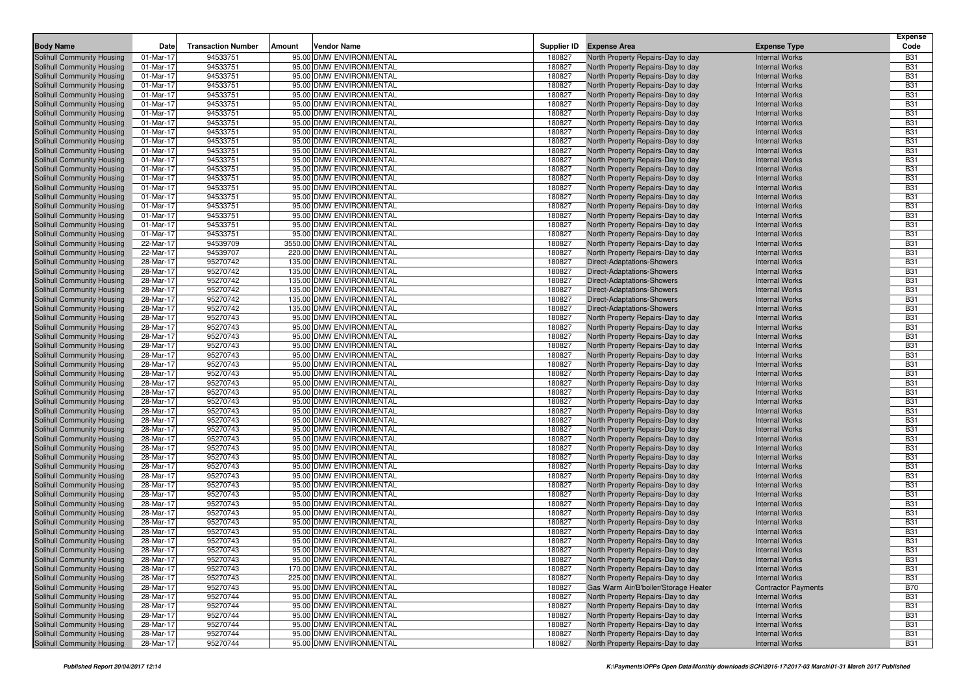| <b>Body Name</b>           | Date      | <b>Transaction Number</b> | Amount | <b>Vendor Name</b>        |        | Supplier ID Expense Area             | <b>Expense Type</b>        | Expense<br>Code |
|----------------------------|-----------|---------------------------|--------|---------------------------|--------|--------------------------------------|----------------------------|-----------------|
| Solihull Community Housing | 01-Mar-17 | 94533751                  |        | 95.00 DMW ENVIRONMENTAL   | 180827 | North Property Repairs-Day to day    | <b>Internal Works</b>      | <b>B31</b>      |
| Solihull Community Housing | 01-Mar-17 | 94533751                  |        | 95.00 DMW ENVIRONMENTAL   | 180827 | North Property Repairs-Day to day    | <b>Internal Works</b>      | <b>B31</b>      |
| Solihull Community Housing | 01-Mar-17 | 94533751                  |        | 95.00 DMW ENVIRONMENTAL   | 180827 | North Property Repairs-Day to day    | <b>Internal Works</b>      | <b>B31</b>      |
| Solihull Community Housing | 01-Mar-17 | 94533751                  |        | 95.00 DMW ENVIRONMENTAL   | 180827 | North Property Repairs-Day to day    | <b>Internal Works</b>      | <b>B31</b>      |
| Solihull Community Housing | 01-Mar-17 | 94533751                  |        | 95.00 DMW ENVIRONMENTAL   | 180827 | North Property Repairs-Day to day    | <b>Internal Works</b>      | <b>B31</b>      |
| Solihull Community Housing | 01-Mar-17 | 94533751                  |        | 95.00 DMW ENVIRONMENTAL   | 180827 | North Property Repairs-Day to day    | <b>Internal Works</b>      | <b>B31</b>      |
| Solihull Community Housing | 01-Mar-17 | 94533751                  |        | 95.00 DMW ENVIRONMENTAL   | 180827 | North Property Repairs-Day to day    | <b>Internal Works</b>      | <b>B31</b>      |
| Solihull Community Housing | 01-Mar-17 | 94533751                  |        | 95.00 DMW ENVIRONMENTAL   | 180827 | North Property Repairs-Day to day    | <b>Internal Works</b>      | <b>B31</b>      |
| Solihull Community Housing | 01-Mar-17 | 94533751                  |        | 95.00 DMW ENVIRONMENTAL   | 180827 | North Property Repairs-Day to day    | <b>Internal Works</b>      | <b>B31</b>      |
| Solihull Community Housing | 01-Mar-17 | 94533751                  |        | 95.00 DMW ENVIRONMENTAL   | 180827 | North Property Repairs-Day to day    | <b>Internal Works</b>      | <b>B31</b>      |
| Solihull Community Housing | 01-Mar-17 | 94533751                  |        | 95.00 DMW ENVIRONMENTAL   | 180827 | North Property Repairs-Day to day    | <b>Internal Works</b>      | <b>B31</b>      |
| Solihull Community Housing | 01-Mar-17 | 94533751                  |        | 95.00 DMW ENVIRONMENTAL   | 180827 | North Property Repairs-Day to day    | <b>Internal Works</b>      | <b>B31</b>      |
| Solihull Community Housing | 01-Mar-17 | 94533751                  |        | 95.00 DMW ENVIRONMENTAL   | 180827 | North Property Repairs-Day to day    | <b>Internal Works</b>      | <b>B31</b>      |
| Solihull Community Housing | 01-Mar-17 | 94533751                  |        | 95.00 DMW ENVIRONMENTAL   | 180827 | North Property Repairs-Day to day    | <b>Internal Works</b>      | <b>B31</b>      |
| Solihull Community Housing | 01-Mar-17 | 94533751                  |        | 95.00 DMW ENVIRONMENTAL   | 180827 | North Property Repairs-Day to day    | <b>Internal Works</b>      | <b>B31</b>      |
| Solihull Community Housing | 01-Mar-17 | 94533751                  |        | 95.00 DMW ENVIRONMENTAL   | 180827 | North Property Repairs-Day to day    | <b>Internal Works</b>      | <b>B31</b>      |
| Solihull Community Housing | 01-Mar-17 | 94533751                  |        | 95.00 DMW ENVIRONMENTAL   | 180827 | North Property Repairs-Day to day    | <b>Internal Works</b>      | <b>B31</b>      |
| Solihull Community Housing | 01-Mar-17 | 94533751                  |        | 95.00 DMW ENVIRONMENTAL   | 180827 | North Property Repairs-Day to day    | <b>Internal Works</b>      | <b>B31</b>      |
| Solihull Community Housing | 01-Mar-17 | 94533751                  |        | 95.00 DMW ENVIRONMENTAL   | 180827 | North Property Repairs-Day to day    | <b>Internal Works</b>      | <b>B31</b>      |
| Solihull Community Housing | 01-Mar-17 | 94533751                  |        | 95.00 DMW ENVIRONMENTAL   | 180827 | North Property Repairs-Day to day    | <b>Internal Works</b>      | <b>B31</b>      |
| Solihull Community Housing | 22-Mar-17 | 94539709                  |        | 3550.00 DMW ENVIRONMENTAL | 180827 | North Property Repairs-Day to day    | <b>Internal Works</b>      | <b>B31</b>      |
| Solihull Community Housing | 22-Mar-17 | 94539707                  |        | 220.00 DMW ENVIRONMENTAL  | 180827 | North Property Repairs-Day to day    | <b>Internal Works</b>      | <b>B31</b>      |
| Solihull Community Housing | 28-Mar-17 | 95270742                  |        | 135.00 DMW ENVIRONMENTAL  | 180827 | Direct-Adaptations-Showers           | <b>Internal Works</b>      | <b>B31</b>      |
| Solihull Community Housing | 28-Mar-17 | 95270742                  |        | 135.00 DMW ENVIRONMENTAL  | 180827 | Direct-Adaptations-Showers           | <b>Internal Works</b>      | <b>B31</b>      |
| Solihull Community Housing | 28-Mar-17 | 95270742                  |        | 135.00 DMW ENVIRONMENTAL  | 180827 | <b>Direct-Adaptations-Showers</b>    | <b>Internal Works</b>      | <b>B31</b>      |
| Solihull Community Housing | 28-Mar-17 | 95270742                  |        | 135.00 DMW ENVIRONMENTAL  | 180827 | Direct-Adaptations-Showers           | <b>Internal Works</b>      | <b>B31</b>      |
| Solihull Community Housing | 28-Mar-17 | 95270742                  |        | 135.00 DMW ENVIRONMENTAL  | 180827 | Direct-Adaptations-Showers           | <b>Internal Works</b>      | <b>B31</b>      |
| Solihull Community Housing | 28-Mar-17 | 95270742                  |        | 135.00 DMW ENVIRONMENTAL  | 180827 | <b>Direct-Adaptations-Showers</b>    | <b>Internal Works</b>      | <b>B31</b>      |
| Solihull Community Housing | 28-Mar-17 | 95270743                  |        | 95.00 DMW ENVIRONMENTAL   | 180827 | North Property Repairs-Day to day    | <b>Internal Works</b>      | <b>B31</b>      |
| Solihull Community Housing | 28-Mar-17 | 95270743                  |        | 95.00 DMW ENVIRONMENTAL   | 180827 | North Property Repairs-Day to day    | <b>Internal Works</b>      | <b>B31</b>      |
| Solihull Community Housing | 28-Mar-17 | 95270743                  |        | 95.00 DMW ENVIRONMENTAL   | 180827 | North Property Repairs-Day to day    | <b>Internal Works</b>      | <b>B31</b>      |
| Solihull Community Housing | 28-Mar-17 | 95270743                  |        | 95.00 DMW ENVIRONMENTAL   | 180827 | North Property Repairs-Day to day    | <b>Internal Works</b>      | <b>B31</b>      |
| Solihull Community Housing | 28-Mar-17 | 95270743                  |        | 95.00 DMW ENVIRONMENTAL   | 180827 | North Property Repairs-Day to day    | <b>Internal Works</b>      | <b>B31</b>      |
| Solihull Community Housing | 28-Mar-17 | 95270743                  |        | 95.00 DMW ENVIRONMENTAL   | 180827 | North Property Repairs-Day to day    | <b>Internal Works</b>      | <b>B31</b>      |
| Solihull Community Housing | 28-Mar-17 | 95270743                  |        | 95.00 DMW ENVIRONMENTAL   | 180827 | North Property Repairs-Day to day    | <b>Internal Works</b>      | <b>B31</b>      |
| Solihull Community Housing | 28-Mar-17 | 95270743                  |        | 95.00 DMW ENVIRONMENTAL   | 180827 | North Property Repairs-Day to day    | <b>Internal Works</b>      | <b>B31</b>      |
| Solihull Community Housing | 28-Mar-17 | 95270743                  |        | 95.00 DMW ENVIRONMENTAL   | 180827 | North Property Repairs-Day to day    | <b>Internal Works</b>      | <b>B31</b>      |
| Solihull Community Housing | 28-Mar-17 | 95270743                  |        | 95.00 DMW ENVIRONMENTAL   | 180827 | North Property Repairs-Day to day    | <b>Internal Works</b>      | <b>B31</b>      |
| Solihull Community Housing | 28-Mar-17 | 95270743                  |        | 95.00 DMW ENVIRONMENTAL   | 180827 | North Property Repairs-Day to day    | <b>Internal Works</b>      | <b>B31</b>      |
| Solihull Community Housing | 28-Mar-17 | 95270743                  |        | 95.00 DMW ENVIRONMENTAL   | 180827 | North Property Repairs-Day to day    | <b>Internal Works</b>      | <b>B31</b>      |
| Solihull Community Housing | 28-Mar-17 | 95270743                  |        | 95.00 DMW ENVIRONMENTAL   | 180827 | North Property Repairs-Day to day    | <b>Internal Works</b>      | <b>B31</b>      |
| Solihull Community Housing | 28-Mar-17 | 95270743                  |        | 95.00 DMW ENVIRONMENTAL   | 180827 | North Property Repairs-Day to day    | <b>Internal Works</b>      | <b>B31</b>      |
| Solihull Community Housing | 28-Mar-17 | 95270743                  |        | 95.00 DMW ENVIRONMENTAL   | 180827 | North Property Repairs-Day to day    | <b>Internal Works</b>      | <b>B31</b>      |
| Solihull Community Housing | 28-Mar-17 | 95270743                  |        | 95.00 DMW ENVIRONMENTAL   | 180827 | North Property Repairs-Day to day    | <b>Internal Works</b>      | <b>B31</b>      |
| Solihull Community Housing | 28-Mar-17 | 95270743                  |        | 95.00 DMW ENVIRONMENTAL   | 180827 | North Property Repairs-Day to day    | <b>Internal Works</b>      | <b>B31</b>      |
| Solihull Community Housing | 28-Mar-17 | 95270743                  |        | 95.00 DMW ENVIRONMENTAL   | 180827 | North Property Repairs-Day to day    | <b>Internal Works</b>      | <b>B31</b>      |
| Solihull Community Housing | 28-Mar-17 | 95270743                  |        | 95.00 DMW ENVIRONMENTAL   | 180827 | North Property Repairs-Day to day    | <b>Internal Works</b>      | <b>B31</b>      |
| Solihull Community Housing | 28-Mar-17 | 95270743                  |        | 95.00 DMW ENVIRONMENTAL   | 180827 | North Property Repairs-Day to day    | <b>Internal Works</b>      | <b>B31</b>      |
| Solihull Community Housing | 28-Mar-17 | 95270743                  |        | 95.00 DMW ENVIRONMENTAL   | 180827 | North Property Repairs-Day to day    | <b>Internal Works</b>      | <b>B31</b>      |
| Solihull Community Housing | 28-Mar-17 | 95270743                  |        | 95.00 DMW ENVIRONMENTAL   | 180827 | North Property Repairs-Day to day    | <b>Internal Works</b>      | <b>B31</b>      |
| Solihull Community Housing | 28-Mar-17 | 95270743                  |        | 95.00 DMW ENVIRONMENTAL   | 180827 | North Property Repairs-Day to day    | <b>Internal Works</b>      | <b>B31</b>      |
| Solihull Community Housing | 28-Mar-17 | 95270743                  |        | 95.00 DMW ENVIRONMENTAL   | 180827 | North Property Repairs-Day to day    | <b>Internal Works</b>      | <b>B31</b>      |
| Solihull Community Housing | 28-Mar-17 | 95270743                  |        | 95.00 DMW ENVIRONMENTAL   | 180827 | North Property Repairs-Day to day    | <b>Internal Works</b>      | <b>B31</b>      |
| Solihull Community Housing | 28-Mar-17 | 95270743                  |        | 95.00 DMW ENVIRONMENTAL   | 180827 | North Property Repairs-Day to day    | <b>Internal Works</b>      | <b>B31</b>      |
| Solihull Community Housing | 28-Mar-17 | 95270743                  |        | 95.00 DMW ENVIRONMENTAL   | 180827 | North Property Repairs-Day to day    | <b>Internal Works</b>      | <b>B31</b>      |
| Solihull Community Housing | 28-Mar-17 | 95270743                  |        | 170.00 DMW ENVIRONMENTAL  | 180827 | North Property Repairs-Day to day    | <b>Internal Works</b>      | <b>B31</b>      |
| Solihull Community Housing | 28-Mar-17 | 95270743                  |        | 225.00 DMW ENVIRONMENTAL  | 180827 | North Property Repairs-Day to day    | <b>Internal Works</b>      | <b>B31</b>      |
| Solihull Community Housing | 28-Mar-17 | 95270743                  |        | 95.00 DMW ENVIRONMENTAL   | 180827 | Gas Warm Air/B'boiler/Storage Heater | <b>Contractor Payments</b> | <b>B70</b>      |
| Solihull Community Housing | 28-Mar-17 | 95270744                  |        | 95.00 DMW ENVIRONMENTAL   | 180827 | North Property Repairs-Day to day    | <b>Internal Works</b>      | <b>B31</b>      |
| Solihull Community Housing | 28-Mar-17 | 95270744                  |        | 95.00 DMW ENVIRONMENTAL   | 180827 | North Property Repairs-Day to day    | <b>Internal Works</b>      | <b>B31</b>      |
| Solihull Community Housing | 28-Mar-17 | 95270744                  |        | 95.00 DMW ENVIRONMENTAL   | 180827 | North Property Repairs-Day to day    | <b>Internal Works</b>      | <b>B31</b>      |
| Solihull Community Housing | 28-Mar-17 | 95270744                  |        | 95.00 DMW ENVIRONMENTAL   | 180827 | North Property Repairs-Day to day    | <b>Internal Works</b>      | <b>B31</b>      |
| Solihull Community Housing | 28-Mar-17 | 95270744                  |        | 95.00 DMW ENVIRONMENTAL   | 180827 | North Property Repairs-Day to day    | <b>Internal Works</b>      | <b>B31</b>      |
| Solihull Community Housing | 28-Mar-17 | 95270744                  |        | 95.00 DMW ENVIRONMENTAL   | 180827 | North Property Repairs-Day to day    | <b>Internal Works</b>      | <b>B31</b>      |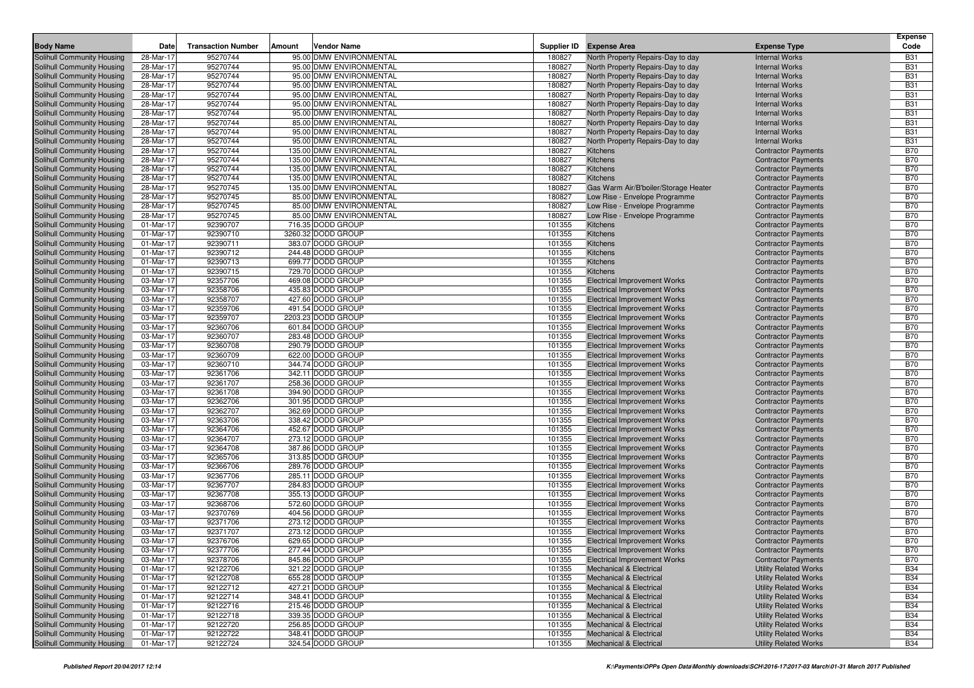| <b>Body Name</b>                                         | Date                   | <b>Transaction Number</b> | Amount | Vendor Name                                        |                  | Supplier ID Expense Area                                                  | <b>Expense Type</b>                                          | <b>Expense</b><br>Code   |
|----------------------------------------------------------|------------------------|---------------------------|--------|----------------------------------------------------|------------------|---------------------------------------------------------------------------|--------------------------------------------------------------|--------------------------|
|                                                          |                        |                           |        |                                                    |                  |                                                                           |                                                              |                          |
| Solihull Community Housing                               | 28-Mar-17              | 95270744<br>95270744      |        | 95.00 DMW ENVIRONMENTAL                            | 180827<br>180827 | North Property Repairs-Day to day<br>North Property Repairs-Day to day    | <b>Internal Works</b><br><b>Internal Works</b>               | <b>B31</b><br><b>B31</b> |
| Solihull Community Housing                               | 28-Mar-17              | 95270744                  |        | 95.00 DMW ENVIRONMENTAL<br>95.00 DMW ENVIRONMENTAL | 180827           |                                                                           | <b>Internal Works</b>                                        | <b>B31</b>               |
| Solihull Community Housing<br>Solihull Community Housing | 28-Mar-17<br>28-Mar-17 | 95270744                  |        | 95.00 DMW ENVIRONMENTAL                            | 180827           | North Property Repairs-Day to day<br>North Property Repairs-Day to day    | <b>Internal Works</b>                                        | <b>B31</b>               |
| Solihull Community Housing                               | 28-Mar-17              | 95270744                  |        | 95.00 DMW ENVIRONMENTAL                            | 180827           | North Property Repairs-Day to day                                         | <b>Internal Works</b>                                        | <b>B31</b>               |
| Solihull Community Housing                               | 28-Mar-17              | 95270744                  |        | 95.00 DMW ENVIRONMENTAL                            | 180827           | North Property Repairs-Day to day                                         | <b>Internal Works</b>                                        | <b>B31</b>               |
| Solihull Community Housing                               | 28-Mar-17              | 95270744                  |        | 95.00 DMW ENVIRONMENTAL                            | 180827           | North Property Repairs-Day to day                                         | <b>Internal Works</b>                                        | <b>B31</b>               |
| Solihull Community Housing                               | 28-Mar-17              | 95270744                  |        | 85.00 DMW ENVIRONMENTAL                            | 180827           | North Property Repairs-Day to day                                         | <b>Internal Works</b>                                        | <b>B31</b>               |
| Solihull Community Housing                               | 28-Mar-17              | 95270744                  |        | 95.00 DMW ENVIRONMENTAL                            | 180827           | North Property Repairs-Day to day                                         | <b>Internal Works</b>                                        | <b>B31</b>               |
| Solihull Community Housing                               | 28-Mar-17              | 95270744                  |        | 95.00 DMW ENVIRONMENTAL                            | 180827           | North Property Repairs-Day to day                                         | <b>Internal Works</b>                                        | <b>B31</b>               |
| Solihull Community Housing                               | 28-Mar-17              | 95270744                  |        | 135.00 DMW ENVIRONMENTAL                           | 180827           | <b>Kitchens</b>                                                           | <b>Contractor Payments</b>                                   | <b>B70</b>               |
| Solihull Community Housing                               | 28-Mar-17              | 95270744                  |        | 135.00 DMW ENVIRONMENTAL                           | 180827           | <b>Kitchens</b>                                                           | <b>Contractor Payments</b>                                   | <b>B70</b>               |
| Solihull Community Housing                               | 28-Mar-17              | 95270744                  |        | 135.00 DMW ENVIRONMENTAL                           | 180827           | Kitchens                                                                  | <b>Contractor Payments</b>                                   | <b>B70</b>               |
| Solihull Community Housing                               | 28-Mar-17              | 95270744                  |        | 135.00 DMW ENVIRONMENTAL                           | 180827           | Kitchens                                                                  | <b>Contractor Payments</b>                                   | <b>B70</b>               |
| Solihull Community Housing                               | 28-Mar-17              | 95270745                  |        | 135.00 DMW ENVIRONMENTAL                           | 180827           | Gas Warm Air/B'boiler/Storage Heater                                      | <b>Contractor Payments</b>                                   | <b>B70</b>               |
| Solihull Community Housing                               | 28-Mar-17              | 95270745                  |        | 85.00 DMW ENVIRONMENTAL                            | 180827           | Low Rise - Envelope Programme                                             | <b>Contractor Payments</b>                                   | <b>B70</b>               |
| Solihull Community Housing                               | 28-Mar-17              | 95270745                  |        | 85.00 DMW ENVIRONMENTAL                            | 180827           | Low Rise - Envelope Programme                                             | <b>Contractor Payments</b>                                   | <b>B70</b>               |
| Solihull Community Housing                               | 28-Mar-17              | 95270745                  |        | 85.00 DMW ENVIRONMENTAL                            | 180827           | Low Rise - Envelope Programme                                             | <b>Contractor Payments</b>                                   | <b>B70</b>               |
| Solihull Community Housing                               | 01-Mar-17              | 92390707                  |        | 716.35 DODD GROUP                                  | 101355           | Kitchens                                                                  | <b>Contractor Payments</b>                                   | <b>B70</b>               |
| Solihull Community Housing                               | 01-Mar-17              | 92390710                  |        | 3260.32 DODD GROUP                                 | 101355           | Kitchens                                                                  | <b>Contractor Payments</b>                                   | <b>B70</b>               |
| Solihull Community Housing                               | 01-Mar-17              | 92390711                  |        | 383.07 DODD GROUP                                  | 101355           | <b>Kitchens</b>                                                           | <b>Contractor Payments</b>                                   | <b>B70</b>               |
| Solihull Community Housing                               | 01-Mar-17              | 92390712                  |        | 244.48 DODD GROUP                                  | 101355           | <b>Kitchens</b>                                                           | <b>Contractor Payments</b>                                   | <b>B70</b>               |
| Solihull Community Housing                               | 01-Mar-17              | 92390713                  |        | 699.77 DODD GROUP                                  | 101355           | Kitchens                                                                  | <b>Contractor Payments</b>                                   | <b>B70</b>               |
| Solihull Community Housing                               | 01-Mar-17              | 92390715                  |        | 729.70 DODD GROUP                                  | 101355           | Kitchens                                                                  | <b>Contractor Payments</b>                                   | <b>B70</b>               |
| Solihull Community Housing                               | 03-Mar-17              | 92357706                  |        | 469.08 DODD GROUP                                  | 101355           | <b>Electrical Improvement Works</b>                                       | <b>Contractor Payments</b>                                   | <b>B70</b>               |
| Solihull Community Housing                               | 03-Mar-17              | 92358706                  |        | 435.83 DODD GROUP                                  | 101355           | <b>Electrical Improvement Works</b>                                       | <b>Contractor Payments</b>                                   | <b>B70</b>               |
| Solihull Community Housing                               | 03-Mar-17              | 92358707                  |        | 427.60 DODD GROUP                                  | 101355           | <b>Electrical Improvement Works</b>                                       | <b>Contractor Payments</b>                                   | <b>B70</b>               |
| Solihull Community Housing                               | 03-Mar-17              | 92359706                  |        | 491.54 DODD GROUP                                  | 101355           | <b>Electrical Improvement Works</b>                                       | <b>Contractor Payments</b>                                   | <b>B70</b>               |
| Solihull Community Housing                               | 03-Mar-17              | 92359707                  |        | 2203.23 DODD GROUP                                 | 101355           | <b>Electrical Improvement Works</b>                                       | <b>Contractor Payments</b>                                   | <b>B70</b>               |
| Solihull Community Housing                               | 03-Mar-17              | 92360706                  |        | 601.84 DODD GROUP                                  | 101355           | <b>Electrical Improvement Works</b>                                       | <b>Contractor Payments</b>                                   | <b>B70</b>               |
| Solihull Community Housing                               | 03-Mar-17              | 92360707                  |        | 283.48 DODD GROUP                                  | 101355           | <b>Electrical Improvement Works</b>                                       | <b>Contractor Payments</b>                                   | <b>B70</b>               |
| Solihull Community Housing                               | 03-Mar-17              | 92360708                  |        | 290.79 DODD GROUP                                  | 101355           | <b>Electrical Improvement Works</b>                                       | <b>Contractor Payments</b>                                   | <b>B70</b>               |
| Solihull Community Housing                               | 03-Mar-17              | 92360709                  |        | 622.00 DODD GROUP                                  | 101355           | <b>Electrical Improvement Works</b>                                       | <b>Contractor Payments</b>                                   | <b>B70</b>               |
| Solihull Community Housing                               | 03-Mar-17              | 92360710                  |        | 344.74 DODD GROUP                                  | 101355           | <b>Electrical Improvement Works</b>                                       | <b>Contractor Payments</b>                                   | <b>B70</b>               |
| Solihull Community Housing                               | 03-Mar-17              | 92361706                  |        | 342.11 DODD GROUP                                  | 101355           | Electrical Improvement Works                                              | <b>Contractor Payments</b>                                   | <b>B70</b>               |
| Solihull Community Housing                               | 03-Mar-17              | 92361707                  |        | 258.36 DODD GROUP                                  | 101355           | <b>Electrical Improvement Works</b>                                       | <b>Contractor Payments</b>                                   | <b>B70</b>               |
| Solihull Community Housing                               | 03-Mar-17              | 92361708                  |        | 394.90 DODD GROUP                                  | 101355           | <b>Electrical Improvement Works</b>                                       | <b>Contractor Payments</b>                                   | <b>B70</b>               |
| Solihull Community Housing                               | 03-Mar-17              | 92362706                  |        | 301.95 DODD GROUP                                  | 101355           | Electrical Improvement Works                                              | <b>Contractor Payments</b>                                   | <b>B70</b>               |
| Solihull Community Housing                               | 03-Mar-17              | 92362707                  |        | 362.69 DODD GROUP                                  | 101355           | <b>Electrical Improvement Works</b>                                       | <b>Contractor Payments</b>                                   | <b>B70</b>               |
| Solihull Community Housing                               | 03-Mar-17              | 92363706                  |        | 338.42 DODD GROUP                                  | 101355           | <b>Electrical Improvement Works</b>                                       | <b>Contractor Payments</b>                                   | <b>B70</b>               |
| Solihull Community Housing                               | 03-Mar-17              | 92364706                  |        | 452.67 DODD GROUP                                  | 101355           | Electrical Improvement Works                                              | <b>Contractor Payments</b>                                   | <b>B70</b>               |
| Solihull Community Housing                               | 03-Mar-17              | 92364707                  |        | 273.12 DODD GROUP                                  | 101355           | <b>Electrical Improvement Works</b>                                       | <b>Contractor Payments</b>                                   | <b>B70</b>               |
| Solihull Community Housing                               | 03-Mar-17              | 92364708                  |        | 387.86 DODD GROUP                                  | 101355           | <b>Electrical Improvement Works</b>                                       | <b>Contractor Payments</b>                                   | <b>B70</b>               |
| Solihull Community Housing                               | 03-Mar-17              | 92365706                  |        | 313.85 DODD GROUP                                  | 101355           | Electrical Improvement Works                                              | <b>Contractor Payments</b>                                   | <b>B70</b>               |
| Solihull Community Housing                               | 03-Mar-17              | 92366706                  |        | 289.76 DODD GROUP                                  | 101355           | <b>Electrical Improvement Works</b>                                       | <b>Contractor Payments</b>                                   | <b>B70</b>               |
| Solihull Community Housing                               | 03-Mar-17              | 92367706                  |        | 285.11 DODD GROUP                                  | 101355           | Electrical Improvement Works                                              | <b>Contractor Payments</b>                                   | <b>B70</b>               |
| Solihull Community Housing                               | 03-Mar-17              | 92367707                  |        | 284.83 DODD GROUP                                  | 101355           | Electrical Improvement Works                                              | <b>Contractor Payments</b>                                   | <b>B70</b>               |
| Solihull Community Housing                               | 03-Mar-17              | 92367708                  |        | 355.13 DODD GROUP                                  | 101355           | <b>Electrical Improvement Works</b>                                       | <b>Contractor Payments</b>                                   | <b>B70</b>               |
| Solihull Community Housing                               | 03-Mar-17              | 92368706                  |        | 572.60 DODD GROUP                                  | 101355           | <b>Electrical Improvement Works</b>                                       | <b>Contractor Payments</b>                                   | <b>B70</b>               |
| Solihull Community Housing                               | 03-Mar-17              | 92370769                  |        | 404.56 DODD GROUP                                  | 101355           | <b>Electrical Improvement Works</b>                                       | <b>Contractor Payments</b>                                   | <b>B70</b>               |
| Solihull Community Housing                               | 03-Mar-17              | 92371706                  |        | 273.12 DODD GROUP                                  | 101355           | <b>Electrical Improvement Works</b>                                       | <b>Contractor Payments</b>                                   | <b>B70</b>               |
| Solihull Community Housing                               | 03-Mar-17              | 92371707                  |        | 273.12 DODD GROUP                                  | 101355           | <b>Electrical Improvement Works</b>                                       | <b>Contractor Payments</b>                                   | <b>B70</b>               |
| Solihull Community Housing                               | 03-Mar-17              | 92376706                  |        | 629.65 DODD GROUP                                  | 101355<br>101355 | <b>Electrical Improvement Works</b>                                       | <b>Contractor Payments</b>                                   | <b>B70</b><br><b>B70</b> |
| Solihull Community Housing                               | 03-Mar-17              | 92377706                  |        | 277.44 DODD GROUP                                  |                  | <b>Electrical Improvement Works</b>                                       | <b>Contractor Payments</b>                                   |                          |
| Solihull Community Housing<br>Solihull Community Housing | 03-Mar-17<br>01-Mar-17 | 92378706<br>92122706      |        | 845.86 DODD GROUP<br>321.22 DODD GROUP             | 101355<br>101355 | <b>Electrical Improvement Works</b><br><b>Mechanical &amp; Electrical</b> | <b>Contractor Payments</b>                                   | <b>B70</b><br><b>B34</b> |
| Solihull Community Housing                               | 01-Mar-17              | 92122708                  |        | 655.28 DODD GROUP                                  | 101355           | <b>Mechanical &amp; Electrical</b>                                        | <b>Utility Related Works</b><br><b>Utility Related Works</b> | <b>B34</b>               |
| Solihull Community Housing                               | 01-Mar-17              | 92122712                  |        | 427.21 DODD GROUP                                  | 101355           | Mechanical & Electrical                                                   | <b>Utility Related Works</b>                                 | <b>B34</b>               |
| Solihull Community Housing                               | 01-Mar-17              | 92122714                  |        | 348.41 DODD GROUP                                  | 101355           | <b>Mechanical &amp; Electrical</b>                                        | <b>Utility Related Works</b>                                 | <b>B34</b>               |
| Solihull Community Housing                               | 01-Mar-17              | 92122716                  |        | 215.46 DODD GROUP                                  | 101355           | <b>Mechanical &amp; Electrical</b>                                        | <b>Utility Related Works</b>                                 | <b>B34</b>               |
| Solihull Community Housing                               | 01-Mar-17              | 92122718                  |        | 339.35 DODD GROUP                                  | 101355           | Mechanical & Electrical                                                   | <b>Utility Related Works</b>                                 | <b>B34</b>               |
| Solihull Community Housing                               | 01-Mar-17              | 92122720                  |        | 256.85 DODD GROUP                                  | 101355           | <b>Mechanical &amp; Electrical</b>                                        | <b>Utility Related Works</b>                                 | <b>B34</b>               |
| Solihull Community Housing                               | 01-Mar-17              | 92122722                  |        | 348.41 DODD GROUP                                  | 101355           | <b>Mechanical &amp; Electrical</b>                                        | <b>Utility Related Works</b>                                 | <b>B34</b>               |
| Solihull Community Housing                               | 01-Mar-17              | 92122724                  |        | 324.54 DODD GROUP                                  | 101355           | <b>Mechanical &amp; Electrical</b>                                        | <b>Utility Related Works</b>                                 | <b>B34</b>               |
|                                                          |                        |                           |        |                                                    |                  |                                                                           |                                                              |                          |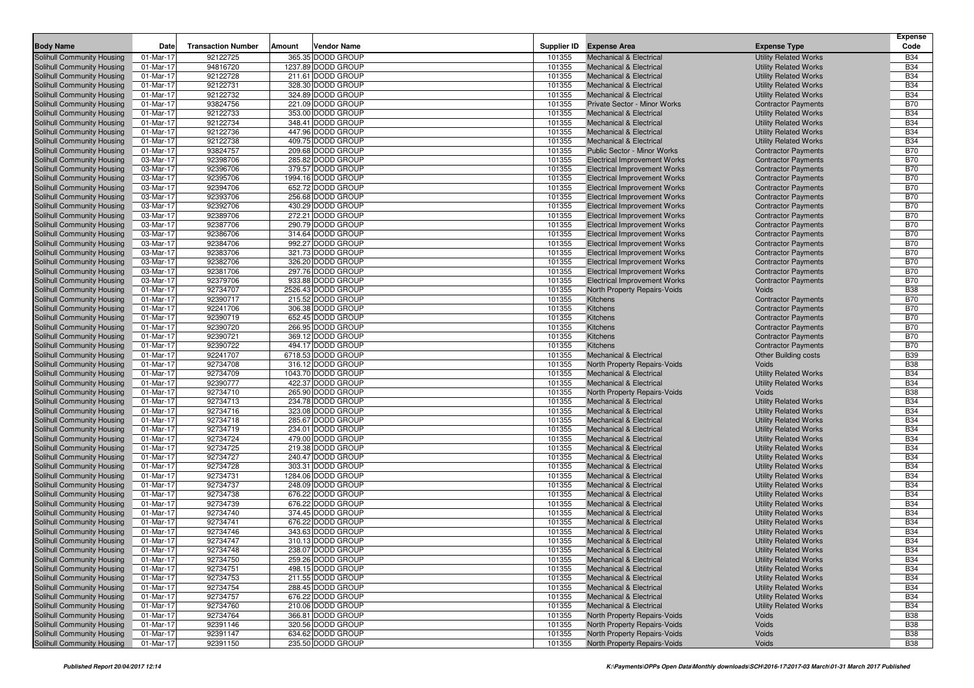|                                                          |                        |                           |        |                                        |                  |                                                                          |                                                              | <b>Expense</b>           |
|----------------------------------------------------------|------------------------|---------------------------|--------|----------------------------------------|------------------|--------------------------------------------------------------------------|--------------------------------------------------------------|--------------------------|
| <b>Body Name</b>                                         | Date                   | <b>Transaction Number</b> | Amount | Vendor Name                            | Supplier ID      | <b>Expense Area</b>                                                      | <b>Expense Type</b>                                          | Code                     |
| <b>Solihull Community Housing</b>                        | 01-Mar-17              | 92122725                  |        | 365.35 DODD GROUP                      | 101355           | <b>Mechanical &amp; Electrical</b>                                       | <b>Utility Related Works</b>                                 | <b>B34</b>               |
| Solihull Community Housing                               | 01-Mar-17              | 94816720                  |        | 1237.89 DODD GROUP                     | 101355           | <b>Mechanical &amp; Electrical</b>                                       | <b>Utility Related Works</b>                                 | <b>B34</b>               |
| Solihull Community Housing                               | 01-Mar-17              | 92122728                  |        | 211.61 DODD GROUP                      | 101355           | <b>Mechanical &amp; Electrical</b>                                       | <b>Utility Related Works</b>                                 | <b>B34</b>               |
| Solihull Community Housing                               | 01-Mar-17              | 92122731                  |        | 328.30 DODD GROUP                      | 101355           | <b>Mechanical &amp; Electrical</b>                                       | <b>Utility Related Works</b>                                 | <b>B34</b>               |
| Solihull Community Housing                               | 01-Mar-17              | 92122732                  |        | 324.89 DODD GROUP                      | 101355           | <b>Mechanical &amp; Electrical</b>                                       | <b>Utility Related Works</b>                                 | <b>B34</b>               |
| Solihull Community Housing                               | 01-Mar-17              | 93824756                  |        | 221.09 DODD GROUP                      | 101355           | <b>Private Sector - Minor Works</b>                                      | <b>Contractor Payments</b>                                   | <b>B70</b>               |
| Solihull Community Housing                               | 01-Mar-17              | 92122733                  |        | 353.00 DODD GROUP                      | 101355           | <b>Mechanical &amp; Electrical</b>                                       | <b>Utility Related Works</b>                                 | <b>B34</b><br><b>B34</b> |
| Solihull Community Housing                               | 01-Mar-17              | 92122734                  |        | 348.41 DODD GROUP                      | 101355<br>101355 | <b>Mechanical &amp; Electrical</b><br><b>Mechanical &amp; Electrical</b> | <b>Utility Related Works</b>                                 | <b>B34</b>               |
| Solihull Community Housing                               | 01-Mar-17<br>01-Mar-17 | 92122736<br>92122738      |        | 447.96 DODD GROUP<br>409.75 DODD GROUP | 101355           | <b>Mechanical &amp; Electrical</b>                                       | <b>Utility Related Works</b>                                 | <b>B34</b>               |
| Solihull Community Housing<br>Solihull Community Housing | 01-Mar-17              | 93824757                  |        | 209.68 DODD GROUP                      | 101355           | Public Sector - Minor Works                                              | <b>Utility Related Works</b><br><b>Contractor Payments</b>   | <b>B70</b>               |
| Solihull Community Housing                               | 03-Mar-17              | 92398706                  |        | 285.82 DODD GROUP                      | 101355           | <b>Electrical Improvement Works</b>                                      | <b>Contractor Payments</b>                                   | <b>B70</b>               |
| Solihull Community Housing                               | 03-Mar-17              | 92396706                  |        | 379.57 DODD GROUP                      | 101355           | <b>Electrical Improvement Works</b>                                      | <b>Contractor Payments</b>                                   | <b>B70</b>               |
| Solihull Community Housing                               | 03-Mar-17              | 92395706                  |        | 1994.16 DODD GROUP                     | 101355           | <b>Electrical Improvement Works</b>                                      | <b>Contractor Payments</b>                                   | <b>B70</b>               |
| Solihull Community Housing                               | 03-Mar-17              | 92394706                  |        | 652.72 DODD GROUP                      | 101355           | <b>Electrical Improvement Works</b>                                      | <b>Contractor Payments</b>                                   | <b>B70</b>               |
| Solihull Community Housing                               | 03-Mar-17              | 92393706                  |        | 256.68 DODD GROUP                      | 101355           | <b>Electrical Improvement Works</b>                                      | <b>Contractor Payments</b>                                   | <b>B70</b>               |
| Solihull Community Housing                               | 03-Mar-17              | 92392706                  |        | 430.29 DODD GROUP                      | 101355           | <b>Electrical Improvement Works</b>                                      | <b>Contractor Payments</b>                                   | <b>B70</b>               |
| Solihull Community Housing                               | 03-Mar-17              | 92389706                  |        | 272.21 DODD GROUP                      | 101355           | <b>Electrical Improvement Works</b>                                      | <b>Contractor Payments</b>                                   | <b>B70</b>               |
| Solihull Community Housing                               | 03-Mar-17              | 92387706                  |        | 290.79 DODD GROUP                      | 101355           | <b>Electrical Improvement Works</b>                                      | <b>Contractor Payments</b>                                   | <b>B70</b>               |
| Solihull Community Housing                               | 03-Mar-17              | 92386706                  |        | 314.64 DODD GROUP                      | 101355           | <b>Electrical Improvement Works</b>                                      | <b>Contractor Payments</b>                                   | <b>B70</b>               |
| Solihull Community Housing                               | 03-Mar-17              | 92384706                  |        | 992.27 DODD GROUP                      | 101355           | <b>Electrical Improvement Works</b>                                      | <b>Contractor Payments</b>                                   | <b>B70</b>               |
| Solihull Community Housing                               | 03-Mar-17              | 92383706                  |        | 321.73 DODD GROUP                      | 101355           | <b>Electrical Improvement Works</b>                                      | <b>Contractor Payments</b>                                   | <b>B70</b>               |
| Solihull Community Housing                               | 03-Mar-17              | 92382706                  |        | 326.20 DODD GROUP                      | 101355           | <b>Electrical Improvement Works</b>                                      | <b>Contractor Payments</b>                                   | <b>B70</b>               |
| Solihull Community Housing                               | 03-Mar-17              | 92381706                  |        | 297.76 DODD GROUP                      | 101355           | <b>Electrical Improvement Works</b>                                      | <b>Contractor Payments</b>                                   | <b>B70</b>               |
| Solihull Community Housing                               | 03-Mar-17              | 92379706                  |        | 933.88 DODD GROUP                      | 101355           | <b>Electrical Improvement Works</b>                                      | <b>Contractor Payments</b>                                   | <b>B70</b>               |
| Solihull Community Housing                               | 01-Mar-17              | 92734707                  |        | 2526.43 DODD GROUP                     | 101355           | North Property Repairs-Voids                                             | Voids                                                        | <b>B38</b>               |
| Solihull Community Housing                               | 01-Mar-17              | 92390717                  |        | 215.52 DODD GROUP                      | 101355           | <b>Kitchens</b>                                                          | <b>Contractor Payments</b>                                   | <b>B70</b>               |
| Solihull Community Housing                               | 01-Mar-17              | 92241706                  |        | 306.38 DODD GROUP                      | 101355           | <b>Kitchens</b>                                                          | <b>Contractor Payments</b>                                   | <b>B70</b>               |
| Solihull Community Housing                               | 01-Mar-17              | 92390719                  |        | 652.45 DODD GROUP                      | 101355           | <b>Kitchens</b>                                                          | <b>Contractor Payments</b>                                   | <b>B70</b>               |
| Solihull Community Housing                               | 01-Mar-17              | 92390720                  |        | 266.95 DODD GROUP                      | 101355           | <b>Kitchens</b>                                                          | <b>Contractor Payments</b>                                   | <b>B70</b>               |
| Solihull Community Housing                               | 01-Mar-17              | 92390721                  |        | 369.12 DODD GROUP                      | 101355           | <b>Kitchens</b>                                                          | <b>Contractor Payments</b>                                   | <b>B70</b>               |
| Solihull Community Housing                               | 01-Mar-17              | 92390722                  |        | 494.17 DODD GROUP                      | 101355           | <b>Kitchens</b>                                                          | <b>Contractor Payments</b>                                   | <b>B70</b>               |
| Solihull Community Housing                               | 01-Mar-17              | 92241707                  |        | 6718.53 DODD GROUP                     | 101355           | <b>Mechanical &amp; Electrical</b>                                       | <b>Other Building costs</b>                                  | <b>B39</b>               |
| Solihull Community Housing                               | 01-Mar-17              | 92734708                  |        | 316.12 DODD GROUP                      | 101355           | North Property Repairs-Voids                                             | Voids                                                        | <b>B38</b>               |
| Solihull Community Housing                               | 01-Mar-17              | 92734709                  |        | 1043.70 DODD GROUP                     | 101355           | <b>Mechanical &amp; Electrical</b>                                       | <b>Utility Related Works</b>                                 | <b>B34</b>               |
| Solihull Community Housing                               | 01-Mar-17              | 92390777                  |        | 422.37 DODD GROUP                      | 101355           | <b>Mechanical &amp; Electrical</b>                                       | <b>Utility Related Works</b>                                 | <b>B34</b>               |
| Solihull Community Housing                               | 01-Mar-17              | 92734710                  |        | 265.90 DODD GROUP                      | 101355           | North Property Repairs-Voids                                             | Voids                                                        | <b>B38</b>               |
| Solihull Community Housing                               | 01-Mar-17              | 92734713                  |        | 234.78 DODD GROUP                      | 101355           | <b>Mechanical &amp; Electrical</b>                                       | <b>Utility Related Works</b>                                 | <b>B34</b>               |
| Solihull Community Housing                               | 01-Mar-17              | 92734716                  |        | 323.08 DODD GROUP                      | 101355           | <b>Mechanical &amp; Electrical</b>                                       | <b>Utility Related Works</b>                                 | <b>B34</b>               |
| Solihull Community Housing                               | 01-Mar-17              | 92734718                  |        | 285.67 DODD GROUP                      | 101355           | <b>Mechanical &amp; Electrical</b>                                       | <b>Utility Related Works</b>                                 | <b>B34</b>               |
| Solihull Community Housing                               | 01-Mar-17              | 92734719<br>92734724      |        | 234.01 DODD GROUP<br>479.00 DODD GROUP | 101355           | <b>Mechanical &amp; Electrical</b>                                       | <b>Utility Related Works</b>                                 | <b>B34</b><br><b>B34</b> |
| Solihull Community Housing<br>Solihull Community Housing | 01-Mar-17<br>01-Mar-17 | 92734725                  |        | 219.38 DODD GROUP                      | 101355<br>101355 | <b>Mechanical &amp; Electrical</b><br><b>Mechanical &amp; Electrical</b> | <b>Utility Related Works</b><br><b>Utility Related Works</b> | <b>B34</b>               |
| Solihull Community Housing                               | 01-Mar-17              | 92734727                  |        | 240.47 DODD GROUP                      | 101355           | <b>Mechanical &amp; Electrical</b>                                       | <b>Utility Related Works</b>                                 | <b>B34</b>               |
| Solihull Community Housing                               | 01-Mar-17              | 92734728                  |        | 303.31 DODD GROUP                      | 101355           | <b>Mechanical &amp; Electrical</b>                                       | <b>Utility Related Works</b>                                 | <b>B34</b>               |
| Solihull Community Housing                               | 01-Mar-17              | 92734731                  |        | 1284.06 DODD GROUP                     | 101355           | <b>Mechanical &amp; Electrical</b>                                       | <b>Utility Related Works</b>                                 | <b>B34</b>               |
| Solihull Community Housing                               | 01-Mar-17              | 92734737                  |        | 248.09 DODD GROUP                      | 101355           | <b>Mechanical &amp; Electrical</b>                                       | <b>Utility Related Works</b>                                 | <b>B34</b>               |
| Solihull Community Housing                               | 01-Mar-17              | 92734738                  |        | 676.22 DODD GROUP                      | 101355           | <b>Mechanical &amp; Electrical</b>                                       | <b>Utility Related Works</b>                                 | <b>B34</b>               |
| Solihull Community Housing                               | 01-Mar-17              | 92734739                  |        | 676.22 DODD GROUP                      | 101355           | <b>Mechanical &amp; Electrical</b>                                       | <b>Utility Related Works</b>                                 | <b>B34</b>               |
| Solihull Community Housing                               | 01-Mar-17              | 92734740                  |        | 374.45 DODD GROUP                      | 101355           | <b>Mechanical &amp; Electrical</b>                                       | <b>Utility Related Works</b>                                 | <b>B34</b>               |
| Solihull Community Housing                               | 01-Mar-17              | 92734741                  |        | 676.22 DODD GROUP                      | 101355           | <b>Mechanical &amp; Electrical</b>                                       | <b>Utility Related Works</b>                                 | <b>B34</b>               |
| Solihull Community Housing                               | 01-Mar-17              | 92734746                  |        | 343.63 DODD GROUP                      | 101355           | <b>Mechanical &amp; Electrical</b>                                       | <b>Utility Related Works</b>                                 | <b>B34</b>               |
| Solihull Community Housing                               | 01-Mar-17              | 92734747                  |        | 310.13 DODD GROUP                      | 101355           | <b>Mechanical &amp; Electrical</b>                                       | <b>Utility Related Works</b>                                 | <b>B34</b>               |
| Solihull Community Housing                               | 01-Mar-17              | 92734748                  |        | 238.07 DODD GROUP                      | 101355           | Mechanical & Electrical                                                  | <b>Utility Related Works</b>                                 | <b>B34</b>               |
| Solihull Community Housing                               | 01-Mar-17              | 92734750                  |        | 259.26 DODD GROUP                      | 101355           | Mechanical & Electrical                                                  | <b>Utility Related Works</b>                                 | <b>B34</b>               |
| Solihull Community Housing                               | 01-Mar-17              | 92734751                  |        | 498.15 DODD GROUP                      | 101355           | Mechanical & Electrical                                                  | <b>Utility Related Works</b>                                 | <b>B34</b>               |
| Solihull Community Housing                               | 01-Mar-17              | 92734753                  |        | 211.55 DODD GROUP                      | 101355           | Mechanical & Electrical                                                  | <b>Utility Related Works</b>                                 | <b>B34</b>               |
| Solihull Community Housing                               | 01-Mar-17              | 92734754                  |        | 288.45 DODD GROUP                      | 101355           | <b>Mechanical &amp; Electrical</b>                                       | <b>Utility Related Works</b>                                 | <b>B34</b>               |
| Solihull Community Housing                               | 01-Mar-17              | 92734757                  |        | 676.22 DODD GROUP                      | 101355           | <b>Mechanical &amp; Electrical</b>                                       | <b>Utility Related Works</b>                                 | <b>B34</b>               |
| Solihull Community Housing                               | 01-Mar-17              | 92734760                  |        | 210.06 DODD GROUP                      | 101355           | <b>Mechanical &amp; Electrical</b>                                       | <b>Utility Related Works</b>                                 | <b>B34</b>               |
| Solihull Community Housing                               | 01-Mar-17              | 92734764                  |        | 366.81 DODD GROUP                      | 101355           | North Property Repairs-Voids                                             | Voids                                                        | <b>B38</b>               |
| Solihull Community Housing                               | 01-Mar-17              | 92391146                  |        | 320.56 DODD GROUP                      | 101355           | North Property Repairs-Voids                                             | Voids                                                        | <b>B38</b>               |
| Solihull Community Housing                               | 01-Mar-17              | 92391147                  |        | 634.62 DODD GROUP                      | 101355           | North Property Repairs-Voids                                             | Voids                                                        | <b>B38</b>               |
| Solihull Community Housing                               | 01-Mar-17              | 92391150                  |        | 235.50 DODD GROUP                      | 101355           | North Property Repairs-Voids                                             | Voids                                                        | <b>B38</b>               |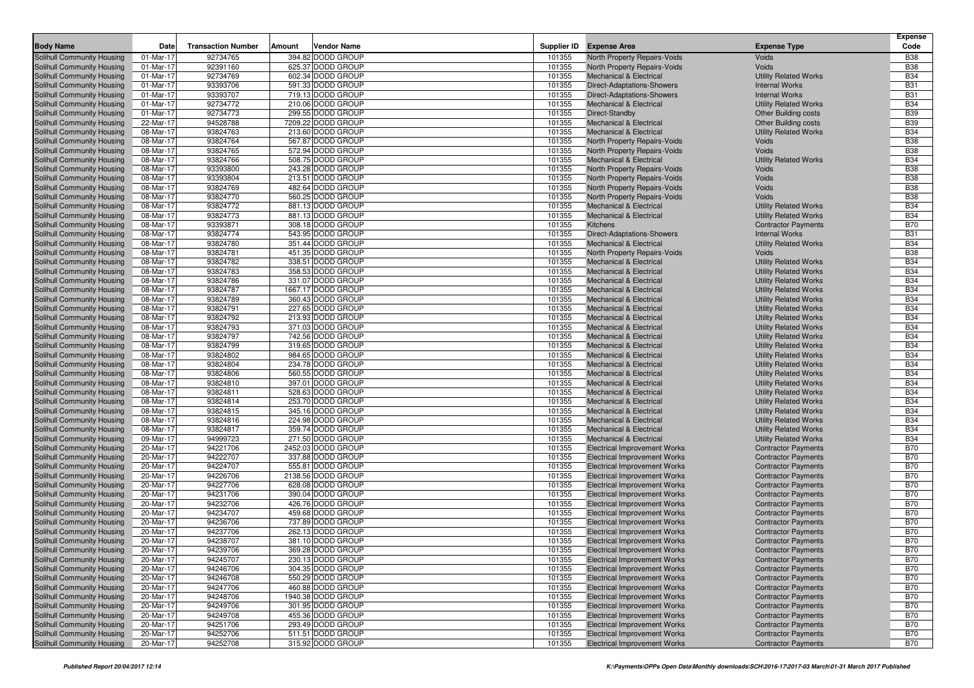|                                                          |                        |                           |        |                                         |                  |                                                                            |                                                          | <b>Expense</b>           |
|----------------------------------------------------------|------------------------|---------------------------|--------|-----------------------------------------|------------------|----------------------------------------------------------------------------|----------------------------------------------------------|--------------------------|
| <b>Body Name</b>                                         | Date                   | <b>Transaction Number</b> | Amount | <b>Vendor Name</b>                      |                  | Supplier ID Expense Area                                                   | <b>Expense Type</b>                                      | Code                     |
| Solihull Community Housing                               | 01-Mar-17              | 92734765                  |        | 394.82 DODD GROUP                       | 101355           | North Property Repairs-Voids                                               | Voids                                                    | <b>B38</b>               |
| Solihull Community Housing                               | 01-Mar-17              | 92391160                  |        | 625.37 DODD GROUP                       | 101355           | North Property Repairs-Voids                                               | Voids                                                    | <b>B38</b>               |
| Solihull Community Housing                               | 01-Mar-17              | 92734769                  |        | 602.34 DODD GROUP                       | 101355           | <b>Mechanical &amp; Electrical</b>                                         | <b>Utility Related Works</b>                             | <b>B34</b>               |
| Solihull Community Housing                               | 01-Mar-17              | 93393706                  |        | 591.33 DODD GROUP                       | 101355           | Direct-Adaptations-Showers                                                 | <b>Internal Works</b>                                    | <b>B31</b>               |
| Solihull Community Housing                               | 01-Mar-17              | 93393707                  |        | 719.13 DODD GROUP                       | 101355           | Direct-Adaptations-Showers                                                 | <b>Internal Works</b>                                    | <b>B31</b>               |
| Solihull Community Housing                               | 01-Mar-17              | 92734772                  |        | 210.06 DODD GROUP                       | 101355           | <b>Mechanical &amp; Electrical</b>                                         | <b>Utility Related Works</b>                             | <b>B34</b>               |
| Solihull Community Housing                               | 01-Mar-17              | 92734773                  |        | 299.55 DODD GROUP                       | 101355           | Direct-Standby                                                             | <b>Other Building costs</b>                              | <b>B39</b>               |
| Solihull Community Housing                               | 22-Mar-17              | 94528788                  |        | 7209.22 DODD GROUP                      | 101355           | <b>Mechanical &amp; Electrical</b>                                         | <b>Other Building costs</b>                              | <b>B39</b>               |
| Solihull Community Housing                               | 08-Mar-17              | 93824763                  |        | 213.60 DODD GROUP                       | 101355           | <b>Mechanical &amp; Electrical</b>                                         | <b>Utility Related Works</b>                             | <b>B34</b>               |
| Solihull Community Housing                               | 08-Mar-17              | 93824764                  |        | 567.87 DODD GROUP                       | 101355           | North Property Repairs-Voids                                               | Voids                                                    | <b>B38</b>               |
| Solihull Community Housing                               | 08-Mar-17              | 93824765                  |        | 572.94 DODD GROUP                       | 101355           | North Property Repairs-Voids                                               | Voids                                                    | <b>B38</b>               |
| Solihull Community Housing                               | 08-Mar-17              | 93824766                  |        | 508.75 DODD GROUP                       | 101355           | <b>Mechanical &amp; Electrical</b>                                         | <b>Utility Related Works</b>                             | <b>B34</b>               |
| Solihull Community Housing                               | 08-Mar-17              | 93393800                  |        | 243.28 DODD GROUP                       | 101355           | North Property Repairs-Voids                                               | Voids                                                    | <b>B38</b>               |
| Solihull Community Housing                               | 08-Mar-17              | 93393804                  |        | 213.51 DODD GROUP                       | 101355           | North Property Repairs-Voids                                               | Voids                                                    | <b>B38</b>               |
| Solihull Community Housing                               | 08-Mar-17              | 93824769                  |        | 482.64 DODD GROUP                       | 101355           | North Property Repairs-Voids                                               | Voids                                                    | <b>B38</b>               |
| Solihull Community Housing                               | 08-Mar-17              | 93824770                  |        | 560.25 DODD GROUP                       | 101355           | <b>North Property Repairs-Voids</b>                                        | Voids                                                    | <b>B38</b>               |
| Solihull Community Housing                               | 08-Mar-17              | 93824772                  |        | 881.13 DODD GROUP                       | 101355           | <b>Mechanical &amp; Electrical</b>                                         | <b>Utility Related Works</b>                             | <b>B34</b>               |
| Solihull Community Housing                               | 08-Mar-17              | 93824773                  |        | 881.13 DODD GROUP                       | 101355           | <b>Mechanical &amp; Electrical</b>                                         | <b>Utility Related Works</b>                             | <b>B34</b>               |
| Solihull Community Housing                               | 08-Mar-17              | 93393871                  |        | 308.18 DODD GROUP                       | 101355           | Kitchens                                                                   | <b>Contractor Payments</b>                               | <b>B70</b>               |
| Solihull Community Housing                               | 08-Mar-17              | 93824774                  |        | 543.95 DODD GROUP                       | 101355           | <b>Direct-Adaptations-Showers</b>                                          | <b>Internal Works</b>                                    | <b>B31</b>               |
| Solihull Community Housing                               | 08-Mar-17              | 93824780                  |        | 351.44 DODD GROUP                       | 101355           | <b>Mechanical &amp; Electrical</b>                                         | <b>Utility Related Works</b>                             | <b>B34</b>               |
| Solihull Community Housing                               | 08-Mar-17              | 93824781                  |        | 451.35 DODD GROUP                       | 101355           | North Property Repairs-Voids                                               | Voids                                                    | <b>B38</b>               |
| Solihull Community Housing                               | 08-Mar-17              | 93824782                  |        | 338.51 DODD GROUP                       | 101355           | <b>Mechanical &amp; Electrical</b>                                         | <b>Utility Related Works</b>                             | <b>B34</b>               |
| Solihull Community Housing                               | 08-Mar-17              | 93824783                  |        | 358.53 DODD GROUP                       | 101355           | <b>Mechanical &amp; Electrical</b>                                         | <b>Utility Related Works</b>                             | <b>B34</b>               |
| Solihull Community Housing                               | 08-Mar-17              | 93824786                  |        | 331.07 DODD GROUP                       | 101355           | <b>Mechanical &amp; Electrical</b>                                         | <b>Utility Related Works</b>                             | <b>B34</b>               |
| Solihull Community Housing                               | 08-Mar-17              | 93824787                  |        | 1667.17 DODD GROUP                      | 101355           | <b>Mechanical &amp; Electrical</b>                                         | <b>Utility Related Works</b>                             | <b>B34</b>               |
| Solihull Community Housing                               | 08-Mar-17              | 93824789                  |        | 360.43 DODD GROUP                       | 101355           | <b>Mechanical &amp; Electrical</b>                                         | <b>Utility Related Works</b>                             | <b>B34</b>               |
| Solihull Community Housing                               | 08-Mar-17              | 93824791                  |        | 227.65 DODD GROUP                       | 101355           | <b>Mechanical &amp; Electrical</b>                                         | <b>Utility Related Works</b>                             | <b>B34</b>               |
| Solihull Community Housing                               | 08-Mar-17              | 93824792                  |        | 213.93 DODD GROUP                       | 101355           | <b>Mechanical &amp; Electrical</b>                                         | <b>Utility Related Works</b>                             | <b>B34</b>               |
| Solihull Community Housing                               | 08-Mar-17              | 93824793                  |        | 371.03 DODD GROUP                       | 101355           | <b>Mechanical &amp; Electrical</b>                                         | <b>Utility Related Works</b>                             | <b>B34</b>               |
| Solihull Community Housing                               | 08-Mar-17              | 93824797                  |        | 742.56 DODD GROUP                       | 101355           | <b>Mechanical &amp; Electrical</b>                                         | <b>Utility Related Works</b>                             | <b>B34</b>               |
| Solihull Community Housing                               | 08-Mar-17              | 93824799                  |        | 319.65 DODD GROUP                       | 101355           | <b>Mechanical &amp; Electrical</b>                                         | <b>Utility Related Works</b>                             | <b>B34</b>               |
| Solihull Community Housing                               | 08-Mar-17              | 93824802                  |        | 984.65 DODD GROUP                       | 101355           | <b>Mechanical &amp; Electrical</b>                                         | <b>Utility Related Works</b>                             | <b>B34</b>               |
| Solihull Community Housing                               | 08-Mar-17              | 93824804                  |        | 234.78 DODD GROUP                       | 101355           | <b>Mechanical &amp; Electrical</b>                                         | <b>Utility Related Works</b>                             | <b>B34</b>               |
| Solihull Community Housing                               | 08-Mar-17              | 93824806                  |        | 560.55 DODD GROUP                       | 101355           | <b>Mechanical &amp; Electrical</b>                                         | <b>Utility Related Works</b>                             | <b>B34</b>               |
| Solihull Community Housing                               | 08-Mar-17              | 93824810                  |        | 397.01 DODD GROUP                       | 101355           | <b>Mechanical &amp; Electrical</b>                                         | <b>Utility Related Works</b>                             | <b>B34</b>               |
| Solihull Community Housing                               | 08-Mar-17              | 93824811                  |        | 528.63 DODD GROUP                       | 101355           | <b>Mechanical &amp; Electrical</b>                                         | <b>Utility Related Works</b>                             | <b>B34</b>               |
| Solihull Community Housing                               | 08-Mar-17              | 93824814                  |        | 253.70 DODD GROUP                       | 101355           | <b>Mechanical &amp; Electrical</b>                                         | <b>Utility Related Works</b>                             | <b>B34</b>               |
| Solihull Community Housing                               | 08-Mar-17              | 93824815<br>93824816      |        | 345.16 DODD GROUP<br>224.98 DODD GROUP  | 101355<br>101355 | <b>Mechanical &amp; Electrical</b><br><b>Mechanical &amp; Electrical</b>   | <b>Utility Related Works</b>                             | <b>B34</b><br><b>B34</b> |
| Solihull Community Housing                               | 08-Mar-17              | 93824817                  |        | 359.74 DODD GROUP                       |                  |                                                                            | <b>Utility Related Works</b>                             | <b>B34</b>               |
| Solihull Community Housing                               | 08-Mar-17              |                           |        |                                         | 101355<br>101355 | <b>Mechanical &amp; Electrical</b><br><b>Mechanical &amp; Electrical</b>   | <b>Utility Related Works</b>                             | <b>B34</b>               |
| Solihull Community Housing                               | 09-Mar-17              | 94999723<br>94221706      |        | 271.50 DODD GROUP<br>2452.03 DODD GROUP | 101355           |                                                                            | <b>Utility Related Works</b>                             | <b>B70</b>               |
| Solihull Community Housing<br>Solihull Community Housing | 20-Mar-17<br>20-Mar-17 | 94222707                  |        | 337.88 DODD GROUP                       | 101355           | <b>Electrical Improvement Works</b><br><b>Electrical Improvement Works</b> | <b>Contractor Payments</b><br><b>Contractor Payments</b> | <b>B70</b>               |
| Solihull Community Housing                               | 20-Mar-17              | 94224707                  |        | 555.81 DODD GROUP                       | 101355           | <b>Electrical Improvement Works</b>                                        | <b>Contractor Payments</b>                               | <b>B70</b>               |
| Solihull Community Housing                               | 20-Mar-17              | 94226706                  |        | 2138.56 DODD GROUP                      | 101355           | <b>Electrical Improvement Works</b>                                        | <b>Contractor Payments</b>                               | <b>B70</b>               |
| Solihull Community Housing                               | 20-Mar-17              | 94227706                  |        | 628.08 DODD GROUP                       | 101355           | <b>Electrical Improvement Works</b>                                        | <b>Contractor Payments</b>                               | <b>B70</b>               |
| Solihull Community Housing                               | 20-Mar-17              | 94231706                  |        | 390.04 DODD GROUP                       | 101355           | <b>Electrical Improvement Works</b>                                        | <b>Contractor Payments</b>                               | <b>B70</b>               |
| Solihull Community Housing                               | 20-Mar-17              | 94232706                  |        | 426.76 DODD GROUP                       | 101355           | <b>Electrical Improvement Works</b>                                        | <b>Contractor Payments</b>                               | <b>B70</b>               |
| Solihull Community Housing                               | 20-Mar-17              | 94234707                  |        | 459.68 DODD GROUP                       | 101355           | <b>Electrical Improvement Works</b>                                        | <b>Contractor Payments</b>                               | <b>B70</b>               |
| Solihull Community Housing                               | 20-Mar-17              | 94236706                  |        | 737.89 DODD GROUP                       | 101355           | <b>Electrical Improvement Works</b>                                        | <b>Contractor Payments</b>                               | <b>B70</b>               |
| Solihull Community Housing                               | 20-Mar-17              | 94237706                  |        | 262.13 DODD GROUP                       | 101355           | <b>Electrical Improvement Works</b>                                        | <b>Contractor Payments</b>                               | <b>B70</b>               |
| Solihull Community Housing                               | 20-Mar-17              | 94238707                  |        | 381.10 DODD GROUP                       | 101355           | <b>Electrical Improvement Works</b>                                        | <b>Contractor Payments</b>                               | <b>B70</b>               |
| Solihull Community Housing                               | 20-Mar-17              | 94239706                  |        | 369.28 DODD GROUP                       | 101355           | <b>Electrical Improvement Works</b>                                        | <b>Contractor Payments</b>                               | <b>B70</b>               |
| Solihull Community Housing                               | 20-Mar-17              | 94245707                  |        | 230.13 DODD GROUP                       | 101355           | <b>Electrical Improvement Works</b>                                        | <b>Contractor Payments</b>                               | <b>B70</b>               |
| Solihull Community Housing                               | 20-Mar-17              | 94246706                  |        | 304.35 DODD GROUP                       | 101355           | <b>Electrical Improvement Works</b>                                        | <b>Contractor Payments</b>                               | <b>B70</b>               |
| Solihull Community Housing                               | 20-Mar-17              | 94246708                  |        | 550.29 DODD GROUP                       | 101355           | <b>Electrical Improvement Works</b>                                        | <b>Contractor Payments</b>                               | <b>B70</b>               |
| Solihull Community Housing                               | 20-Mar-17              | 94247706                  |        | 460.88 DODD GROUP                       | 101355           | <b>Electrical Improvement Works</b>                                        | <b>Contractor Payments</b>                               | <b>B70</b>               |
| Solihull Community Housing                               | 20-Mar-17              | 94248706                  |        | 1940.38 DODD GROUP                      | 101355           | <b>Electrical Improvement Works</b>                                        | <b>Contractor Payments</b>                               | <b>B70</b>               |
| Solihull Community Housing                               | 20-Mar-17              | 94249706                  |        | 301.95 DODD GROUP                       | 101355           | <b>Electrical Improvement Works</b>                                        | <b>Contractor Payments</b>                               | <b>B70</b>               |
| Solihull Community Housing                               | 20-Mar-17              | 94249708                  |        | 455.36 DODD GROUP                       | 101355           | <b>Electrical Improvement Works</b>                                        | <b>Contractor Payments</b>                               | <b>B70</b>               |
| Solihull Community Housing                               | 20-Mar-17              | 94251706                  |        | 293.49 DODD GROUP                       | 101355           | <b>Electrical Improvement Works</b>                                        | <b>Contractor Payments</b>                               | B70                      |
| Solihull Community Housing                               | 20-Mar-17              | 94252706                  |        | 511.51 DODD GROUP                       | 101355           | <b>Electrical Improvement Works</b>                                        | <b>Contractor Payments</b>                               | <b>B70</b>               |
| Solihull Community Housing                               | 20-Mar-17              | 94252708                  |        | 315.92 DODD GROUP                       | 101355           | <b>Electrical Improvement Works</b>                                        | <b>Contractor Payments</b>                               | <b>B70</b>               |
|                                                          |                        |                           |        |                                         |                  |                                                                            |                                                          |                          |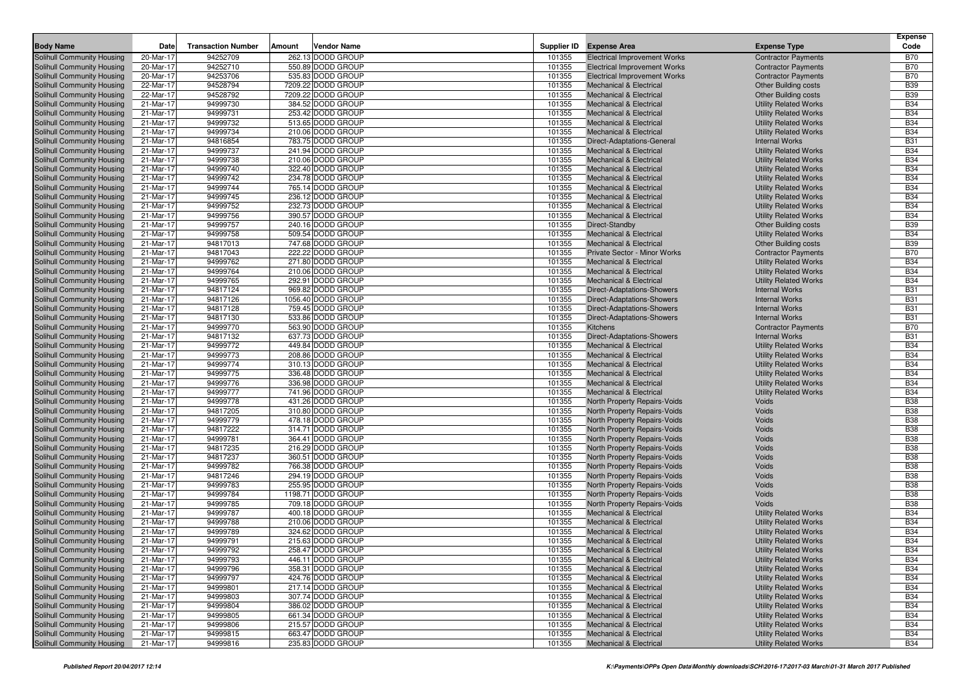| Solihull Community Housing<br>20-Mar-17<br>94252709<br>262.13 DODD GROUP<br>101355<br><b>Electrical Improvement Works</b><br><b>Contractor Payments</b><br><b>B70</b><br>94252710<br>101355<br><b>B70</b><br>Solihull Community Housing<br>20-Mar-17<br>550.89 DODD GROUP<br><b>Electrical Improvement Works</b><br><b>Contractor Payments</b><br>94253706<br>535.83 DODD GROUP<br>101355<br><b>B70</b><br>Solihull Community Housing<br>20-Mar-17<br><b>Electrical Improvement Works</b><br><b>Contractor Payments</b><br>94528794<br>7209.22 DODD GROUP<br>101355<br><b>B39</b><br>Solihull Community Housing<br>22-Mar-17<br><b>Mechanical &amp; Electrical</b><br><b>Other Building costs</b><br><b>B39</b><br>22-Mar-17<br>94528792<br>7209.22 DODD GROUP<br>101355<br>Solihull Community Housing<br><b>Mechanical &amp; Electrical</b><br><b>Other Building costs</b><br>384.52 DODD GROUP<br>101355<br><b>B34</b><br>Solihull Community Housing<br>21-Mar-17<br>94999730<br><b>Mechanical &amp; Electrical</b><br><b>Utility Related Works</b><br>21-Mar-17<br>94999731<br>253.42 DODD GROUP<br>101355<br><b>B34</b><br><b>Mechanical &amp; Electrical</b><br><b>Utility Related Works</b><br><b>B34</b><br>94999732<br>101355<br>21-Mar-17<br>513.65 DODD GROUP<br><b>Mechanical &amp; Electrical</b><br><b>Utility Related Works</b><br>101355<br><b>B34</b><br>21-Mar-17<br>94999734<br>210.06 DODD GROUP<br><b>Mechanical &amp; Electrical</b><br><b>Utility Related Works</b><br>21-Mar-17<br>94816854<br>783.75 DODD GROUP<br>101355<br><b>Internal Works</b><br><b>B31</b><br>Direct-Adaptations-General<br><b>B34</b><br>94999737<br>101355<br>21-Mar-17<br>241.94 DODD GROUP<br><b>Mechanical &amp; Electrical</b><br><b>Utility Related Works</b><br>94999738<br>210.06 DODD GROUP<br>101355<br><b>B34</b><br>21-Mar-17<br><b>Mechanical &amp; Electrical</b><br><b>Utility Related Works</b><br>94999740<br>322.40 DODD GROUP<br>101355<br><b>B34</b><br>Solihull Community Housing<br>21-Mar-17<br><b>Mechanical &amp; Electrical</b><br><b>Utility Related Works</b><br><b>B34</b><br>21-Mar-17<br>94999742<br>234.78 DODD GROUP<br>101355<br>Solihull Community Housing<br><b>Mechanical &amp; Electrical</b><br><b>Utility Related Works</b><br>94999744<br>101355<br><b>B34</b><br>Solihull Community Housing<br>21-Mar-17<br>765.14 DODD GROUP<br><b>Mechanical &amp; Electrical</b><br><b>Utility Related Works</b><br>94999745<br>236.12 DODD GROUP<br>101355<br><b>B34</b><br>Solihull Community Housing<br>21-Mar-17<br><b>Mechanical &amp; Electrical</b><br><b>Utility Related Works</b><br>94999752<br>232.73 DODD GROUP<br>101355<br><b>B34</b><br>Solihull Community Housing<br>21-Mar-17<br><b>Mechanical &amp; Electrical</b><br><b>Utility Related Works</b><br>94999756<br>101355<br><b>B34</b><br>Solihull Community Housing<br>21-Mar-17<br>390.57 DODD GROUP<br><b>Mechanical &amp; Electrical</b><br><b>Utility Related Works</b><br>240.16 DODD GROUP<br>101355<br><b>B39</b><br>Solihull Community Housing<br>21-Mar-17<br>94999757<br>Direct-Standby<br><b>Other Building costs</b><br>94999758<br>509.54 DODD GROUP<br>101355<br><b>B34</b><br>Solihull Community Housing<br>21-Mar-17<br><b>Mechanical &amp; Electrical</b><br><b>Utility Related Works</b><br><b>B39</b><br>747.68 DODD GROUP<br>101355<br>Solihull Community Housing<br>21-Mar-17<br>94817013<br><b>Mechanical &amp; Electrical</b><br><b>Other Building costs</b><br>94817043<br>101355<br><b>B70</b><br>Solihull Community Housing<br>21-Mar-17<br>222.22 DODD GROUP<br>Private Sector - Minor Works<br><b>Contractor Payments</b><br>21-Mar-17<br>94999762<br>271.80 DODD GROUP<br>101355<br><b>Utility Related Works</b><br><b>B34</b><br>Solihull Community Housing<br><b>Mechanical &amp; Electrical</b><br><b>B34</b><br>21-Mar-17<br>101355<br>Solihull Community Housing<br>94999764<br>210.06 DODD GROUP<br><b>Mechanical &amp; Electrical</b><br><b>Utility Related Works</b><br>94999765<br>292.91 DODD GROUP<br>101355<br><b>B34</b><br>Solihull Community Housing<br>21-Mar-17<br><b>Mechanical &amp; Electrical</b><br><b>Utility Related Works</b><br>21-Mar-17<br>94817124<br>969.82 DODD GROUP<br>101355<br><b>B31</b><br>Solihull Community Housing<br><b>Direct-Adaptations-Showers</b><br><b>Internal Works</b><br>101355<br><b>B31</b><br>21-Mar-17<br>94817126<br>1056.40 DODD GROUP<br><b>Direct-Adaptations-Showers</b><br><b>Internal Works</b><br>94817128<br>759.45 DODD GROUP<br>101355<br><b>B31</b><br>21-Mar-17<br><b>Direct-Adaptations-Showers</b><br><b>Internal Works</b><br>94817130<br>533.86 DODD GROUP<br>101355<br><b>B31</b><br>21-Mar-17<br><b>Direct-Adaptations-Showers</b><br><b>Internal Works</b><br><b>B70</b><br>21-Mar-17<br>94999770<br>563.90 DODD GROUP<br>101355<br><b>Kitchens</b><br><b>Contractor Payments</b><br>637.73 DODD GROUP<br>101355<br><b>B31</b><br>21-Mar-17<br>94817132<br><b>Direct-Adaptations-Showers</b><br><b>Internal Works</b><br><b>B34</b><br>21-Mar-17<br>94999772<br>449.84 DODD GROUP<br>101355<br><b>Utility Related Works</b><br><b>Mechanical &amp; Electrical</b><br><b>B34</b><br>101355<br>Solihull Community Housing<br>21-Mar-17<br>94999773<br>208.86 DODD GROUP<br><b>Mechanical &amp; Electrical</b><br><b>Utility Related Works</b><br>94999774<br>310.13 DODD GROUP<br>101355<br><b>B34</b><br>Solihull Community Housing<br>21-Mar-17<br><b>Mechanical &amp; Electrical</b><br><b>Utility Related Works</b><br>94999775<br>336.48 DODD GROUP<br>101355<br><b>B34</b><br>Solihull Community Housing<br>21-Mar-17<br><b>Mechanical &amp; Electrical</b><br><b>Utility Related Works</b><br><b>B34</b><br>101355<br>Solihull Community Housing<br>21-Mar-17<br>94999776<br>336.98 DODD GROUP<br><b>Mechanical &amp; Electrical</b><br><b>Utility Related Works</b><br>94999777<br>741.96 DODD GROUP<br>101355<br><b>B34</b><br>Solihull Community Housing<br>21-Mar-17<br><b>Mechanical &amp; Electrical</b><br><b>Utility Related Works</b><br>431.26 DODD GROUP<br>101355<br><b>B38</b><br>Solihull Community Housing<br>21-Mar-17<br>94999778<br>North Property Repairs-Voids<br>Voids<br>21-Mar-17<br>94817205<br>310.80 DODD GROUP<br>101355<br><b>B38</b><br>Solihull Community Housing<br>North Property Repairs-Voids<br>Voids<br>94999779<br>101355<br><b>B38</b><br>Solihull Community Housing<br>21-Mar-17<br>478.18 DODD GROUP<br>North Property Repairs-Voids<br>Voids<br><b>B38</b><br>94817222<br>314.71 DODD GROUP<br>101355<br>Solihull Community Housing<br>21-Mar-17<br>North Property Repairs-Voids<br>Voids<br>94999781<br>364.41 DODD GROUP<br>101355<br><b>B38</b><br>Solihull Community Housing<br>21-Mar-17<br>North Property Repairs-Voids<br>Voids<br><b>B38</b><br>94817235<br>216.29 DODD GROUP<br>101355<br>Solihull Community Housing<br>21-Mar-17<br>North Property Repairs-Voids<br>Voids<br>360.51 DODD GROUP<br>101355<br><b>B38</b><br>21-Mar-17<br>94817237<br>North Property Repairs-Voids<br>Voids<br>94999782<br>766.38 DODD GROUP<br>101355<br><b>B38</b><br>21-Mar-17<br>North Property Repairs-Voids<br>Voids<br>94817246<br>294.19 DODD GROUP<br>101355<br><b>B38</b><br>21-Mar-17<br>North Property Repairs-Voids<br>Voids<br>101355<br><b>B38</b><br>21-Mar-17<br>94999783<br>255.95 DODD GROUP<br>North Property Repairs-Voids<br>Voids<br>21-Mar-17<br>94999784<br>1198.71 DODD GROUP<br>101355<br><b>B38</b><br>North Property Repairs-Voids<br>Voids<br>94999785<br>709.18 DODD GROUP<br>101355<br><b>B38</b><br>Solihull Community Housing<br>21-Mar-17<br>North Property Repairs-Voids<br>Voids<br>94999787<br>400.18 DODD GROUP<br>101355<br><b>B34</b><br>Solihull Community Housing<br>21-Mar-17<br><b>Mechanical &amp; Electrical</b><br><b>Utility Related Works</b><br>94999788<br>210.06 DODD GROUP<br>101355<br><b>B34</b><br>Solihull Community Housing<br>21-Mar-17<br><b>Mechanical &amp; Electrical</b><br><b>Utility Related Works</b><br><b>B34</b><br>94999789<br>324.62 DODD GROUP<br>101355<br>Solihull Community Housing<br>21-Mar-17<br><b>Mechanical &amp; Electrical</b><br><b>Utility Related Works</b><br>215.63 DODD GROUP<br>101355<br><b>B34</b><br>Solihull Community Housing<br>21-Mar-17<br>94999791<br><b>Mechanical &amp; Electrical</b><br><b>Utility Related Works</b><br>Solihull Community Housing<br>21-Mar-17<br>94999792<br>258.47 DODD GROUP<br>101355<br>Mechanical & Electrical<br><b>Utility Related Works</b><br><b>B34</b><br><b>B34</b><br>Solihull Community Housing<br>21-Mar-17<br>94999793<br>446.11 DODD GROUP<br>101355<br><b>Mechanical &amp; Electrical</b><br><b>Utility Related Works</b><br>Solihull Community Housing<br>358.31 DODD GROUP<br><b>Utility Related Works</b><br><b>B34</b><br>21-Mar-17<br>94999796<br>101355<br><b>Mechanical &amp; Electrical</b><br>424.76 DODD GROUP<br>Solihull Community Housing<br>21-Mar-17<br>101355<br><b>Utility Related Works</b><br><b>B34</b><br>94999797<br><b>Mechanical &amp; Electrical</b><br>94999801<br>217.14 DODD GROUP<br>101355<br><b>B34</b><br>Solihull Community Housing<br>21-Mar-17<br><b>Mechanical &amp; Electrical</b><br><b>Utility Related Works</b><br>Solihull Community Housing<br>21-Mar-17<br>94999803<br>307.74 DODD GROUP<br><b>Utility Related Works</b><br><b>B34</b><br>101355<br><b>Mechanical &amp; Electrical</b><br>Solihull Community Housing<br>94999804<br>386.02 DODD GROUP<br>101355<br><b>Utility Related Works</b><br><b>B34</b><br>21-Mar-17<br><b>Mechanical &amp; Electrical</b><br>Solihull Community Housing<br>21-Mar-17<br>94999805<br>661.34 DODD GROUP<br>101355<br><b>Utility Related Works</b><br><b>B34</b><br><b>Mechanical &amp; Electrical</b><br>215.57 DODD GROUP<br><b>Utility Related Works</b><br><b>B34</b><br>21-Mar-17<br>94999806<br>101355<br><b>Mechanical &amp; Electrical</b><br>663.47 DODD GROUP<br>94999815<br><b>Utility Related Works</b><br><b>B34</b><br>21-Mar-17<br>101355<br><b>Mechanical &amp; Electrical</b><br>235.83 DODD GROUP<br><b>B34</b><br>94999816<br>101355<br><b>Utility Related Works</b><br>21-Mar-17<br><b>Mechanical &amp; Electrical</b> | <b>Body Name</b>           | Date | <b>Transaction Number</b> | Amount | <b>Vendor Name</b> | Supplier ID | <b>Expense Area</b> | <b>Expense Type</b> | <b>Expense</b><br>Code |
|--------------------------------------------------------------------------------------------------------------------------------------------------------------------------------------------------------------------------------------------------------------------------------------------------------------------------------------------------------------------------------------------------------------------------------------------------------------------------------------------------------------------------------------------------------------------------------------------------------------------------------------------------------------------------------------------------------------------------------------------------------------------------------------------------------------------------------------------------------------------------------------------------------------------------------------------------------------------------------------------------------------------------------------------------------------------------------------------------------------------------------------------------------------------------------------------------------------------------------------------------------------------------------------------------------------------------------------------------------------------------------------------------------------------------------------------------------------------------------------------------------------------------------------------------------------------------------------------------------------------------------------------------------------------------------------------------------------------------------------------------------------------------------------------------------------------------------------------------------------------------------------------------------------------------------------------------------------------------------------------------------------------------------------------------------------------------------------------------------------------------------------------------------------------------------------------------------------------------------------------------------------------------------------------------------------------------------------------------------------------------------------------------------------------------------------------------------------------------------------------------------------------------------------------------------------------------------------------------------------------------------------------------------------------------------------------------------------------------------------------------------------------------------------------------------------------------------------------------------------------------------------------------------------------------------------------------------------------------------------------------------------------------------------------------------------------------------------------------------------------------------------------------------------------------------------------------------------------------------------------------------------------------------------------------------------------------------------------------------------------------------------------------------------------------------------------------------------------------------------------------------------------------------------------------------------------------------------------------------------------------------------------------------------------------------------------------------------------------------------------------------------------------------------------------------------------------------------------------------------------------------------------------------------------------------------------------------------------------------------------------------------------------------------------------------------------------------------------------------------------------------------------------------------------------------------------------------------------------------------------------------------------------------------------------------------------------------------------------------------------------------------------------------------------------------------------------------------------------------------------------------------------------------------------------------------------------------------------------------------------------------------------------------------------------------------------------------------------------------------------------------------------------------------------------------------------------------------------------------------------------------------------------------------------------------------------------------------------------------------------------------------------------------------------------------------------------------------------------------------------------------------------------------------------------------------------------------------------------------------------------------------------------------------------------------------------------------------------------------------------------------------------------------------------------------------------------------------------------------------------------------------------------------------------------------------------------------------------------------------------------------------------------------------------------------------------------------------------------------------------------------------------------------------------------------------------------------------------------------------------------------------------------------------------------------------------------------------------------------------------------------------------------------------------------------------------------------------------------------------------------------------------------------------------------------------------------------------------------------------------------------------------------------------------------------------------------------------------------------------------------------------------------------------------------------------------------------------------------------------------------------------------------------------------------------------------------------------------------------------------------------------------------------------------------------------------------------------------------------------------------------------------------------------------------------------------------------------------------------------------------------------------------------------------------------------------------------------------------------------------------------------------------------------------------------------------------------------------------------------------------------------------------------------------------------------------------------------------------------------------------------------------------------------------------------------------------------------------------------------------------------------------------------------------------------------------------------------------------------------------------------------------------------------------------------------------------------------------------------------------------------------------------------------------------------------------------------------------------------------------------------------------------------------------------------------------------------------------------------------------------------------------------------------------------------------------------------------------------------------------------------------------------------------------------------------------------------------------------------------------------------------------------------------------------------------------------------------------------------------------------------------------------------------------------------------------------------------------------------------------------------------------------------------------------------------------------------------------------------------------------------------------------------------------------------------------------------------------------------------------------------------------------------------------------------------------------------------------------------------------------------------------------------------------------------------------------------------------------------------------------------------------------------------------------------------------------------------------------------------------------------------------------------------------------------------------------------------------------------------------------------------------------------------------------------------------------------------------------------------------------------------------------------------------------------------------------------------------------------------------------------------------------------------------------------------------------------------------------------------------------------------------------------------------------------------------------------------------------------------------------------------------------------------------------------------------------------------------------------------------------------------------------------------------------------------------------------------------------------------------------------------------------------------------------------------------------------------------------------------------------------------------------------------------------------------------------------------------------------------------------------------------------------------------------------------------------------------------|----------------------------|------|---------------------------|--------|--------------------|-------------|---------------------|---------------------|------------------------|
|                                                                                                                                                                                                                                                                                                                                                                                                                                                                                                                                                                                                                                                                                                                                                                                                                                                                                                                                                                                                                                                                                                                                                                                                                                                                                                                                                                                                                                                                                                                                                                                                                                                                                                                                                                                                                                                                                                                                                                                                                                                                                                                                                                                                                                                                                                                                                                                                                                                                                                                                                                                                                                                                                                                                                                                                                                                                                                                                                                                                                                                                                                                                                                                                                                                                                                                                                                                                                                                                                                                                                                                                                                                                                                                                                                                                                                                                                                                                                                                                                                                                                                                                                                                                                                                                                                                                                                                                                                                                                                                                                                                                                                                                                                                                                                                                                                                                                                                                                                                                                                                                                                                                                                                                                                                                                                                                                                                                                                                                                                                                                                                                                                                                                                                                                                                                                                                                                                                                                                                                                                                                                                                                                                                                                                                                                                                                                                                                                                                                                                                                                                                                                                                                                                                                                                                                                                                                                                                                                                                                                                                                                                                                                                                                                                                                                                                                                                                                                                                                                                                                                                                                                                                                                                                                                                                                                                                                                                                                                                                                                                                                                                                                                                                                                                                                                                                                                                                                                                                                                                                                                                                                                                                                                                                                                                                                                                                                                                                                                                                                                                                                                                                                                                                                                                                                                                                                                                                                                                                                                                                                                                                                                                                                                                                                                                                                                                                                                                                                                                                                                                                                                                                                                                                                                    |                            |      |                           |        |                    |             |                     |                     |                        |
|                                                                                                                                                                                                                                                                                                                                                                                                                                                                                                                                                                                                                                                                                                                                                                                                                                                                                                                                                                                                                                                                                                                                                                                                                                                                                                                                                                                                                                                                                                                                                                                                                                                                                                                                                                                                                                                                                                                                                                                                                                                                                                                                                                                                                                                                                                                                                                                                                                                                                                                                                                                                                                                                                                                                                                                                                                                                                                                                                                                                                                                                                                                                                                                                                                                                                                                                                                                                                                                                                                                                                                                                                                                                                                                                                                                                                                                                                                                                                                                                                                                                                                                                                                                                                                                                                                                                                                                                                                                                                                                                                                                                                                                                                                                                                                                                                                                                                                                                                                                                                                                                                                                                                                                                                                                                                                                                                                                                                                                                                                                                                                                                                                                                                                                                                                                                                                                                                                                                                                                                                                                                                                                                                                                                                                                                                                                                                                                                                                                                                                                                                                                                                                                                                                                                                                                                                                                                                                                                                                                                                                                                                                                                                                                                                                                                                                                                                                                                                                                                                                                                                                                                                                                                                                                                                                                                                                                                                                                                                                                                                                                                                                                                                                                                                                                                                                                                                                                                                                                                                                                                                                                                                                                                                                                                                                                                                                                                                                                                                                                                                                                                                                                                                                                                                                                                                                                                                                                                                                                                                                                                                                                                                                                                                                                                                                                                                                                                                                                                                                                                                                                                                                                                                                                                                    |                            |      |                           |        |                    |             |                     |                     |                        |
|                                                                                                                                                                                                                                                                                                                                                                                                                                                                                                                                                                                                                                                                                                                                                                                                                                                                                                                                                                                                                                                                                                                                                                                                                                                                                                                                                                                                                                                                                                                                                                                                                                                                                                                                                                                                                                                                                                                                                                                                                                                                                                                                                                                                                                                                                                                                                                                                                                                                                                                                                                                                                                                                                                                                                                                                                                                                                                                                                                                                                                                                                                                                                                                                                                                                                                                                                                                                                                                                                                                                                                                                                                                                                                                                                                                                                                                                                                                                                                                                                                                                                                                                                                                                                                                                                                                                                                                                                                                                                                                                                                                                                                                                                                                                                                                                                                                                                                                                                                                                                                                                                                                                                                                                                                                                                                                                                                                                                                                                                                                                                                                                                                                                                                                                                                                                                                                                                                                                                                                                                                                                                                                                                                                                                                                                                                                                                                                                                                                                                                                                                                                                                                                                                                                                                                                                                                                                                                                                                                                                                                                                                                                                                                                                                                                                                                                                                                                                                                                                                                                                                                                                                                                                                                                                                                                                                                                                                                                                                                                                                                                                                                                                                                                                                                                                                                                                                                                                                                                                                                                                                                                                                                                                                                                                                                                                                                                                                                                                                                                                                                                                                                                                                                                                                                                                                                                                                                                                                                                                                                                                                                                                                                                                                                                                                                                                                                                                                                                                                                                                                                                                                                                                                                                                                    |                            |      |                           |        |                    |             |                     |                     |                        |
|                                                                                                                                                                                                                                                                                                                                                                                                                                                                                                                                                                                                                                                                                                                                                                                                                                                                                                                                                                                                                                                                                                                                                                                                                                                                                                                                                                                                                                                                                                                                                                                                                                                                                                                                                                                                                                                                                                                                                                                                                                                                                                                                                                                                                                                                                                                                                                                                                                                                                                                                                                                                                                                                                                                                                                                                                                                                                                                                                                                                                                                                                                                                                                                                                                                                                                                                                                                                                                                                                                                                                                                                                                                                                                                                                                                                                                                                                                                                                                                                                                                                                                                                                                                                                                                                                                                                                                                                                                                                                                                                                                                                                                                                                                                                                                                                                                                                                                                                                                                                                                                                                                                                                                                                                                                                                                                                                                                                                                                                                                                                                                                                                                                                                                                                                                                                                                                                                                                                                                                                                                                                                                                                                                                                                                                                                                                                                                                                                                                                                                                                                                                                                                                                                                                                                                                                                                                                                                                                                                                                                                                                                                                                                                                                                                                                                                                                                                                                                                                                                                                                                                                                                                                                                                                                                                                                                                                                                                                                                                                                                                                                                                                                                                                                                                                                                                                                                                                                                                                                                                                                                                                                                                                                                                                                                                                                                                                                                                                                                                                                                                                                                                                                                                                                                                                                                                                                                                                                                                                                                                                                                                                                                                                                                                                                                                                                                                                                                                                                                                                                                                                                                                                                                                                                                    |                            |      |                           |        |                    |             |                     |                     |                        |
|                                                                                                                                                                                                                                                                                                                                                                                                                                                                                                                                                                                                                                                                                                                                                                                                                                                                                                                                                                                                                                                                                                                                                                                                                                                                                                                                                                                                                                                                                                                                                                                                                                                                                                                                                                                                                                                                                                                                                                                                                                                                                                                                                                                                                                                                                                                                                                                                                                                                                                                                                                                                                                                                                                                                                                                                                                                                                                                                                                                                                                                                                                                                                                                                                                                                                                                                                                                                                                                                                                                                                                                                                                                                                                                                                                                                                                                                                                                                                                                                                                                                                                                                                                                                                                                                                                                                                                                                                                                                                                                                                                                                                                                                                                                                                                                                                                                                                                                                                                                                                                                                                                                                                                                                                                                                                                                                                                                                                                                                                                                                                                                                                                                                                                                                                                                                                                                                                                                                                                                                                                                                                                                                                                                                                                                                                                                                                                                                                                                                                                                                                                                                                                                                                                                                                                                                                                                                                                                                                                                                                                                                                                                                                                                                                                                                                                                                                                                                                                                                                                                                                                                                                                                                                                                                                                                                                                                                                                                                                                                                                                                                                                                                                                                                                                                                                                                                                                                                                                                                                                                                                                                                                                                                                                                                                                                                                                                                                                                                                                                                                                                                                                                                                                                                                                                                                                                                                                                                                                                                                                                                                                                                                                                                                                                                                                                                                                                                                                                                                                                                                                                                                                                                                                                                                    |                            |      |                           |        |                    |             |                     |                     |                        |
|                                                                                                                                                                                                                                                                                                                                                                                                                                                                                                                                                                                                                                                                                                                                                                                                                                                                                                                                                                                                                                                                                                                                                                                                                                                                                                                                                                                                                                                                                                                                                                                                                                                                                                                                                                                                                                                                                                                                                                                                                                                                                                                                                                                                                                                                                                                                                                                                                                                                                                                                                                                                                                                                                                                                                                                                                                                                                                                                                                                                                                                                                                                                                                                                                                                                                                                                                                                                                                                                                                                                                                                                                                                                                                                                                                                                                                                                                                                                                                                                                                                                                                                                                                                                                                                                                                                                                                                                                                                                                                                                                                                                                                                                                                                                                                                                                                                                                                                                                                                                                                                                                                                                                                                                                                                                                                                                                                                                                                                                                                                                                                                                                                                                                                                                                                                                                                                                                                                                                                                                                                                                                                                                                                                                                                                                                                                                                                                                                                                                                                                                                                                                                                                                                                                                                                                                                                                                                                                                                                                                                                                                                                                                                                                                                                                                                                                                                                                                                                                                                                                                                                                                                                                                                                                                                                                                                                                                                                                                                                                                                                                                                                                                                                                                                                                                                                                                                                                                                                                                                                                                                                                                                                                                                                                                                                                                                                                                                                                                                                                                                                                                                                                                                                                                                                                                                                                                                                                                                                                                                                                                                                                                                                                                                                                                                                                                                                                                                                                                                                                                                                                                                                                                                                                                                    |                            |      |                           |        |                    |             |                     |                     |                        |
|                                                                                                                                                                                                                                                                                                                                                                                                                                                                                                                                                                                                                                                                                                                                                                                                                                                                                                                                                                                                                                                                                                                                                                                                                                                                                                                                                                                                                                                                                                                                                                                                                                                                                                                                                                                                                                                                                                                                                                                                                                                                                                                                                                                                                                                                                                                                                                                                                                                                                                                                                                                                                                                                                                                                                                                                                                                                                                                                                                                                                                                                                                                                                                                                                                                                                                                                                                                                                                                                                                                                                                                                                                                                                                                                                                                                                                                                                                                                                                                                                                                                                                                                                                                                                                                                                                                                                                                                                                                                                                                                                                                                                                                                                                                                                                                                                                                                                                                                                                                                                                                                                                                                                                                                                                                                                                                                                                                                                                                                                                                                                                                                                                                                                                                                                                                                                                                                                                                                                                                                                                                                                                                                                                                                                                                                                                                                                                                                                                                                                                                                                                                                                                                                                                                                                                                                                                                                                                                                                                                                                                                                                                                                                                                                                                                                                                                                                                                                                                                                                                                                                                                                                                                                                                                                                                                                                                                                                                                                                                                                                                                                                                                                                                                                                                                                                                                                                                                                                                                                                                                                                                                                                                                                                                                                                                                                                                                                                                                                                                                                                                                                                                                                                                                                                                                                                                                                                                                                                                                                                                                                                                                                                                                                                                                                                                                                                                                                                                                                                                                                                                                                                                                                                                                                                    | Solihull Community Housing |      |                           |        |                    |             |                     |                     |                        |
|                                                                                                                                                                                                                                                                                                                                                                                                                                                                                                                                                                                                                                                                                                                                                                                                                                                                                                                                                                                                                                                                                                                                                                                                                                                                                                                                                                                                                                                                                                                                                                                                                                                                                                                                                                                                                                                                                                                                                                                                                                                                                                                                                                                                                                                                                                                                                                                                                                                                                                                                                                                                                                                                                                                                                                                                                                                                                                                                                                                                                                                                                                                                                                                                                                                                                                                                                                                                                                                                                                                                                                                                                                                                                                                                                                                                                                                                                                                                                                                                                                                                                                                                                                                                                                                                                                                                                                                                                                                                                                                                                                                                                                                                                                                                                                                                                                                                                                                                                                                                                                                                                                                                                                                                                                                                                                                                                                                                                                                                                                                                                                                                                                                                                                                                                                                                                                                                                                                                                                                                                                                                                                                                                                                                                                                                                                                                                                                                                                                                                                                                                                                                                                                                                                                                                                                                                                                                                                                                                                                                                                                                                                                                                                                                                                                                                                                                                                                                                                                                                                                                                                                                                                                                                                                                                                                                                                                                                                                                                                                                                                                                                                                                                                                                                                                                                                                                                                                                                                                                                                                                                                                                                                                                                                                                                                                                                                                                                                                                                                                                                                                                                                                                                                                                                                                                                                                                                                                                                                                                                                                                                                                                                                                                                                                                                                                                                                                                                                                                                                                                                                                                                                                                                                                                                    | Solihull Community Housing |      |                           |        |                    |             |                     |                     |                        |
|                                                                                                                                                                                                                                                                                                                                                                                                                                                                                                                                                                                                                                                                                                                                                                                                                                                                                                                                                                                                                                                                                                                                                                                                                                                                                                                                                                                                                                                                                                                                                                                                                                                                                                                                                                                                                                                                                                                                                                                                                                                                                                                                                                                                                                                                                                                                                                                                                                                                                                                                                                                                                                                                                                                                                                                                                                                                                                                                                                                                                                                                                                                                                                                                                                                                                                                                                                                                                                                                                                                                                                                                                                                                                                                                                                                                                                                                                                                                                                                                                                                                                                                                                                                                                                                                                                                                                                                                                                                                                                                                                                                                                                                                                                                                                                                                                                                                                                                                                                                                                                                                                                                                                                                                                                                                                                                                                                                                                                                                                                                                                                                                                                                                                                                                                                                                                                                                                                                                                                                                                                                                                                                                                                                                                                                                                                                                                                                                                                                                                                                                                                                                                                                                                                                                                                                                                                                                                                                                                                                                                                                                                                                                                                                                                                                                                                                                                                                                                                                                                                                                                                                                                                                                                                                                                                                                                                                                                                                                                                                                                                                                                                                                                                                                                                                                                                                                                                                                                                                                                                                                                                                                                                                                                                                                                                                                                                                                                                                                                                                                                                                                                                                                                                                                                                                                                                                                                                                                                                                                                                                                                                                                                                                                                                                                                                                                                                                                                                                                                                                                                                                                                                                                                                                                                    | Solihull Community Housing |      |                           |        |                    |             |                     |                     |                        |
|                                                                                                                                                                                                                                                                                                                                                                                                                                                                                                                                                                                                                                                                                                                                                                                                                                                                                                                                                                                                                                                                                                                                                                                                                                                                                                                                                                                                                                                                                                                                                                                                                                                                                                                                                                                                                                                                                                                                                                                                                                                                                                                                                                                                                                                                                                                                                                                                                                                                                                                                                                                                                                                                                                                                                                                                                                                                                                                                                                                                                                                                                                                                                                                                                                                                                                                                                                                                                                                                                                                                                                                                                                                                                                                                                                                                                                                                                                                                                                                                                                                                                                                                                                                                                                                                                                                                                                                                                                                                                                                                                                                                                                                                                                                                                                                                                                                                                                                                                                                                                                                                                                                                                                                                                                                                                                                                                                                                                                                                                                                                                                                                                                                                                                                                                                                                                                                                                                                                                                                                                                                                                                                                                                                                                                                                                                                                                                                                                                                                                                                                                                                                                                                                                                                                                                                                                                                                                                                                                                                                                                                                                                                                                                                                                                                                                                                                                                                                                                                                                                                                                                                                                                                                                                                                                                                                                                                                                                                                                                                                                                                                                                                                                                                                                                                                                                                                                                                                                                                                                                                                                                                                                                                                                                                                                                                                                                                                                                                                                                                                                                                                                                                                                                                                                                                                                                                                                                                                                                                                                                                                                                                                                                                                                                                                                                                                                                                                                                                                                                                                                                                                                                                                                                                                                    | Solihull Community Housing |      |                           |        |                    |             |                     |                     |                        |
|                                                                                                                                                                                                                                                                                                                                                                                                                                                                                                                                                                                                                                                                                                                                                                                                                                                                                                                                                                                                                                                                                                                                                                                                                                                                                                                                                                                                                                                                                                                                                                                                                                                                                                                                                                                                                                                                                                                                                                                                                                                                                                                                                                                                                                                                                                                                                                                                                                                                                                                                                                                                                                                                                                                                                                                                                                                                                                                                                                                                                                                                                                                                                                                                                                                                                                                                                                                                                                                                                                                                                                                                                                                                                                                                                                                                                                                                                                                                                                                                                                                                                                                                                                                                                                                                                                                                                                                                                                                                                                                                                                                                                                                                                                                                                                                                                                                                                                                                                                                                                                                                                                                                                                                                                                                                                                                                                                                                                                                                                                                                                                                                                                                                                                                                                                                                                                                                                                                                                                                                                                                                                                                                                                                                                                                                                                                                                                                                                                                                                                                                                                                                                                                                                                                                                                                                                                                                                                                                                                                                                                                                                                                                                                                                                                                                                                                                                                                                                                                                                                                                                                                                                                                                                                                                                                                                                                                                                                                                                                                                                                                                                                                                                                                                                                                                                                                                                                                                                                                                                                                                                                                                                                                                                                                                                                                                                                                                                                                                                                                                                                                                                                                                                                                                                                                                                                                                                                                                                                                                                                                                                                                                                                                                                                                                                                                                                                                                                                                                                                                                                                                                                                                                                                                                                    | Solihull Community Housing |      |                           |        |                    |             |                     |                     |                        |
|                                                                                                                                                                                                                                                                                                                                                                                                                                                                                                                                                                                                                                                                                                                                                                                                                                                                                                                                                                                                                                                                                                                                                                                                                                                                                                                                                                                                                                                                                                                                                                                                                                                                                                                                                                                                                                                                                                                                                                                                                                                                                                                                                                                                                                                                                                                                                                                                                                                                                                                                                                                                                                                                                                                                                                                                                                                                                                                                                                                                                                                                                                                                                                                                                                                                                                                                                                                                                                                                                                                                                                                                                                                                                                                                                                                                                                                                                                                                                                                                                                                                                                                                                                                                                                                                                                                                                                                                                                                                                                                                                                                                                                                                                                                                                                                                                                                                                                                                                                                                                                                                                                                                                                                                                                                                                                                                                                                                                                                                                                                                                                                                                                                                                                                                                                                                                                                                                                                                                                                                                                                                                                                                                                                                                                                                                                                                                                                                                                                                                                                                                                                                                                                                                                                                                                                                                                                                                                                                                                                                                                                                                                                                                                                                                                                                                                                                                                                                                                                                                                                                                                                                                                                                                                                                                                                                                                                                                                                                                                                                                                                                                                                                                                                                                                                                                                                                                                                                                                                                                                                                                                                                                                                                                                                                                                                                                                                                                                                                                                                                                                                                                                                                                                                                                                                                                                                                                                                                                                                                                                                                                                                                                                                                                                                                                                                                                                                                                                                                                                                                                                                                                                                                                                                                                    | Solihull Community Housing |      |                           |        |                    |             |                     |                     |                        |
|                                                                                                                                                                                                                                                                                                                                                                                                                                                                                                                                                                                                                                                                                                                                                                                                                                                                                                                                                                                                                                                                                                                                                                                                                                                                                                                                                                                                                                                                                                                                                                                                                                                                                                                                                                                                                                                                                                                                                                                                                                                                                                                                                                                                                                                                                                                                                                                                                                                                                                                                                                                                                                                                                                                                                                                                                                                                                                                                                                                                                                                                                                                                                                                                                                                                                                                                                                                                                                                                                                                                                                                                                                                                                                                                                                                                                                                                                                                                                                                                                                                                                                                                                                                                                                                                                                                                                                                                                                                                                                                                                                                                                                                                                                                                                                                                                                                                                                                                                                                                                                                                                                                                                                                                                                                                                                                                                                                                                                                                                                                                                                                                                                                                                                                                                                                                                                                                                                                                                                                                                                                                                                                                                                                                                                                                                                                                                                                                                                                                                                                                                                                                                                                                                                                                                                                                                                                                                                                                                                                                                                                                                                                                                                                                                                                                                                                                                                                                                                                                                                                                                                                                                                                                                                                                                                                                                                                                                                                                                                                                                                                                                                                                                                                                                                                                                                                                                                                                                                                                                                                                                                                                                                                                                                                                                                                                                                                                                                                                                                                                                                                                                                                                                                                                                                                                                                                                                                                                                                                                                                                                                                                                                                                                                                                                                                                                                                                                                                                                                                                                                                                                                                                                                                                                                    |                            |      |                           |        |                    |             |                     |                     |                        |
|                                                                                                                                                                                                                                                                                                                                                                                                                                                                                                                                                                                                                                                                                                                                                                                                                                                                                                                                                                                                                                                                                                                                                                                                                                                                                                                                                                                                                                                                                                                                                                                                                                                                                                                                                                                                                                                                                                                                                                                                                                                                                                                                                                                                                                                                                                                                                                                                                                                                                                                                                                                                                                                                                                                                                                                                                                                                                                                                                                                                                                                                                                                                                                                                                                                                                                                                                                                                                                                                                                                                                                                                                                                                                                                                                                                                                                                                                                                                                                                                                                                                                                                                                                                                                                                                                                                                                                                                                                                                                                                                                                                                                                                                                                                                                                                                                                                                                                                                                                                                                                                                                                                                                                                                                                                                                                                                                                                                                                                                                                                                                                                                                                                                                                                                                                                                                                                                                                                                                                                                                                                                                                                                                                                                                                                                                                                                                                                                                                                                                                                                                                                                                                                                                                                                                                                                                                                                                                                                                                                                                                                                                                                                                                                                                                                                                                                                                                                                                                                                                                                                                                                                                                                                                                                                                                                                                                                                                                                                                                                                                                                                                                                                                                                                                                                                                                                                                                                                                                                                                                                                                                                                                                                                                                                                                                                                                                                                                                                                                                                                                                                                                                                                                                                                                                                                                                                                                                                                                                                                                                                                                                                                                                                                                                                                                                                                                                                                                                                                                                                                                                                                                                                                                                                                                    |                            |      |                           |        |                    |             |                     |                     |                        |
|                                                                                                                                                                                                                                                                                                                                                                                                                                                                                                                                                                                                                                                                                                                                                                                                                                                                                                                                                                                                                                                                                                                                                                                                                                                                                                                                                                                                                                                                                                                                                                                                                                                                                                                                                                                                                                                                                                                                                                                                                                                                                                                                                                                                                                                                                                                                                                                                                                                                                                                                                                                                                                                                                                                                                                                                                                                                                                                                                                                                                                                                                                                                                                                                                                                                                                                                                                                                                                                                                                                                                                                                                                                                                                                                                                                                                                                                                                                                                                                                                                                                                                                                                                                                                                                                                                                                                                                                                                                                                                                                                                                                                                                                                                                                                                                                                                                                                                                                                                                                                                                                                                                                                                                                                                                                                                                                                                                                                                                                                                                                                                                                                                                                                                                                                                                                                                                                                                                                                                                                                                                                                                                                                                                                                                                                                                                                                                                                                                                                                                                                                                                                                                                                                                                                                                                                                                                                                                                                                                                                                                                                                                                                                                                                                                                                                                                                                                                                                                                                                                                                                                                                                                                                                                                                                                                                                                                                                                                                                                                                                                                                                                                                                                                                                                                                                                                                                                                                                                                                                                                                                                                                                                                                                                                                                                                                                                                                                                                                                                                                                                                                                                                                                                                                                                                                                                                                                                                                                                                                                                                                                                                                                                                                                                                                                                                                                                                                                                                                                                                                                                                                                                                                                                                                                    |                            |      |                           |        |                    |             |                     |                     |                        |
|                                                                                                                                                                                                                                                                                                                                                                                                                                                                                                                                                                                                                                                                                                                                                                                                                                                                                                                                                                                                                                                                                                                                                                                                                                                                                                                                                                                                                                                                                                                                                                                                                                                                                                                                                                                                                                                                                                                                                                                                                                                                                                                                                                                                                                                                                                                                                                                                                                                                                                                                                                                                                                                                                                                                                                                                                                                                                                                                                                                                                                                                                                                                                                                                                                                                                                                                                                                                                                                                                                                                                                                                                                                                                                                                                                                                                                                                                                                                                                                                                                                                                                                                                                                                                                                                                                                                                                                                                                                                                                                                                                                                                                                                                                                                                                                                                                                                                                                                                                                                                                                                                                                                                                                                                                                                                                                                                                                                                                                                                                                                                                                                                                                                                                                                                                                                                                                                                                                                                                                                                                                                                                                                                                                                                                                                                                                                                                                                                                                                                                                                                                                                                                                                                                                                                                                                                                                                                                                                                                                                                                                                                                                                                                                                                                                                                                                                                                                                                                                                                                                                                                                                                                                                                                                                                                                                                                                                                                                                                                                                                                                                                                                                                                                                                                                                                                                                                                                                                                                                                                                                                                                                                                                                                                                                                                                                                                                                                                                                                                                                                                                                                                                                                                                                                                                                                                                                                                                                                                                                                                                                                                                                                                                                                                                                                                                                                                                                                                                                                                                                                                                                                                                                                                                                                    |                            |      |                           |        |                    |             |                     |                     |                        |
|                                                                                                                                                                                                                                                                                                                                                                                                                                                                                                                                                                                                                                                                                                                                                                                                                                                                                                                                                                                                                                                                                                                                                                                                                                                                                                                                                                                                                                                                                                                                                                                                                                                                                                                                                                                                                                                                                                                                                                                                                                                                                                                                                                                                                                                                                                                                                                                                                                                                                                                                                                                                                                                                                                                                                                                                                                                                                                                                                                                                                                                                                                                                                                                                                                                                                                                                                                                                                                                                                                                                                                                                                                                                                                                                                                                                                                                                                                                                                                                                                                                                                                                                                                                                                                                                                                                                                                                                                                                                                                                                                                                                                                                                                                                                                                                                                                                                                                                                                                                                                                                                                                                                                                                                                                                                                                                                                                                                                                                                                                                                                                                                                                                                                                                                                                                                                                                                                                                                                                                                                                                                                                                                                                                                                                                                                                                                                                                                                                                                                                                                                                                                                                                                                                                                                                                                                                                                                                                                                                                                                                                                                                                                                                                                                                                                                                                                                                                                                                                                                                                                                                                                                                                                                                                                                                                                                                                                                                                                                                                                                                                                                                                                                                                                                                                                                                                                                                                                                                                                                                                                                                                                                                                                                                                                                                                                                                                                                                                                                                                                                                                                                                                                                                                                                                                                                                                                                                                                                                                                                                                                                                                                                                                                                                                                                                                                                                                                                                                                                                                                                                                                                                                                                                                                                    |                            |      |                           |        |                    |             |                     |                     |                        |
|                                                                                                                                                                                                                                                                                                                                                                                                                                                                                                                                                                                                                                                                                                                                                                                                                                                                                                                                                                                                                                                                                                                                                                                                                                                                                                                                                                                                                                                                                                                                                                                                                                                                                                                                                                                                                                                                                                                                                                                                                                                                                                                                                                                                                                                                                                                                                                                                                                                                                                                                                                                                                                                                                                                                                                                                                                                                                                                                                                                                                                                                                                                                                                                                                                                                                                                                                                                                                                                                                                                                                                                                                                                                                                                                                                                                                                                                                                                                                                                                                                                                                                                                                                                                                                                                                                                                                                                                                                                                                                                                                                                                                                                                                                                                                                                                                                                                                                                                                                                                                                                                                                                                                                                                                                                                                                                                                                                                                                                                                                                                                                                                                                                                                                                                                                                                                                                                                                                                                                                                                                                                                                                                                                                                                                                                                                                                                                                                                                                                                                                                                                                                                                                                                                                                                                                                                                                                                                                                                                                                                                                                                                                                                                                                                                                                                                                                                                                                                                                                                                                                                                                                                                                                                                                                                                                                                                                                                                                                                                                                                                                                                                                                                                                                                                                                                                                                                                                                                                                                                                                                                                                                                                                                                                                                                                                                                                                                                                                                                                                                                                                                                                                                                                                                                                                                                                                                                                                                                                                                                                                                                                                                                                                                                                                                                                                                                                                                                                                                                                                                                                                                                                                                                                                                                    |                            |      |                           |        |                    |             |                     |                     |                        |
|                                                                                                                                                                                                                                                                                                                                                                                                                                                                                                                                                                                                                                                                                                                                                                                                                                                                                                                                                                                                                                                                                                                                                                                                                                                                                                                                                                                                                                                                                                                                                                                                                                                                                                                                                                                                                                                                                                                                                                                                                                                                                                                                                                                                                                                                                                                                                                                                                                                                                                                                                                                                                                                                                                                                                                                                                                                                                                                                                                                                                                                                                                                                                                                                                                                                                                                                                                                                                                                                                                                                                                                                                                                                                                                                                                                                                                                                                                                                                                                                                                                                                                                                                                                                                                                                                                                                                                                                                                                                                                                                                                                                                                                                                                                                                                                                                                                                                                                                                                                                                                                                                                                                                                                                                                                                                                                                                                                                                                                                                                                                                                                                                                                                                                                                                                                                                                                                                                                                                                                                                                                                                                                                                                                                                                                                                                                                                                                                                                                                                                                                                                                                                                                                                                                                                                                                                                                                                                                                                                                                                                                                                                                                                                                                                                                                                                                                                                                                                                                                                                                                                                                                                                                                                                                                                                                                                                                                                                                                                                                                                                                                                                                                                                                                                                                                                                                                                                                                                                                                                                                                                                                                                                                                                                                                                                                                                                                                                                                                                                                                                                                                                                                                                                                                                                                                                                                                                                                                                                                                                                                                                                                                                                                                                                                                                                                                                                                                                                                                                                                                                                                                                                                                                                                                                    |                            |      |                           |        |                    |             |                     |                     |                        |
|                                                                                                                                                                                                                                                                                                                                                                                                                                                                                                                                                                                                                                                                                                                                                                                                                                                                                                                                                                                                                                                                                                                                                                                                                                                                                                                                                                                                                                                                                                                                                                                                                                                                                                                                                                                                                                                                                                                                                                                                                                                                                                                                                                                                                                                                                                                                                                                                                                                                                                                                                                                                                                                                                                                                                                                                                                                                                                                                                                                                                                                                                                                                                                                                                                                                                                                                                                                                                                                                                                                                                                                                                                                                                                                                                                                                                                                                                                                                                                                                                                                                                                                                                                                                                                                                                                                                                                                                                                                                                                                                                                                                                                                                                                                                                                                                                                                                                                                                                                                                                                                                                                                                                                                                                                                                                                                                                                                                                                                                                                                                                                                                                                                                                                                                                                                                                                                                                                                                                                                                                                                                                                                                                                                                                                                                                                                                                                                                                                                                                                                                                                                                                                                                                                                                                                                                                                                                                                                                                                                                                                                                                                                                                                                                                                                                                                                                                                                                                                                                                                                                                                                                                                                                                                                                                                                                                                                                                                                                                                                                                                                                                                                                                                                                                                                                                                                                                                                                                                                                                                                                                                                                                                                                                                                                                                                                                                                                                                                                                                                                                                                                                                                                                                                                                                                                                                                                                                                                                                                                                                                                                                                                                                                                                                                                                                                                                                                                                                                                                                                                                                                                                                                                                                                                                    |                            |      |                           |        |                    |             |                     |                     |                        |
|                                                                                                                                                                                                                                                                                                                                                                                                                                                                                                                                                                                                                                                                                                                                                                                                                                                                                                                                                                                                                                                                                                                                                                                                                                                                                                                                                                                                                                                                                                                                                                                                                                                                                                                                                                                                                                                                                                                                                                                                                                                                                                                                                                                                                                                                                                                                                                                                                                                                                                                                                                                                                                                                                                                                                                                                                                                                                                                                                                                                                                                                                                                                                                                                                                                                                                                                                                                                                                                                                                                                                                                                                                                                                                                                                                                                                                                                                                                                                                                                                                                                                                                                                                                                                                                                                                                                                                                                                                                                                                                                                                                                                                                                                                                                                                                                                                                                                                                                                                                                                                                                                                                                                                                                                                                                                                                                                                                                                                                                                                                                                                                                                                                                                                                                                                                                                                                                                                                                                                                                                                                                                                                                                                                                                                                                                                                                                                                                                                                                                                                                                                                                                                                                                                                                                                                                                                                                                                                                                                                                                                                                                                                                                                                                                                                                                                                                                                                                                                                                                                                                                                                                                                                                                                                                                                                                                                                                                                                                                                                                                                                                                                                                                                                                                                                                                                                                                                                                                                                                                                                                                                                                                                                                                                                                                                                                                                                                                                                                                                                                                                                                                                                                                                                                                                                                                                                                                                                                                                                                                                                                                                                                                                                                                                                                                                                                                                                                                                                                                                                                                                                                                                                                                                                                                    |                            |      |                           |        |                    |             |                     |                     |                        |
|                                                                                                                                                                                                                                                                                                                                                                                                                                                                                                                                                                                                                                                                                                                                                                                                                                                                                                                                                                                                                                                                                                                                                                                                                                                                                                                                                                                                                                                                                                                                                                                                                                                                                                                                                                                                                                                                                                                                                                                                                                                                                                                                                                                                                                                                                                                                                                                                                                                                                                                                                                                                                                                                                                                                                                                                                                                                                                                                                                                                                                                                                                                                                                                                                                                                                                                                                                                                                                                                                                                                                                                                                                                                                                                                                                                                                                                                                                                                                                                                                                                                                                                                                                                                                                                                                                                                                                                                                                                                                                                                                                                                                                                                                                                                                                                                                                                                                                                                                                                                                                                                                                                                                                                                                                                                                                                                                                                                                                                                                                                                                                                                                                                                                                                                                                                                                                                                                                                                                                                                                                                                                                                                                                                                                                                                                                                                                                                                                                                                                                                                                                                                                                                                                                                                                                                                                                                                                                                                                                                                                                                                                                                                                                                                                                                                                                                                                                                                                                                                                                                                                                                                                                                                                                                                                                                                                                                                                                                                                                                                                                                                                                                                                                                                                                                                                                                                                                                                                                                                                                                                                                                                                                                                                                                                                                                                                                                                                                                                                                                                                                                                                                                                                                                                                                                                                                                                                                                                                                                                                                                                                                                                                                                                                                                                                                                                                                                                                                                                                                                                                                                                                                                                                                                                                    |                            |      |                           |        |                    |             |                     |                     |                        |
|                                                                                                                                                                                                                                                                                                                                                                                                                                                                                                                                                                                                                                                                                                                                                                                                                                                                                                                                                                                                                                                                                                                                                                                                                                                                                                                                                                                                                                                                                                                                                                                                                                                                                                                                                                                                                                                                                                                                                                                                                                                                                                                                                                                                                                                                                                                                                                                                                                                                                                                                                                                                                                                                                                                                                                                                                                                                                                                                                                                                                                                                                                                                                                                                                                                                                                                                                                                                                                                                                                                                                                                                                                                                                                                                                                                                                                                                                                                                                                                                                                                                                                                                                                                                                                                                                                                                                                                                                                                                                                                                                                                                                                                                                                                                                                                                                                                                                                                                                                                                                                                                                                                                                                                                                                                                                                                                                                                                                                                                                                                                                                                                                                                                                                                                                                                                                                                                                                                                                                                                                                                                                                                                                                                                                                                                                                                                                                                                                                                                                                                                                                                                                                                                                                                                                                                                                                                                                                                                                                                                                                                                                                                                                                                                                                                                                                                                                                                                                                                                                                                                                                                                                                                                                                                                                                                                                                                                                                                                                                                                                                                                                                                                                                                                                                                                                                                                                                                                                                                                                                                                                                                                                                                                                                                                                                                                                                                                                                                                                                                                                                                                                                                                                                                                                                                                                                                                                                                                                                                                                                                                                                                                                                                                                                                                                                                                                                                                                                                                                                                                                                                                                                                                                                                                                    |                            |      |                           |        |                    |             |                     |                     |                        |
|                                                                                                                                                                                                                                                                                                                                                                                                                                                                                                                                                                                                                                                                                                                                                                                                                                                                                                                                                                                                                                                                                                                                                                                                                                                                                                                                                                                                                                                                                                                                                                                                                                                                                                                                                                                                                                                                                                                                                                                                                                                                                                                                                                                                                                                                                                                                                                                                                                                                                                                                                                                                                                                                                                                                                                                                                                                                                                                                                                                                                                                                                                                                                                                                                                                                                                                                                                                                                                                                                                                                                                                                                                                                                                                                                                                                                                                                                                                                                                                                                                                                                                                                                                                                                                                                                                                                                                                                                                                                                                                                                                                                                                                                                                                                                                                                                                                                                                                                                                                                                                                                                                                                                                                                                                                                                                                                                                                                                                                                                                                                                                                                                                                                                                                                                                                                                                                                                                                                                                                                                                                                                                                                                                                                                                                                                                                                                                                                                                                                                                                                                                                                                                                                                                                                                                                                                                                                                                                                                                                                                                                                                                                                                                                                                                                                                                                                                                                                                                                                                                                                                                                                                                                                                                                                                                                                                                                                                                                                                                                                                                                                                                                                                                                                                                                                                                                                                                                                                                                                                                                                                                                                                                                                                                                                                                                                                                                                                                                                                                                                                                                                                                                                                                                                                                                                                                                                                                                                                                                                                                                                                                                                                                                                                                                                                                                                                                                                                                                                                                                                                                                                                                                                                                                                                    |                            |      |                           |        |                    |             |                     |                     |                        |
|                                                                                                                                                                                                                                                                                                                                                                                                                                                                                                                                                                                                                                                                                                                                                                                                                                                                                                                                                                                                                                                                                                                                                                                                                                                                                                                                                                                                                                                                                                                                                                                                                                                                                                                                                                                                                                                                                                                                                                                                                                                                                                                                                                                                                                                                                                                                                                                                                                                                                                                                                                                                                                                                                                                                                                                                                                                                                                                                                                                                                                                                                                                                                                                                                                                                                                                                                                                                                                                                                                                                                                                                                                                                                                                                                                                                                                                                                                                                                                                                                                                                                                                                                                                                                                                                                                                                                                                                                                                                                                                                                                                                                                                                                                                                                                                                                                                                                                                                                                                                                                                                                                                                                                                                                                                                                                                                                                                                                                                                                                                                                                                                                                                                                                                                                                                                                                                                                                                                                                                                                                                                                                                                                                                                                                                                                                                                                                                                                                                                                                                                                                                                                                                                                                                                                                                                                                                                                                                                                                                                                                                                                                                                                                                                                                                                                                                                                                                                                                                                                                                                                                                                                                                                                                                                                                                                                                                                                                                                                                                                                                                                                                                                                                                                                                                                                                                                                                                                                                                                                                                                                                                                                                                                                                                                                                                                                                                                                                                                                                                                                                                                                                                                                                                                                                                                                                                                                                                                                                                                                                                                                                                                                                                                                                                                                                                                                                                                                                                                                                                                                                                                                                                                                                                                                    |                            |      |                           |        |                    |             |                     |                     |                        |
|                                                                                                                                                                                                                                                                                                                                                                                                                                                                                                                                                                                                                                                                                                                                                                                                                                                                                                                                                                                                                                                                                                                                                                                                                                                                                                                                                                                                                                                                                                                                                                                                                                                                                                                                                                                                                                                                                                                                                                                                                                                                                                                                                                                                                                                                                                                                                                                                                                                                                                                                                                                                                                                                                                                                                                                                                                                                                                                                                                                                                                                                                                                                                                                                                                                                                                                                                                                                                                                                                                                                                                                                                                                                                                                                                                                                                                                                                                                                                                                                                                                                                                                                                                                                                                                                                                                                                                                                                                                                                                                                                                                                                                                                                                                                                                                                                                                                                                                                                                                                                                                                                                                                                                                                                                                                                                                                                                                                                                                                                                                                                                                                                                                                                                                                                                                                                                                                                                                                                                                                                                                                                                                                                                                                                                                                                                                                                                                                                                                                                                                                                                                                                                                                                                                                                                                                                                                                                                                                                                                                                                                                                                                                                                                                                                                                                                                                                                                                                                                                                                                                                                                                                                                                                                                                                                                                                                                                                                                                                                                                                                                                                                                                                                                                                                                                                                                                                                                                                                                                                                                                                                                                                                                                                                                                                                                                                                                                                                                                                                                                                                                                                                                                                                                                                                                                                                                                                                                                                                                                                                                                                                                                                                                                                                                                                                                                                                                                                                                                                                                                                                                                                                                                                                                                                    | Solihull Community Housing |      |                           |        |                    |             |                     |                     |                        |
|                                                                                                                                                                                                                                                                                                                                                                                                                                                                                                                                                                                                                                                                                                                                                                                                                                                                                                                                                                                                                                                                                                                                                                                                                                                                                                                                                                                                                                                                                                                                                                                                                                                                                                                                                                                                                                                                                                                                                                                                                                                                                                                                                                                                                                                                                                                                                                                                                                                                                                                                                                                                                                                                                                                                                                                                                                                                                                                                                                                                                                                                                                                                                                                                                                                                                                                                                                                                                                                                                                                                                                                                                                                                                                                                                                                                                                                                                                                                                                                                                                                                                                                                                                                                                                                                                                                                                                                                                                                                                                                                                                                                                                                                                                                                                                                                                                                                                                                                                                                                                                                                                                                                                                                                                                                                                                                                                                                                                                                                                                                                                                                                                                                                                                                                                                                                                                                                                                                                                                                                                                                                                                                                                                                                                                                                                                                                                                                                                                                                                                                                                                                                                                                                                                                                                                                                                                                                                                                                                                                                                                                                                                                                                                                                                                                                                                                                                                                                                                                                                                                                                                                                                                                                                                                                                                                                                                                                                                                                                                                                                                                                                                                                                                                                                                                                                                                                                                                                                                                                                                                                                                                                                                                                                                                                                                                                                                                                                                                                                                                                                                                                                                                                                                                                                                                                                                                                                                                                                                                                                                                                                                                                                                                                                                                                                                                                                                                                                                                                                                                                                                                                                                                                                                                                                    | Solihull Community Housing |      |                           |        |                    |             |                     |                     |                        |
|                                                                                                                                                                                                                                                                                                                                                                                                                                                                                                                                                                                                                                                                                                                                                                                                                                                                                                                                                                                                                                                                                                                                                                                                                                                                                                                                                                                                                                                                                                                                                                                                                                                                                                                                                                                                                                                                                                                                                                                                                                                                                                                                                                                                                                                                                                                                                                                                                                                                                                                                                                                                                                                                                                                                                                                                                                                                                                                                                                                                                                                                                                                                                                                                                                                                                                                                                                                                                                                                                                                                                                                                                                                                                                                                                                                                                                                                                                                                                                                                                                                                                                                                                                                                                                                                                                                                                                                                                                                                                                                                                                                                                                                                                                                                                                                                                                                                                                                                                                                                                                                                                                                                                                                                                                                                                                                                                                                                                                                                                                                                                                                                                                                                                                                                                                                                                                                                                                                                                                                                                                                                                                                                                                                                                                                                                                                                                                                                                                                                                                                                                                                                                                                                                                                                                                                                                                                                                                                                                                                                                                                                                                                                                                                                                                                                                                                                                                                                                                                                                                                                                                                                                                                                                                                                                                                                                                                                                                                                                                                                                                                                                                                                                                                                                                                                                                                                                                                                                                                                                                                                                                                                                                                                                                                                                                                                                                                                                                                                                                                                                                                                                                                                                                                                                                                                                                                                                                                                                                                                                                                                                                                                                                                                                                                                                                                                                                                                                                                                                                                                                                                                                                                                                                                                                    | Solihull Community Housing |      |                           |        |                    |             |                     |                     |                        |
|                                                                                                                                                                                                                                                                                                                                                                                                                                                                                                                                                                                                                                                                                                                                                                                                                                                                                                                                                                                                                                                                                                                                                                                                                                                                                                                                                                                                                                                                                                                                                                                                                                                                                                                                                                                                                                                                                                                                                                                                                                                                                                                                                                                                                                                                                                                                                                                                                                                                                                                                                                                                                                                                                                                                                                                                                                                                                                                                                                                                                                                                                                                                                                                                                                                                                                                                                                                                                                                                                                                                                                                                                                                                                                                                                                                                                                                                                                                                                                                                                                                                                                                                                                                                                                                                                                                                                                                                                                                                                                                                                                                                                                                                                                                                                                                                                                                                                                                                                                                                                                                                                                                                                                                                                                                                                                                                                                                                                                                                                                                                                                                                                                                                                                                                                                                                                                                                                                                                                                                                                                                                                                                                                                                                                                                                                                                                                                                                                                                                                                                                                                                                                                                                                                                                                                                                                                                                                                                                                                                                                                                                                                                                                                                                                                                                                                                                                                                                                                                                                                                                                                                                                                                                                                                                                                                                                                                                                                                                                                                                                                                                                                                                                                                                                                                                                                                                                                                                                                                                                                                                                                                                                                                                                                                                                                                                                                                                                                                                                                                                                                                                                                                                                                                                                                                                                                                                                                                                                                                                                                                                                                                                                                                                                                                                                                                                                                                                                                                                                                                                                                                                                                                                                                                                                    | Solihull Community Housing |      |                           |        |                    |             |                     |                     |                        |
|                                                                                                                                                                                                                                                                                                                                                                                                                                                                                                                                                                                                                                                                                                                                                                                                                                                                                                                                                                                                                                                                                                                                                                                                                                                                                                                                                                                                                                                                                                                                                                                                                                                                                                                                                                                                                                                                                                                                                                                                                                                                                                                                                                                                                                                                                                                                                                                                                                                                                                                                                                                                                                                                                                                                                                                                                                                                                                                                                                                                                                                                                                                                                                                                                                                                                                                                                                                                                                                                                                                                                                                                                                                                                                                                                                                                                                                                                                                                                                                                                                                                                                                                                                                                                                                                                                                                                                                                                                                                                                                                                                                                                                                                                                                                                                                                                                                                                                                                                                                                                                                                                                                                                                                                                                                                                                                                                                                                                                                                                                                                                                                                                                                                                                                                                                                                                                                                                                                                                                                                                                                                                                                                                                                                                                                                                                                                                                                                                                                                                                                                                                                                                                                                                                                                                                                                                                                                                                                                                                                                                                                                                                                                                                                                                                                                                                                                                                                                                                                                                                                                                                                                                                                                                                                                                                                                                                                                                                                                                                                                                                                                                                                                                                                                                                                                                                                                                                                                                                                                                                                                                                                                                                                                                                                                                                                                                                                                                                                                                                                                                                                                                                                                                                                                                                                                                                                                                                                                                                                                                                                                                                                                                                                                                                                                                                                                                                                                                                                                                                                                                                                                                                                                                                                                                    | Solihull Community Housing |      |                           |        |                    |             |                     |                     |                        |
|                                                                                                                                                                                                                                                                                                                                                                                                                                                                                                                                                                                                                                                                                                                                                                                                                                                                                                                                                                                                                                                                                                                                                                                                                                                                                                                                                                                                                                                                                                                                                                                                                                                                                                                                                                                                                                                                                                                                                                                                                                                                                                                                                                                                                                                                                                                                                                                                                                                                                                                                                                                                                                                                                                                                                                                                                                                                                                                                                                                                                                                                                                                                                                                                                                                                                                                                                                                                                                                                                                                                                                                                                                                                                                                                                                                                                                                                                                                                                                                                                                                                                                                                                                                                                                                                                                                                                                                                                                                                                                                                                                                                                                                                                                                                                                                                                                                                                                                                                                                                                                                                                                                                                                                                                                                                                                                                                                                                                                                                                                                                                                                                                                                                                                                                                                                                                                                                                                                                                                                                                                                                                                                                                                                                                                                                                                                                                                                                                                                                                                                                                                                                                                                                                                                                                                                                                                                                                                                                                                                                                                                                                                                                                                                                                                                                                                                                                                                                                                                                                                                                                                                                                                                                                                                                                                                                                                                                                                                                                                                                                                                                                                                                                                                                                                                                                                                                                                                                                                                                                                                                                                                                                                                                                                                                                                                                                                                                                                                                                                                                                                                                                                                                                                                                                                                                                                                                                                                                                                                                                                                                                                                                                                                                                                                                                                                                                                                                                                                                                                                                                                                                                                                                                                                                                    | Solihull Community Housing |      |                           |        |                    |             |                     |                     |                        |
|                                                                                                                                                                                                                                                                                                                                                                                                                                                                                                                                                                                                                                                                                                                                                                                                                                                                                                                                                                                                                                                                                                                                                                                                                                                                                                                                                                                                                                                                                                                                                                                                                                                                                                                                                                                                                                                                                                                                                                                                                                                                                                                                                                                                                                                                                                                                                                                                                                                                                                                                                                                                                                                                                                                                                                                                                                                                                                                                                                                                                                                                                                                                                                                                                                                                                                                                                                                                                                                                                                                                                                                                                                                                                                                                                                                                                                                                                                                                                                                                                                                                                                                                                                                                                                                                                                                                                                                                                                                                                                                                                                                                                                                                                                                                                                                                                                                                                                                                                                                                                                                                                                                                                                                                                                                                                                                                                                                                                                                                                                                                                                                                                                                                                                                                                                                                                                                                                                                                                                                                                                                                                                                                                                                                                                                                                                                                                                                                                                                                                                                                                                                                                                                                                                                                                                                                                                                                                                                                                                                                                                                                                                                                                                                                                                                                                                                                                                                                                                                                                                                                                                                                                                                                                                                                                                                                                                                                                                                                                                                                                                                                                                                                                                                                                                                                                                                                                                                                                                                                                                                                                                                                                                                                                                                                                                                                                                                                                                                                                                                                                                                                                                                                                                                                                                                                                                                                                                                                                                                                                                                                                                                                                                                                                                                                                                                                                                                                                                                                                                                                                                                                                                                                                                                                                    |                            |      |                           |        |                    |             |                     |                     |                        |
|                                                                                                                                                                                                                                                                                                                                                                                                                                                                                                                                                                                                                                                                                                                                                                                                                                                                                                                                                                                                                                                                                                                                                                                                                                                                                                                                                                                                                                                                                                                                                                                                                                                                                                                                                                                                                                                                                                                                                                                                                                                                                                                                                                                                                                                                                                                                                                                                                                                                                                                                                                                                                                                                                                                                                                                                                                                                                                                                                                                                                                                                                                                                                                                                                                                                                                                                                                                                                                                                                                                                                                                                                                                                                                                                                                                                                                                                                                                                                                                                                                                                                                                                                                                                                                                                                                                                                                                                                                                                                                                                                                                                                                                                                                                                                                                                                                                                                                                                                                                                                                                                                                                                                                                                                                                                                                                                                                                                                                                                                                                                                                                                                                                                                                                                                                                                                                                                                                                                                                                                                                                                                                                                                                                                                                                                                                                                                                                                                                                                                                                                                                                                                                                                                                                                                                                                                                                                                                                                                                                                                                                                                                                                                                                                                                                                                                                                                                                                                                                                                                                                                                                                                                                                                                                                                                                                                                                                                                                                                                                                                                                                                                                                                                                                                                                                                                                                                                                                                                                                                                                                                                                                                                                                                                                                                                                                                                                                                                                                                                                                                                                                                                                                                                                                                                                                                                                                                                                                                                                                                                                                                                                                                                                                                                                                                                                                                                                                                                                                                                                                                                                                                                                                                                                                                    |                            |      |                           |        |                    |             |                     |                     |                        |
|                                                                                                                                                                                                                                                                                                                                                                                                                                                                                                                                                                                                                                                                                                                                                                                                                                                                                                                                                                                                                                                                                                                                                                                                                                                                                                                                                                                                                                                                                                                                                                                                                                                                                                                                                                                                                                                                                                                                                                                                                                                                                                                                                                                                                                                                                                                                                                                                                                                                                                                                                                                                                                                                                                                                                                                                                                                                                                                                                                                                                                                                                                                                                                                                                                                                                                                                                                                                                                                                                                                                                                                                                                                                                                                                                                                                                                                                                                                                                                                                                                                                                                                                                                                                                                                                                                                                                                                                                                                                                                                                                                                                                                                                                                                                                                                                                                                                                                                                                                                                                                                                                                                                                                                                                                                                                                                                                                                                                                                                                                                                                                                                                                                                                                                                                                                                                                                                                                                                                                                                                                                                                                                                                                                                                                                                                                                                                                                                                                                                                                                                                                                                                                                                                                                                                                                                                                                                                                                                                                                                                                                                                                                                                                                                                                                                                                                                                                                                                                                                                                                                                                                                                                                                                                                                                                                                                                                                                                                                                                                                                                                                                                                                                                                                                                                                                                                                                                                                                                                                                                                                                                                                                                                                                                                                                                                                                                                                                                                                                                                                                                                                                                                                                                                                                                                                                                                                                                                                                                                                                                                                                                                                                                                                                                                                                                                                                                                                                                                                                                                                                                                                                                                                                                                                                    |                            |      |                           |        |                    |             |                     |                     |                        |
|                                                                                                                                                                                                                                                                                                                                                                                                                                                                                                                                                                                                                                                                                                                                                                                                                                                                                                                                                                                                                                                                                                                                                                                                                                                                                                                                                                                                                                                                                                                                                                                                                                                                                                                                                                                                                                                                                                                                                                                                                                                                                                                                                                                                                                                                                                                                                                                                                                                                                                                                                                                                                                                                                                                                                                                                                                                                                                                                                                                                                                                                                                                                                                                                                                                                                                                                                                                                                                                                                                                                                                                                                                                                                                                                                                                                                                                                                                                                                                                                                                                                                                                                                                                                                                                                                                                                                                                                                                                                                                                                                                                                                                                                                                                                                                                                                                                                                                                                                                                                                                                                                                                                                                                                                                                                                                                                                                                                                                                                                                                                                                                                                                                                                                                                                                                                                                                                                                                                                                                                                                                                                                                                                                                                                                                                                                                                                                                                                                                                                                                                                                                                                                                                                                                                                                                                                                                                                                                                                                                                                                                                                                                                                                                                                                                                                                                                                                                                                                                                                                                                                                                                                                                                                                                                                                                                                                                                                                                                                                                                                                                                                                                                                                                                                                                                                                                                                                                                                                                                                                                                                                                                                                                                                                                                                                                                                                                                                                                                                                                                                                                                                                                                                                                                                                                                                                                                                                                                                                                                                                                                                                                                                                                                                                                                                                                                                                                                                                                                                                                                                                                                                                                                                                                                                    |                            |      |                           |        |                    |             |                     |                     |                        |
|                                                                                                                                                                                                                                                                                                                                                                                                                                                                                                                                                                                                                                                                                                                                                                                                                                                                                                                                                                                                                                                                                                                                                                                                                                                                                                                                                                                                                                                                                                                                                                                                                                                                                                                                                                                                                                                                                                                                                                                                                                                                                                                                                                                                                                                                                                                                                                                                                                                                                                                                                                                                                                                                                                                                                                                                                                                                                                                                                                                                                                                                                                                                                                                                                                                                                                                                                                                                                                                                                                                                                                                                                                                                                                                                                                                                                                                                                                                                                                                                                                                                                                                                                                                                                                                                                                                                                                                                                                                                                                                                                                                                                                                                                                                                                                                                                                                                                                                                                                                                                                                                                                                                                                                                                                                                                                                                                                                                                                                                                                                                                                                                                                                                                                                                                                                                                                                                                                                                                                                                                                                                                                                                                                                                                                                                                                                                                                                                                                                                                                                                                                                                                                                                                                                                                                                                                                                                                                                                                                                                                                                                                                                                                                                                                                                                                                                                                                                                                                                                                                                                                                                                                                                                                                                                                                                                                                                                                                                                                                                                                                                                                                                                                                                                                                                                                                                                                                                                                                                                                                                                                                                                                                                                                                                                                                                                                                                                                                                                                                                                                                                                                                                                                                                                                                                                                                                                                                                                                                                                                                                                                                                                                                                                                                                                                                                                                                                                                                                                                                                                                                                                                                                                                                                                                    |                            |      |                           |        |                    |             |                     |                     |                        |
|                                                                                                                                                                                                                                                                                                                                                                                                                                                                                                                                                                                                                                                                                                                                                                                                                                                                                                                                                                                                                                                                                                                                                                                                                                                                                                                                                                                                                                                                                                                                                                                                                                                                                                                                                                                                                                                                                                                                                                                                                                                                                                                                                                                                                                                                                                                                                                                                                                                                                                                                                                                                                                                                                                                                                                                                                                                                                                                                                                                                                                                                                                                                                                                                                                                                                                                                                                                                                                                                                                                                                                                                                                                                                                                                                                                                                                                                                                                                                                                                                                                                                                                                                                                                                                                                                                                                                                                                                                                                                                                                                                                                                                                                                                                                                                                                                                                                                                                                                                                                                                                                                                                                                                                                                                                                                                                                                                                                                                                                                                                                                                                                                                                                                                                                                                                                                                                                                                                                                                                                                                                                                                                                                                                                                                                                                                                                                                                                                                                                                                                                                                                                                                                                                                                                                                                                                                                                                                                                                                                                                                                                                                                                                                                                                                                                                                                                                                                                                                                                                                                                                                                                                                                                                                                                                                                                                                                                                                                                                                                                                                                                                                                                                                                                                                                                                                                                                                                                                                                                                                                                                                                                                                                                                                                                                                                                                                                                                                                                                                                                                                                                                                                                                                                                                                                                                                                                                                                                                                                                                                                                                                                                                                                                                                                                                                                                                                                                                                                                                                                                                                                                                                                                                                                                                    |                            |      |                           |        |                    |             |                     |                     |                        |
|                                                                                                                                                                                                                                                                                                                                                                                                                                                                                                                                                                                                                                                                                                                                                                                                                                                                                                                                                                                                                                                                                                                                                                                                                                                                                                                                                                                                                                                                                                                                                                                                                                                                                                                                                                                                                                                                                                                                                                                                                                                                                                                                                                                                                                                                                                                                                                                                                                                                                                                                                                                                                                                                                                                                                                                                                                                                                                                                                                                                                                                                                                                                                                                                                                                                                                                                                                                                                                                                                                                                                                                                                                                                                                                                                                                                                                                                                                                                                                                                                                                                                                                                                                                                                                                                                                                                                                                                                                                                                                                                                                                                                                                                                                                                                                                                                                                                                                                                                                                                                                                                                                                                                                                                                                                                                                                                                                                                                                                                                                                                                                                                                                                                                                                                                                                                                                                                                                                                                                                                                                                                                                                                                                                                                                                                                                                                                                                                                                                                                                                                                                                                                                                                                                                                                                                                                                                                                                                                                                                                                                                                                                                                                                                                                                                                                                                                                                                                                                                                                                                                                                                                                                                                                                                                                                                                                                                                                                                                                                                                                                                                                                                                                                                                                                                                                                                                                                                                                                                                                                                                                                                                                                                                                                                                                                                                                                                                                                                                                                                                                                                                                                                                                                                                                                                                                                                                                                                                                                                                                                                                                                                                                                                                                                                                                                                                                                                                                                                                                                                                                                                                                                                                                                                                                    |                            |      |                           |        |                    |             |                     |                     |                        |
|                                                                                                                                                                                                                                                                                                                                                                                                                                                                                                                                                                                                                                                                                                                                                                                                                                                                                                                                                                                                                                                                                                                                                                                                                                                                                                                                                                                                                                                                                                                                                                                                                                                                                                                                                                                                                                                                                                                                                                                                                                                                                                                                                                                                                                                                                                                                                                                                                                                                                                                                                                                                                                                                                                                                                                                                                                                                                                                                                                                                                                                                                                                                                                                                                                                                                                                                                                                                                                                                                                                                                                                                                                                                                                                                                                                                                                                                                                                                                                                                                                                                                                                                                                                                                                                                                                                                                                                                                                                                                                                                                                                                                                                                                                                                                                                                                                                                                                                                                                                                                                                                                                                                                                                                                                                                                                                                                                                                                                                                                                                                                                                                                                                                                                                                                                                                                                                                                                                                                                                                                                                                                                                                                                                                                                                                                                                                                                                                                                                                                                                                                                                                                                                                                                                                                                                                                                                                                                                                                                                                                                                                                                                                                                                                                                                                                                                                                                                                                                                                                                                                                                                                                                                                                                                                                                                                                                                                                                                                                                                                                                                                                                                                                                                                                                                                                                                                                                                                                                                                                                                                                                                                                                                                                                                                                                                                                                                                                                                                                                                                                                                                                                                                                                                                                                                                                                                                                                                                                                                                                                                                                                                                                                                                                                                                                                                                                                                                                                                                                                                                                                                                                                                                                                                                                    |                            |      |                           |        |                    |             |                     |                     |                        |
|                                                                                                                                                                                                                                                                                                                                                                                                                                                                                                                                                                                                                                                                                                                                                                                                                                                                                                                                                                                                                                                                                                                                                                                                                                                                                                                                                                                                                                                                                                                                                                                                                                                                                                                                                                                                                                                                                                                                                                                                                                                                                                                                                                                                                                                                                                                                                                                                                                                                                                                                                                                                                                                                                                                                                                                                                                                                                                                                                                                                                                                                                                                                                                                                                                                                                                                                                                                                                                                                                                                                                                                                                                                                                                                                                                                                                                                                                                                                                                                                                                                                                                                                                                                                                                                                                                                                                                                                                                                                                                                                                                                                                                                                                                                                                                                                                                                                                                                                                                                                                                                                                                                                                                                                                                                                                                                                                                                                                                                                                                                                                                                                                                                                                                                                                                                                                                                                                                                                                                                                                                                                                                                                                                                                                                                                                                                                                                                                                                                                                                                                                                                                                                                                                                                                                                                                                                                                                                                                                                                                                                                                                                                                                                                                                                                                                                                                                                                                                                                                                                                                                                                                                                                                                                                                                                                                                                                                                                                                                                                                                                                                                                                                                                                                                                                                                                                                                                                                                                                                                                                                                                                                                                                                                                                                                                                                                                                                                                                                                                                                                                                                                                                                                                                                                                                                                                                                                                                                                                                                                                                                                                                                                                                                                                                                                                                                                                                                                                                                                                                                                                                                                                                                                                                                                    |                            |      |                           |        |                    |             |                     |                     |                        |
|                                                                                                                                                                                                                                                                                                                                                                                                                                                                                                                                                                                                                                                                                                                                                                                                                                                                                                                                                                                                                                                                                                                                                                                                                                                                                                                                                                                                                                                                                                                                                                                                                                                                                                                                                                                                                                                                                                                                                                                                                                                                                                                                                                                                                                                                                                                                                                                                                                                                                                                                                                                                                                                                                                                                                                                                                                                                                                                                                                                                                                                                                                                                                                                                                                                                                                                                                                                                                                                                                                                                                                                                                                                                                                                                                                                                                                                                                                                                                                                                                                                                                                                                                                                                                                                                                                                                                                                                                                                                                                                                                                                                                                                                                                                                                                                                                                                                                                                                                                                                                                                                                                                                                                                                                                                                                                                                                                                                                                                                                                                                                                                                                                                                                                                                                                                                                                                                                                                                                                                                                                                                                                                                                                                                                                                                                                                                                                                                                                                                                                                                                                                                                                                                                                                                                                                                                                                                                                                                                                                                                                                                                                                                                                                                                                                                                                                                                                                                                                                                                                                                                                                                                                                                                                                                                                                                                                                                                                                                                                                                                                                                                                                                                                                                                                                                                                                                                                                                                                                                                                                                                                                                                                                                                                                                                                                                                                                                                                                                                                                                                                                                                                                                                                                                                                                                                                                                                                                                                                                                                                                                                                                                                                                                                                                                                                                                                                                                                                                                                                                                                                                                                                                                                                                                                    |                            |      |                           |        |                    |             |                     |                     |                        |
|                                                                                                                                                                                                                                                                                                                                                                                                                                                                                                                                                                                                                                                                                                                                                                                                                                                                                                                                                                                                                                                                                                                                                                                                                                                                                                                                                                                                                                                                                                                                                                                                                                                                                                                                                                                                                                                                                                                                                                                                                                                                                                                                                                                                                                                                                                                                                                                                                                                                                                                                                                                                                                                                                                                                                                                                                                                                                                                                                                                                                                                                                                                                                                                                                                                                                                                                                                                                                                                                                                                                                                                                                                                                                                                                                                                                                                                                                                                                                                                                                                                                                                                                                                                                                                                                                                                                                                                                                                                                                                                                                                                                                                                                                                                                                                                                                                                                                                                                                                                                                                                                                                                                                                                                                                                                                                                                                                                                                                                                                                                                                                                                                                                                                                                                                                                                                                                                                                                                                                                                                                                                                                                                                                                                                                                                                                                                                                                                                                                                                                                                                                                                                                                                                                                                                                                                                                                                                                                                                                                                                                                                                                                                                                                                                                                                                                                                                                                                                                                                                                                                                                                                                                                                                                                                                                                                                                                                                                                                                                                                                                                                                                                                                                                                                                                                                                                                                                                                                                                                                                                                                                                                                                                                                                                                                                                                                                                                                                                                                                                                                                                                                                                                                                                                                                                                                                                                                                                                                                                                                                                                                                                                                                                                                                                                                                                                                                                                                                                                                                                                                                                                                                                                                                                                                    | Solihull Community Housing |      |                           |        |                    |             |                     |                     |                        |
|                                                                                                                                                                                                                                                                                                                                                                                                                                                                                                                                                                                                                                                                                                                                                                                                                                                                                                                                                                                                                                                                                                                                                                                                                                                                                                                                                                                                                                                                                                                                                                                                                                                                                                                                                                                                                                                                                                                                                                                                                                                                                                                                                                                                                                                                                                                                                                                                                                                                                                                                                                                                                                                                                                                                                                                                                                                                                                                                                                                                                                                                                                                                                                                                                                                                                                                                                                                                                                                                                                                                                                                                                                                                                                                                                                                                                                                                                                                                                                                                                                                                                                                                                                                                                                                                                                                                                                                                                                                                                                                                                                                                                                                                                                                                                                                                                                                                                                                                                                                                                                                                                                                                                                                                                                                                                                                                                                                                                                                                                                                                                                                                                                                                                                                                                                                                                                                                                                                                                                                                                                                                                                                                                                                                                                                                                                                                                                                                                                                                                                                                                                                                                                                                                                                                                                                                                                                                                                                                                                                                                                                                                                                                                                                                                                                                                                                                                                                                                                                                                                                                                                                                                                                                                                                                                                                                                                                                                                                                                                                                                                                                                                                                                                                                                                                                                                                                                                                                                                                                                                                                                                                                                                                                                                                                                                                                                                                                                                                                                                                                                                                                                                                                                                                                                                                                                                                                                                                                                                                                                                                                                                                                                                                                                                                                                                                                                                                                                                                                                                                                                                                                                                                                                                                                                    | Solihull Community Housing |      |                           |        |                    |             |                     |                     |                        |
|                                                                                                                                                                                                                                                                                                                                                                                                                                                                                                                                                                                                                                                                                                                                                                                                                                                                                                                                                                                                                                                                                                                                                                                                                                                                                                                                                                                                                                                                                                                                                                                                                                                                                                                                                                                                                                                                                                                                                                                                                                                                                                                                                                                                                                                                                                                                                                                                                                                                                                                                                                                                                                                                                                                                                                                                                                                                                                                                                                                                                                                                                                                                                                                                                                                                                                                                                                                                                                                                                                                                                                                                                                                                                                                                                                                                                                                                                                                                                                                                                                                                                                                                                                                                                                                                                                                                                                                                                                                                                                                                                                                                                                                                                                                                                                                                                                                                                                                                                                                                                                                                                                                                                                                                                                                                                                                                                                                                                                                                                                                                                                                                                                                                                                                                                                                                                                                                                                                                                                                                                                                                                                                                                                                                                                                                                                                                                                                                                                                                                                                                                                                                                                                                                                                                                                                                                                                                                                                                                                                                                                                                                                                                                                                                                                                                                                                                                                                                                                                                                                                                                                                                                                                                                                                                                                                                                                                                                                                                                                                                                                                                                                                                                                                                                                                                                                                                                                                                                                                                                                                                                                                                                                                                                                                                                                                                                                                                                                                                                                                                                                                                                                                                                                                                                                                                                                                                                                                                                                                                                                                                                                                                                                                                                                                                                                                                                                                                                                                                                                                                                                                                                                                                                                                                                    | Solihull Community Housing |      |                           |        |                    |             |                     |                     |                        |
|                                                                                                                                                                                                                                                                                                                                                                                                                                                                                                                                                                                                                                                                                                                                                                                                                                                                                                                                                                                                                                                                                                                                                                                                                                                                                                                                                                                                                                                                                                                                                                                                                                                                                                                                                                                                                                                                                                                                                                                                                                                                                                                                                                                                                                                                                                                                                                                                                                                                                                                                                                                                                                                                                                                                                                                                                                                                                                                                                                                                                                                                                                                                                                                                                                                                                                                                                                                                                                                                                                                                                                                                                                                                                                                                                                                                                                                                                                                                                                                                                                                                                                                                                                                                                                                                                                                                                                                                                                                                                                                                                                                                                                                                                                                                                                                                                                                                                                                                                                                                                                                                                                                                                                                                                                                                                                                                                                                                                                                                                                                                                                                                                                                                                                                                                                                                                                                                                                                                                                                                                                                                                                                                                                                                                                                                                                                                                                                                                                                                                                                                                                                                                                                                                                                                                                                                                                                                                                                                                                                                                                                                                                                                                                                                                                                                                                                                                                                                                                                                                                                                                                                                                                                                                                                                                                                                                                                                                                                                                                                                                                                                                                                                                                                                                                                                                                                                                                                                                                                                                                                                                                                                                                                                                                                                                                                                                                                                                                                                                                                                                                                                                                                                                                                                                                                                                                                                                                                                                                                                                                                                                                                                                                                                                                                                                                                                                                                                                                                                                                                                                                                                                                                                                                                                                    | Solihull Community Housing |      |                           |        |                    |             |                     |                     |                        |
|                                                                                                                                                                                                                                                                                                                                                                                                                                                                                                                                                                                                                                                                                                                                                                                                                                                                                                                                                                                                                                                                                                                                                                                                                                                                                                                                                                                                                                                                                                                                                                                                                                                                                                                                                                                                                                                                                                                                                                                                                                                                                                                                                                                                                                                                                                                                                                                                                                                                                                                                                                                                                                                                                                                                                                                                                                                                                                                                                                                                                                                                                                                                                                                                                                                                                                                                                                                                                                                                                                                                                                                                                                                                                                                                                                                                                                                                                                                                                                                                                                                                                                                                                                                                                                                                                                                                                                                                                                                                                                                                                                                                                                                                                                                                                                                                                                                                                                                                                                                                                                                                                                                                                                                                                                                                                                                                                                                                                                                                                                                                                                                                                                                                                                                                                                                                                                                                                                                                                                                                                                                                                                                                                                                                                                                                                                                                                                                                                                                                                                                                                                                                                                                                                                                                                                                                                                                                                                                                                                                                                                                                                                                                                                                                                                                                                                                                                                                                                                                                                                                                                                                                                                                                                                                                                                                                                                                                                                                                                                                                                                                                                                                                                                                                                                                                                                                                                                                                                                                                                                                                                                                                                                                                                                                                                                                                                                                                                                                                                                                                                                                                                                                                                                                                                                                                                                                                                                                                                                                                                                                                                                                                                                                                                                                                                                                                                                                                                                                                                                                                                                                                                                                                                                                                                    | Solihull Community Housing |      |                           |        |                    |             |                     |                     |                        |
|                                                                                                                                                                                                                                                                                                                                                                                                                                                                                                                                                                                                                                                                                                                                                                                                                                                                                                                                                                                                                                                                                                                                                                                                                                                                                                                                                                                                                                                                                                                                                                                                                                                                                                                                                                                                                                                                                                                                                                                                                                                                                                                                                                                                                                                                                                                                                                                                                                                                                                                                                                                                                                                                                                                                                                                                                                                                                                                                                                                                                                                                                                                                                                                                                                                                                                                                                                                                                                                                                                                                                                                                                                                                                                                                                                                                                                                                                                                                                                                                                                                                                                                                                                                                                                                                                                                                                                                                                                                                                                                                                                                                                                                                                                                                                                                                                                                                                                                                                                                                                                                                                                                                                                                                                                                                                                                                                                                                                                                                                                                                                                                                                                                                                                                                                                                                                                                                                                                                                                                                                                                                                                                                                                                                                                                                                                                                                                                                                                                                                                                                                                                                                                                                                                                                                                                                                                                                                                                                                                                                                                                                                                                                                                                                                                                                                                                                                                                                                                                                                                                                                                                                                                                                                                                                                                                                                                                                                                                                                                                                                                                                                                                                                                                                                                                                                                                                                                                                                                                                                                                                                                                                                                                                                                                                                                                                                                                                                                                                                                                                                                                                                                                                                                                                                                                                                                                                                                                                                                                                                                                                                                                                                                                                                                                                                                                                                                                                                                                                                                                                                                                                                                                                                                                                                    |                            |      |                           |        |                    |             |                     |                     |                        |
|                                                                                                                                                                                                                                                                                                                                                                                                                                                                                                                                                                                                                                                                                                                                                                                                                                                                                                                                                                                                                                                                                                                                                                                                                                                                                                                                                                                                                                                                                                                                                                                                                                                                                                                                                                                                                                                                                                                                                                                                                                                                                                                                                                                                                                                                                                                                                                                                                                                                                                                                                                                                                                                                                                                                                                                                                                                                                                                                                                                                                                                                                                                                                                                                                                                                                                                                                                                                                                                                                                                                                                                                                                                                                                                                                                                                                                                                                                                                                                                                                                                                                                                                                                                                                                                                                                                                                                                                                                                                                                                                                                                                                                                                                                                                                                                                                                                                                                                                                                                                                                                                                                                                                                                                                                                                                                                                                                                                                                                                                                                                                                                                                                                                                                                                                                                                                                                                                                                                                                                                                                                                                                                                                                                                                                                                                                                                                                                                                                                                                                                                                                                                                                                                                                                                                                                                                                                                                                                                                                                                                                                                                                                                                                                                                                                                                                                                                                                                                                                                                                                                                                                                                                                                                                                                                                                                                                                                                                                                                                                                                                                                                                                                                                                                                                                                                                                                                                                                                                                                                                                                                                                                                                                                                                                                                                                                                                                                                                                                                                                                                                                                                                                                                                                                                                                                                                                                                                                                                                                                                                                                                                                                                                                                                                                                                                                                                                                                                                                                                                                                                                                                                                                                                                                                                    |                            |      |                           |        |                    |             |                     |                     |                        |
|                                                                                                                                                                                                                                                                                                                                                                                                                                                                                                                                                                                                                                                                                                                                                                                                                                                                                                                                                                                                                                                                                                                                                                                                                                                                                                                                                                                                                                                                                                                                                                                                                                                                                                                                                                                                                                                                                                                                                                                                                                                                                                                                                                                                                                                                                                                                                                                                                                                                                                                                                                                                                                                                                                                                                                                                                                                                                                                                                                                                                                                                                                                                                                                                                                                                                                                                                                                                                                                                                                                                                                                                                                                                                                                                                                                                                                                                                                                                                                                                                                                                                                                                                                                                                                                                                                                                                                                                                                                                                                                                                                                                                                                                                                                                                                                                                                                                                                                                                                                                                                                                                                                                                                                                                                                                                                                                                                                                                                                                                                                                                                                                                                                                                                                                                                                                                                                                                                                                                                                                                                                                                                                                                                                                                                                                                                                                                                                                                                                                                                                                                                                                                                                                                                                                                                                                                                                                                                                                                                                                                                                                                                                                                                                                                                                                                                                                                                                                                                                                                                                                                                                                                                                                                                                                                                                                                                                                                                                                                                                                                                                                                                                                                                                                                                                                                                                                                                                                                                                                                                                                                                                                                                                                                                                                                                                                                                                                                                                                                                                                                                                                                                                                                                                                                                                                                                                                                                                                                                                                                                                                                                                                                                                                                                                                                                                                                                                                                                                                                                                                                                                                                                                                                                                                                    |                            |      |                           |        |                    |             |                     |                     |                        |
|                                                                                                                                                                                                                                                                                                                                                                                                                                                                                                                                                                                                                                                                                                                                                                                                                                                                                                                                                                                                                                                                                                                                                                                                                                                                                                                                                                                                                                                                                                                                                                                                                                                                                                                                                                                                                                                                                                                                                                                                                                                                                                                                                                                                                                                                                                                                                                                                                                                                                                                                                                                                                                                                                                                                                                                                                                                                                                                                                                                                                                                                                                                                                                                                                                                                                                                                                                                                                                                                                                                                                                                                                                                                                                                                                                                                                                                                                                                                                                                                                                                                                                                                                                                                                                                                                                                                                                                                                                                                                                                                                                                                                                                                                                                                                                                                                                                                                                                                                                                                                                                                                                                                                                                                                                                                                                                                                                                                                                                                                                                                                                                                                                                                                                                                                                                                                                                                                                                                                                                                                                                                                                                                                                                                                                                                                                                                                                                                                                                                                                                                                                                                                                                                                                                                                                                                                                                                                                                                                                                                                                                                                                                                                                                                                                                                                                                                                                                                                                                                                                                                                                                                                                                                                                                                                                                                                                                                                                                                                                                                                                                                                                                                                                                                                                                                                                                                                                                                                                                                                                                                                                                                                                                                                                                                                                                                                                                                                                                                                                                                                                                                                                                                                                                                                                                                                                                                                                                                                                                                                                                                                                                                                                                                                                                                                                                                                                                                                                                                                                                                                                                                                                                                                                                                                    |                            |      |                           |        |                    |             |                     |                     |                        |
|                                                                                                                                                                                                                                                                                                                                                                                                                                                                                                                                                                                                                                                                                                                                                                                                                                                                                                                                                                                                                                                                                                                                                                                                                                                                                                                                                                                                                                                                                                                                                                                                                                                                                                                                                                                                                                                                                                                                                                                                                                                                                                                                                                                                                                                                                                                                                                                                                                                                                                                                                                                                                                                                                                                                                                                                                                                                                                                                                                                                                                                                                                                                                                                                                                                                                                                                                                                                                                                                                                                                                                                                                                                                                                                                                                                                                                                                                                                                                                                                                                                                                                                                                                                                                                                                                                                                                                                                                                                                                                                                                                                                                                                                                                                                                                                                                                                                                                                                                                                                                                                                                                                                                                                                                                                                                                                                                                                                                                                                                                                                                                                                                                                                                                                                                                                                                                                                                                                                                                                                                                                                                                                                                                                                                                                                                                                                                                                                                                                                                                                                                                                                                                                                                                                                                                                                                                                                                                                                                                                                                                                                                                                                                                                                                                                                                                                                                                                                                                                                                                                                                                                                                                                                                                                                                                                                                                                                                                                                                                                                                                                                                                                                                                                                                                                                                                                                                                                                                                                                                                                                                                                                                                                                                                                                                                                                                                                                                                                                                                                                                                                                                                                                                                                                                                                                                                                                                                                                                                                                                                                                                                                                                                                                                                                                                                                                                                                                                                                                                                                                                                                                                                                                                                                                                    |                            |      |                           |        |                    |             |                     |                     |                        |
|                                                                                                                                                                                                                                                                                                                                                                                                                                                                                                                                                                                                                                                                                                                                                                                                                                                                                                                                                                                                                                                                                                                                                                                                                                                                                                                                                                                                                                                                                                                                                                                                                                                                                                                                                                                                                                                                                                                                                                                                                                                                                                                                                                                                                                                                                                                                                                                                                                                                                                                                                                                                                                                                                                                                                                                                                                                                                                                                                                                                                                                                                                                                                                                                                                                                                                                                                                                                                                                                                                                                                                                                                                                                                                                                                                                                                                                                                                                                                                                                                                                                                                                                                                                                                                                                                                                                                                                                                                                                                                                                                                                                                                                                                                                                                                                                                                                                                                                                                                                                                                                                                                                                                                                                                                                                                                                                                                                                                                                                                                                                                                                                                                                                                                                                                                                                                                                                                                                                                                                                                                                                                                                                                                                                                                                                                                                                                                                                                                                                                                                                                                                                                                                                                                                                                                                                                                                                                                                                                                                                                                                                                                                                                                                                                                                                                                                                                                                                                                                                                                                                                                                                                                                                                                                                                                                                                                                                                                                                                                                                                                                                                                                                                                                                                                                                                                                                                                                                                                                                                                                                                                                                                                                                                                                                                                                                                                                                                                                                                                                                                                                                                                                                                                                                                                                                                                                                                                                                                                                                                                                                                                                                                                                                                                                                                                                                                                                                                                                                                                                                                                                                                                                                                                                                                    |                            |      |                           |        |                    |             |                     |                     |                        |
|                                                                                                                                                                                                                                                                                                                                                                                                                                                                                                                                                                                                                                                                                                                                                                                                                                                                                                                                                                                                                                                                                                                                                                                                                                                                                                                                                                                                                                                                                                                                                                                                                                                                                                                                                                                                                                                                                                                                                                                                                                                                                                                                                                                                                                                                                                                                                                                                                                                                                                                                                                                                                                                                                                                                                                                                                                                                                                                                                                                                                                                                                                                                                                                                                                                                                                                                                                                                                                                                                                                                                                                                                                                                                                                                                                                                                                                                                                                                                                                                                                                                                                                                                                                                                                                                                                                                                                                                                                                                                                                                                                                                                                                                                                                                                                                                                                                                                                                                                                                                                                                                                                                                                                                                                                                                                                                                                                                                                                                                                                                                                                                                                                                                                                                                                                                                                                                                                                                                                                                                                                                                                                                                                                                                                                                                                                                                                                                                                                                                                                                                                                                                                                                                                                                                                                                                                                                                                                                                                                                                                                                                                                                                                                                                                                                                                                                                                                                                                                                                                                                                                                                                                                                                                                                                                                                                                                                                                                                                                                                                                                                                                                                                                                                                                                                                                                                                                                                                                                                                                                                                                                                                                                                                                                                                                                                                                                                                                                                                                                                                                                                                                                                                                                                                                                                                                                                                                                                                                                                                                                                                                                                                                                                                                                                                                                                                                                                                                                                                                                                                                                                                                                                                                                                                                    |                            |      |                           |        |                    |             |                     |                     |                        |
|                                                                                                                                                                                                                                                                                                                                                                                                                                                                                                                                                                                                                                                                                                                                                                                                                                                                                                                                                                                                                                                                                                                                                                                                                                                                                                                                                                                                                                                                                                                                                                                                                                                                                                                                                                                                                                                                                                                                                                                                                                                                                                                                                                                                                                                                                                                                                                                                                                                                                                                                                                                                                                                                                                                                                                                                                                                                                                                                                                                                                                                                                                                                                                                                                                                                                                                                                                                                                                                                                                                                                                                                                                                                                                                                                                                                                                                                                                                                                                                                                                                                                                                                                                                                                                                                                                                                                                                                                                                                                                                                                                                                                                                                                                                                                                                                                                                                                                                                                                                                                                                                                                                                                                                                                                                                                                                                                                                                                                                                                                                                                                                                                                                                                                                                                                                                                                                                                                                                                                                                                                                                                                                                                                                                                                                                                                                                                                                                                                                                                                                                                                                                                                                                                                                                                                                                                                                                                                                                                                                                                                                                                                                                                                                                                                                                                                                                                                                                                                                                                                                                                                                                                                                                                                                                                                                                                                                                                                                                                                                                                                                                                                                                                                                                                                                                                                                                                                                                                                                                                                                                                                                                                                                                                                                                                                                                                                                                                                                                                                                                                                                                                                                                                                                                                                                                                                                                                                                                                                                                                                                                                                                                                                                                                                                                                                                                                                                                                                                                                                                                                                                                                                                                                                                                                    |                            |      |                           |        |                    |             |                     |                     |                        |
|                                                                                                                                                                                                                                                                                                                                                                                                                                                                                                                                                                                                                                                                                                                                                                                                                                                                                                                                                                                                                                                                                                                                                                                                                                                                                                                                                                                                                                                                                                                                                                                                                                                                                                                                                                                                                                                                                                                                                                                                                                                                                                                                                                                                                                                                                                                                                                                                                                                                                                                                                                                                                                                                                                                                                                                                                                                                                                                                                                                                                                                                                                                                                                                                                                                                                                                                                                                                                                                                                                                                                                                                                                                                                                                                                                                                                                                                                                                                                                                                                                                                                                                                                                                                                                                                                                                                                                                                                                                                                                                                                                                                                                                                                                                                                                                                                                                                                                                                                                                                                                                                                                                                                                                                                                                                                                                                                                                                                                                                                                                                                                                                                                                                                                                                                                                                                                                                                                                                                                                                                                                                                                                                                                                                                                                                                                                                                                                                                                                                                                                                                                                                                                                                                                                                                                                                                                                                                                                                                                                                                                                                                                                                                                                                                                                                                                                                                                                                                                                                                                                                                                                                                                                                                                                                                                                                                                                                                                                                                                                                                                                                                                                                                                                                                                                                                                                                                                                                                                                                                                                                                                                                                                                                                                                                                                                                                                                                                                                                                                                                                                                                                                                                                                                                                                                                                                                                                                                                                                                                                                                                                                                                                                                                                                                                                                                                                                                                                                                                                                                                                                                                                                                                                                                                                    |                            |      |                           |        |                    |             |                     |                     |                        |
|                                                                                                                                                                                                                                                                                                                                                                                                                                                                                                                                                                                                                                                                                                                                                                                                                                                                                                                                                                                                                                                                                                                                                                                                                                                                                                                                                                                                                                                                                                                                                                                                                                                                                                                                                                                                                                                                                                                                                                                                                                                                                                                                                                                                                                                                                                                                                                                                                                                                                                                                                                                                                                                                                                                                                                                                                                                                                                                                                                                                                                                                                                                                                                                                                                                                                                                                                                                                                                                                                                                                                                                                                                                                                                                                                                                                                                                                                                                                                                                                                                                                                                                                                                                                                                                                                                                                                                                                                                                                                                                                                                                                                                                                                                                                                                                                                                                                                                                                                                                                                                                                                                                                                                                                                                                                                                                                                                                                                                                                                                                                                                                                                                                                                                                                                                                                                                                                                                                                                                                                                                                                                                                                                                                                                                                                                                                                                                                                                                                                                                                                                                                                                                                                                                                                                                                                                                                                                                                                                                                                                                                                                                                                                                                                                                                                                                                                                                                                                                                                                                                                                                                                                                                                                                                                                                                                                                                                                                                                                                                                                                                                                                                                                                                                                                                                                                                                                                                                                                                                                                                                                                                                                                                                                                                                                                                                                                                                                                                                                                                                                                                                                                                                                                                                                                                                                                                                                                                                                                                                                                                                                                                                                                                                                                                                                                                                                                                                                                                                                                                                                                                                                                                                                                                                                    |                            |      |                           |        |                    |             |                     |                     |                        |
|                                                                                                                                                                                                                                                                                                                                                                                                                                                                                                                                                                                                                                                                                                                                                                                                                                                                                                                                                                                                                                                                                                                                                                                                                                                                                                                                                                                                                                                                                                                                                                                                                                                                                                                                                                                                                                                                                                                                                                                                                                                                                                                                                                                                                                                                                                                                                                                                                                                                                                                                                                                                                                                                                                                                                                                                                                                                                                                                                                                                                                                                                                                                                                                                                                                                                                                                                                                                                                                                                                                                                                                                                                                                                                                                                                                                                                                                                                                                                                                                                                                                                                                                                                                                                                                                                                                                                                                                                                                                                                                                                                                                                                                                                                                                                                                                                                                                                                                                                                                                                                                                                                                                                                                                                                                                                                                                                                                                                                                                                                                                                                                                                                                                                                                                                                                                                                                                                                                                                                                                                                                                                                                                                                                                                                                                                                                                                                                                                                                                                                                                                                                                                                                                                                                                                                                                                                                                                                                                                                                                                                                                                                                                                                                                                                                                                                                                                                                                                                                                                                                                                                                                                                                                                                                                                                                                                                                                                                                                                                                                                                                                                                                                                                                                                                                                                                                                                                                                                                                                                                                                                                                                                                                                                                                                                                                                                                                                                                                                                                                                                                                                                                                                                                                                                                                                                                                                                                                                                                                                                                                                                                                                                                                                                                                                                                                                                                                                                                                                                                                                                                                                                                                                                                                                                    |                            |      |                           |        |                    |             |                     |                     |                        |
|                                                                                                                                                                                                                                                                                                                                                                                                                                                                                                                                                                                                                                                                                                                                                                                                                                                                                                                                                                                                                                                                                                                                                                                                                                                                                                                                                                                                                                                                                                                                                                                                                                                                                                                                                                                                                                                                                                                                                                                                                                                                                                                                                                                                                                                                                                                                                                                                                                                                                                                                                                                                                                                                                                                                                                                                                                                                                                                                                                                                                                                                                                                                                                                                                                                                                                                                                                                                                                                                                                                                                                                                                                                                                                                                                                                                                                                                                                                                                                                                                                                                                                                                                                                                                                                                                                                                                                                                                                                                                                                                                                                                                                                                                                                                                                                                                                                                                                                                                                                                                                                                                                                                                                                                                                                                                                                                                                                                                                                                                                                                                                                                                                                                                                                                                                                                                                                                                                                                                                                                                                                                                                                                                                                                                                                                                                                                                                                                                                                                                                                                                                                                                                                                                                                                                                                                                                                                                                                                                                                                                                                                                                                                                                                                                                                                                                                                                                                                                                                                                                                                                                                                                                                                                                                                                                                                                                                                                                                                                                                                                                                                                                                                                                                                                                                                                                                                                                                                                                                                                                                                                                                                                                                                                                                                                                                                                                                                                                                                                                                                                                                                                                                                                                                                                                                                                                                                                                                                                                                                                                                                                                                                                                                                                                                                                                                                                                                                                                                                                                                                                                                                                                                                                                                                                    |                            |      |                           |        |                    |             |                     |                     |                        |
|                                                                                                                                                                                                                                                                                                                                                                                                                                                                                                                                                                                                                                                                                                                                                                                                                                                                                                                                                                                                                                                                                                                                                                                                                                                                                                                                                                                                                                                                                                                                                                                                                                                                                                                                                                                                                                                                                                                                                                                                                                                                                                                                                                                                                                                                                                                                                                                                                                                                                                                                                                                                                                                                                                                                                                                                                                                                                                                                                                                                                                                                                                                                                                                                                                                                                                                                                                                                                                                                                                                                                                                                                                                                                                                                                                                                                                                                                                                                                                                                                                                                                                                                                                                                                                                                                                                                                                                                                                                                                                                                                                                                                                                                                                                                                                                                                                                                                                                                                                                                                                                                                                                                                                                                                                                                                                                                                                                                                                                                                                                                                                                                                                                                                                                                                                                                                                                                                                                                                                                                                                                                                                                                                                                                                                                                                                                                                                                                                                                                                                                                                                                                                                                                                                                                                                                                                                                                                                                                                                                                                                                                                                                                                                                                                                                                                                                                                                                                                                                                                                                                                                                                                                                                                                                                                                                                                                                                                                                                                                                                                                                                                                                                                                                                                                                                                                                                                                                                                                                                                                                                                                                                                                                                                                                                                                                                                                                                                                                                                                                                                                                                                                                                                                                                                                                                                                                                                                                                                                                                                                                                                                                                                                                                                                                                                                                                                                                                                                                                                                                                                                                                                                                                                                                                                    | Solihull Community Housing |      |                           |        |                    |             |                     |                     |                        |
|                                                                                                                                                                                                                                                                                                                                                                                                                                                                                                                                                                                                                                                                                                                                                                                                                                                                                                                                                                                                                                                                                                                                                                                                                                                                                                                                                                                                                                                                                                                                                                                                                                                                                                                                                                                                                                                                                                                                                                                                                                                                                                                                                                                                                                                                                                                                                                                                                                                                                                                                                                                                                                                                                                                                                                                                                                                                                                                                                                                                                                                                                                                                                                                                                                                                                                                                                                                                                                                                                                                                                                                                                                                                                                                                                                                                                                                                                                                                                                                                                                                                                                                                                                                                                                                                                                                                                                                                                                                                                                                                                                                                                                                                                                                                                                                                                                                                                                                                                                                                                                                                                                                                                                                                                                                                                                                                                                                                                                                                                                                                                                                                                                                                                                                                                                                                                                                                                                                                                                                                                                                                                                                                                                                                                                                                                                                                                                                                                                                                                                                                                                                                                                                                                                                                                                                                                                                                                                                                                                                                                                                                                                                                                                                                                                                                                                                                                                                                                                                                                                                                                                                                                                                                                                                                                                                                                                                                                                                                                                                                                                                                                                                                                                                                                                                                                                                                                                                                                                                                                                                                                                                                                                                                                                                                                                                                                                                                                                                                                                                                                                                                                                                                                                                                                                                                                                                                                                                                                                                                                                                                                                                                                                                                                                                                                                                                                                                                                                                                                                                                                                                                                                                                                                                                                    | Solihull Community Housing |      |                           |        |                    |             |                     |                     |                        |
|                                                                                                                                                                                                                                                                                                                                                                                                                                                                                                                                                                                                                                                                                                                                                                                                                                                                                                                                                                                                                                                                                                                                                                                                                                                                                                                                                                                                                                                                                                                                                                                                                                                                                                                                                                                                                                                                                                                                                                                                                                                                                                                                                                                                                                                                                                                                                                                                                                                                                                                                                                                                                                                                                                                                                                                                                                                                                                                                                                                                                                                                                                                                                                                                                                                                                                                                                                                                                                                                                                                                                                                                                                                                                                                                                                                                                                                                                                                                                                                                                                                                                                                                                                                                                                                                                                                                                                                                                                                                                                                                                                                                                                                                                                                                                                                                                                                                                                                                                                                                                                                                                                                                                                                                                                                                                                                                                                                                                                                                                                                                                                                                                                                                                                                                                                                                                                                                                                                                                                                                                                                                                                                                                                                                                                                                                                                                                                                                                                                                                                                                                                                                                                                                                                                                                                                                                                                                                                                                                                                                                                                                                                                                                                                                                                                                                                                                                                                                                                                                                                                                                                                                                                                                                                                                                                                                                                                                                                                                                                                                                                                                                                                                                                                                                                                                                                                                                                                                                                                                                                                                                                                                                                                                                                                                                                                                                                                                                                                                                                                                                                                                                                                                                                                                                                                                                                                                                                                                                                                                                                                                                                                                                                                                                                                                                                                                                                                                                                                                                                                                                                                                                                                                                                                                                    | Solihull Community Housing |      |                           |        |                    |             |                     |                     |                        |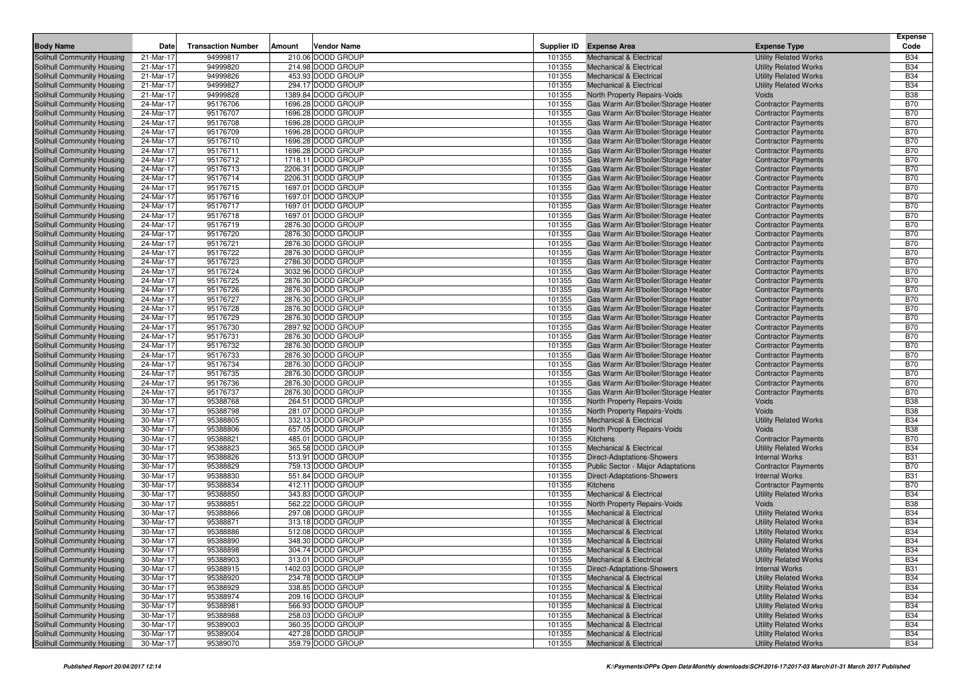| <b>Body Name</b>           | Date      | <b>Transaction Number</b> | Amount | Vendor Name        |        | Supplier ID Expense Area             | <b>Expense Type</b>          | <b>Expense</b><br>Code |
|----------------------------|-----------|---------------------------|--------|--------------------|--------|--------------------------------------|------------------------------|------------------------|
| Solihull Community Housing | 21-Mar-17 | 94999817                  |        | 210.06 DODD GROUP  | 101355 | <b>Mechanical &amp; Electrical</b>   | <b>Utility Related Works</b> | <b>B34</b>             |
| Solihull Community Housing | 21-Mar-17 | 94999820                  |        | 214.98 DODD GROUP  | 101355 | <b>Mechanical &amp; Electrical</b>   | <b>Utility Related Works</b> | <b>B34</b>             |
| Solihull Community Housing | 21-Mar-17 | 94999826                  |        | 453.93 DODD GROUP  | 101355 | <b>Mechanical &amp; Electrical</b>   | <b>Utility Related Works</b> | <b>B34</b>             |
| Solihull Community Housing | 21-Mar-17 | 94999827                  |        | 294.17 DODD GROUP  | 101355 | <b>Mechanical &amp; Electrical</b>   | <b>Utility Related Works</b> | <b>B34</b>             |
| Solihull Community Housing | 21-Mar-17 | 94999828                  |        | 1389.84 DODD GROUP | 101355 | North Property Repairs-Voids         | Voids                        | <b>B38</b>             |
| Solihull Community Housing | 24-Mar-17 | 95176706                  |        | 1696.28 DODD GROUP | 101355 | Gas Warm Air/B'boiler/Storage Heater | <b>Contractor Payments</b>   | <b>B70</b>             |
| Solihull Community Housing | 24-Mar-17 | 95176707                  |        | 1696.28 DODD GROUP | 101355 | Gas Warm Air/B'boiler/Storage Heater | <b>Contractor Payments</b>   | <b>B70</b>             |
| Solihull Community Housing | 24-Mar-17 | 95176708                  |        | 1696.28 DODD GROUP | 101355 | Gas Warm Air/B'boiler/Storage Heater | <b>Contractor Payments</b>   | <b>B70</b>             |
| Solihull Community Housing | 24-Mar-17 | 95176709                  |        | 1696.28 DODD GROUP | 101355 | Gas Warm Air/B'boiler/Storage Heater | <b>Contractor Payments</b>   | <b>B70</b>             |
| Solihull Community Housing | 24-Mar-17 | 95176710                  |        | 1696.28 DODD GROUP | 101355 | Gas Warm Air/B'boiler/Storage Heater | <b>Contractor Payments</b>   | <b>B70</b>             |
| Solihull Community Housing | 24-Mar-17 | 95176711                  |        | 1696.28 DODD GROUP | 101355 | Gas Warm Air/B'boiler/Storage Heater | <b>Contractor Payments</b>   | <b>B70</b>             |
| Solihull Community Housing | 24-Mar-17 | 95176712                  |        | 1718.11 DODD GROUP | 101355 | Gas Warm Air/B'boiler/Storage Heater | <b>Contractor Payments</b>   | <b>B70</b>             |
| Solihull Community Housing | 24-Mar-17 | 95176713                  |        | 2206.31 DODD GROUP | 101355 | Gas Warm Air/B'boiler/Storage Heater | <b>Contractor Payments</b>   | <b>B70</b>             |
| Solihull Community Housing | 24-Mar-17 | 95176714                  |        | 2206.31 DODD GROUP | 101355 | Gas Warm Air/B'boiler/Storage Heater | <b>Contractor Payments</b>   | <b>B70</b>             |
| Solihull Community Housing | 24-Mar-17 | 95176715                  |        | 1697.01 DODD GROUP | 101355 | Gas Warm Air/B'boiler/Storage Heater | <b>Contractor Payments</b>   | <b>B70</b>             |
| Solihull Community Housing | 24-Mar-17 | 95176716                  |        | 1697.01 DODD GROUP | 101355 | Gas Warm Air/B'boiler/Storage Heater | <b>Contractor Payments</b>   | <b>B70</b>             |
| Solihull Community Housing | 24-Mar-17 | 95176717                  |        | 1697.01 DODD GROUP | 101355 | Gas Warm Air/B'boiler/Storage Heater | <b>Contractor Payments</b>   | <b>B70</b>             |
| Solihull Community Housing | 24-Mar-17 | 95176718                  |        | 1697.01 DODD GROUP | 101355 | Gas Warm Air/B'boiler/Storage Heater | <b>Contractor Payments</b>   | <b>B70</b>             |
|                            | 24-Mar-17 | 95176719                  |        | 2876.30 DODD GROUP |        |                                      |                              | <b>B70</b>             |
| Solihull Community Housing |           |                           |        |                    | 101355 | Gas Warm Air/B'boiler/Storage Heater | <b>Contractor Payments</b>   | <b>B70</b>             |
| Solihull Community Housing | 24-Mar-17 | 95176720                  |        | 2876.30 DODD GROUP | 101355 | Gas Warm Air/B'boiler/Storage Heater | <b>Contractor Payments</b>   |                        |
| Solihull Community Housing | 24-Mar-17 | 95176721                  |        | 2876.30 DODD GROUP | 101355 | Gas Warm Air/B'boiler/Storage Heater | <b>Contractor Payments</b>   | <b>B70</b>             |
| Solihull Community Housing | 24-Mar-17 | 95176722                  |        | 2876.30 DODD GROUP | 101355 | Gas Warm Air/B'boiler/Storage Heater | <b>Contractor Payments</b>   | <b>B70</b>             |
| Solihull Community Housing | 24-Mar-17 | 95176723                  |        | 2786.30 DODD GROUP | 101355 | Gas Warm Air/B'boiler/Storage Heater | <b>Contractor Payments</b>   | <b>B70</b>             |
| Solihull Community Housing | 24-Mar-17 | 95176724                  |        | 3032.96 DODD GROUP | 101355 | Gas Warm Air/B'boiler/Storage Heater | <b>Contractor Payments</b>   | <b>B70</b>             |
| Solihull Community Housing | 24-Mar-17 | 95176725                  |        | 2876.30 DODD GROUP | 101355 | Gas Warm Air/B'boiler/Storage Heater | <b>Contractor Payments</b>   | <b>B70</b>             |
| Solihull Community Housing | 24-Mar-17 | 95176726                  |        | 2876.30 DODD GROUP | 101355 | Gas Warm Air/B'boiler/Storage Heater | <b>Contractor Payments</b>   | <b>B70</b>             |
| Solihull Community Housing | 24-Mar-17 | 95176727                  |        | 2876.30 DODD GROUP | 101355 | Gas Warm Air/B'boiler/Storage Heater | <b>Contractor Payments</b>   | <b>B70</b>             |
| Solihull Community Housing | 24-Mar-17 | 95176728                  |        | 2876.30 DODD GROUP | 101355 | Gas Warm Air/B'boiler/Storage Heater | <b>Contractor Payments</b>   | <b>B70</b>             |
| Solihull Community Housing | 24-Mar-17 | 95176729                  |        | 2876.30 DODD GROUP | 101355 | Gas Warm Air/B'boiler/Storage Heater | <b>Contractor Payments</b>   | <b>B70</b>             |
| Solihull Community Housing | 24-Mar-17 | 95176730                  |        | 2897.92 DODD GROUP | 101355 | Gas Warm Air/B'boiler/Storage Heater | <b>Contractor Payments</b>   | <b>B70</b>             |
| Solihull Community Housing | 24-Mar-17 | 95176731                  |        | 2876.30 DODD GROUP | 101355 | Gas Warm Air/B'boiler/Storage Heater | <b>Contractor Payments</b>   | <b>B70</b>             |
| Solihull Community Housing | 24-Mar-17 | 95176732                  |        | 2876.30 DODD GROUP | 101355 | Gas Warm Air/B'boiler/Storage Heater | <b>Contractor Payments</b>   | <b>B70</b>             |
| Solihull Community Housing | 24-Mar-17 | 95176733                  |        | 2876.30 DODD GROUP | 101355 | Gas Warm Air/B'boiler/Storage Heater | <b>Contractor Payments</b>   | <b>B70</b>             |
| Solihull Community Housing | 24-Mar-17 | 95176734                  |        | 2876.30 DODD GROUP | 101355 | Gas Warm Air/B'boiler/Storage Heater | <b>Contractor Payments</b>   | <b>B70</b>             |
| Solihull Community Housing | 24-Mar-17 | 95176735                  |        | 2876.30 DODD GROUP | 101355 | Gas Warm Air/B'boiler/Storage Heater | <b>Contractor Payments</b>   | <b>B70</b>             |
| Solihull Community Housing | 24-Mar-17 | 95176736                  |        | 2876.30 DODD GROUP | 101355 | Gas Warm Air/B'boiler/Storage Heater | <b>Contractor Payments</b>   | <b>B70</b>             |
| Solihull Community Housing | 24-Mar-17 | 95176737                  |        | 2876.30 DODD GROUP | 101355 | Gas Warm Air/B'boiler/Storage Heater | <b>Contractor Payments</b>   | <b>B70</b>             |
| Solihull Community Housing | 30-Mar-17 | 95388768                  |        | 264.51 DODD GROUP  | 101355 | North Property Repairs-Voids         | Voids                        | <b>B38</b>             |
| Solihull Community Housing | 30-Mar-17 | 95388798                  |        | 281.07 DODD GROUP  | 101355 | North Property Repairs-Voids         | Voids                        | <b>B38</b>             |
| Solihull Community Housing | 30-Mar-17 | 95388805                  |        | 332.13 DODD GROUP  | 101355 | <b>Mechanical &amp; Electrical</b>   | <b>Utility Related Works</b> | <b>B34</b>             |
| Solihull Community Housing | 30-Mar-17 | 95388806                  |        | 657.05 DODD GROUP  | 101355 | North Property Repairs-Voids         | Voids                        | <b>B38</b>             |
| Solihull Community Housing | 30-Mar-17 | 95388821                  |        | 485.01 DODD GROUP  | 101355 | <b>Kitchens</b>                      | <b>Contractor Payments</b>   | <b>B70</b>             |
| Solihull Community Housing | 30-Mar-17 | 95388823                  |        | 365.58 DODD GROUP  | 101355 | <b>Mechanical &amp; Electrical</b>   | <b>Utility Related Works</b> | <b>B34</b>             |
| Solihull Community Housing | 30-Mar-17 | 95388826                  |        | 513.91 DODD GROUP  | 101355 | <b>Direct-Adaptations-Showers</b>    | <b>Internal Works</b>        | <b>B31</b>             |
| Solihull Community Housing | 30-Mar-17 | 95388829                  |        | 759.13 DODD GROUP  | 101355 | Public Sector - Major Adaptations    | <b>Contractor Payments</b>   | <b>B70</b>             |
| Solihull Community Housing | 30-Mar-17 | 95388830                  |        | 551.84 DODD GROUP  | 101355 | <b>Direct-Adaptations-Showers</b>    | <b>Internal Works</b>        | <b>B31</b>             |
| Solihull Community Housing | 30-Mar-17 | 95388834                  |        | 412.11 DODD GROUP  | 101355 | Kitchens                             | <b>Contractor Payments</b>   | <b>B70</b>             |
| Solihull Community Housing | 30-Mar-17 | 95388850                  |        | 343.83 DODD GROUP  | 101355 | <b>Mechanical &amp; Electrical</b>   | <b>Utility Related Works</b> | <b>B34</b>             |
| Solihull Community Housing | 30-Mar-17 | 95388851                  |        | 562.22 DODD GROUP  | 101355 | North Property Repairs-Voids         | Voids                        | <b>B38</b>             |
| Solihull Community Housing | 30-Mar-17 | 95388866                  |        | 297.08 DODD GROUP  | 101355 | <b>Mechanical &amp; Electrical</b>   | <b>Utility Related Works</b> | <b>B34</b>             |
| Solihull Community Housing | 30-Mar-17 | 95388871                  |        | 313.18 DODD GROUP  | 101355 | <b>Mechanical &amp; Electrical</b>   | <b>Utility Related Works</b> | <b>B34</b>             |
| Solihull Community Housing | 30-Mar-17 | 95388886                  |        | 512.08 DODD GROUP  | 101355 | <b>Mechanical &amp; Electrical</b>   | <b>Utility Related Works</b> | <b>B34</b>             |
| Solihull Community Housing | 30-Mar-17 | 95388890                  |        | 348.30 DODD GROUP  | 101355 | <b>Mechanical &amp; Electrical</b>   | <b>Utility Related Works</b> | <b>B34</b>             |
| Solihull Community Housing | 30-Mar-17 | 95388898                  |        | 304.74 DODD GROUP  | 101355 | <b>Mechanical &amp; Electrical</b>   | <b>Utility Related Works</b> | <b>B34</b>             |
| Solihull Community Housing | 30-Mar-17 | 95388903                  |        | 313.01 DODD GROUP  | 101355 | <b>Mechanical &amp; Electrical</b>   | <b>Utility Related Works</b> | <b>B34</b>             |
| Solihull Community Housing | 30-Mar-17 | 95388915                  |        | 1402.03 DODD GROUP | 101355 | Direct-Adaptations-Showers           | <b>Internal Works</b>        | <b>B31</b>             |
| Solihull Community Housing | 30-Mar-17 | 95388920                  |        | 234.78 DODD GROUP  | 101355 | <b>Mechanical &amp; Electrical</b>   | <b>Utility Related Works</b> | <b>B34</b>             |
| Solihull Community Housing | 30-Mar-17 | 95388929                  |        | 338.85 DODD GROUP  | 101355 | <b>Mechanical &amp; Electrical</b>   | <b>Utility Related Works</b> | <b>B34</b>             |
| Solihull Community Housing | 30-Mar-17 | 95388974                  |        | 209.16 DODD GROUP  | 101355 | <b>Mechanical &amp; Electrical</b>   | <b>Utility Related Works</b> | <b>B34</b>             |
| Solihull Community Housing | 30-Mar-17 | 95388981                  |        | 566.93 DODD GROUP  | 101355 | <b>Mechanical &amp; Electrical</b>   | <b>Utility Related Works</b> | <b>B34</b>             |
| Solihull Community Housing | 30-Mar-17 | 95388988                  |        | 258.03 DODD GROUP  | 101355 | <b>Mechanical &amp; Electrical</b>   | <b>Utility Related Works</b> | <b>B34</b>             |
| Solihull Community Housing | 30-Mar-17 | 95389003                  |        | 360.35 DODD GROUP  | 101355 | <b>Mechanical &amp; Electrical</b>   | <b>Utility Related Works</b> | <b>B34</b>             |
| Solihull Community Housing | 30-Mar-17 | 95389004                  |        | 427.28 DODD GROUP  | 101355 | <b>Mechanical &amp; Electrical</b>   | <b>Utility Related Works</b> | <b>B34</b>             |
| Solihull Community Housing | 30-Mar-17 | 95389070                  |        | 359.79 DODD GROUP  | 101355 | <b>Mechanical &amp; Electrical</b>   | <b>Utility Related Works</b> | <b>B34</b>             |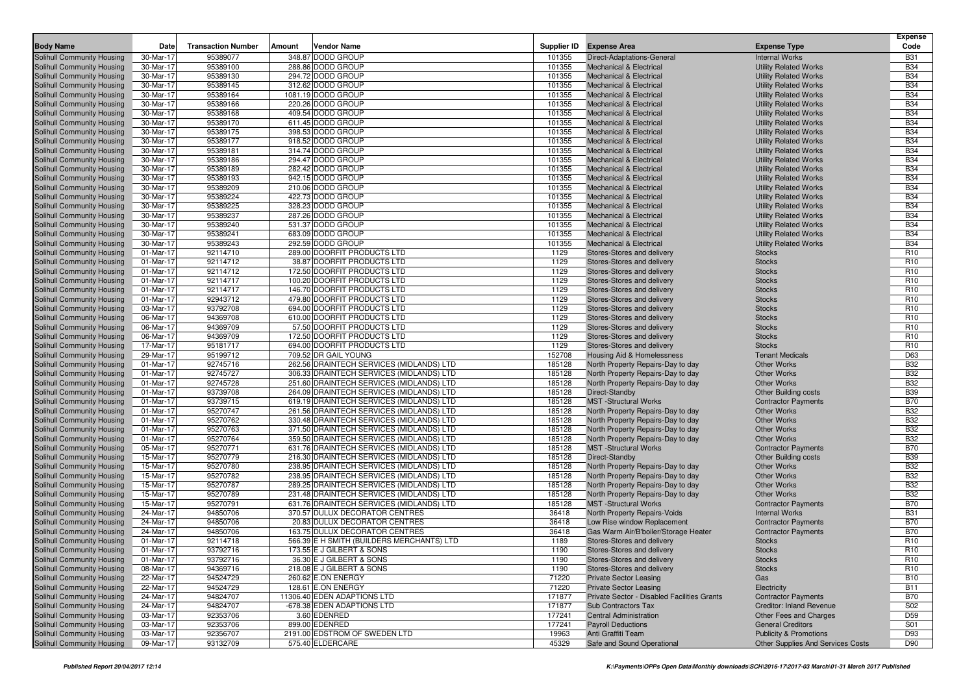|                                                          |                        |                           |        |                                                                                      |                  |                                                                          |                                                              | <b>Expense</b>           |
|----------------------------------------------------------|------------------------|---------------------------|--------|--------------------------------------------------------------------------------------|------------------|--------------------------------------------------------------------------|--------------------------------------------------------------|--------------------------|
| <b>Body Name</b>                                         | Date                   | <b>Transaction Number</b> | Amount | <b>Vendor Name</b>                                                                   |                  | Supplier ID Expense Area                                                 | <b>Expense Type</b>                                          | Code                     |
| <b>Solihull Community Housing</b>                        | 30-Mar-17              | 95389077                  |        | 348.87 DODD GROUP                                                                    | 101355           | Direct-Adaptations-General                                               | <b>Internal Works</b>                                        | <b>B31</b>               |
| Solihull Community Housing                               | 30-Mar-17              | 95389100                  |        | 288.86 DODD GROUP                                                                    | 101355           | <b>Mechanical &amp; Electrical</b>                                       | <b>Utility Related Works</b>                                 | <b>B34</b>               |
| Solihull Community Housing                               | 30-Mar-17              | 95389130                  |        | 294.72 DODD GROUP                                                                    | 101355           | <b>Mechanical &amp; Electrical</b>                                       | <b>Utility Related Works</b>                                 | <b>B34</b>               |
| Solihull Community Housing                               | 30-Mar-17              | 95389145                  |        | 312.62 DODD GROUP                                                                    | 101355           | <b>Mechanical &amp; Electrical</b>                                       | <b>Utility Related Works</b>                                 | <b>B34</b>               |
| Solihull Community Housing                               | 30-Mar-17              | 95389164                  |        | 1081.19 DODD GROUP                                                                   | 101355           | <b>Mechanical &amp; Electrical</b>                                       | <b>Utility Related Works</b>                                 | <b>B34</b>               |
| Solihull Community Housing                               | 30-Mar-17              | 95389166                  |        | 220.26 DODD GROUP<br>409.54 DODD GROUP                                               | 101355           | <b>Mechanical &amp; Electrical</b>                                       | <b>Utility Related Works</b>                                 | <b>B34</b>               |
| Solihull Community Housing                               | 30-Mar-17              | 95389168                  |        |                                                                                      | 101355           | <b>Mechanical &amp; Electrical</b>                                       | <b>Utility Related Works</b>                                 | <b>B34</b><br><b>B34</b> |
| Solihull Community Housing<br>Solihull Community Housing | 30-Mar-17<br>30-Mar-17 | 95389170<br>95389175      |        | 611.45 DODD GROUP<br>398.53 DODD GROUP                                               | 101355<br>101355 | <b>Mechanical &amp; Electrical</b><br><b>Mechanical &amp; Electrical</b> | <b>Utility Related Works</b><br><b>Utility Related Works</b> | <b>B34</b>               |
| Solihull Community Housing                               | 30-Mar-17              | 95389177                  |        | 918.52 DODD GROUP                                                                    | 101355           | <b>Mechanical &amp; Electrical</b>                                       | <b>Utility Related Works</b>                                 | <b>B34</b>               |
| Solihull Community Housing                               | 30-Mar-17              | 95389181                  |        | 314.74 DODD GROUP                                                                    | 101355           | <b>Mechanical &amp; Electrical</b>                                       | <b>Utility Related Works</b>                                 | <b>B34</b>               |
| Solihull Community Housing                               | 30-Mar-17              | 95389186                  |        | 294.47 DODD GROUP                                                                    | 101355           | <b>Mechanical &amp; Electrical</b>                                       | <b>Utility Related Works</b>                                 | <b>B34</b>               |
| Solihull Community Housing                               | 30-Mar-17              | 95389189                  |        | 282.42 DODD GROUP                                                                    | 101355           | <b>Mechanical &amp; Electrical</b>                                       | <b>Utility Related Works</b>                                 | <b>B34</b>               |
| Solihull Community Housing                               | 30-Mar-17              | 95389193                  |        | 942.15 DODD GROUP                                                                    | 101355           | <b>Mechanical &amp; Electrical</b>                                       | <b>Utility Related Works</b>                                 | <b>B34</b>               |
| Solihull Community Housing                               | 30-Mar-17              | 95389209                  |        | 210.06 DODD GROUP                                                                    | 101355           | <b>Mechanical &amp; Electrical</b>                                       | <b>Utility Related Works</b>                                 | <b>B34</b>               |
| Solihull Community Housing                               | 30-Mar-17              | 95389224                  |        | 422.73 DODD GROUP                                                                    | 101355           | <b>Mechanical &amp; Electrical</b>                                       | <b>Utility Related Works</b>                                 | <b>B34</b>               |
| Solihull Community Housing                               | 30-Mar-17              | 95389225                  |        | 328.23 DODD GROUP                                                                    | 101355           | <b>Mechanical &amp; Electrical</b>                                       | <b>Utility Related Works</b>                                 | <b>B34</b>               |
| Solihull Community Housing                               | 30-Mar-17              | 95389237                  |        | 287.26 DODD GROUP                                                                    | 101355           | <b>Mechanical &amp; Electrical</b>                                       | <b>Utility Related Works</b>                                 | <b>B34</b>               |
| Solihull Community Housing                               | 30-Mar-17              | 95389240                  |        | 531.37 DODD GROUP                                                                    | 101355           | <b>Mechanical &amp; Electrical</b>                                       | <b>Utility Related Works</b>                                 | <b>B34</b>               |
| Solihull Community Housing                               | 30-Mar-17              | 95389241                  |        | 683.09 DODD GROUP                                                                    | 101355           | <b>Mechanical &amp; Electrical</b>                                       | <b>Utility Related Works</b>                                 | <b>B34</b>               |
| Solihull Community Housing                               | 30-Mar-17              | 95389243                  |        | 292.59 DODD GROUP                                                                    | 101355           | <b>Mechanical &amp; Electrical</b>                                       | <b>Utility Related Works</b>                                 | <b>B34</b>               |
| Solihull Community Housing                               | 01-Mar-17              | 92114710                  |        | 289.00 DOORFIT PRODUCTS LTD                                                          | 1129             | Stores-Stores and delivery                                               | <b>Stocks</b>                                                | R <sub>10</sub>          |
| Solihull Community Housing                               | 01-Mar-17              | 92114712                  |        | 38.87 DOORFIT PRODUCTS LTD                                                           | 1129             | Stores-Stores and delivery                                               | <b>Stocks</b>                                                | R <sub>10</sub>          |
| Solihull Community Housing                               | 01-Mar-17              | 92114712                  |        | 172.50 DOORFIT PRODUCTS LTD                                                          | 1129             | Stores-Stores and delivery                                               | <b>Stocks</b>                                                | R <sub>10</sub>          |
| Solihull Community Housing                               | 01-Mar-17              | 92114717                  |        | 100.20 DOORFIT PRODUCTS LTD                                                          | 1129             | Stores-Stores and delivery                                               | <b>Stocks</b>                                                | R <sub>10</sub>          |
| Solihull Community Housing                               | 01-Mar-17              | 92114717                  |        | 146.70 DOORFIT PRODUCTS LTD                                                          | 1129             | Stores-Stores and delivery                                               | <b>Stocks</b>                                                | R <sub>10</sub>          |
| Solihull Community Housing                               | 01-Mar-17              | 92943712                  |        | 479.80 DOORFIT PRODUCTS LTD                                                          | 1129             | Stores-Stores and delivery                                               | <b>Stocks</b>                                                | R <sub>10</sub>          |
| Solihull Community Housing                               | 03-Mar-17              | 93792708                  |        | 694.00 DOORFIT PRODUCTS LTD                                                          | 1129             | Stores-Stores and delivery                                               | <b>Stocks</b>                                                | R <sub>10</sub>          |
| Solihull Community Housing                               | 06-Mar-17              | 94369708                  |        | 610.00 DOORFIT PRODUCTS LTD                                                          | 1129             | Stores-Stores and delivery                                               | <b>Stocks</b>                                                | R <sub>10</sub>          |
| Solihull Community Housing                               | 06-Mar-17              | 94369709                  |        | 57.50 DOORFIT PRODUCTS LTD                                                           | 1129             | Stores-Stores and delivery                                               | <b>Stocks</b>                                                | R <sub>10</sub>          |
| Solihull Community Housing                               | 06-Mar-17              | 94369709                  |        | 172.50 DOORFIT PRODUCTS LTD                                                          | 1129             | Stores-Stores and delivery                                               | <b>Stocks</b>                                                | R <sub>10</sub>          |
| Solihull Community Housing                               | 17-Mar-17              | 95181717                  |        | 694.00 DOORFIT PRODUCTS LTD                                                          | 1129             | Stores-Stores and delivery                                               | <b>Stocks</b>                                                | R <sub>10</sub>          |
| Solihull Community Housing                               | 29-Mar-17              | 95199712                  |        | 709.52 DR GAIL YOUNG                                                                 | 152708           | Housing Aid & Homelessness                                               | <b>Tenant Medicals</b>                                       | D63                      |
| Solihull Community Housing                               | 01-Mar-17              | 92745716                  |        | 262.56 DRAINTECH SERVICES (MIDLANDS) LTD                                             | 185128           | North Property Repairs-Day to day                                        | <b>Other Works</b>                                           | <b>B32</b>               |
| Solihull Community Housing                               | 01-Mar-17              | 92745727                  |        | 306.33 DRAINTECH SERVICES (MIDLANDS) LTD                                             | 185128           | North Property Repairs-Day to day                                        | <b>Other Works</b>                                           | <b>B32</b>               |
| Solihull Community Housing                               | 01-Mar-17              | 92745728                  |        | 251.60 DRAINTECH SERVICES (MIDLANDS) LTD                                             | 185128           | North Property Repairs-Day to day                                        | <b>Other Works</b>                                           | <b>B32</b>               |
| Solihull Community Housing                               | 01-Mar-17              | 93739708                  |        | 264.09 DRAINTECH SERVICES (MIDLANDS) LTD                                             | 185128           | Direct-Standby                                                           | <b>Other Building costs</b>                                  | <b>B39</b>               |
| Solihull Community Housing                               | 01-Mar-17              | 93739715                  |        | 619.19 DRAINTECH SERVICES (MIDLANDS) LTD                                             | 185128           | <b>MST</b> -Structural Works                                             | <b>Contractor Payments</b>                                   | <b>B70</b>               |
| Solihull Community Housing                               | 01-Mar-17              | 95270747                  |        | 261.56 DRAINTECH SERVICES (MIDLANDS) LTD                                             | 185128           | North Property Repairs-Day to day                                        | <b>Other Works</b>                                           | <b>B32</b>               |
| Solihull Community Housing                               | 01-Mar-17              | 95270762                  |        | 330.48 DRAINTECH SERVICES (MIDLANDS) LTD                                             | 185128           | North Property Repairs-Day to day                                        | <b>Other Works</b>                                           | <b>B32</b>               |
| Solihull Community Housing                               | 01-Mar-17              | 95270763                  |        | 371.50 DRAINTECH SERVICES (MIDLANDS) LTD                                             | 185128           | North Property Repairs-Day to day                                        | <b>Other Works</b>                                           | <b>B32</b><br><b>B32</b> |
| Solihull Community Housing                               | 01-Mar-17<br>05-Mar-17 | 95270764<br>95270771      |        | 359.50 DRAINTECH SERVICES (MIDLANDS) LTD<br>631.76 DRAINTECH SERVICES (MIDLANDS) LTD | 185128<br>185128 | North Property Repairs-Day to day<br><b>MST</b> -Structural Works        | <b>Other Works</b>                                           | <b>B70</b>               |
| Solihull Community Housing<br>Solihull Community Housing | 15-Mar-17              | 95270779                  |        | 216.30 DRAINTECH SERVICES (MIDLANDS) LTD                                             | 185128           | Direct-Standby                                                           | <b>Contractor Payments</b><br><b>Other Building costs</b>    | <b>B39</b>               |
| Solihull Community Housing                               | 15-Mar-17              | 95270780                  |        | 238.95 DRAINTECH SERVICES (MIDLANDS) LTD                                             | 185128           | North Property Repairs-Day to day                                        | <b>Other Works</b>                                           | <b>B32</b>               |
| Solihull Community Housing                               | 15-Mar-17              | 95270782                  |        | 238.95 DRAINTECH SERVICES (MIDLANDS) LTD                                             | 185128           | North Property Repairs-Day to day                                        | <b>Other Works</b>                                           | <b>B32</b>               |
| Solihull Community Housing                               | 15-Mar-17              | 95270787                  |        | 289.25 DRAINTECH SERVICES (MIDLANDS) LTD                                             | 185128           | North Property Repairs-Day to day                                        | <b>Other Works</b>                                           | <b>B32</b>               |
| Solihull Community Housing                               | 15-Mar-17              | 95270789                  |        | 231.48 DRAINTECH SERVICES (MIDLANDS) LTD                                             | 185128           | North Property Repairs-Day to day                                        | <b>Other Works</b>                                           | <b>B32</b>               |
| Solihull Community Housing                               | 15-Mar-17              | 95270791                  |        | 631.76 DRAINTECH SERVICES (MIDLANDS) LTD                                             | 185128           | <b>MST</b> -Structural Works                                             | <b>Contractor Payments</b>                                   | <b>B70</b>               |
| Solihull Community Housing                               | 24-Mar-17              | 94850706                  |        | 370.57 DULUX DECORATOR CENTRES                                                       | 36418            | North Property Repairs-Voids                                             | <b>Internal Works</b>                                        | <b>B31</b>               |
| Solihull Community Housing                               | 24-Mar-17              | 94850706                  |        | 20.83 DULUX DECORATOR CENTRES                                                        | 36418            | Low Rise window Replacement                                              | <b>Contractor Payments</b>                                   | <b>B70</b>               |
| Solihull Community Housing                               | 24-Mar-17              | 94850706                  |        | 163.75 DULUX DECORATOR CENTRES                                                       | 36418            | Gas Warm Air/B'boiler/Storage Heater                                     | <b>Contractor Payments</b>                                   | <b>B70</b>               |
| Solihull Community Housing                               | 01-Mar-17              | 92114718                  |        | 566.39 E H SMITH (BUILDERS MERCHANTS) LTD                                            | 1189             | Stores-Stores and delivery                                               | <b>Stocks</b>                                                | R <sub>10</sub>          |
| Solihull Community Housing                               | 01-Mar-17              | 93792716                  |        | 173.55 E J GILBERT & SONS                                                            | 1190             | Stores-Stores and delivery                                               | <b>Stocks</b>                                                | R <sub>10</sub>          |
| Solihull Community Housing                               | 01-Mar-17              | 93792716                  |        | 36.30 E J GILBERT & SONS                                                             | 1190             | Stores-Stores and delivery                                               | <b>Stocks</b>                                                | R <sub>10</sub>          |
| Solihull Community Housing                               | 08-Mar-17              | 94369716                  |        | 218.08 E J GILBERT & SONS                                                            | 1190             | Stores-Stores and delivery                                               | <b>Stocks</b>                                                | R <sub>10</sub>          |
| Solihull Community Housing                               | 22-Mar-17              | 94524729                  |        | 260.62 E.ON ENERGY                                                                   | 71220            | <b>Private Sector Leasing</b>                                            | Gas                                                          | <b>B10</b>               |
| Solihull Community Housing                               | 22-Mar-17              | 94524729                  |        | 128.61 E.ON ENERGY                                                                   | 71220            | <b>Private Sector Leasing</b>                                            | Electricity                                                  | <b>B11</b>               |
| Solihull Community Housing                               | 24-Mar-17              | 94824707                  |        | 11306.40 EDEN ADAPTIONS LTD                                                          | 171877           | Private Sector - Disabled Facilities Grants                              | <b>Contractor Payments</b>                                   | <b>B70</b>               |
| Solihull Community Housing                               | 24-Mar-17              | 94824707                  |        | -678.38 EDEN ADAPTIONS LTD                                                           | 171877           | Sub Contractors Tax                                                      | <b>Creditor: Inland Revenue</b>                              | <b>S02</b>               |
| Solihull Community Housing                               | 03-Mar-17              | 92353706                  |        | 3.60 EDENRED                                                                         | 177241           | <b>Central Administration</b>                                            | Other Fees and Charges                                       | D <sub>59</sub>          |
| Solihull Community Housing                               | 03-Mar-17              | 92353706                  |        | 899.00 EDENRED                                                                       | 177241           | <b>Payroll Deductions</b>                                                | <b>General Creditors</b>                                     | S01                      |
| Solihull Community Housing                               | 03-Mar-17              | 92356707                  |        | 2191.00 EDSTROM OF SWEDEN LTD                                                        | 19963            | Anti Graffiti Team                                                       | <b>Publicity &amp; Promotions</b>                            | D93                      |
| Solihull Community Housing                               | 09-Mar-17              | 93132709                  |        | 575.40 ELDERCARE                                                                     | 45329            | Safe and Sound Operational                                               | Other Supplies And Services Costs                            | D90                      |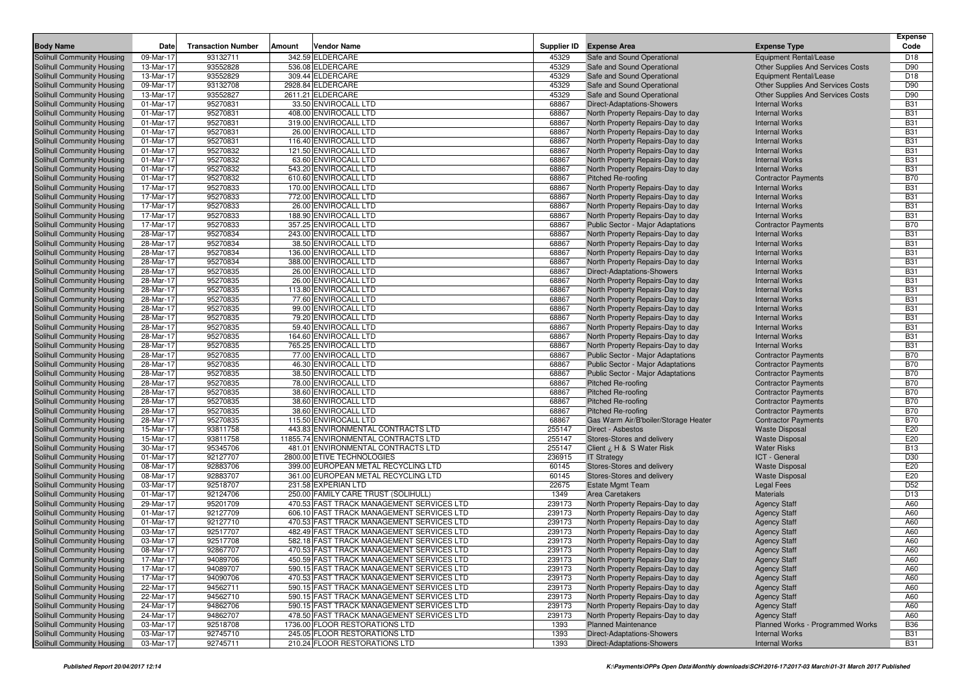|                                                          |                        |                           |        |                                                |                |                                                                        |                                                     | <b>Expense</b>           |
|----------------------------------------------------------|------------------------|---------------------------|--------|------------------------------------------------|----------------|------------------------------------------------------------------------|-----------------------------------------------------|--------------------------|
| <b>Body Name</b>                                         | Date                   | <b>Transaction Number</b> | Amount | <b>Vendor Name</b>                             | Supplier ID    | <b>Expense Area</b>                                                    | <b>Expense Type</b>                                 | Code                     |
| Solihull Community Housing                               | 09-Mar-17              | 93132711                  |        | 342.59 ELDERCARE                               | 45329          | Safe and Sound Operational                                             | Equipment Rental/Lease                              | D <sub>18</sub>          |
| Solihull Community Housing                               | 13-Mar-17              | 93552828                  |        | 536.08 ELDERCARE                               | 45329          | Safe and Sound Operational                                             | <b>Other Supplies And Services Costs</b>            | D90                      |
| Solihull Community Housing                               | 13-Mar-17              | 93552829                  |        | 309.44 ELDERCARE                               | 45329          | Safe and Sound Operational                                             | Equipment Rental/Lease                              | D <sub>18</sub>          |
| Solihull Community Housing                               | 09-Mar-17              | 93132708                  |        | 2928.84 ELDERCARE                              | 45329          | Safe and Sound Operational                                             | <b>Other Supplies And Services Costs</b>            | D90                      |
| Solihull Community Housing                               | 13-Mar-17              | 93552827                  |        | 2611.21 ELDERCARE                              | 45329          | Safe and Sound Operational                                             | <b>Other Supplies And Services Costs</b>            | D90                      |
| Solihull Community Housing                               | 01-Mar-17              | 95270831                  |        | 33.50 ENVIROCALL LTD                           | 68867          | Direct-Adaptations-Showers                                             | <b>Internal Works</b>                               | <b>B31</b>               |
| Solihull Community Housing                               | 01-Mar-17              | 95270831                  |        | 408.00 ENVIROCALL LTD                          | 68867          | North Property Repairs-Day to day                                      | <b>Internal Works</b>                               | <b>B31</b>               |
| Solihull Community Housing                               | 01-Mar-17              | 95270831                  |        | 319.00 ENVIROCALL LTD                          | 68867          | North Property Repairs-Day to day                                      | <b>Internal Works</b>                               | <b>B31</b>               |
| Solihull Community Housing                               | 01-Mar-17              | 95270831                  |        | 26.00 ENVIROCALL LTD                           | 68867<br>68867 | North Property Repairs-Day to day                                      | <b>Internal Works</b>                               | <b>B31</b><br><b>B31</b> |
| Solihull Community Housing                               | 01-Mar-17              | 95270831                  |        | 116.40 ENVIROCALL LTD                          |                | North Property Repairs-Day to day                                      | <b>Internal Works</b>                               |                          |
| Solihull Community Housing                               | 01-Mar-17              | 95270832                  |        | 121.50 ENVIROCALL LTD                          | 68867          | North Property Repairs-Day to day                                      | <b>Internal Works</b>                               | <b>B31</b>               |
| Solihull Community Housing                               | 01-Mar-17              | 95270832                  |        | 63.60 ENVIROCALL LTD                           | 68867          | North Property Repairs-Day to day                                      | <b>Internal Works</b>                               | <b>B31</b>               |
| Solihull Community Housing                               | 01-Mar-17              | 95270832                  |        | 543.20 ENVIROCALL LTD                          | 68867          | North Property Repairs-Day to day                                      | <b>Internal Works</b>                               | <b>B31</b>               |
| Solihull Community Housing                               | 01-Mar-17              | 95270832<br>95270833      |        | 610.60 ENVIROCALL LTD                          | 68867          | <b>Pitched Re-roofing</b>                                              | <b>Contractor Payments</b>                          | <b>B70</b>               |
| Solihull Community Housing                               | 17-Mar-17              |                           |        | 170.00 ENVIROCALL LTD                          | 68867          | North Property Repairs-Day to day<br>North Property Repairs-Day to day | <b>Internal Works</b>                               | <b>B31</b>               |
| Solihull Community Housing                               | 17-Mar-17              | 95270833                  |        | 772.00 ENVIROCALL LTD                          | 68867<br>68867 |                                                                        | <b>Internal Works</b>                               | <b>B31</b><br><b>B31</b> |
| Solihull Community Housing                               | 17-Mar-17<br>17-Mar-17 | 95270833<br>95270833      |        | 26.00 ENVIROCALL LTD                           | 68867          | North Property Repairs-Day to day                                      | <b>Internal Works</b><br><b>Internal Works</b>      | <b>B31</b>               |
| Solihull Community Housing                               | 17-Mar-17              | 95270833                  |        | 188.90 ENVIROCALL LTD<br>357.25 ENVIROCALL LTD | 68867          | North Property Repairs-Day to day                                      |                                                     | <b>B70</b>               |
| Solihull Community Housing<br>Solihull Community Housing | 28-Mar-17              | 95270834                  |        | 243.00 ENVIROCALL LTD                          | 68867          | Public Sector - Major Adaptations<br>North Property Repairs-Day to day | <b>Contractor Payments</b><br><b>Internal Works</b> | <b>B31</b>               |
|                                                          | 28-Mar-17              | 95270834                  |        |                                                |                |                                                                        | <b>Internal Works</b>                               | <b>B31</b>               |
| Solihull Community Housing<br>Solihull Community Housing | 28-Mar-17              | 95270834                  |        | 38.50 ENVIROCALL LTD<br>136.00 ENVIROCALL LTD  | 68867<br>68867 | North Property Repairs-Day to day                                      | <b>Internal Works</b>                               | <b>B31</b>               |
|                                                          | 28-Mar-17              | 95270834                  |        | 388.00 ENVIROCALL LTD                          | 68867          | North Property Repairs-Day to day<br>North Property Repairs-Day to day | <b>Internal Works</b>                               | <b>B31</b>               |
| Solihull Community Housing<br>Solihull Community Housing | 28-Mar-17              | 95270835                  |        | 26.00 ENVIROCALL LTD                           | 68867          | Direct-Adaptations-Showers                                             | <b>Internal Works</b>                               | <b>B31</b>               |
| Solihull Community Housing                               | 28-Mar-17              | 95270835                  |        | 26.00 ENVIROCALL LTD                           | 68867          | North Property Repairs-Day to day                                      | <b>Internal Works</b>                               | <b>B31</b>               |
| Solihull Community Housing                               | 28-Mar-17              | 95270835                  |        | 113.80 ENVIROCALL LTD                          | 68867          | North Property Repairs-Day to day                                      | <b>Internal Works</b>                               | <b>B31</b>               |
| Solihull Community Housing                               | 28-Mar-17              | 95270835                  |        | 77.60 ENVIROCALL LTD                           | 68867          | North Property Repairs-Day to day                                      | <b>Internal Works</b>                               | <b>B31</b>               |
| Solihull Community Housing                               | 28-Mar-17              | 95270835                  |        | 99.00 ENVIROCALL LTD                           | 68867          | North Property Repairs-Day to day                                      | <b>Internal Works</b>                               | <b>B31</b>               |
| Solihull Community Housing                               | 28-Mar-17              | 95270835                  |        | 79.20 ENVIROCALL LTD                           | 68867          | North Property Repairs-Day to day                                      | <b>Internal Works</b>                               | <b>B31</b>               |
| Solihull Community Housing                               | 28-Mar-17              | 95270835                  |        | 59.40 ENVIROCALL LTD                           | 68867          | North Property Repairs-Day to day                                      | <b>Internal Works</b>                               | <b>B31</b>               |
| Solihull Community Housing                               | 28-Mar-17              | 95270835                  |        | 164.60 ENVIROCALL LTD                          | 68867          | North Property Repairs-Day to day                                      | <b>Internal Works</b>                               | <b>B31</b>               |
| Solihull Community Housing                               | 28-Mar-17              | 95270835                  |        | 765.25 ENVIROCALL LTD                          | 68867          | North Property Repairs-Day to day                                      | <b>Internal Works</b>                               | <b>B31</b>               |
| Solihull Community Housing                               | 28-Mar-17              | 95270835                  |        | 77.00 ENVIROCALL LTD                           | 68867          | Public Sector - Major Adaptations                                      | <b>Contractor Payments</b>                          | <b>B70</b>               |
| Solihull Community Housing                               | 28-Mar-17              | 95270835                  |        | 46.30 ENVIROCALL LTD                           | 68867          | Public Sector - Major Adaptations                                      | <b>Contractor Payments</b>                          | <b>B70</b>               |
| Solihull Community Housing                               | 28-Mar-17              | 95270835                  |        | 38.50 ENVIROCALL LTD                           | 68867          | Public Sector - Major Adaptations                                      | <b>Contractor Payments</b>                          | <b>B70</b>               |
| Solihull Community Housing                               | 28-Mar-17              | 95270835                  |        | 78.00 ENVIROCALL LTD                           | 68867          | Pitched Re-roofing                                                     | <b>Contractor Payments</b>                          | <b>B70</b>               |
| Solihull Community Housing                               | 28-Mar-17              | 95270835                  |        | 38.60 ENVIROCALL LTD                           | 68867          | <b>Pitched Re-roofing</b>                                              | <b>Contractor Payments</b>                          | <b>B70</b>               |
| Solihull Community Housing                               | 28-Mar-17              | 95270835                  |        | 38.60 ENVIROCALL LTD                           | 68867          | Pitched Re-roofing                                                     | <b>Contractor Payments</b>                          | <b>B70</b>               |
| Solihull Community Housing                               | 28-Mar-17              | 95270835                  |        | 38.60 ENVIROCALL LTD                           | 68867          | Pitched Re-roofing                                                     | <b>Contractor Payments</b>                          | <b>B70</b>               |
| Solihull Community Housing                               | 28-Mar-17              | 95270835                  |        | 115.50 ENVIROCALL LTD                          | 68867          | Gas Warm Air/B'boiler/Storage Heater                                   | <b>Contractor Payments</b>                          | <b>B70</b>               |
| Solihull Community Housing                               | 15-Mar-17              | 93811758                  |        | 443.83 ENVIRONMENTAL CONTRACTS LTD             | 255147         | Direct - Asbestos                                                      | <b>Waste Disposal</b>                               | E20                      |
| Solihull Community Housing                               | 15-Mar-17              | 93811758                  |        | 11855.74 ENVIRONMENTAL CONTRACTS LTD           | 255147         | Stores-Stores and delivery                                             | <b>Waste Disposal</b>                               | E20                      |
| Solihull Community Housing                               | 30-Mar-17              | 95345706                  |        | 481.01 ENVIRONMENTAL CONTRACTS LTD             | 255147         | Client ¿ H & S Water Risk                                              | <b>Water Risks</b>                                  | <b>B13</b>               |
| Solihull Community Housing                               | 01-Mar-17              | 92127707                  |        | 2800.00 ETIVE TECHNOLOGIES                     | 236915         | <b>IT Strategy</b>                                                     | ICT - General                                       | D30                      |
| Solihull Community Housing                               | 08-Mar-17              | 92883706                  |        | 399.00 EUROPEAN METAL RECYCLING LTD            | 60145          | Stores-Stores and delivery                                             | <b>Waste Disposal</b>                               | E20                      |
| Solihull Community Housing                               | 08-Mar-17              | 92883707                  |        | 361.00 EUROPEAN METAL RECYCLING LTD            | 60145          | Stores-Stores and delivery                                             | <b>Waste Disposal</b>                               | E20                      |
| Solihull Community Housing                               | 03-Mar-17              | 92518707                  |        | 231.58 EXPERIAN LTD                            | 22675          | <b>Estate Mgmt Team</b>                                                | Legal Fees                                          | D <sub>52</sub>          |
| Solihull Community Housing                               | 01-Mar-17              | 92124706                  |        | 250.00 FAMILY CARE TRUST (SOLIHULL)            | 1349           | Area Caretakers                                                        | <b>Materials</b>                                    | D <sub>13</sub>          |
| Solihull Community Housing                               | 29-Mar-17              | 95201709                  |        | 470.53 FAST TRACK MANAGEMENT SERVICES LTD      | 239173         | North Property Repairs-Day to day                                      | <b>Agency Staff</b>                                 | A60                      |
| Solihull Community Housing                               | 01-Mar-17              | 92127709                  |        | 606.10 FAST TRACK MANAGEMENT SERVICES LTD      | 239173         | North Property Repairs-Day to day                                      | <b>Agency Staff</b>                                 | A60                      |
| Solihull Community Housing                               | 01-Mar-17              | 92127710                  |        | 470.53 FAST TRACK MANAGEMENT SERVICES LTD      | 239173         | North Property Repairs-Day to day                                      | <b>Agency Staff</b>                                 | A60                      |
| Solihull Community Housing                               | 03-Mar-17              | 92517707                  |        | 482.49 FAST TRACK MANAGEMENT SERVICES LTD      | 239173         | North Property Repairs-Day to day                                      | <b>Agency Staff</b>                                 | A60                      |
| Solihull Community Housing                               | 03-Mar-17              | 92517708                  |        | 582.18 FAST TRACK MANAGEMENT SERVICES LTD      | 239173         | North Property Repairs-Day to day                                      | <b>Agency Staff</b>                                 | A60                      |
| Solihull Community Housing                               | 08-Mar-17              | 92867707                  |        | 470.53 FAST TRACK MANAGEMENT SERVICES LTD      | 239173         | North Property Repairs-Day to day                                      | <b>Agency Staff</b>                                 | A60                      |
| Solihull Community Housing                               | 17-Mar-17              | 94089706                  |        | 450.59 FAST TRACK MANAGEMENT SERVICES LTD      | 239173         | North Property Repairs-Day to day                                      | <b>Agency Staff</b>                                 | A60                      |
| Solihull Community Housing                               | 17-Mar-17              | 94089707                  |        | 590.15 FAST TRACK MANAGEMENT SERVICES LTD      | 239173         | North Property Repairs-Day to day                                      | <b>Agency Staff</b>                                 | A60                      |
| Solihull Community Housing                               | 17-Mar-17              | 94090706                  |        | 470.53 FAST TRACK MANAGEMENT SERVICES LTD      | 239173         | North Property Repairs-Day to day                                      | <b>Agency Staff</b>                                 | A60                      |
| Solihull Community Housing                               | 22-Mar-17              | 94562711                  |        | 590.15 FAST TRACK MANAGEMENT SERVICES LTD      | 239173         | North Property Repairs-Day to day                                      | <b>Agency Staff</b>                                 | A60                      |
| Solihull Community Housing                               | $22$ -Mar-17           | 94562710                  |        | 590.15 FAST TRACK MANAGEMENT SERVICES LTD      | 239173         | North Property Repairs-Day to day                                      | <b>Agency Staff</b>                                 | A60                      |
| Solihull Community Housing                               | 24-Mar-17              | 94862706                  |        | 590.15 FAST TRACK MANAGEMENT SERVICES LTD      | 239173         | North Property Repairs-Day to day                                      | <b>Agency Staff</b>                                 | A60                      |
| Solihull Community Housing                               | 24-Mar-17              | 94862707                  |        | 478.50 FAST TRACK MANAGEMENT SERVICES LTD      | 239173         | North Property Repairs-Day to day                                      | <b>Agency Staff</b>                                 | A60                      |
| Solihull Community Housing                               | 03-Mar-17              | 92518708                  |        | 1736.00 FLOOR RESTORATIONS LTD                 | 1393           | <b>Planned Maintenance</b>                                             | Planned Works - Programmed Works                    | <b>B36</b>               |
| Solihull Community Housing                               | 03-Mar-17              | 92745710                  |        | 245.05 FLOOR RESTORATIONS LTD                  | 1393           | Direct-Adaptations-Showers                                             | <b>Internal Works</b>                               | <b>B31</b>               |
| Solihull Community Housing                               | 03-Mar-17              | 92745711                  |        | 210.24 FLOOR RESTORATIONS LTD                  | 1393           | Direct-Adaptations-Showers                                             | <b>Internal Works</b>                               | <b>B31</b>               |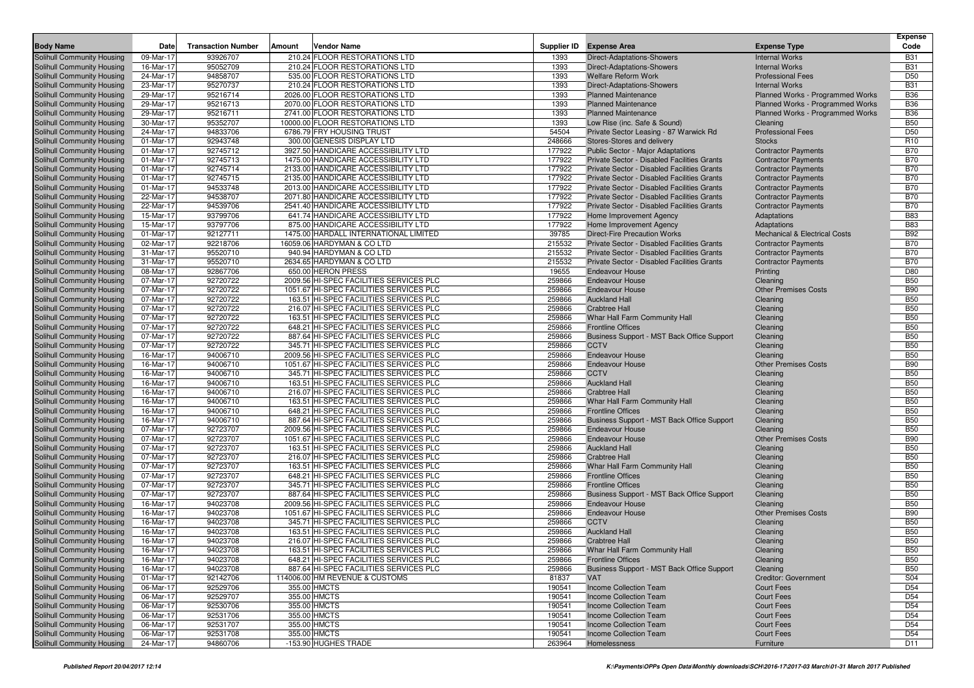| <b>Body Name</b>                                         | Date                   | <b>Transaction Number</b> | Amount | <b>Vendor Name</b>                                                                 |                  | Supplier ID Expense Area                              | <b>Expense Type</b>                      | <b>Expense</b><br>Code   |
|----------------------------------------------------------|------------------------|---------------------------|--------|------------------------------------------------------------------------------------|------------------|-------------------------------------------------------|------------------------------------------|--------------------------|
| <b>Solihull Community Housing</b>                        | 09-Mar-17              | 93926707                  |        | 210.24 FLOOR RESTORATIONS LTD                                                      | 1393             | Direct-Adaptations-Showers                            | <b>Internal Works</b>                    | <b>B31</b>               |
| Solihull Community Housing                               | 16-Mar-17              | 95052709                  |        | 210.24 FLOOR RESTORATIONS LTD                                                      | 1393             | <b>Direct-Adaptations-Showers</b>                     | <b>Internal Works</b>                    | <b>B31</b>               |
| Solihull Community Housing                               | 24-Mar-17              | 94858707                  |        | 535.00 FLOOR RESTORATIONS LTD                                                      | 1393             | <b>Welfare Reform Work</b>                            | <b>Professional Fees</b>                 | D <sub>50</sub>          |
| Solihull Community Housing                               | 23-Mar-17              | 95270737                  |        | 210.24 FLOOR RESTORATIONS LTD                                                      | 1393             | <b>Direct-Adaptations-Showers</b>                     | <b>Internal Works</b>                    | <b>B31</b>               |
| Solihull Community Housing                               | 29-Mar-17              | 95216714                  |        | 2026.00 FLOOR RESTORATIONS LTD                                                     | 1393             | <b>Planned Maintenance</b>                            | Planned Works - Programmed Works         | <b>B36</b>               |
| Solihull Community Housing                               | 29-Mar-17              | 95216713                  |        | 2070.00 FLOOR RESTORATIONS LTD                                                     | 1393             | <b>Planned Maintenance</b>                            | Planned Works - Programmed Works         | <b>B36</b>               |
| Solihull Community Housing                               | 29-Mar-17              | 95216711                  |        | 2741.00 FLOOR RESTORATIONS LTD                                                     | 1393             | <b>Planned Maintenance</b>                            | Planned Works - Programmed Works         | <b>B36</b>               |
| Solihull Community Housing                               | 30-Mar-17              | 95352707                  |        | 10000.00 FLOOR RESTORATIONS LTD                                                    | 1393             | Low Rise (inc. Safe & Sound)                          | Cleaning                                 | <b>B50</b>               |
| Solihull Community Housing                               | 24-Mar-17              | 94833706                  |        | 6786.79 FRY HOUSING TRUST                                                          | 54504            | Private Sector Leasing - 87 Warwick Rd                | <b>Professional Fees</b>                 | D <sub>50</sub>          |
| Solihull Community Housing                               | 01-Mar-17              | 92943748                  |        | 300.00 GENESIS DISPLAY LTD                                                         | 248666           | Stores-Stores and delivery                            | <b>Stocks</b>                            | R <sub>10</sub>          |
| Solihull Community Housing                               | 01-Mar-17              | 92745712                  |        | 3927.50 HANDICARE ACCESSIBILITY LTD                                                | 177922           | Public Sector - Major Adaptations                     | <b>Contractor Payments</b>               | <b>B70</b>               |
| Solihull Community Housing                               | 01-Mar-17              | 92745713                  |        | 1475.00 HANDICARE ACCESSIBILITY LTD                                                | 177922           | Private Sector - Disabled Facilities Grants           | <b>Contractor Payments</b>               | <b>B70</b>               |
| Solihull Community Housing                               | 01-Mar-17              | 92745714                  |        | 2133.00 HANDICARE ACCESSIBILITY LTD                                                | 177922           | Private Sector - Disabled Facilities Grants           | <b>Contractor Payments</b>               | <b>B70</b>               |
| Solihull Community Housing                               | 01-Mar-17              | 92745715                  |        | 2135.00 HANDICARE ACCESSIBILITY LTD                                                | 177922           | Private Sector - Disabled Facilities Grants           | <b>Contractor Payments</b>               | <b>B70</b>               |
| Solihull Community Housing                               | 01-Mar-17              | 94533748                  |        | 2013.00 HANDICARE ACCESSIBILITY LTD                                                | 177922           | Private Sector - Disabled Facilities Grants           | <b>Contractor Payments</b>               | <b>B70</b>               |
| Solihull Community Housing                               | 22-Mar-17              | 94538707                  |        | 2071.80 HANDICARE ACCESSIBILITY LTD                                                | 177922           | Private Sector - Disabled Facilities Grants           | <b>Contractor Payments</b>               | <b>B70</b>               |
| Solihull Community Housing                               | 22-Mar-17              | 94539706                  |        | 2541.40 HANDICARE ACCESSIBILITY LTD                                                | 177922           | Private Sector - Disabled Facilities Grants           | <b>Contractor Payments</b>               | <b>B70</b>               |
| Solihull Community Housing                               | 15-Mar-17              | 93799706                  |        | 641.74 HANDICARE ACCESSIBILITY LTD                                                 | 177922           | Home Improvement Agency                               | Adaptations                              | <b>B83</b>               |
| Solihull Community Housing                               | 15-Mar-17              | 93797706                  |        | 875.00 HANDICARE ACCESSIBILITY LTD                                                 | 177922           | Home Improvement Agency                               | Adaptations                              | <b>B83</b>               |
| Solihull Community Housing                               | 01-Mar-17              | 92127711                  |        | 1475.00 HARDALL INTERNATIONAL LIMITED                                              | 39785            | <b>Direct-Fire Precaution Works</b>                   | <b>Mechanical &amp; Electrical Costs</b> | <b>B92</b>               |
| Solihull Community Housing                               | 02-Mar-17              | 92218706                  |        | 16059.06 HARDYMAN & CO LTD                                                         | 215532           | Private Sector - Disabled Facilities Grants           | <b>Contractor Payments</b>               | <b>B70</b>               |
| Solihull Community Housing                               | 31-Mar-17              | 95520710                  |        | 940.94 HARDYMAN & CO LTD                                                           | 215532           | Private Sector - Disabled Facilities Grants           | <b>Contractor Payments</b>               | <b>B70</b>               |
| Solihull Community Housing                               | 31-Mar-17              | 95520710                  |        | 2634.65 HARDYMAN & CO LTD                                                          | 215532           | Private Sector - Disabled Facilities Grants           | <b>Contractor Payments</b>               | <b>B70</b>               |
| Solihull Community Housing                               | 08-Mar-17              | 92867706                  |        | 650.00 HERON PRESS                                                                 | 19655            | <b>Endeavour House</b>                                | Printing                                 | D80                      |
| Solihull Community Housing                               | 07-Mar-17              | 92720722                  |        | 2009.56 HI-SPEC FACILITIES SERVICES PLC                                            | 259866           | <b>Endeavour House</b>                                | Cleaning                                 | <b>B50</b>               |
| Solihull Community Housing                               | 07-Mar-17              | 92720722                  |        | 1051.67 HI-SPEC FACILITIES SERVICES PLC                                            | 259866           | <b>Endeavour House</b>                                | <b>Other Premises Costs</b>              | <b>B90</b>               |
| Solihull Community Housing                               | 07-Mar-17              | 92720722                  |        | 163.51 HI-SPEC FACILITIES SERVICES PLC                                             | 259866           | <b>Auckland Hall</b>                                  | Cleaning                                 | <b>B50</b>               |
| Solihull Community Housing                               | 07-Mar-17              | 92720722                  |        | 216.07 HI-SPEC FACILITIES SERVICES PLC                                             | 259866           | <b>Crabtree Hall</b>                                  | Cleaning                                 | <b>B50</b>               |
| Solihull Community Housing                               | 07-Mar-17              | 92720722                  |        | 163.51 HI-SPEC FACILITIES SERVICES PLC                                             | 259866           | Whar Hall Farm Community Hall                         | Cleaning                                 | <b>B50</b>               |
| Solihull Community Housing                               | 07-Mar-17              | 92720722                  |        | 648.21 HI-SPEC FACILITIES SERVICES PLC                                             | 259866           | <b>Frontline Offices</b>                              | Cleaning                                 | <b>B50</b>               |
| Solihull Community Housing                               | 07-Mar-17              | 92720722                  |        | 887.64 HI-SPEC FACILITIES SERVICES PLC                                             | 259866           | Business Support - MST Back Office Support            | Cleaning                                 | <b>B50</b>               |
| Solihull Community Housing                               | 07-Mar-17              | 92720722                  |        | 345.71 HI-SPEC FACILITIES SERVICES PLC                                             | 259866           | <b>CCTV</b>                                           | Cleaning                                 | <b>B50</b>               |
| Solihull Community Housing                               | 16-Mar-17              | 94006710                  |        | 2009.56 HI-SPEC FACILITIES SERVICES PLC                                            | 259866           | <b>Endeavour House</b>                                | Cleaning                                 | <b>B50</b>               |
| Solihull Community Housing                               | 16-Mar-17              | 94006710                  |        | 1051.67 HI-SPEC FACILITIES SERVICES PLC                                            | 259866           | <b>Endeavour House</b>                                | <b>Other Premises Costs</b>              | <b>B90</b>               |
| Solihull Community Housing                               | 16-Mar-17              | 94006710                  |        | 345.71 HI-SPEC FACILITIES SERVICES PLC                                             | 259866           | <b>CCTV</b>                                           | Cleaning                                 | <b>B50</b>               |
| Solihull Community Housing                               | 16-Mar-17              | 94006710                  |        | 163.51 HI-SPEC FACILITIES SERVICES PLC                                             | 259866           | <b>Auckland Hall</b>                                  | Cleaning                                 | <b>B50</b>               |
| Solihull Community Housing                               | 16-Mar-17              | 94006710                  |        | 216.07 HI-SPEC FACILITIES SERVICES PLC                                             | 259866           | <b>Crabtree Hall</b>                                  | Cleaning                                 | <b>B50</b>               |
| Solihull Community Housing                               | 16-Mar-17              | 94006710                  |        | 163.51 HI-SPEC FACILITIES SERVICES PLC                                             | 259866           | Whar Hall Farm Community Hall                         | Cleaning                                 | <b>B50</b>               |
| Solihull Community Housing                               | 16-Mar-17              | 94006710                  |        | 648.21 HI-SPEC FACILITIES SERVICES PLC                                             | 259866           | <b>Frontline Offices</b>                              | Cleaning                                 | <b>B50</b>               |
| Solihull Community Housing                               | 16-Mar-17              | 94006710                  |        | 887.64 HI-SPEC FACILITIES SERVICES PLC                                             | 259866           | Business Support - MST Back Office Support            | Cleaning                                 | <b>B50</b>               |
| Solihull Community Housing                               | 07-Mar-17              | 92723707                  |        | 2009.56 HI-SPEC FACILITIES SERVICES PLC                                            | 259866           | <b>Endeavour House</b>                                | Cleaning                                 | <b>B50</b>               |
| Solihull Community Housing                               | 07-Mar-17              | 92723707                  |        | 1051.67 HI-SPEC FACILITIES SERVICES PLC                                            | 259866           | <b>Endeavour House</b>                                | <b>Other Premises Costs</b>              | <b>B90</b>               |
| Solihull Community Housing                               | 07-Mar-17              | 92723707                  |        | 163.51 HI-SPEC FACILITIES SERVICES PLC                                             | 259866           | <b>Auckland Hall</b>                                  | Cleaning                                 | <b>B50</b>               |
| Solihull Community Housing                               | 07-Mar-17              | 92723707                  |        | 216.07 HI-SPEC FACILITIES SERVICES PLC                                             | 259866           | <b>Crabtree Hall</b>                                  | Cleaning                                 | <b>B50</b>               |
| Solihull Community Housing                               | 07-Mar-17              | 92723707                  |        | 163.51 HI-SPEC FACILITIES SERVICES PLC                                             | 259866           | Whar Hall Farm Community Hall                         | Cleaning                                 | <b>B50</b>               |
| Solihull Community Housing                               | 07-Mar-17              | 92723707                  |        | 648.21 HI-SPEC FACILITIES SERVICES PLC                                             | 259866           | <b>Frontline Offices</b>                              | Cleaning                                 | <b>B50</b>               |
| Solihull Community Housing                               | 07-Mar-17              | 92723707                  |        | 345.71 HI-SPEC FACILITIES SERVICES PLC                                             | 259866           | <b>Frontline Offices</b>                              | Cleaning                                 | <b>B50</b>               |
| Solihull Community Housing                               | 07-Mar-17              | 92723707                  |        | 887.64 HI-SPEC FACILITIES SERVICES PLC                                             | 259866           | Business Support - MST Back Office Support            | Cleaning                                 | <b>B50</b>               |
| Solihull Community Housing                               | 16-Mar-17              | 94023708                  |        | 2009.56 HI-SPEC FACILITIES SERVICES PLC<br>1051.67 HI-SPEC FACILITIES SERVICES PLC | 259866           | <b>Endeavour House</b>                                | Cleaning                                 | <b>B50</b>               |
| Solihull Community Housing                               | 16-Mar-17              | 94023708                  |        |                                                                                    | 259866<br>259866 | <b>Endeavour House</b><br><b>CCTV</b>                 | <b>Other Premises Costs</b>              | <b>B90</b><br><b>B50</b> |
| Solihull Community Housing                               | 16-Mar-17              | 94023708                  |        | 345.71 HI-SPEC FACILITIES SERVICES PLC                                             | 259866           | <b>Auckland Hall</b>                                  | Cleaning                                 | <b>B50</b>               |
| Solihull Community Housing                               | 16-Mar-17<br>16-Mar-17 | 94023708                  |        | 163.51 HI-SPEC FACILITIES SERVICES PLC<br>216.07 HI-SPEC FACILITIES SERVICES PLC   | 259866           |                                                       | Cleaning                                 | <b>B50</b>               |
| Solihull Community Housing<br>Solihull Community Housing |                        | 94023708                  |        |                                                                                    | 259866           | <b>Crabtree Hall</b><br>Whar Hall Farm Community Hall | Cleaning                                 |                          |
| Solihull Community Housing                               | 16-Mar-17<br>16-Mar-17 | 94023708<br>94023708      |        | 163.51 HI-SPEC FACILITIES SERVICES PLC<br>648.21 HI-SPEC FACILITIES SERVICES PLC   | 259866           | <b>Frontline Offices</b>                              | Cleaning<br>Cleaning                     | <b>B50</b><br><b>B50</b> |
| Solihull Community Housing                               | 16-Mar-17              | 94023708                  |        | 887.64 HI-SPEC FACILITIES SERVICES PLC                                             | 259866           | Business Support - MST Back Office Support            | Cleaning                                 | <b>B50</b>               |
| Solihull Community Housing                               | 01-Mar-17              | 92142706                  |        | 114006.00 HM REVENUE & CUSTOMS                                                     | 81837            | <b>VAT</b>                                            | <b>Creditor: Government</b>              | S04                      |
| Solihull Community Housing                               | 06-Mar-17              | 92529706                  |        | 355.00 HMCTS                                                                       | 190541           | Income Collection Team                                | <b>Court Fees</b>                        | D54                      |
| Solihull Community Housing                               | 06-Mar-17              | 92529707                  |        | 355.00 HMCTS                                                                       | 190541           | Income Collection Team                                | <b>Court Fees</b>                        | D <sub>54</sub>          |
| Solihull Community Housing                               | 06-Mar-17              | 92530706                  |        | 355.00 HMCTS                                                                       | 190541           | Income Collection Team                                | <b>Court Fees</b>                        | D <sub>54</sub>          |
| Solihull Community Housing                               | 06-Mar-17              | 92531706                  |        | 355.00 HMCTS                                                                       | 190541           | <b>Income Collection Team</b>                         | <b>Court Fees</b>                        | D <sub>54</sub>          |
| Solihull Community Housing                               | 06-Mar-17              | 92531707                  |        | 355.00 HMCTS                                                                       | 190541           | Income Collection Team                                | <b>Court Fees</b>                        | D <sub>54</sub>          |
| Solihull Community Housing                               | 06-Mar-17              | 92531708                  |        | 355.00 HMCTS                                                                       | 190541           | Income Collection Team                                | <b>Court Fees</b>                        | D <sub>54</sub>          |
| Solihull Community Housing                               | 24-Mar-17              | 94860706                  |        | -153.90 HUGHES TRADE                                                               | 263964           | Homelessness                                          | Furniture                                | D11                      |
|                                                          |                        |                           |        |                                                                                    |                  |                                                       |                                          |                          |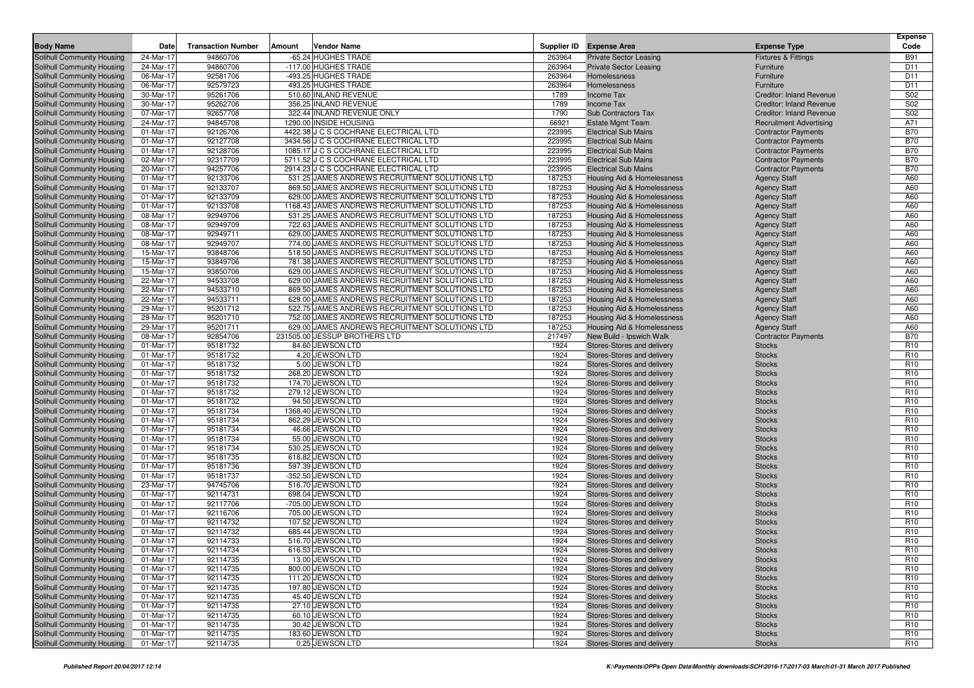| <b>Body Name</b>                                         | Date                   | <b>Transaction Number</b> | Amount | <b>Vendor Name</b>                                                                               |                  | Supplier ID Expense Area                                 | <b>Expense Type</b>                  | <b>Expense</b><br>Code             |
|----------------------------------------------------------|------------------------|---------------------------|--------|--------------------------------------------------------------------------------------------------|------------------|----------------------------------------------------------|--------------------------------------|------------------------------------|
|                                                          | 24-Mar-17              | 94860706                  |        | -65.24 HUGHES TRADE                                                                              | 263964           | <b>Private Sector Leasing</b>                            | Fixtures & Fittings                  | <b>B91</b>                         |
| Solihull Community Housing<br>Solihull Community Housing | 24-Mar-17              | 94860706                  |        | -117.00 HUGHES TRADE                                                                             | 263964           | <b>Private Sector Leasing</b>                            | Furniture                            | D11                                |
| Solihull Community Housing                               | 06-Mar-17              | 92581706                  |        | -493.25 HUGHES TRADE                                                                             | 263964           | Homelessness                                             | Furniture                            | D11                                |
| Solihull Community Housing                               | 06-Mar-17              | 92579723                  |        | 493.25 HUGHES TRADE                                                                              | 263964           | Homelessness                                             | Furniture                            | D11                                |
| Solihull Community Housing                               | 30-Mar-17              | 95261706                  |        | 510.60 INLAND REVENUE                                                                            | 1789             | Income Tax                                               | Creditor: Inland Revenue             | S02                                |
| Solihull Community Housing                               | 30-Mar-17              | 95262706                  |        | 356.25 INLAND REVENUE                                                                            | 1789             | Income Tax                                               | Creditor: Inland Revenue             | <b>S02</b>                         |
| Solihull Community Housing                               | 07-Mar-17              | 92657708                  |        | 322.44 INLAND REVENUE ONLY                                                                       | 1790             | Sub Contractors Tax                                      | <b>Creditor: Inland Revenue</b>      | S02                                |
| Solihull Community Housing                               | 24-Mar-17              | 94845708                  |        | 1290.00 INSIDE HOUSING                                                                           | 66921            | <b>Estate Mgmt Team</b>                                  | <b>Recruitment Advertising</b>       | A71                                |
| Solihull Community Housing                               | 01-Mar-17              | 92126706                  |        | 4422.38 J C S COCHRANE ELECTRICAL LTD                                                            | 223995           | <b>Electrical Sub Mains</b>                              | <b>Contractor Payments</b>           | <b>B70</b>                         |
| Solihull Community Housing                               | 01-Mar-17              | 92127708                  |        | 3434.56 J C S COCHRANE ELECTRICAL LTD                                                            | 223995           | <b>Electrical Sub Mains</b>                              | <b>Contractor Payments</b>           | <b>B70</b>                         |
| Solihull Community Housing                               | 01-Mar-17              | 92128706                  |        | 1085.17 J C S COCHRANE ELECTRICAL LTD                                                            | 223995           | <b>Electrical Sub Mains</b>                              | <b>Contractor Payments</b>           | <b>B70</b>                         |
| Solihull Community Housing                               | 02-Mar-17              | 92317709                  |        | 5711.52 J C S COCHRANE ELECTRICAL LTD                                                            | 223995           | <b>Electrical Sub Mains</b>                              | <b>Contractor Payments</b>           | <b>B70</b>                         |
| Solihull Community Housing                               | 20-Mar-17              | 94257706                  |        | 2914.23 J C S COCHRANE ELECTRICAL LTD                                                            | 223995           | <b>Electrical Sub Mains</b>                              | <b>Contractor Payments</b>           | <b>B70</b>                         |
| Solihull Community Housing                               | 01-Mar-17              | 92133706                  |        | 531.25 JAMES ANDREWS RECRUITMENT SOLUTIONS LTD                                                   | 187253           | Housing Aid & Homelessness                               | <b>Agency Staff</b>                  | A60                                |
| Solihull Community Housing                               | 01-Mar-17              | 92133707                  |        | 869.50 JAMES ANDREWS RECRUITMENT SOLUTIONS LTD                                                   | 187253           | Housing Aid & Homelessness                               | <b>Agency Staff</b>                  | A60                                |
| Solihull Community Housing                               | 01-Mar-17              | 92133709                  |        | 629.00 JAMES ANDREWS RECRUITMENT SOLUTIONS LTD                                                   | 187253           | Housing Aid & Homelessness                               | <b>Agency Staff</b>                  | A60                                |
| Solihull Community Housing                               | 01-Mar-17              | 92133708                  |        | 1168.43 JAMES ANDREWS RECRUITMENT SOLUTIONS LTD                                                  | 187253           | Housing Aid & Homelessness                               | <b>Agency Staff</b>                  | A60                                |
| Solihull Community Housing                               | 08-Mar-17              | 92949706                  |        | 531.25 JAMES ANDREWS RECRUITMENT SOLUTIONS LTD                                                   | 187253           | Housing Aid & Homelessness                               | <b>Agency Staff</b>                  | A60                                |
| Solihull Community Housing                               | 08-Mar-17              | 92949709                  |        | 722.63 JAMES ANDREWS RECRUITMENT SOLUTIONS LTD                                                   | 187253           | Housing Aid & Homelessness                               | <b>Agency Staff</b>                  | A60                                |
| Solihull Community Housing                               | 08-Mar-17              | 92949711                  |        | 629.00 JAMES ANDREWS RECRUITMENT SOLUTIONS LTD                                                   | 187253           | <b>Housing Aid &amp; Homelessness</b>                    | <b>Agency Staff</b>                  | A60                                |
| Solihull Community Housing                               | 08-Mar-17              | 92949707                  |        | 774.00 JAMES ANDREWS RECRUITMENT SOLUTIONS LTD                                                   | 187253           | Housing Aid & Homelessness                               | <b>Agency Staff</b>                  | A60                                |
| Solihull Community Housing                               | 15-Mar-17              | 93848706                  |        | 518.50 JAMES ANDREWS RECRUITMENT SOLUTIONS LTD                                                   | 187253           | Housing Aid & Homelessness                               | <b>Agency Staff</b>                  | A60                                |
| Solihull Community Housing                               | 15-Mar-17              | 93849706                  |        | 781.38 JAMES ANDREWS RECRUITMENT SOLUTIONS LTD                                                   | 187253           | Housing Aid & Homelessness                               | <b>Agency Staff</b>                  | A60                                |
| Solihull Community Housing                               | 15-Mar-17              | 93850706                  |        | 629.00 JAMES ANDREWS RECRUITMENT SOLUTIONS LTD                                                   | 187253           | Housing Aid & Homelessness                               | <b>Agency Staff</b>                  | A60                                |
| Solihull Community Housing                               | 22-Mar-17              | 94533708                  |        | 629.00 JAMES ANDREWS RECRUITMENT SOLUTIONS LTD                                                   | 187253           | Housing Aid & Homelessness                               | <b>Agency Staff</b>                  | A60                                |
| Solihull Community Housing                               | 22-Mar-17              | 94533710                  |        | 869.50 JAMES ANDREWS RECRUITMENT SOLUTIONS LTD                                                   | 187253           | Housing Aid & Homelessness                               | <b>Agency Staff</b>                  | A60                                |
| Solihull Community Housing                               | 22-Mar-17              | 94533711                  |        | 629.00 JAMES ANDREWS RECRUITMENT SOLUTIONS LTD                                                   | 187253           | Housing Aid & Homelessness                               | <b>Agency Staff</b>                  | A60                                |
| Solihull Community Housing                               | 29-Mar-17              | 95201712                  |        | 522.75 JAMES ANDREWS RECRUITMENT SOLUTIONS LTD                                                   | 187253           | Housing Aid & Homelessness                               | <b>Agency Staff</b>                  | A60                                |
| Solihull Community Housing                               | 29-Mar-17              | 95201710                  |        | 752.00 JAMES ANDREWS RECRUITMENT SOLUTIONS LTD<br>629.00 JAMES ANDREWS RECRUITMENT SOLUTIONS LTD | 187253           | Housing Aid & Homelessness                               | <b>Agency Staff</b>                  | A60                                |
| Solihull Community Housing<br>Solihull Community Housing | 29-Mar-17<br>08-Mar-17 | 95201711<br>92854706      |        | 231505.00 JESSUP BROTHERS LTD                                                                    | 187253<br>217497 | Housing Aid & Homelessness                               | <b>Agency Staff</b>                  | A60<br><b>B70</b>                  |
| Solihull Community Housing                               | 01-Mar-17              | 95181732                  |        | 84.60 JEWSON LTD                                                                                 | 1924             | New Build - Ipswich Walk<br>Stores-Stores and delivery   | <b>Contractor Payments</b><br>Stocks | R <sub>10</sub>                    |
| Solihull Community Housing                               | 01-Mar-17              | 95181732                  |        | 4.20 JEWSON LTD                                                                                  | 1924             | Stores-Stores and delivery                               | <b>Stocks</b>                        | R <sub>10</sub>                    |
| Solihull Community Housing                               | 01-Mar-17              | 95181732                  |        | 5.00 JEWSON LTD                                                                                  | 1924             | Stores-Stores and delivery                               | <b>Stocks</b>                        | R <sub>10</sub>                    |
| Solihull Community Housing                               | 01-Mar-17              | 95181732                  |        | 268.20 JEWSON LTD                                                                                | 1924             | Stores-Stores and delivery                               | <b>Stocks</b>                        | R <sub>10</sub>                    |
| Solihull Community Housing                               | 01-Mar-17              | 95181732                  |        | 174.70 JEWSON LTD                                                                                | 1924             | Stores-Stores and delivery                               | <b>Stocks</b>                        | R <sub>10</sub>                    |
| Solihull Community Housing                               | 01-Mar-17              | 95181732                  |        | 279.12 JEWSON LTD                                                                                | 1924             | Stores-Stores and delivery                               | <b>Stocks</b>                        | R <sub>10</sub>                    |
| Solihull Community Housing                               | 01-Mar-17              | 95181732                  |        | 94.50 JEWSON LTD                                                                                 | 1924             | Stores-Stores and delivery                               | <b>Stocks</b>                        | R <sub>10</sub>                    |
| Solihull Community Housing                               | 01-Mar-17              | 95181734                  |        | 1368.40 JEWSON LTD                                                                               | 1924             | Stores-Stores and delivery                               | <b>Stocks</b>                        | R <sub>10</sub>                    |
| Solihull Community Housing                               | 01-Mar-17              | 95181734                  |        | 862.29 JEWSON LTD                                                                                | 1924             | Stores-Stores and delivery                               | <b>Stocks</b>                        | R <sub>10</sub>                    |
| Solihull Community Housing                               | 01-Mar-17              | 95181734                  |        | 46.66 JEWSON LTD                                                                                 | 1924             | Stores-Stores and delivery                               | <b>Stocks</b>                        | R <sub>10</sub>                    |
| Solihull Community Housing                               | 01-Mar-17              | 95181734                  |        | 55.00 JEWSON LTD                                                                                 | 1924             | Stores-Stores and delivery                               | <b>Stocks</b>                        | R <sub>10</sub>                    |
| Solihull Community Housing                               | 01-Mar-17              | 95181734                  |        | 530.25 JEWSON LTD                                                                                | 1924             | Stores-Stores and delivery                               | <b>Stocks</b>                        | R <sub>10</sub>                    |
| Solihull Community Housing                               | 01-Mar-17              | 95181735                  |        | 618.82 JEWSON LTD                                                                                | 1924             | Stores-Stores and delivery                               | <b>Stocks</b>                        | R <sub>10</sub>                    |
| Solihull Community Housing                               | 01-Mar-17              | 95181736                  |        | 597.39 JEWSON LTD                                                                                | 1924             | Stores-Stores and delivery                               | <b>Stocks</b>                        | R <sub>10</sub>                    |
| Solihull Community Housing                               | 01-Mar-17              | 95181737                  |        | -352.50 JEWSON LTD                                                                               | 1924             | Stores-Stores and delivery                               | <b>Stocks</b>                        | R <sub>10</sub>                    |
| Solihull Community Housing                               | 23-Mar-17              | 94745706                  |        | 516.70 JEWSON LTD                                                                                | 1924             | Stores-Stores and delivery                               | <b>Stocks</b>                        | R <sub>10</sub>                    |
| Solihull Community Housing                               | 01-Mar-17              | 92114731                  |        | 698.04 JEWSON LTD                                                                                | 1924             | Stores-Stores and delivery                               | <b>Stocks</b>                        | R <sub>10</sub>                    |
| Solihull Community Housing                               | 01-Mar-17              | 92117706                  |        | -705.00 JEWSON LTD                                                                               | 1924             | Stores-Stores and delivery                               | <b>Stocks</b>                        | R <sub>10</sub>                    |
| Solihull Community Housing                               | 01-Mar-17              | 92116706                  |        | 705.00 JEWSON LTD                                                                                | 1924             | Stores-Stores and delivery                               | <b>Stocks</b>                        | R <sub>10</sub>                    |
| Solihull Community Housing                               | 01-Mar-17              | 92114732                  |        | 107.52 JEWSON LTD                                                                                | 1924             | Stores-Stores and delivery                               | <b>Stocks</b>                        | R <sub>10</sub>                    |
| Solihull Community Housing                               | 01-Mar-17              | 92114732                  |        | 685.44 JEWSON LTD                                                                                | 1924             | Stores-Stores and delivery                               | <b>Stocks</b>                        | R <sub>10</sub>                    |
| Solihull Community Housing                               | 01-Mar-17              | 92114733                  |        | 516.70 JEWSON LTD                                                                                | 1924             | Stores-Stores and delivery                               | <b>Stocks</b>                        | R <sub>10</sub>                    |
| Solihull Community Housing                               | 01-Mar-17              | 92114734                  |        | 616.53 JEWSON LTD                                                                                | 1924             | Stores-Stores and delivery                               | <b>Stocks</b>                        | R <sub>10</sub>                    |
| Solihull Community Housing<br>Solihull Community Housing | 01-Mar-17              | 92114735                  |        | 13.00 JEWSON LTD<br>800.00 JEWSON LTD                                                            | 1924             | Stores-Stores and delivery                               | <b>Stocks</b>                        | R <sub>10</sub>                    |
| Solihull Community Housing                               | 01-Mar-17<br>01-Mar-17 | 92114735<br>92114735      |        | 111.20 JEWSON LTD                                                                                | 1924<br>1924     | Stores-Stores and delivery<br>Stores-Stores and delivery | <b>Stocks</b>                        | R <sub>10</sub>                    |
| Solihull Community Housing                               | 01-Mar-17              | 92114735                  |        | 197.80 JEWSON LTD                                                                                | 1924             | Stores-Stores and delivery                               | <b>Stocks</b><br><b>Stocks</b>       | R <sub>10</sub><br>R <sub>10</sub> |
| Solihull Community Housing                               | 01-Mar-17              | 92114735                  |        | 45.40 JEWSON LTD                                                                                 | 1924             | Stores-Stores and delivery                               | <b>Stocks</b>                        | R <sub>10</sub>                    |
| Solihull Community Housing                               | 01-Mar-17              | 92114735                  |        | 27.10 JEWSON LTD                                                                                 | 1924             | Stores-Stores and delivery                               | <b>Stocks</b>                        | R <sub>10</sub>                    |
| Solihull Community Housing                               | 01-Mar-17              | 92114735                  |        | 60.10 JEWSON LTD                                                                                 | 1924             | Stores-Stores and delivery                               | <b>Stocks</b>                        | R <sub>10</sub>                    |
| Solihull Community Housing                               | 01-Mar-17              | 92114735                  |        | 30.42 JEWSON LTD                                                                                 | 1924             | Stores-Stores and delivery                               | <b>Stocks</b>                        | R <sub>10</sub>                    |
| Solihull Community Housing                               | 01-Mar-17              | 92114735                  |        | 183.60 JEWSON LTD                                                                                | 1924             | Stores-Stores and delivery                               | <b>Stocks</b>                        | R <sub>10</sub>                    |
| Solihull Community Housing                               | 01-Mar-17              | 92114735                  |        | 0.25 JEWSON LTD                                                                                  | 1924             | Stores-Stores and delivery                               | <b>Stocks</b>                        | R <sub>10</sub>                    |
|                                                          |                        |                           |        |                                                                                                  |                  |                                                          |                                      |                                    |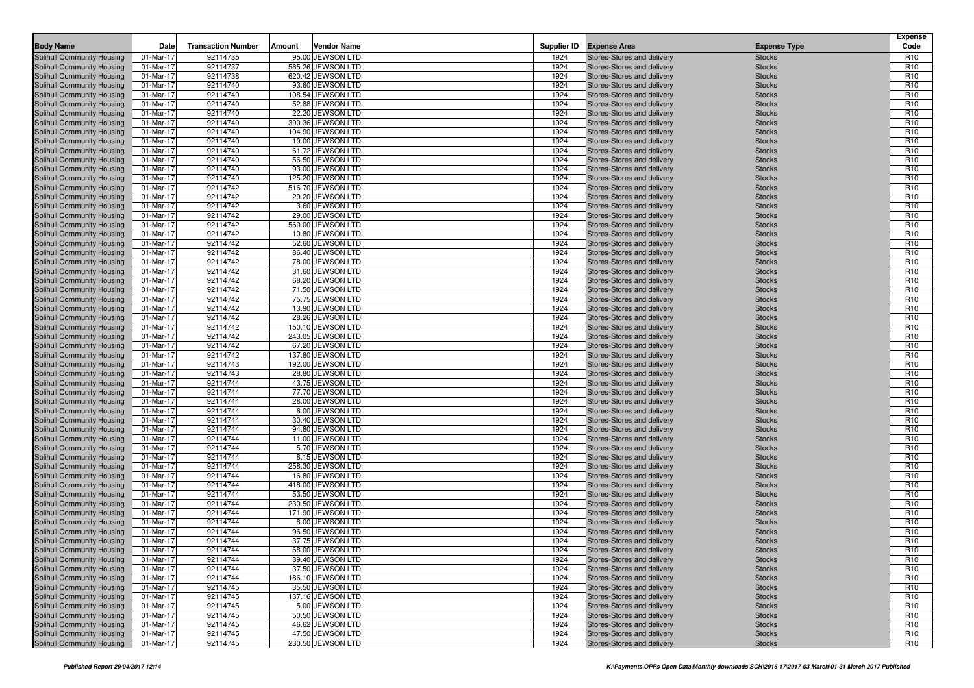| <b>Body Name</b>                                         | Date                   | <b>Transaction Number</b> | Amount | Vendor Name                           |              | Supplier ID Expense Area                                 | <b>Expense Type</b>            | <b>Expense</b><br>Code             |
|----------------------------------------------------------|------------------------|---------------------------|--------|---------------------------------------|--------------|----------------------------------------------------------|--------------------------------|------------------------------------|
|                                                          |                        |                           |        |                                       |              |                                                          |                                |                                    |
| <b>Solihull Community Housing</b>                        | 01-Mar-17              | 92114735<br>92114737      |        | 95.00 JEWSON LTD<br>565.26 JEWSON LTD | 1924<br>1924 | Stores-Stores and delivery                               | <b>Stocks</b>                  | R <sub>10</sub><br>R <sub>10</sub> |
| Solihull Community Housing<br>Solihull Community Housing | 01-Mar-17<br>01-Mar-17 | 92114738                  |        | 620.42 JEWSON LTD                     | 1924         | Stores-Stores and delivery<br>Stores-Stores and delivery | <b>Stocks</b><br><b>Stocks</b> | R <sub>10</sub>                    |
| Solihull Community Housing                               | 01-Mar-17              | 92114740                  |        | 93.60 JEWSON LTD                      | 1924         | Stores-Stores and delivery                               | <b>Stocks</b>                  | R <sub>10</sub>                    |
| Solihull Community Housing                               | 01-Mar-17              | 92114740                  |        | 108.54 JEWSON LTD                     | 1924         | Stores-Stores and delivery                               | <b>Stocks</b>                  | R <sub>10</sub>                    |
| Solihull Community Housing                               | 01-Mar-17              | 92114740                  |        | 52.88 JEWSON LTD                      | 1924         | Stores-Stores and delivery                               | <b>Stocks</b>                  | R <sub>10</sub>                    |
| <b>Solihull Community Housing</b>                        | 01-Mar-17              | 92114740                  |        | 22.20 JEWSON LTD                      | 1924         | Stores-Stores and delivery                               | <b>Stocks</b>                  | R <sub>10</sub>                    |
| Solihull Community Housing                               | 01-Mar-17              | 92114740                  |        | 390.36 JEWSON LTD                     | 1924         | Stores-Stores and delivery                               | <b>Stocks</b>                  | R <sub>10</sub>                    |
| Solihull Community Housing                               | 01-Mar-17              | 92114740                  |        | 104.90 JEWSON LTD                     | 1924         | Stores-Stores and delivery                               | <b>Stocks</b>                  | R <sub>10</sub>                    |
| <b>Solihull Community Housing</b>                        | 01-Mar-17              | 92114740                  |        | 19.00 JEWSON LTD                      | 1924         | Stores-Stores and delivery                               | <b>Stocks</b>                  | R <sub>10</sub>                    |
| Solihull Community Housing                               | 01-Mar-17              | 92114740                  |        | 61.72 JEWSON LTD                      | 1924         | Stores-Stores and delivery                               | <b>Stocks</b>                  | R <sub>10</sub>                    |
| Solihull Community Housing                               | 01-Mar-17              | 92114740                  |        | 56.50 JEWSON LTD                      | 1924         | Stores-Stores and delivery                               | <b>Stocks</b>                  | R <sub>10</sub>                    |
| Solihull Community Housing                               | 01-Mar-17              | 92114740                  |        | 93.00 JEWSON LTD                      | 1924         | Stores-Stores and delivery                               | <b>Stocks</b>                  | R <sub>10</sub>                    |
| Solihull Community Housing                               | 01-Mar-17              | 92114740                  |        | 125.20 JEWSON LTD                     | 1924         | Stores-Stores and delivery                               | <b>Stocks</b>                  | R <sub>10</sub>                    |
| Solihull Community Housing                               | 01-Mar-17              | 92114742                  |        | 516.70 JEWSON LTD                     | 1924         | Stores-Stores and delivery                               | <b>Stocks</b>                  | R <sub>10</sub>                    |
| Solihull Community Housing                               | 01-Mar-17              | 92114742                  |        | 29.20 JEWSON LTD                      | 1924         | Stores-Stores and delivery                               | <b>Stocks</b>                  | R <sub>10</sub>                    |
| Solihull Community Housing                               | 01-Mar-17              | 92114742                  |        | 3.60 JEWSON LTD                       | 1924         | Stores-Stores and delivery                               | <b>Stocks</b>                  | R <sub>10</sub>                    |
| Solihull Community Housing                               | 01-Mar-17              | 92114742                  |        | 29.00 JEWSON LTD                      | 1924         | Stores-Stores and delivery                               | <b>Stocks</b>                  | R <sub>10</sub>                    |
| Solihull Community Housing                               | 01-Mar-17              | 92114742                  |        | 560.00 JEWSON LTD                     | 1924         | Stores-Stores and delivery                               | <b>Stocks</b>                  | R <sub>10</sub>                    |
| Solihull Community Housing                               | 01-Mar-17              | 92114742                  |        | 10.80 JEWSON LTD                      | 1924         | Stores-Stores and delivery                               | <b>Stocks</b>                  | R <sub>10</sub>                    |
| Solihull Community Housing                               | 01-Mar-17              | 92114742                  |        | 52.60 JEWSON LTD                      | 1924         | Stores-Stores and delivery                               | <b>Stocks</b>                  | R <sub>10</sub>                    |
| Solihull Community Housing                               | 01-Mar-17              | 92114742                  |        | 86.40 JEWSON LTD                      | 1924         | Stores-Stores and delivery                               | <b>Stocks</b>                  | R <sub>10</sub>                    |
| Solihull Community Housing                               | 01-Mar-17              | 92114742                  |        | 78.00 JEWSON LTD                      | 1924         | Stores-Stores and delivery                               | <b>Stocks</b>                  | R <sub>10</sub>                    |
| Solihull Community Housing                               | 01-Mar-17              | 92114742                  |        | 31.60 JEWSON LTD                      | 1924         | Stores-Stores and delivery                               | <b>Stocks</b>                  | R <sub>10</sub>                    |
| Solihull Community Housing                               | 01-Mar-17              | 92114742                  |        | 68.20 JEWSON LTD                      | 1924         | Stores-Stores and delivery                               | <b>Stocks</b>                  | R <sub>10</sub>                    |
| Solihull Community Housing                               | 01-Mar-17              | 92114742                  |        | 71.50 JEWSON LTD                      | 1924         | Stores-Stores and delivery                               | <b>Stocks</b>                  | R <sub>10</sub>                    |
| Solihull Community Housing                               | 01-Mar-17              | 92114742                  |        | 75.75 JEWSON LTD                      | 1924         | Stores-Stores and delivery                               | <b>Stocks</b>                  | R <sub>10</sub>                    |
| Solihull Community Housing                               | 01-Mar-17              | 92114742                  |        | 13.90 JEWSON LTD                      | 1924         | Stores-Stores and delivery                               | <b>Stocks</b>                  | R <sub>10</sub>                    |
| Solihull Community Housing                               | 01-Mar-17              | 92114742                  |        | 28.26 JEWSON LTD                      | 1924         | Stores-Stores and delivery                               | <b>Stocks</b>                  | R <sub>10</sub>                    |
| Solihull Community Housing                               | 01-Mar-17              | 92114742                  |        | 150.10 JEWSON LTD                     | 1924         | Stores-Stores and delivery                               | <b>Stocks</b>                  | R <sub>10</sub>                    |
| Solihull Community Housing                               | 01-Mar-17              | 92114742                  |        | 243.05 JEWSON LTD                     | 1924         | Stores-Stores and delivery                               | <b>Stocks</b>                  | R <sub>10</sub>                    |
| Solihull Community Housing                               | 01-Mar-17              | 92114742                  |        | 67.20 JEWSON LTD                      | 1924         | Stores-Stores and delivery                               | <b>Stocks</b>                  | R <sub>10</sub>                    |
| Solihull Community Housing                               | 01-Mar-17              | 92114742                  |        | 137.80 JEWSON LTD                     | 1924         | Stores-Stores and delivery                               | <b>Stocks</b>                  | R <sub>10</sub>                    |
| Solihull Community Housing                               | 01-Mar-17              | 92114743                  |        | 192.00 JEWSON LTD                     | 1924         | Stores-Stores and delivery                               | <b>Stocks</b>                  | R <sub>10</sub>                    |
| Solihull Community Housing                               | 01-Mar-17              | 92114743                  |        | 28.80 JEWSON LTD                      | 1924         | Stores-Stores and delivery                               | <b>Stocks</b>                  | R <sub>10</sub>                    |
| Solihull Community Housing                               | 01-Mar-17              | 92114744                  |        | 43.75 JEWSON LTD                      | 1924         | Stores-Stores and delivery                               | <b>Stocks</b>                  | R <sub>10</sub>                    |
| Solihull Community Housing                               | 01-Mar-17              | 92114744                  |        | 77.70 JEWSON LTD                      | 1924         | Stores-Stores and delivery                               | <b>Stocks</b>                  | R <sub>10</sub>                    |
| Solihull Community Housing                               | 01-Mar-17              | 92114744                  |        | 28.00 JEWSON LTD                      | 1924         | Stores-Stores and delivery                               | <b>Stocks</b>                  | R <sub>10</sub>                    |
| Solihull Community Housing                               | 01-Mar-17              | 92114744                  |        | 6.00 JEWSON LTD                       | 1924         | Stores-Stores and delivery                               | <b>Stocks</b>                  | R <sub>10</sub>                    |
| Solihull Community Housing                               | 01-Mar-17              | 92114744<br>92114744      |        | 30.40 JEWSON LTD<br>94.80 JEWSON LTD  | 1924<br>1924 | Stores-Stores and delivery                               | <b>Stocks</b>                  | R <sub>10</sub><br>R <sub>10</sub> |
| Solihull Community Housing<br>Solihull Community Housing | 01-Mar-17<br>01-Mar-17 | 92114744                  |        | 11.00 JEWSON LTD                      | 1924         | Stores-Stores and delivery<br>Stores-Stores and delivery | <b>Stocks</b><br><b>Stocks</b> | R <sub>10</sub>                    |
| Solihull Community Housing                               | 01-Mar-17              | 92114744                  |        | 5.70 JEWSON LTD                       | 1924         | Stores-Stores and delivery                               | <b>Stocks</b>                  | R <sub>10</sub>                    |
| Solihull Community Housing                               | 01-Mar-17              | 92114744                  |        | 8.15 JEWSON LTD                       | 1924         | Stores-Stores and delivery                               | <b>Stocks</b>                  | R <sub>10</sub>                    |
| Solihull Community Housing                               | 01-Mar-17              | 92114744                  |        | 258.30 JEWSON LTD                     | 1924         | Stores-Stores and delivery                               | <b>Stocks</b>                  | R <sub>10</sub>                    |
| Solihull Community Housing                               | 01-Mar-17              | 92114744                  |        | 16.80 JEWSON LTD                      | 1924         | Stores-Stores and delivery                               | <b>Stocks</b>                  | R <sub>10</sub>                    |
| Solihull Community Housing                               | 01-Mar-17              | 92114744                  |        | 418.00 JEWSON LTD                     | 1924         | Stores-Stores and delivery                               | <b>Stocks</b>                  | R <sub>10</sub>                    |
| Solihull Community Housing                               | 01-Mar-17              | 92114744                  |        | 53.50 JEWSON LTD                      | 1924         | Stores-Stores and delivery                               | <b>Stocks</b>                  | R <sub>10</sub>                    |
| Solihull Community Housing                               | 01-Mar-17              | 92114744                  |        | 230.50 JEWSON LTD                     | 1924         | Stores-Stores and delivery                               | <b>Stocks</b>                  | R <sub>10</sub>                    |
| Solihull Community Housing                               | 01-Mar-17              | 92114744                  |        | 171.90 JEWSON LTD                     | 1924         | Stores-Stores and delivery                               | <b>Stocks</b>                  | R <sub>10</sub>                    |
| Solihull Community Housing                               | 01-Mar-17              | 92114744                  |        | 8.00 JEWSON LTD                       | 1924         | Stores-Stores and delivery                               | <b>Stocks</b>                  | R <sub>10</sub>                    |
| Solihull Community Housing                               | 01-Mar-17              | 92114744                  |        | 96.50 JEWSON LTD                      | 1924         | Stores-Stores and delivery                               | <b>Stocks</b>                  | R <sub>10</sub>                    |
| Solihull Community Housing                               | 01-Mar-17              | 92114744                  |        | 37.75 JEWSON LTD                      | 1924         | Stores-Stores and delivery                               | <b>Stocks</b>                  | R <sub>10</sub>                    |
| Solihull Community Housing                               | 01-Mar-17              | 92114744                  |        | 68.00 JEWSON LTD                      | 1924         | Stores-Stores and delivery                               | <b>Stocks</b>                  | R <sub>10</sub>                    |
| Solihull Community Housing                               | 01-Mar-17              | 92114744                  |        | 39.40 JEWSON LTD                      | 1924         | Stores-Stores and delivery                               | <b>Stocks</b>                  | R <sub>10</sub>                    |
| Solihull Community Housing                               | 01-Mar-17              | 92114744                  |        | 37.50 JEWSON LTD                      | 1924         | Stores-Stores and delivery                               | <b>Stocks</b>                  | R <sub>10</sub>                    |
| Solihull Community Housing                               | 01-Mar-17              | 92114744                  |        | 186.10 JEWSON LTD                     | 1924         | Stores-Stores and delivery                               | <b>Stocks</b>                  | R <sub>10</sub>                    |
| Solihull Community Housing                               | 01-Mar-17              | 92114745                  |        | 35.50 JEWSON LTD                      | 1924         | Stores-Stores and delivery                               | <b>Stocks</b>                  | R <sub>10</sub>                    |
| Solihull Community Housing                               | 01-Mar-17              | 92114745                  |        | 137.16 JEWSON LTD                     | 1924         | Stores-Stores and delivery                               | <b>Stocks</b>                  | R <sub>10</sub>                    |
| Solihull Community Housing                               | 01-Mar-17              | 92114745                  |        | 5.00 JEWSON LTD                       | 1924         | Stores-Stores and delivery                               | <b>Stocks</b>                  | R <sub>10</sub>                    |
| Solihull Community Housing                               | 01-Mar-17              | 92114745                  |        | 50.50 JEWSON LTD                      | 1924         | Stores-Stores and delivery                               | <b>Stocks</b>                  | R <sub>10</sub>                    |
| Solihull Community Housing                               | 01-Mar-17              | 92114745                  |        | 46.62 JEWSON LTD                      | 1924         | Stores-Stores and delivery                               | <b>Stocks</b>                  | R <sub>10</sub>                    |
| Solihull Community Housing                               | 01-Mar-17              | 92114745                  |        | 47.50 JEWSON LTD                      | 1924         | Stores-Stores and delivery                               | <b>Stocks</b>                  | R <sub>10</sub>                    |
| Solihull Community Housing                               | 01-Mar-17              | 92114745                  |        | 230.50 JEWSON LTD                     | 1924         | Stores-Stores and delivery                               | <b>Stocks</b>                  | R <sub>10</sub>                    |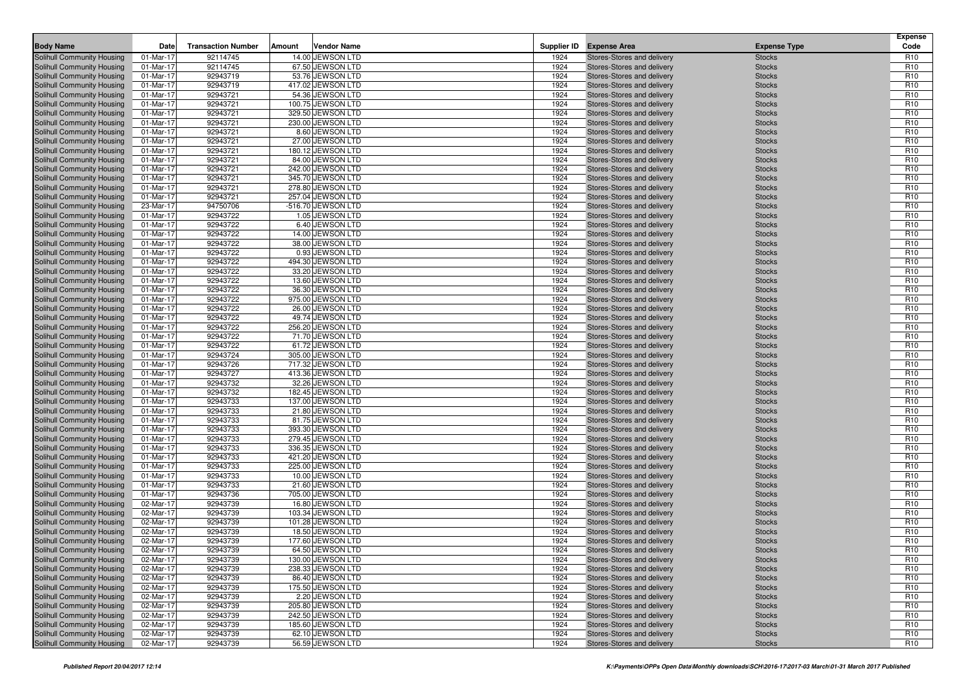| <b>Body Name</b>                                         | Date                   | <b>Transaction Number</b> | Amount | <b>Vendor Name</b>                     |              | Supplier ID Expense Area                                 | <b>Expense Type</b>            | <b>Expense</b><br>Code             |
|----------------------------------------------------------|------------------------|---------------------------|--------|----------------------------------------|--------------|----------------------------------------------------------|--------------------------------|------------------------------------|
| <b>Solihull Community Housing</b>                        | 01-Mar-17              | 92114745                  |        | 14.00 JEWSON LTD                       |              |                                                          |                                | R <sub>10</sub>                    |
| Solihull Community Housing                               | 01-Mar-17              | 92114745                  |        | 67.50 JEWSON LTD                       | 1924<br>1924 | Stores-Stores and delivery                               | <b>Stocks</b><br><b>Stocks</b> | R <sub>10</sub>                    |
| Solihull Community Housing                               | 01-Mar-17              | 92943719                  |        | 53.76 JEWSON LTD                       | 1924         | Stores-Stores and delivery<br>Stores-Stores and delivery | <b>Stocks</b>                  | R <sub>10</sub>                    |
| Solihull Community Housing                               | 01-Mar-17              | 92943719                  |        | 417.02 JEWSON LTD                      | 1924         | Stores-Stores and delivery                               | <b>Stocks</b>                  | R <sub>10</sub>                    |
| Solihull Community Housing                               | 01-Mar-17              | 92943721                  |        | 54.36 JEWSON LTD                       | 1924         | Stores-Stores and delivery                               | <b>Stocks</b>                  | R <sub>10</sub>                    |
| Solihull Community Housing                               | 01-Mar-17              | 92943721                  |        | 100.75 JEWSON LTD                      | 1924         | Stores-Stores and delivery                               | <b>Stocks</b>                  | R <sub>10</sub>                    |
| <b>Solihull Community Housing</b>                        | 01-Mar-17              | 92943721                  |        | 329.50 JEWSON LTD                      | 1924         | Stores-Stores and delivery                               | <b>Stocks</b>                  | R <sub>10</sub>                    |
| Solihull Community Housing                               | 01-Mar-17              | 92943721                  |        | 230.00 JEWSON LTD                      | 1924         | Stores-Stores and delivery                               | <b>Stocks</b>                  | R <sub>10</sub>                    |
| Solihull Community Housing                               | 01-Mar-17              | 92943721                  |        | 8.60 JEWSON LTD                        | 1924         | Stores-Stores and delivery                               | <b>Stocks</b>                  | R <sub>10</sub>                    |
| <b>Solihull Community Housing</b>                        | 01-Mar-17              | 92943721                  |        | 27.00 JEWSON LTD                       | 1924         | Stores-Stores and delivery                               | <b>Stocks</b>                  | R <sub>10</sub>                    |
| Solihull Community Housing                               | 01-Mar-17              | 92943721                  |        | 180.12 JEWSON LTD                      | 1924         | Stores-Stores and delivery                               | <b>Stocks</b>                  | R <sub>10</sub>                    |
| Solihull Community Housing                               | 01-Mar-17              | 92943721                  |        | 84.00 JEWSON LTD                       | 1924         | Stores-Stores and delivery                               | <b>Stocks</b>                  | R <sub>10</sub>                    |
| Solihull Community Housing                               | 01-Mar-17              | 92943721                  |        | 242.00 JEWSON LTD                      | 1924         | Stores-Stores and delivery                               | <b>Stocks</b>                  | R <sub>10</sub>                    |
| Solihull Community Housing                               | 01-Mar-17              | 92943721                  |        | 345.70 JEWSON LTD                      | 1924         | Stores-Stores and delivery                               | <b>Stocks</b>                  | R <sub>10</sub>                    |
| Solihull Community Housing                               | 01-Mar-17              | 92943721                  |        | 278.80 JEWSON LTD                      | 1924         | Stores-Stores and delivery                               | <b>Stocks</b>                  | R <sub>10</sub>                    |
| Solihull Community Housing                               | 01-Mar-17              | 92943721                  |        | 257.04 JEWSON LTD                      | 1924         | Stores-Stores and delivery                               | <b>Stocks</b>                  | R <sub>10</sub>                    |
| Solihull Community Housing                               | 23-Mar-17              | 94750706                  |        | -516.70 JEWSON LTD                     | 1924         | Stores-Stores and delivery                               | <b>Stocks</b>                  | R <sub>10</sub>                    |
| Solihull Community Housing                               | 01-Mar-17              | 92943722                  |        | 1.05 JEWSON LTD                        | 1924         | Stores-Stores and delivery                               | <b>Stocks</b>                  | R <sub>10</sub>                    |
| Solihull Community Housing                               | 01-Mar-17              | 92943722                  |        | 6.40 JEWSON LTD                        | 1924         | Stores-Stores and delivery                               | <b>Stocks</b>                  | R <sub>10</sub>                    |
| Solihull Community Housing                               | 01-Mar-17              | 92943722                  |        | 14.00 JEWSON LTD                       | 1924         | Stores-Stores and delivery                               | <b>Stocks</b>                  | R <sub>10</sub>                    |
| Solihull Community Housing                               | 01-Mar-17              | 92943722                  |        | 38.00 JEWSON LTD                       | 1924         | Stores-Stores and delivery                               | <b>Stocks</b>                  | R <sub>10</sub>                    |
| Solihull Community Housing                               | 01-Mar-17              | 92943722                  |        | 0.93 JEWSON LTD                        | 1924         | Stores-Stores and delivery                               | <b>Stocks</b>                  | R <sub>10</sub>                    |
| Solihull Community Housing                               | 01-Mar-17              | 92943722                  |        | 494.30 JEWSON LTD                      | 1924         | Stores-Stores and delivery                               | <b>Stocks</b>                  | R <sub>10</sub>                    |
| Solihull Community Housing                               | 01-Mar-17              | 92943722                  |        | 33.20 JEWSON LTD                       | 1924         | Stores-Stores and delivery                               | <b>Stocks</b>                  | R <sub>10</sub>                    |
| Solihull Community Housing                               | 01-Mar-17              | 92943722                  |        | 13.60 JEWSON LTD                       | 1924         | Stores-Stores and delivery                               | <b>Stocks</b>                  | R <sub>10</sub>                    |
| Solihull Community Housing                               | 01-Mar-17              | 92943722                  |        | 36.30 JEWSON LTD                       | 1924         | Stores-Stores and delivery                               | <b>Stocks</b>                  | R <sub>10</sub>                    |
| Solihull Community Housing                               | 01-Mar-17              | 92943722                  |        | 975.00 JEWSON LTD                      | 1924         | Stores-Stores and delivery                               | <b>Stocks</b>                  | R <sub>10</sub>                    |
| Solihull Community Housing                               | 01-Mar-17              | 92943722                  |        | 26.00 JEWSON LTD                       | 1924         | Stores-Stores and delivery                               | <b>Stocks</b>                  | R <sub>10</sub>                    |
| Solihull Community Housing                               | 01-Mar-17              | 92943722                  |        | 49.74 JEWSON LTD                       | 1924         | Stores-Stores and delivery                               | <b>Stocks</b>                  | R <sub>10</sub>                    |
| Solihull Community Housing                               | 01-Mar-17              | 92943722                  |        | 256.20 JEWSON LTD                      | 1924         | Stores-Stores and delivery                               | <b>Stocks</b>                  | R <sub>10</sub>                    |
| Solihull Community Housing                               | 01-Mar-17              | 92943722                  |        | 71.70 JEWSON LTD                       | 1924         | Stores-Stores and delivery                               | <b>Stocks</b>                  | R <sub>10</sub>                    |
| Solihull Community Housing                               | 01-Mar-17              | 92943722                  |        | 61.72 JEWSON LTD                       | 1924         | Stores-Stores and delivery                               | <b>Stocks</b>                  | R <sub>10</sub>                    |
| Solihull Community Housing                               | 01-Mar-17              | 92943724                  |        | 305.00 JEWSON LTD                      | 1924         | Stores-Stores and delivery                               | <b>Stocks</b>                  | R <sub>10</sub>                    |
| Solihull Community Housing                               | 01-Mar-17              | 92943726                  |        | 717.32 JEWSON LTD                      | 1924         | Stores-Stores and delivery                               | <b>Stocks</b>                  | R <sub>10</sub>                    |
| Solihull Community Housing                               | 01-Mar-17              | 92943727                  |        | 413.36 JEWSON LTD                      | 1924         | Stores-Stores and delivery                               | <b>Stocks</b>                  | R <sub>10</sub>                    |
| Solihull Community Housing                               | 01-Mar-17              | 92943732                  |        | 32.26 JEWSON LTD                       | 1924         | Stores-Stores and delivery                               | <b>Stocks</b>                  | R <sub>10</sub>                    |
| Solihull Community Housing<br>Solihull Community Housing | 01-Mar-17<br>01-Mar-17 | 92943732<br>92943733      |        | 182.45 JEWSON LTD<br>137.00 JEWSON LTD | 1924<br>1924 | Stores-Stores and delivery<br>Stores-Stores and delivery | <b>Stocks</b><br><b>Stocks</b> | R <sub>10</sub><br>R <sub>10</sub> |
| Solihull Community Housing                               | 01-Mar-17              | 92943733                  |        | 21.80 JEWSON LTD                       | 1924         | Stores-Stores and delivery                               | <b>Stocks</b>                  | R <sub>10</sub>                    |
| Solihull Community Housing                               | 01-Mar-17              | 92943733                  |        | 81.75 JEWSON LTD                       | 1924         | Stores-Stores and delivery                               | <b>Stocks</b>                  | R <sub>10</sub>                    |
| Solihull Community Housing                               | 01-Mar-17              | 92943733                  |        | 393.30 JEWSON LTD                      | 1924         | Stores-Stores and delivery                               | <b>Stocks</b>                  | R <sub>10</sub>                    |
| Solihull Community Housing                               | 01-Mar-17              | 92943733                  |        | 279.45 JEWSON LTD                      | 1924         | Stores-Stores and delivery                               | <b>Stocks</b>                  | R <sub>10</sub>                    |
| Solihull Community Housing                               | 01-Mar-17              | 92943733                  |        | 336.35 JEWSON LTD                      | 1924         | Stores-Stores and delivery                               | <b>Stocks</b>                  | R <sub>10</sub>                    |
| Solihull Community Housing                               | 01-Mar-17              | 92943733                  |        | 421.20 JEWSON LTD                      | 1924         | Stores-Stores and delivery                               | <b>Stocks</b>                  | R <sub>10</sub>                    |
| Solihull Community Housing                               | 01-Mar-17              | 92943733                  |        | 225.00 JEWSON LTD                      | 1924         | Stores-Stores and delivery                               | <b>Stocks</b>                  | R <sub>10</sub>                    |
| Solihull Community Housing                               | 01-Mar-17              | 92943733                  |        | 10.00 JEWSON LTD                       | 1924         | Stores-Stores and delivery                               | <b>Stocks</b>                  | R <sub>10</sub>                    |
| Solihull Community Housing                               | 01-Mar-17              | 92943733                  |        | 21.60 JEWSON LTD                       | 1924         | Stores-Stores and delivery                               | <b>Stocks</b>                  | R <sub>10</sub>                    |
| Solihull Community Housing                               | 01-Mar-17              | 92943736                  |        | 705.00 JEWSON LTD                      | 1924         | Stores-Stores and delivery                               | <b>Stocks</b>                  | R <sub>10</sub>                    |
| Solihull Community Housing                               | 02-Mar-17              | 92943739                  |        | 16.80 JEWSON LTD                       | 1924         | Stores-Stores and delivery                               | <b>Stocks</b>                  | R <sub>10</sub>                    |
| Solihull Community Housing                               | 02-Mar-17              | 92943739                  |        | 103.34 JEWSON LTD                      | 1924         | Stores-Stores and delivery                               | <b>Stocks</b>                  | R <sub>10</sub>                    |
| Solihull Community Housing                               | 02-Mar-17              | 92943739                  |        | 101.28 JEWSON LTD                      | 1924         | Stores-Stores and delivery                               | <b>Stocks</b>                  | R <sub>10</sub>                    |
| Solihull Community Housing                               | 02-Mar-17              | 92943739                  |        | 18.50 JEWSON LTD                       | 1924         | Stores-Stores and delivery                               | <b>Stocks</b>                  | R <sub>10</sub>                    |
| Solihull Community Housing                               | 02-Mar-17              | 92943739                  |        | 177.60 JEWSON LTD                      | 1924         | Stores-Stores and delivery                               | <b>Stocks</b>                  | R <sub>10</sub>                    |
| Solihull Community Housing                               | 02-Mar-17              | 92943739                  |        | 64.50 JEWSON LTD                       | 1924         | Stores-Stores and delivery                               | <b>Stocks</b>                  | R <sub>10</sub>                    |
| Solihull Community Housing                               | 02-Mar-17              | 92943739                  |        | 130.00 JEWSON LTD                      | 1924         | Stores-Stores and delivery                               | <b>Stocks</b>                  | R <sub>10</sub>                    |
| Solihull Community Housing                               | 02-Mar-17              | 92943739                  |        | 238.33 JEWSON LTD                      | 1924         | Stores-Stores and delivery                               | <b>Stocks</b>                  | R <sub>10</sub>                    |
| Solihull Community Housing                               | 02-Mar-17              | 92943739                  |        | 86.40 JEWSON LTD                       | 1924         | Stores-Stores and delivery                               | <b>Stocks</b>                  | R <sub>10</sub>                    |
| Solihull Community Housing                               | 02-Mar-17              | 92943739                  |        | 175.50 JEWSON LTD                      | 1924         | Stores-Stores and delivery                               | <b>Stocks</b>                  | R <sub>10</sub>                    |
| Solihull Community Housing                               | 02-Mar-17              | 92943739                  |        | 2.20 JEWSON LTD                        | 1924         | Stores-Stores and delivery                               | <b>Stocks</b>                  | R <sub>10</sub>                    |
| Solihull Community Housing                               | 02-Mar-17              | 92943739                  |        | 205.80 JEWSON LTD                      | 1924         | Stores-Stores and delivery                               | <b>Stocks</b>                  | R <sub>10</sub>                    |
| Solihull Community Housing<br>Solihull Community Housing | 02-Mar-17              | 92943739                  |        | 242.50 JEWSON LTD<br>185.60 JEWSON LTD | 1924<br>1924 | Stores-Stores and delivery                               | <b>Stocks</b>                  | R <sub>10</sub>                    |
| Solihull Community Housing                               | 02-Mar-17<br>02-Mar-17 | 92943739<br>92943739      |        | 62.10 JEWSON LTD                       | 1924         | Stores-Stores and delivery<br>Stores-Stores and delivery | <b>Stocks</b><br><b>Stocks</b> | R <sub>10</sub><br>R <sub>10</sub> |
| Solihull Community Housing                               | 02-Mar-17              | 92943739                  |        | 56.59 JEWSON LTD                       | 1924         | Stores-Stores and delivery                               | <b>Stocks</b>                  | R <sub>10</sub>                    |
|                                                          |                        |                           |        |                                        |              |                                                          |                                |                                    |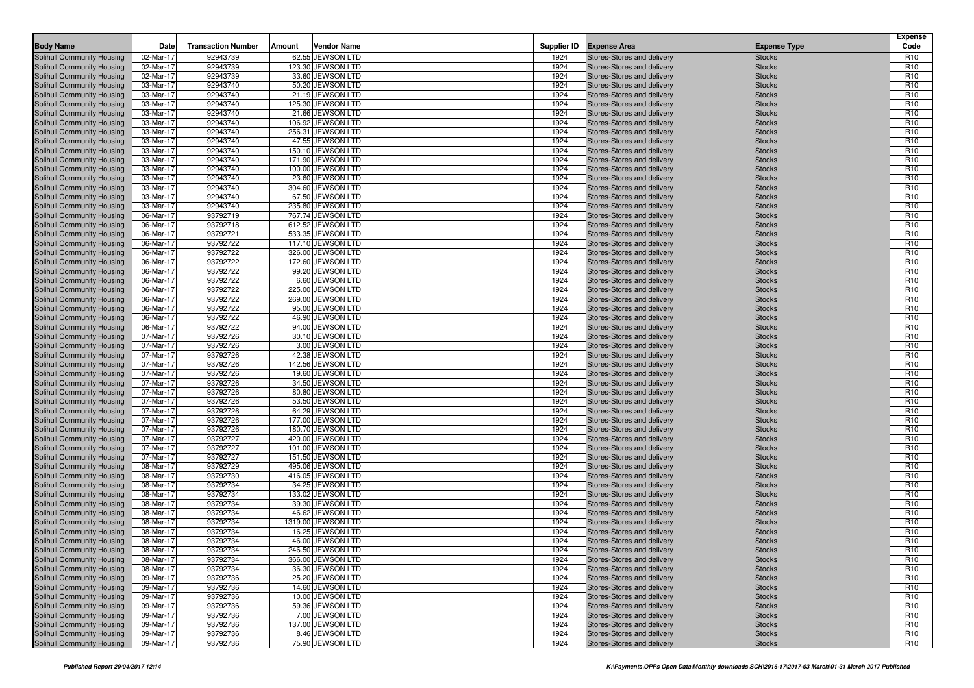| <b>Body Name</b>                                         | Date                   | <b>Transaction Number</b> | Amount | <b>Vendor Name</b>                   |              | Supplier ID Expense Area                                 | <b>Expense Type</b>            | <b>Expense</b><br>Code             |
|----------------------------------------------------------|------------------------|---------------------------|--------|--------------------------------------|--------------|----------------------------------------------------------|--------------------------------|------------------------------------|
| <b>Solihull Community Housing</b>                        | 02-Mar-17              |                           |        | 62.55 JEWSON LTD                     |              |                                                          |                                | R <sub>10</sub>                    |
| Solihull Community Housing                               | 02-Mar-17              | 92943739<br>92943739      |        | 123.30 JEWSON LTD                    | 1924<br>1924 | Stores-Stores and delivery<br>Stores-Stores and delivery | <b>Stocks</b><br><b>Stocks</b> | R <sub>10</sub>                    |
| Solihull Community Housing                               | 02-Mar-17              | 92943739                  |        | 33.60 JEWSON LTD                     | 1924         | Stores-Stores and delivery                               | <b>Stocks</b>                  | R <sub>10</sub>                    |
| Solihull Community Housing                               | 03-Mar-17              | 92943740                  |        | 50.20 JEWSON LTD                     | 1924         | Stores-Stores and delivery                               | <b>Stocks</b>                  | R <sub>10</sub>                    |
| Solihull Community Housing                               | 03-Mar-17              | 92943740                  |        | 21.19 JEWSON LTD                     | 1924         | Stores-Stores and delivery                               | <b>Stocks</b>                  | R <sub>10</sub>                    |
| Solihull Community Housing                               | 03-Mar-17              | 92943740                  |        | 125.30 JEWSON LTD                    | 1924         | Stores-Stores and delivery                               | <b>Stocks</b>                  | R <sub>10</sub>                    |
| <b>Solihull Community Housing</b>                        | 03-Mar-17              | 92943740                  |        | 21.66 JEWSON LTD                     | 1924         | Stores-Stores and delivery                               | <b>Stocks</b>                  | R <sub>10</sub>                    |
| Solihull Community Housing                               | 03-Mar-17              | 92943740                  |        | 106.92 JEWSON LTD                    | 1924         | Stores-Stores and delivery                               | <b>Stocks</b>                  | R <sub>10</sub>                    |
| Solihull Community Housing                               | 03-Mar-17              | 92943740                  |        | 256.31 JEWSON LTD                    | 1924         | Stores-Stores and delivery                               | <b>Stocks</b>                  | R <sub>10</sub>                    |
| <b>Solihull Community Housing</b>                        | 03-Mar-17              | 92943740                  |        | 47.55 JEWSON LTD                     | 1924         | Stores-Stores and delivery                               | <b>Stocks</b>                  | R <sub>10</sub>                    |
| Solihull Community Housing                               | 03-Mar-17              | 92943740                  |        | 150.10 JEWSON LTD                    | 1924         | Stores-Stores and delivery                               | <b>Stocks</b>                  | R <sub>10</sub>                    |
| Solihull Community Housing                               | 03-Mar-17              | 92943740                  |        | 171.90 JEWSON LTD                    | 1924         | Stores-Stores and delivery                               | <b>Stocks</b>                  | R <sub>10</sub>                    |
| Solihull Community Housing                               | 03-Mar-17              | 92943740                  |        | 100.00 JEWSON LTD                    | 1924         | Stores-Stores and delivery                               | <b>Stocks</b>                  | R <sub>10</sub>                    |
| Solihull Community Housing                               | 03-Mar-17              | 92943740                  |        | 23.60 JEWSON LTD                     | 1924         | Stores-Stores and delivery                               | <b>Stocks</b>                  | R <sub>10</sub>                    |
| Solihull Community Housing                               | 03-Mar-17              | 92943740                  |        | 304.60 JEWSON LTD                    | 1924         | Stores-Stores and delivery                               | <b>Stocks</b>                  | R <sub>10</sub>                    |
| Solihull Community Housing                               | 03-Mar-17              | 92943740                  |        | 67.50 JEWSON LTD                     | 1924         | Stores-Stores and delivery                               | <b>Stocks</b>                  | R <sub>10</sub>                    |
| Solihull Community Housing                               | 03-Mar-17              | 92943740                  |        | 235.80 JEWSON LTD                    | 1924         | Stores-Stores and delivery                               | <b>Stocks</b>                  | R <sub>10</sub>                    |
| Solihull Community Housing                               | 06-Mar-17              | 93792719                  |        | 767.74 JEWSON LTD                    | 1924         | Stores-Stores and delivery                               | <b>Stocks</b>                  | R <sub>10</sub>                    |
| Solihull Community Housing                               | 06-Mar-17              | 93792718                  |        | 612.52 JEWSON LTD                    | 1924         | Stores-Stores and delivery                               | <b>Stocks</b>                  | R <sub>10</sub>                    |
| Solihull Community Housing                               | 06-Mar-17              | 93792721                  |        | 533.35 JEWSON LTD                    | 1924         | Stores-Stores and delivery                               | <b>Stocks</b>                  | R <sub>10</sub>                    |
| Solihull Community Housing                               | 06-Mar-17              | 93792722                  |        | 117.10 JEWSON LTD                    | 1924         | Stores-Stores and delivery                               | <b>Stocks</b>                  | R <sub>10</sub>                    |
| Solihull Community Housing                               | 06-Mar-17              | 93792722                  |        | 326.00 JEWSON LTD                    | 1924         | Stores-Stores and delivery                               | <b>Stocks</b>                  | R <sub>10</sub>                    |
| Solihull Community Housing                               | 06-Mar-17              | 93792722                  |        | 172.60 JEWSON LTD                    | 1924         | Stores-Stores and delivery                               | <b>Stocks</b>                  | R <sub>10</sub>                    |
| Solihull Community Housing                               | 06-Mar-17              | 93792722                  |        | 99.20 JEWSON LTD                     | 1924         | Stores-Stores and delivery                               | <b>Stocks</b>                  | R <sub>10</sub>                    |
| Solihull Community Housing                               | 06-Mar-17              | 93792722                  |        | 6.60 JEWSON LTD                      | 1924         | Stores-Stores and delivery                               | <b>Stocks</b>                  | R <sub>10</sub>                    |
| Solihull Community Housing                               | 06-Mar-17              | 93792722                  |        | 225.00 JEWSON LTD                    | 1924         | Stores-Stores and delivery                               | <b>Stocks</b>                  | R <sub>10</sub>                    |
| Solihull Community Housing                               | 06-Mar-17              | 93792722                  |        | 269.00 JEWSON LTD                    | 1924         | Stores-Stores and delivery                               | <b>Stocks</b>                  | R <sub>10</sub>                    |
| Solihull Community Housing                               | 06-Mar-17              | 93792722                  |        | 95.00 JEWSON LTD                     | 1924         | Stores-Stores and delivery                               | <b>Stocks</b>                  | R <sub>10</sub>                    |
| Solihull Community Housing                               | 06-Mar-17              | 93792722                  |        | 46.90 JEWSON LTD                     | 1924         | Stores-Stores and delivery                               | <b>Stocks</b>                  | R <sub>10</sub>                    |
| Solihull Community Housing                               | 06-Mar-17              | 93792722                  |        | 94.00 JEWSON LTD                     | 1924         | Stores-Stores and delivery                               | <b>Stocks</b>                  | R <sub>10</sub>                    |
| Solihull Community Housing                               | 07-Mar-17              | 93792726                  |        | 30.10 JEWSON LTD                     | 1924         | Stores-Stores and delivery                               | <b>Stocks</b>                  | R <sub>10</sub>                    |
| Solihull Community Housing                               | 07-Mar-17              | 93792726                  |        | 3.00 JEWSON LTD                      | 1924         | Stores-Stores and delivery                               | <b>Stocks</b>                  | R <sub>10</sub>                    |
| Solihull Community Housing                               | 07-Mar-17              | 93792726                  |        | 42.38 JEWSON LTD                     | 1924         | Stores-Stores and delivery                               | <b>Stocks</b>                  | R <sub>10</sub>                    |
| Solihull Community Housing                               | 07-Mar-17              | 93792726                  |        | 142.56 JEWSON LTD                    | 1924         | Stores-Stores and delivery                               | <b>Stocks</b>                  | R <sub>10</sub>                    |
| Solihull Community Housing                               | 07-Mar-17              | 93792726                  |        | 19.60 JEWSON LTD                     | 1924         | Stores-Stores and delivery                               | <b>Stocks</b>                  | R <sub>10</sub>                    |
| Solihull Community Housing                               | 07-Mar-17              | 93792726                  |        | 34.50 JEWSON LTD                     | 1924         | Stores-Stores and delivery                               | <b>Stocks</b>                  | R <sub>10</sub>                    |
| Solihull Community Housing<br>Solihull Community Housing | 07-Mar-17<br>07-Mar-17 | 93792726<br>93792726      |        | 80.80 JEWSON LTD<br>53.50 JEWSON LTD | 1924<br>1924 | Stores-Stores and delivery<br>Stores-Stores and delivery | <b>Stocks</b><br><b>Stocks</b> | R <sub>10</sub><br>R <sub>10</sub> |
| Solihull Community Housing                               | 07-Mar-17              | 93792726                  |        | 64.29 JEWSON LTD                     | 1924         | Stores-Stores and delivery                               | <b>Stocks</b>                  | R <sub>10</sub>                    |
| Solihull Community Housing                               | 07-Mar-17              | 93792726                  |        | 177.00 JEWSON LTD                    | 1924         | Stores-Stores and delivery                               | <b>Stocks</b>                  | R <sub>10</sub>                    |
| Solihull Community Housing                               | 07-Mar-17              | 93792726                  |        | 180.70 JEWSON LTD                    | 1924         | Stores-Stores and delivery                               | <b>Stocks</b>                  | R <sub>10</sub>                    |
| Solihull Community Housing                               | 07-Mar-17              | 93792727                  |        | 420.00 JEWSON LTD                    | 1924         | Stores-Stores and delivery                               | <b>Stocks</b>                  | R <sub>10</sub>                    |
| Solihull Community Housing                               | 07-Mar-17              | 93792727                  |        | 101.00 JEWSON LTD                    | 1924         | Stores-Stores and delivery                               | <b>Stocks</b>                  | R <sub>10</sub>                    |
| Solihull Community Housing                               | 07-Mar-17              | 93792727                  |        | 151.50 JEWSON LTD                    | 1924         | Stores-Stores and delivery                               | <b>Stocks</b>                  | R <sub>10</sub>                    |
| Solihull Community Housing                               | 08-Mar-17              | 93792729                  |        | 495.06 JEWSON LTD                    | 1924         | Stores-Stores and delivery                               | <b>Stocks</b>                  | R <sub>10</sub>                    |
| Solihull Community Housing                               | 08-Mar-17              | 93792730                  |        | 416.05 JEWSON LTD                    | 1924         | Stores-Stores and delivery                               | <b>Stocks</b>                  | R <sub>10</sub>                    |
| Solihull Community Housing                               | 08-Mar-17              | 93792734                  |        | 34.25 JEWSON LTD                     | 1924         | Stores-Stores and delivery                               | <b>Stocks</b>                  | R <sub>10</sub>                    |
| Solihull Community Housing                               | 08-Mar-17              | 93792734                  |        | 133.02 JEWSON LTD                    | 1924         | Stores-Stores and delivery                               | <b>Stocks</b>                  | R <sub>10</sub>                    |
| Solihull Community Housing                               | 08-Mar-17              | 93792734                  |        | 39.30 JEWSON LTD                     | 1924         | Stores-Stores and delivery                               | <b>Stocks</b>                  | R <sub>10</sub>                    |
| Solihull Community Housing                               | 08-Mar-17              | 93792734                  |        | 46.62 JEWSON LTD                     | 1924         | Stores-Stores and delivery                               | <b>Stocks</b>                  | R <sub>10</sub>                    |
| Solihull Community Housing                               | 08-Mar-17              | 93792734                  |        | 1319.00 JEWSON LTD                   | 1924         | Stores-Stores and delivery                               | <b>Stocks</b>                  | R <sub>10</sub>                    |
| Solihull Community Housing                               | 08-Mar-17              | 93792734                  |        | 16.25 JEWSON LTD                     | 1924         | Stores-Stores and delivery                               | <b>Stocks</b>                  | R <sub>10</sub>                    |
| Solihull Community Housing                               | 08-Mar-17              | 93792734                  |        | 46.00 JEWSON LTD                     | 1924         | Stores-Stores and delivery                               | <b>Stocks</b>                  | R <sub>10</sub>                    |
| Solihull Community Housing                               | 08-Mar-17              | 93792734                  |        | 246.50 JEWSON LTD                    | 1924         | Stores-Stores and delivery                               | <b>Stocks</b>                  | R <sub>10</sub>                    |
| Solihull Community Housing                               | 08-Mar-17              | 93792734                  |        | 366.00 JEWSON LTD                    | 1924         | Stores-Stores and delivery                               | <b>Stocks</b>                  | R <sub>10</sub>                    |
| Solihull Community Housing                               | 08-Mar-17              | 93792734                  |        | 36.30 JEWSON LTD                     | 1924         | Stores-Stores and delivery                               | <b>Stocks</b>                  | R <sub>10</sub>                    |
| Solihull Community Housing                               | 09-Mar-17              | 93792736                  |        | 25.20 JEWSON LTD                     | 1924         | Stores-Stores and delivery                               | <b>Stocks</b>                  | R <sub>10</sub>                    |
| Solihull Community Housing                               | 09-Mar-17              | 93792736                  |        | 14.60 JEWSON LTD                     | 1924         | Stores-Stores and delivery                               | <b>Stocks</b>                  | R <sub>10</sub>                    |
| Solihull Community Housing                               | 09-Mar-17              | 93792736                  |        | 10.00 JEWSON LTD                     | 1924         | Stores-Stores and delivery                               | <b>Stocks</b>                  | R <sub>10</sub>                    |
| Solihull Community Housing                               | 09-Mar-17              | 93792736                  |        | 59.36 JEWSON LTD                     | 1924         | Stores-Stores and delivery                               | <b>Stocks</b>                  | R <sub>10</sub>                    |
| Solihull Community Housing<br>Solihull Community Housing | 09-Mar-17              | 93792736                  |        | 7.00 JEWSON LTD<br>137.00 JEWSON LTD | 1924<br>1924 | Stores-Stores and delivery                               | <b>Stocks</b>                  | R <sub>10</sub>                    |
| Solihull Community Housing                               | 09-Mar-17<br>09-Mar-17 | 93792736<br>93792736      |        | 8.46 JEWSON LTD                      | 1924         | Stores-Stores and delivery<br>Stores-Stores and delivery | <b>Stocks</b><br><b>Stocks</b> | R <sub>10</sub><br>R <sub>10</sub> |
| Solihull Community Housing                               | 09-Mar-17              | 93792736                  |        | 75.90 JEWSON LTD                     | 1924         | Stores-Stores and delivery                               | <b>Stocks</b>                  | R <sub>10</sub>                    |
|                                                          |                        |                           |        |                                      |              |                                                          |                                |                                    |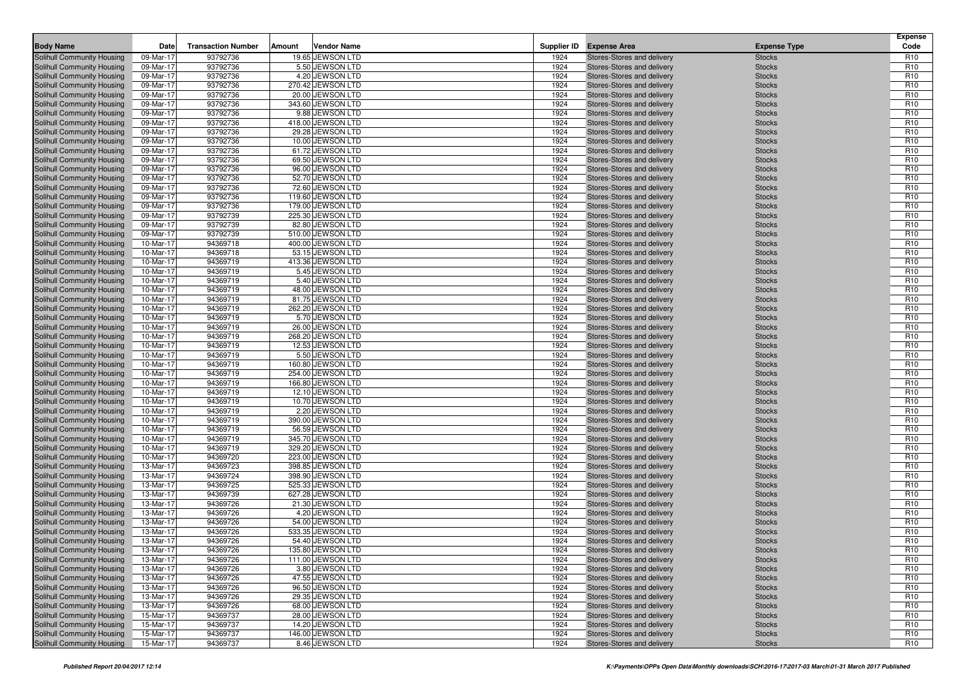| <b>Body Name</b>                                         | Date                   | <b>Transaction Number</b> | Amount | <b>Vendor Name</b>                    |              | Supplier ID Expense Area                                 | <b>Expense Type</b>            | <b>Expense</b><br>Code             |
|----------------------------------------------------------|------------------------|---------------------------|--------|---------------------------------------|--------------|----------------------------------------------------------|--------------------------------|------------------------------------|
| Solihull Community Housing                               | 09-Mar-17              |                           |        | 19.65 JEWSON LTD                      |              |                                                          |                                | R <sub>10</sub>                    |
| Solihull Community Housing                               | 09-Mar-17              | 93792736<br>93792736      |        | 5.50 JEWSON LTD                       | 1924<br>1924 | Stores-Stores and delivery                               | <b>Stocks</b><br><b>Stocks</b> | R <sub>10</sub>                    |
| Solihull Community Housing                               | 09-Mar-17              | 93792736                  |        | 4.20 JEWSON LTD                       | 1924         | Stores-Stores and delivery<br>Stores-Stores and delivery | <b>Stocks</b>                  | R <sub>10</sub>                    |
| Solihull Community Housing                               | 09-Mar-17              | 93792736                  |        | 270.42 JEWSON LTD                     | 1924         | Stores-Stores and delivery                               | <b>Stocks</b>                  | R <sub>10</sub>                    |
| Solihull Community Housing                               | 09-Mar-17              | 93792736                  |        | 20.00 JEWSON LTD                      | 1924         | Stores-Stores and delivery                               | <b>Stocks</b>                  | R <sub>10</sub>                    |
| Solihull Community Housing                               | 09-Mar-17              | 93792736                  |        | 343.60 JEWSON LTD                     | 1924         | Stores-Stores and delivery                               | <b>Stocks</b>                  | R <sub>10</sub>                    |
| <b>Solihull Community Housing</b>                        | 09-Mar-17              | 93792736                  |        | 9.88 JEWSON LTD                       | 1924         | Stores-Stores and delivery                               | <b>Stocks</b>                  | R <sub>10</sub>                    |
| Solihull Community Housing                               | 09-Mar-17              | 93792736                  |        | 418.00 JEWSON LTD                     | 1924         | Stores-Stores and delivery                               | <b>Stocks</b>                  | R <sub>10</sub>                    |
| Solihull Community Housing                               | 09-Mar-17              | 93792736                  |        | 29.28 JEWSON LTD                      | 1924         | Stores-Stores and delivery                               | <b>Stocks</b>                  | R <sub>10</sub>                    |
| <b>Solihull Community Housing</b>                        | 09-Mar-17              | 93792736                  |        | 10.00 JEWSON LTD                      | 1924         | Stores-Stores and delivery                               | <b>Stocks</b>                  | R <sub>10</sub>                    |
| Solihull Community Housing                               | 09-Mar-17              | 93792736                  |        | 61.72 JEWSON LTD                      | 1924         | Stores-Stores and delivery                               | <b>Stocks</b>                  | R <sub>10</sub>                    |
| Solihull Community Housing                               | 09-Mar-17              | 93792736                  |        | 69.50 JEWSON LTD                      | 1924         | Stores-Stores and delivery                               | <b>Stocks</b>                  | R <sub>10</sub>                    |
| Solihull Community Housing                               | 09-Mar-17              | 93792736                  |        | 96.00 JEWSON LTD                      | 1924         | Stores-Stores and delivery                               | <b>Stocks</b>                  | R <sub>10</sub>                    |
| Solihull Community Housing                               | 09-Mar-17              | 93792736                  |        | 52.70 JEWSON LTD                      | 1924         | Stores-Stores and delivery                               | <b>Stocks</b>                  | R <sub>10</sub>                    |
| Solihull Community Housing                               | 09-Mar-17              | 93792736                  |        | 72.60 JEWSON LTD                      | 1924         | Stores-Stores and delivery                               | <b>Stocks</b>                  | R <sub>10</sub>                    |
| Solihull Community Housing                               | 09-Mar-17              | 93792736                  |        | 119.60 JEWSON LTD                     | 1924         | Stores-Stores and delivery                               | <b>Stocks</b>                  | R <sub>10</sub>                    |
| Solihull Community Housing                               | 09-Mar-17              | 93792736                  |        | 179.00 JEWSON LTD                     | 1924         | Stores-Stores and delivery                               | <b>Stocks</b>                  | R <sub>10</sub>                    |
| Solihull Community Housing                               | 09-Mar-17              | 93792739                  |        | 225.30 JEWSON LTD                     | 1924         | Stores-Stores and delivery                               | <b>Stocks</b>                  | R <sub>10</sub>                    |
| Solihull Community Housing                               | 09-Mar-17              | 93792739                  |        | 82.80 JEWSON LTD                      | 1924         | Stores-Stores and delivery                               | <b>Stocks</b>                  | R <sub>10</sub>                    |
| Solihull Community Housing                               | 09-Mar-17              | 93792739                  |        | 510.00 JEWSON LTD                     | 1924         | Stores-Stores and delivery                               | <b>Stocks</b>                  | R <sub>10</sub>                    |
| Solihull Community Housing                               | 10-Mar-17              | 94369718                  |        | 400.00 JEWSON LTD                     | 1924         | Stores-Stores and delivery                               | <b>Stocks</b>                  | R <sub>10</sub>                    |
| Solihull Community Housing                               | 10-Mar-17              | 94369718                  |        | 53.15 JEWSON LTD                      | 1924         | Stores-Stores and delivery                               | <b>Stocks</b>                  | R <sub>10</sub>                    |
| Solihull Community Housing                               | 10-Mar-17              | 94369719                  |        | 413.36 JEWSON LTD                     | 1924         | Stores-Stores and delivery                               | <b>Stocks</b>                  | R <sub>10</sub>                    |
| Solihull Community Housing                               | 10-Mar-17              | 94369719                  |        | 5.45 JEWSON LTD                       | 1924         | Stores-Stores and delivery                               | <b>Stocks</b>                  | R <sub>10</sub>                    |
| Solihull Community Housing                               | 10-Mar-17              | 94369719                  |        | 5.40 JEWSON LTD                       | 1924         | Stores-Stores and delivery                               | <b>Stocks</b>                  | R <sub>10</sub>                    |
| Solihull Community Housing                               | 10-Mar-17              | 94369719                  |        | 48.00 JEWSON LTD                      | 1924         | Stores-Stores and delivery                               | <b>Stocks</b>                  | R <sub>10</sub>                    |
| Solihull Community Housing                               | 10-Mar-17              | 94369719                  |        | 81.75 JEWSON LTD                      | 1924         | Stores-Stores and delivery                               | <b>Stocks</b>                  | R <sub>10</sub>                    |
| Solihull Community Housing                               | 10-Mar-17              | 94369719                  |        | 262.20 JEWSON LTD                     | 1924         | Stores-Stores and delivery                               | <b>Stocks</b>                  | R <sub>10</sub>                    |
| Solihull Community Housing                               | 10-Mar-17              | 94369719                  |        | 5.70 JEWSON LTD                       | 1924         | Stores-Stores and delivery                               | <b>Stocks</b>                  | R <sub>10</sub>                    |
| Solihull Community Housing                               | 10-Mar-17              | 94369719                  |        | 26.00 JEWSON LTD                      | 1924         | Stores-Stores and delivery                               | <b>Stocks</b>                  | R <sub>10</sub>                    |
| Solihull Community Housing                               | 10-Mar-17              | 94369719                  |        | 268.20 JEWSON LTD                     | 1924         | Stores-Stores and delivery                               | <b>Stocks</b>                  | R <sub>10</sub>                    |
| Solihull Community Housing                               | 10-Mar-17              | 94369719                  |        | 12.53 JEWSON LTD                      | 1924         | Stores-Stores and delivery                               | <b>Stocks</b>                  | R <sub>10</sub>                    |
| Solihull Community Housing                               | 10-Mar-17              | 94369719                  |        | 5.50 JEWSON LTD                       | 1924         | Stores-Stores and delivery                               | <b>Stocks</b>                  | R <sub>10</sub>                    |
| Solihull Community Housing                               | 10-Mar-17              | 94369719                  |        | 160.80 JEWSON LTD                     | 1924         | Stores-Stores and delivery                               | <b>Stocks</b>                  | R <sub>10</sub>                    |
| Solihull Community Housing                               | 10-Mar-17              | 94369719                  |        | 254.00 JEWSON LTD                     | 1924         | Stores-Stores and delivery                               | <b>Stocks</b>                  | R <sub>10</sub>                    |
| Solihull Community Housing                               | 10-Mar-17              | 94369719                  |        | 166.80 JEWSON LTD                     | 1924         | Stores-Stores and delivery                               | <b>Stocks</b>                  | R <sub>10</sub>                    |
| Solihull Community Housing<br>Solihull Community Housing | 10-Mar-17<br>10-Mar-17 | 94369719<br>94369719      |        | 12.10 JEWSON LTD<br>10.70 JEWSON LTD  | 1924<br>1924 | Stores-Stores and delivery<br>Stores-Stores and delivery | <b>Stocks</b><br><b>Stocks</b> | R <sub>10</sub><br>R <sub>10</sub> |
| Solihull Community Housing                               | 10-Mar-17              | 94369719                  |        | 2.20 JEWSON LTD                       | 1924         | Stores-Stores and delivery                               | <b>Stocks</b>                  | R <sub>10</sub>                    |
| Solihull Community Housing                               | 10-Mar-17              | 94369719                  |        | 390.00 JEWSON LTD                     | 1924         | Stores-Stores and delivery                               | <b>Stocks</b>                  | R <sub>10</sub>                    |
| Solihull Community Housing                               | 10-Mar-17              | 94369719                  |        | 56.59 JEWSON LTD                      | 1924         | Stores-Stores and delivery                               | <b>Stocks</b>                  | R <sub>10</sub>                    |
| Solihull Community Housing                               | 10-Mar-17              | 94369719                  |        | 345.70 JEWSON LTD                     | 1924         | Stores-Stores and delivery                               | <b>Stocks</b>                  | R <sub>10</sub>                    |
| Solihull Community Housing                               | 10-Mar-17              | 94369719                  |        | 329.20 JEWSON LTD                     | 1924         | Stores-Stores and delivery                               | <b>Stocks</b>                  | R <sub>10</sub>                    |
| Solihull Community Housing                               | 10-Mar-17              | 94369720                  |        | 223.00 JEWSON LTD                     | 1924         | Stores-Stores and delivery                               | <b>Stocks</b>                  | R <sub>10</sub>                    |
| Solihull Community Housing                               | 13-Mar-17              | 94369723                  |        | 398.85 JEWSON LTD                     | 1924         | Stores-Stores and delivery                               | <b>Stocks</b>                  | R <sub>10</sub>                    |
| Solihull Community Housing                               | 13-Mar-17              | 94369724                  |        | 398.90 JEWSON LTD                     | 1924         | Stores-Stores and delivery                               | <b>Stocks</b>                  | R <sub>10</sub>                    |
| Solihull Community Housing                               | 13-Mar-17              | 94369725                  |        | 525.33 JEWSON LTD                     | 1924         | Stores-Stores and delivery                               | <b>Stocks</b>                  | R <sub>10</sub>                    |
| Solihull Community Housing                               | 13-Mar-17              | 94369739                  |        | 627.28 JEWSON LTD                     | 1924         | Stores-Stores and delivery                               | <b>Stocks</b>                  | R <sub>10</sub>                    |
| Solihull Community Housing                               | 13-Mar-17              | 94369726                  |        | 21.30 JEWSON LTD                      | 1924         | Stores-Stores and delivery                               | <b>Stocks</b>                  | R <sub>10</sub>                    |
| Solihull Community Housing                               | 13-Mar-17              | 94369726                  |        | 4.20 JEWSON LTD                       | 1924         | Stores-Stores and delivery                               | <b>Stocks</b>                  | R <sub>10</sub>                    |
| Solihull Community Housing                               | 13-Mar-17              | 94369726                  |        | 54.00 JEWSON LTD                      | 1924         | Stores-Stores and delivery                               | <b>Stocks</b>                  | R <sub>10</sub>                    |
| Solihull Community Housing                               | 13-Mar-17              | 94369726                  |        | 533.35 JEWSON LTD                     | 1924         | Stores-Stores and delivery                               | <b>Stocks</b>                  | R <sub>10</sub>                    |
| Solihull Community Housing                               | 13-Mar-17              | 94369726                  |        | 54.40 JEWSON LTD                      | 1924         | Stores-Stores and delivery                               | <b>Stocks</b>                  | R <sub>10</sub>                    |
| Solihull Community Housing                               | 13-Mar-17              | 94369726                  |        | 135.80 JEWSON LTD                     | 1924         | Stores-Stores and delivery                               | <b>Stocks</b>                  | R <sub>10</sub>                    |
| Solihull Community Housing                               | 13-Mar-17              | 94369726                  |        | 111.00 JEWSON LTD                     | 1924         | Stores-Stores and delivery                               | <b>Stocks</b>                  | R <sub>10</sub>                    |
| Solihull Community Housing                               | 13-Mar-17              | 94369726                  |        | 3.80 JEWSON LTD                       | 1924         | Stores-Stores and delivery                               | <b>Stocks</b>                  | R <sub>10</sub>                    |
| Solihull Community Housing                               | 13-Mar-17              | 94369726                  |        | 47.55 JEWSON LTD                      | 1924         | Stores-Stores and delivery                               | <b>Stocks</b>                  | R <sub>10</sub>                    |
| Solihull Community Housing                               | 13-Mar-17              | 94369726                  |        | 96.50 JEWSON LTD                      | 1924         | Stores-Stores and delivery                               | <b>Stocks</b>                  | R <sub>10</sub>                    |
| Solihull Community Housing                               | 13-Mar-17              | 94369726                  |        | 29.35 JEWSON LTD                      | 1924         | Stores-Stores and delivery                               | <b>Stocks</b>                  | R <sub>10</sub>                    |
| Solihull Community Housing                               | 13-Mar-17              | 94369726                  |        | 68.00 JEWSON LTD                      | 1924         | Stores-Stores and delivery                               | <b>Stocks</b>                  | R <sub>10</sub>                    |
| Solihull Community Housing                               | 15-Mar-17              | 94369737                  |        | 28.00 JEWSON LTD                      | 1924         | Stores-Stores and delivery                               | <b>Stocks</b>                  | R <sub>10</sub>                    |
| Solihull Community Housing<br>Solihull Community Housing | 15-Mar-17<br>15-Mar-17 | 94369737<br>94369737      |        | 14.20 JEWSON LTD<br>146.00 JEWSON LTD | 1924<br>1924 | Stores-Stores and delivery<br>Stores-Stores and delivery | <b>Stocks</b><br><b>Stocks</b> | R <sub>10</sub><br>R <sub>10</sub> |
| Solihull Community Housing                               | 15-Mar-17              | 94369737                  |        | 8.46 JEWSON LTD                       | 1924         | Stores-Stores and delivery                               | <b>Stocks</b>                  | R <sub>10</sub>                    |
|                                                          |                        |                           |        |                                       |              |                                                          |                                |                                    |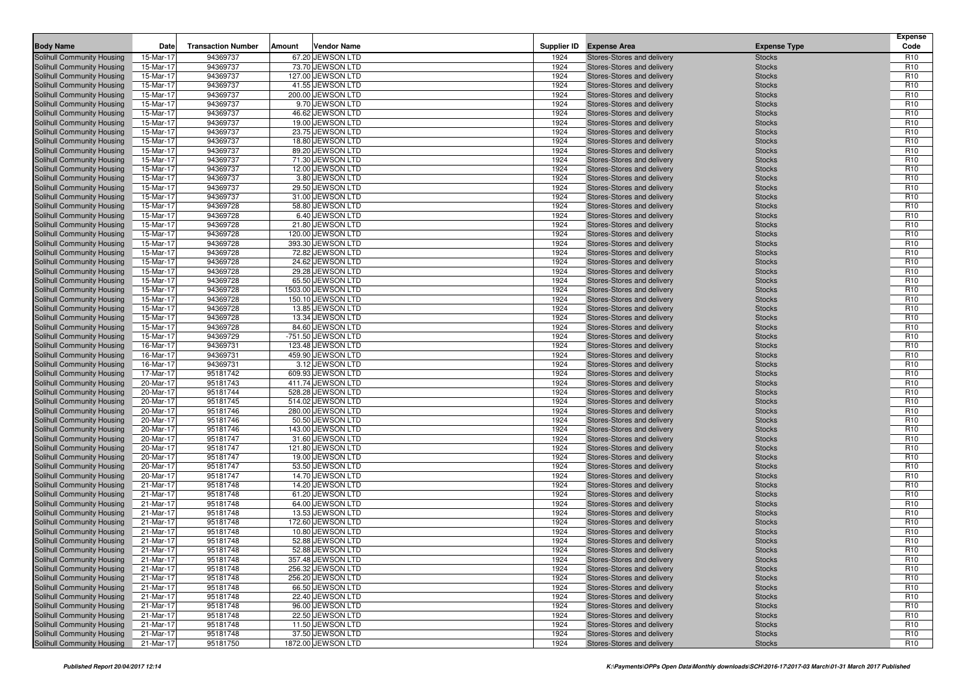| <b>Body Name</b>                                         | Date                   | <b>Transaction Number</b> | Amount | <b>Vendor Name</b>                     |              | Supplier ID Expense Area                                 | <b>Expense Type</b>            | <b>Expense</b><br>Code             |
|----------------------------------------------------------|------------------------|---------------------------|--------|----------------------------------------|--------------|----------------------------------------------------------|--------------------------------|------------------------------------|
| Solihull Community Housing                               | 15-Mar-17              | 94369737                  |        | 67.20 JEWSON LTD                       |              |                                                          |                                | R <sub>10</sub>                    |
| Solihull Community Housing                               | 15-Mar-17              | 94369737                  |        | 73.70 JEWSON LTD                       | 1924<br>1924 | Stores-Stores and delivery<br>Stores-Stores and delivery | <b>Stocks</b><br><b>Stocks</b> | R <sub>10</sub>                    |
| Solihull Community Housing                               | 15-Mar-17              | 94369737                  |        | 127.00 JEWSON LTD                      | 1924         | Stores-Stores and delivery                               | <b>Stocks</b>                  | R <sub>10</sub>                    |
| Solihull Community Housing                               | 15-Mar-17              | 94369737                  |        | 41.55 JEWSON LTD                       | 1924         | Stores-Stores and delivery                               | <b>Stocks</b>                  | R <sub>10</sub>                    |
| Solihull Community Housing                               | 15-Mar-17              | 94369737                  |        | 200.00 JEWSON LTD                      | 1924         | Stores-Stores and delivery                               | <b>Stocks</b>                  | R <sub>10</sub>                    |
| Solihull Community Housing                               | 15-Mar-17              | 94369737                  |        | 9.70 JEWSON LTD                        | 1924         | Stores-Stores and delivery                               | <b>Stocks</b>                  | R <sub>10</sub>                    |
| <b>Solihull Community Housing</b>                        | 15-Mar-17              | 94369737                  |        | 46.62 JEWSON LTD                       | 1924         | Stores-Stores and delivery                               | <b>Stocks</b>                  | R <sub>10</sub>                    |
| Solihull Community Housing                               | 15-Mar-17              | 94369737                  |        | 19.00 JEWSON LTD                       | 1924         | Stores-Stores and delivery                               | <b>Stocks</b>                  | R <sub>10</sub>                    |
| Solihull Community Housing                               | 15-Mar-17              | 94369737                  |        | 23.75 JEWSON LTD                       | 1924         | Stores-Stores and delivery                               | <b>Stocks</b>                  | R <sub>10</sub>                    |
| <b>Solihull Community Housing</b>                        | 15-Mar-17              | 94369737                  |        | 18.80 JEWSON LTD                       | 1924         | Stores-Stores and delivery                               | <b>Stocks</b>                  | R <sub>10</sub>                    |
| Solihull Community Housing                               | 15-Mar-17              | 94369737                  |        | 89.20 JEWSON LTD                       | 1924         | Stores-Stores and delivery                               | <b>Stocks</b>                  | R <sub>10</sub>                    |
| Solihull Community Housing                               | 15-Mar-17              | 94369737                  |        | 71.30 JEWSON LTD                       | 1924         | Stores-Stores and delivery                               | <b>Stocks</b>                  | R <sub>10</sub>                    |
| Solihull Community Housing                               | 15-Mar-17              | 94369737                  |        | 12.00 JEWSON LTD                       | 1924         | Stores-Stores and delivery                               | <b>Stocks</b>                  | R <sub>10</sub>                    |
| Solihull Community Housing                               | 15-Mar-17              | 94369737                  |        | 3.80 JEWSON LTD                        | 1924         | Stores-Stores and delivery                               | <b>Stocks</b>                  | R <sub>10</sub>                    |
| Solihull Community Housing                               | 15-Mar-17              | 94369737                  |        | 29.50 JEWSON LTD                       | 1924         | Stores-Stores and delivery                               | <b>Stocks</b>                  | R <sub>10</sub>                    |
| Solihull Community Housing                               | 15-Mar-17              | 94369737                  |        | 31.00 JEWSON LTD                       | 1924         | Stores-Stores and delivery                               | <b>Stocks</b>                  | R <sub>10</sub>                    |
| Solihull Community Housing                               | 15-Mar-17              | 94369728                  |        | 58.80 JEWSON LTD                       | 1924         | Stores-Stores and delivery                               | <b>Stocks</b>                  | R <sub>10</sub>                    |
| Solihull Community Housing                               | 15-Mar-17              | 94369728                  |        | 6.40 JEWSON LTD                        | 1924         | Stores-Stores and delivery                               | <b>Stocks</b>                  | R <sub>10</sub>                    |
| Solihull Community Housing                               | 15-Mar-17              | 94369728                  |        | 21.80 JEWSON LTD                       | 1924         | Stores-Stores and delivery                               | <b>Stocks</b>                  | R <sub>10</sub>                    |
| Solihull Community Housing                               | 15-Mar-17              | 94369728                  |        | 120.00 JEWSON LTD                      | 1924         | Stores-Stores and delivery                               | <b>Stocks</b>                  | R <sub>10</sub>                    |
| Solihull Community Housing                               | 15-Mar-17              | 94369728                  |        | 393.30 JEWSON LTD                      | 1924         | Stores-Stores and delivery                               | <b>Stocks</b>                  | R <sub>10</sub>                    |
| Solihull Community Housing                               | 15-Mar-17              | 94369728                  |        | 72.82 JEWSON LTD                       | 1924         | Stores-Stores and delivery                               | <b>Stocks</b>                  | R <sub>10</sub>                    |
| Solihull Community Housing                               | 15-Mar-17              | 94369728                  |        | 24.62 JEWSON LTD                       | 1924         | Stores-Stores and delivery                               | <b>Stocks</b>                  | R <sub>10</sub>                    |
| Solihull Community Housing                               | 15-Mar-17              | 94369728                  |        | 29.28 JEWSON LTD                       | 1924         | Stores-Stores and delivery                               | <b>Stocks</b>                  | R <sub>10</sub>                    |
| Solihull Community Housing                               | 15-Mar-17              | 94369728                  |        | 65.50 JEWSON LTD                       | 1924         | Stores-Stores and delivery                               | <b>Stocks</b>                  | R <sub>10</sub>                    |
| Solihull Community Housing                               | 15-Mar-17              | 94369728                  |        | 1503.00 JEWSON LTD                     | 1924         | Stores-Stores and delivery                               | <b>Stocks</b>                  | R <sub>10</sub>                    |
| Solihull Community Housing                               | 15-Mar-17              | 94369728                  |        | 150.10 JEWSON LTD                      | 1924         | Stores-Stores and delivery                               | <b>Stocks</b>                  | R <sub>10</sub>                    |
| Solihull Community Housing                               | 15-Mar-17              | 94369728                  |        | 13.85 JEWSON LTD                       | 1924         | Stores-Stores and delivery                               | <b>Stocks</b>                  | R <sub>10</sub>                    |
| Solihull Community Housing                               | 15-Mar-17              | 94369728                  |        | 13.34 JEWSON LTD                       | 1924         | Stores-Stores and delivery                               | <b>Stocks</b>                  | R <sub>10</sub>                    |
| Solihull Community Housing                               | 15-Mar-17              | 94369728                  |        | 84.60 JEWSON LTD                       | 1924         | Stores-Stores and delivery                               | <b>Stocks</b>                  | R <sub>10</sub>                    |
| Solihull Community Housing                               | 15-Mar-17              | 94369729                  |        | -751.50 JEWSON LTD                     | 1924         | Stores-Stores and delivery                               | <b>Stocks</b>                  | R <sub>10</sub>                    |
| Solihull Community Housing                               | 16-Mar-17              | 94369731                  |        | 123.48 JEWSON LTD                      | 1924         | Stores-Stores and delivery                               | <b>Stocks</b>                  | R <sub>10</sub>                    |
| Solihull Community Housing                               | 16-Mar-17              | 94369731                  |        | 459.90 JEWSON LTD                      | 1924         | Stores-Stores and delivery                               | <b>Stocks</b>                  | R <sub>10</sub>                    |
| Solihull Community Housing                               | 16-Mar-17              | 94369731                  |        | 3.12 JEWSON LTD                        | 1924         | Stores-Stores and delivery                               | <b>Stocks</b>                  | R <sub>10</sub>                    |
| Solihull Community Housing                               | 17-Mar-17              | 95181742                  |        | 609.93 JEWSON LTD                      | 1924         | Stores-Stores and delivery                               | <b>Stocks</b>                  | R <sub>10</sub>                    |
| Solihull Community Housing                               | 20-Mar-17              | 95181743                  |        | 411.74 JEWSON LTD                      | 1924         | Stores-Stores and delivery                               | <b>Stocks</b>                  | R <sub>10</sub>                    |
| Solihull Community Housing<br>Solihull Community Housing | 20-Mar-17<br>20-Mar-17 | 95181744<br>95181745      |        | 528.28 JEWSON LTD<br>514.02 JEWSON LTD | 1924<br>1924 | Stores-Stores and delivery<br>Stores-Stores and delivery | <b>Stocks</b><br><b>Stocks</b> | R <sub>10</sub><br>R <sub>10</sub> |
| Solihull Community Housing                               | 20-Mar-17              | 95181746                  |        | 280.00 JEWSON LTD                      | 1924         | Stores-Stores and delivery                               | <b>Stocks</b>                  | R <sub>10</sub>                    |
| Solihull Community Housing                               | 20-Mar-17              | 95181746                  |        | 50.50 JEWSON LTD                       | 1924         | Stores-Stores and delivery                               | <b>Stocks</b>                  | R <sub>10</sub>                    |
| Solihull Community Housing                               | 20-Mar-17              | 95181746                  |        | 143.00 JEWSON LTD                      | 1924         | Stores-Stores and delivery                               | <b>Stocks</b>                  | R <sub>10</sub>                    |
| Solihull Community Housing                               | 20-Mar-17              | 95181747                  |        | 31.60 JEWSON LTD                       | 1924         | Stores-Stores and delivery                               | <b>Stocks</b>                  | R <sub>10</sub>                    |
| Solihull Community Housing                               | 20-Mar-17              | 95181747                  |        | 121.80 JEWSON LTD                      | 1924         | Stores-Stores and delivery                               | <b>Stocks</b>                  | R <sub>10</sub>                    |
| Solihull Community Housing                               | 20-Mar-17              | 95181747                  |        | 19.00 JEWSON LTD                       | 1924         | Stores-Stores and delivery                               | <b>Stocks</b>                  | R <sub>10</sub>                    |
| Solihull Community Housing                               | 20-Mar-17              | 95181747                  |        | 53.50 JEWSON LTD                       | 1924         | Stores-Stores and delivery                               | <b>Stocks</b>                  | R <sub>10</sub>                    |
| Solihull Community Housing                               | 20-Mar-17              | 95181747                  |        | 14.70 JEWSON LTD                       | 1924         | Stores-Stores and delivery                               | <b>Stocks</b>                  | R <sub>10</sub>                    |
| Solihull Community Housing                               | 21-Mar-17              | 95181748                  |        | 14.20 JEWSON LTD                       | 1924         | Stores-Stores and delivery                               | <b>Stocks</b>                  | R <sub>10</sub>                    |
| Solihull Community Housing                               | 21-Mar-17              | 95181748                  |        | 61.20 JEWSON LTD                       | 1924         | Stores-Stores and delivery                               | <b>Stocks</b>                  | R <sub>10</sub>                    |
| Solihull Community Housing                               | 21-Mar-17              | 95181748                  |        | 64.00 JEWSON LTD                       | 1924         | Stores-Stores and delivery                               | <b>Stocks</b>                  | R <sub>10</sub>                    |
| Solihull Community Housing                               | 21-Mar-17              | 95181748                  |        | 13.53 JEWSON LTD                       | 1924         | Stores-Stores and delivery                               | <b>Stocks</b>                  | R <sub>10</sub>                    |
| Solihull Community Housing                               | 21-Mar-17              | 95181748                  |        | 172.60 JEWSON LTD                      | 1924         | Stores-Stores and delivery                               | <b>Stocks</b>                  | R <sub>10</sub>                    |
| Solihull Community Housing                               | 21-Mar-17              | 95181748                  |        | 10.80 JEWSON LTD                       | 1924         | Stores-Stores and delivery                               | <b>Stocks</b>                  | R <sub>10</sub>                    |
| Solihull Community Housing                               | 21-Mar-17              | 95181748                  |        | 52.88 JEWSON LTD                       | 1924         | Stores-Stores and delivery                               | <b>Stocks</b>                  | R <sub>10</sub>                    |
| Solihull Community Housing                               | 21-Mar-17              | 95181748                  |        | 52.88 JEWSON LTD                       | 1924         | Stores-Stores and delivery                               | <b>Stocks</b>                  | R <sub>10</sub>                    |
| Solihull Community Housing                               | 21-Mar-17              | 95181748                  |        | 357.48 JEWSON LTD                      | 1924         | Stores-Stores and delivery                               | <b>Stocks</b>                  | R <sub>10</sub>                    |
| Solihull Community Housing                               | 21-Mar-17              | 95181748                  |        | 256.32 JEWSON LTD                      | 1924         | Stores-Stores and delivery                               | <b>Stocks</b>                  | R <sub>10</sub>                    |
| Solihull Community Housing                               | 21-Mar-17              | 95181748                  |        | 256.20 JEWSON LTD                      | 1924         | Stores-Stores and delivery                               | <b>Stocks</b>                  | R <sub>10</sub>                    |
| Solihull Community Housing                               | 21-Mar-17              | 95181748                  |        | 66.50 JEWSON LTD                       | 1924         | Stores-Stores and delivery                               | <b>Stocks</b>                  | R <sub>10</sub>                    |
| Solihull Community Housing                               | 21-Mar-17              | 95181748                  |        | 22.40 JEWSON LTD                       | 1924         | Stores-Stores and delivery                               | <b>Stocks</b>                  | R <sub>10</sub>                    |
| Solihull Community Housing                               | 21-Mar-17              | 95181748                  |        | 96.00 JEWSON LTD                       | 1924         | Stores-Stores and delivery                               | <b>Stocks</b>                  | R <sub>10</sub>                    |
| Solihull Community Housing<br>Solihull Community Housing | 21-Mar-17              | 95181748                  |        | 22.50 JEWSON LTD<br>11.50 JEWSON LTD   | 1924<br>1924 | Stores-Stores and delivery                               | <b>Stocks</b>                  | R <sub>10</sub>                    |
| Solihull Community Housing                               | 21-Mar-17<br>21-Mar-17 | 95181748<br>95181748      |        | 37.50 JEWSON LTD                       | 1924         | Stores-Stores and delivery<br>Stores-Stores and delivery | <b>Stocks</b><br><b>Stocks</b> | R <sub>10</sub><br>R <sub>10</sub> |
| Solihull Community Housing                               | 21-Mar-17              | 95181750                  |        | 1872.00 JEWSON LTD                     | 1924         | Stores-Stores and delivery                               | <b>Stocks</b>                  | R <sub>10</sub>                    |
|                                                          |                        |                           |        |                                        |              |                                                          |                                |                                    |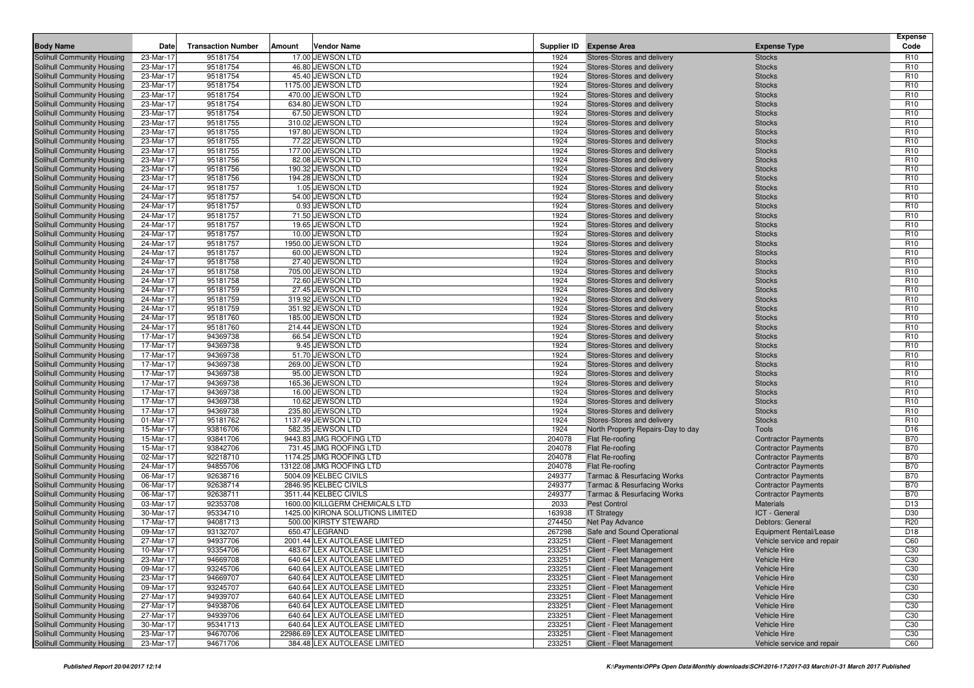|                                                          |                        |                           |        |                                                                |              |                                                          |                                | <b>Expense</b>                     |
|----------------------------------------------------------|------------------------|---------------------------|--------|----------------------------------------------------------------|--------------|----------------------------------------------------------|--------------------------------|------------------------------------|
| <b>Body Name</b>                                         | Date                   | <b>Transaction Number</b> | Amount | <b>Vendor Name</b>                                             |              | Supplier ID Expense Area                                 | <b>Expense Type</b>            | Code                               |
| Solihull Community Housing                               | 23-Mar-17              | 95181754                  |        | 17.00 JEWSON LTD                                               | 1924         | Stores-Stores and delivery                               | <b>Stocks</b>                  | R <sub>10</sub>                    |
| Solihull Community Housing                               | 23-Mar-17              | 95181754                  |        | 46.80 JEWSON LTD                                               | 1924         | Stores-Stores and delivery                               | <b>Stocks</b>                  | R <sub>10</sub>                    |
| Solihull Community Housing                               | 23-Mar-17              | 95181754                  |        | 45.40 JEWSON LTD                                               | 1924         | Stores-Stores and delivery                               | <b>Stocks</b>                  | R <sub>10</sub>                    |
| Solihull Community Housing                               | 23-Mar-17              | 95181754                  |        | 1175.00 JEWSON LTD                                             | 1924         | Stores-Stores and delivery                               | <b>Stocks</b>                  | R <sub>10</sub>                    |
| Solihull Community Housing<br>Solihull Community Housing | 23-Mar-17              | 95181754                  |        | 470.00 JEWSON LTD                                              | 1924<br>1924 | Stores-Stores and delivery                               | <b>Stocks</b>                  | R <sub>10</sub><br>R <sub>10</sub> |
|                                                          | 23-Mar-17<br>23-Mar-17 | 95181754                  |        | 634.80 JEWSON LTD<br>67.50 JEWSON LTD                          | 1924         | Stores-Stores and delivery                               | <b>Stocks</b>                  | R <sub>10</sub>                    |
| Solihull Community Housing                               |                        | 95181754<br>95181755      |        | 310.02 JEWSON LTD                                              | 1924         | Stores-Stores and delivery                               | <b>Stocks</b>                  | R <sub>10</sub>                    |
| Solihull Community Housing<br>Solihull Community Housing | 23-Mar-17<br>23-Mar-17 | 95181755                  |        | 197.80 JEWSON LTD                                              | 1924         | Stores-Stores and delivery<br>Stores-Stores and delivery | <b>Stocks</b><br><b>Stocks</b> | R <sub>10</sub>                    |
| Solihull Community Housing                               | 23-Mar-17              | 95181755                  |        | 77.22 JEWSON LTD                                               | 1924         | Stores-Stores and delivery                               | <b>Stocks</b>                  | R <sub>10</sub>                    |
| Solihull Community Housing                               | 23-Mar-17              | 95181755                  |        | 177.00 JEWSON LTD                                              | 1924         | Stores-Stores and delivery                               | <b>Stocks</b>                  | R <sub>10</sub>                    |
| Solihull Community Housing                               | 23-Mar-17              | 95181756                  |        | 82.08 JEWSON LTD                                               | 1924         | Stores-Stores and delivery                               | <b>Stocks</b>                  | R <sub>10</sub>                    |
| Solihull Community Housing                               | 23-Mar-17              | 95181756                  |        | 190.32 JEWSON LTD                                              | 1924         | Stores-Stores and delivery                               | <b>Stocks</b>                  | R <sub>10</sub>                    |
| Solihull Community Housing                               | 23-Mar-17              | 95181756                  |        | 194.28 JEWSON LTD                                              | 1924         | Stores-Stores and delivery                               | <b>Stocks</b>                  | R <sub>10</sub>                    |
| Solihull Community Housing                               | 24-Mar-17              | 95181757                  |        | 1.05 JEWSON LTD                                                | 1924         | Stores-Stores and delivery                               | <b>Stocks</b>                  | R <sub>10</sub>                    |
| Solihull Community Housing                               | 24-Mar-17              | 95181757                  |        | 54.00 JEWSON LTD                                               | 1924         | Stores-Stores and delivery                               | <b>Stocks</b>                  | R <sub>10</sub>                    |
| Solihull Community Housing                               | 24-Mar-17              | 95181757                  |        | 0.93 JEWSON LTD                                                | 1924         | Stores-Stores and delivery                               | <b>Stocks</b>                  | R <sub>10</sub>                    |
| Solihull Community Housing                               | 24-Mar-17              | 95181757                  |        | 71.50 JEWSON LTD                                               | 1924         | Stores-Stores and delivery                               | <b>Stocks</b>                  | R <sub>10</sub>                    |
| Solihull Community Housing                               | 24-Mar-17              | 95181757                  |        | 19.65 JEWSON LTD                                               | 1924         | Stores-Stores and delivery                               | <b>Stocks</b>                  | R <sub>10</sub>                    |
| Solihull Community Housing                               | 24-Mar-17              | 95181757                  |        | 10.00 JEWSON LTD                                               | 1924         | Stores-Stores and delivery                               | <b>Stocks</b>                  | R <sub>10</sub>                    |
| Solihull Community Housing                               | 24-Mar-17              | 95181757                  |        | 1950.00 JEWSON LTD                                             | 1924         | Stores-Stores and delivery                               | <b>Stocks</b>                  | R <sub>10</sub>                    |
| Solihull Community Housing                               | 24-Mar-17              | 95181757                  |        | 60.00 JEWSON LTD                                               | 1924         | Stores-Stores and delivery                               | <b>Stocks</b>                  | R <sub>10</sub>                    |
| Solihull Community Housing                               | 24-Mar-17              | 95181758                  |        | 27.40 JEWSON LTD                                               | 1924         | Stores-Stores and delivery                               | <b>Stocks</b>                  | R <sub>10</sub>                    |
| Solihull Community Housing                               | 24-Mar-17              | 95181758                  |        | 705.00 JEWSON LTD                                              | 1924         | Stores-Stores and delivery                               | <b>Stocks</b>                  | R <sub>10</sub>                    |
| Solihull Community Housing                               | 24-Mar-17              | 95181758                  |        | 72.60 JEWSON LTD                                               | 1924         | Stores-Stores and delivery                               | <b>Stocks</b>                  | R <sub>10</sub>                    |
| Solihull Community Housing                               | 24-Mar-17              | 95181759                  |        | 27.45 JEWSON LTD                                               | 1924         | Stores-Stores and delivery                               | <b>Stocks</b>                  | R <sub>10</sub>                    |
| Solihull Community Housing                               | 24-Mar-17              | 95181759                  |        | 319.92 JEWSON LTD                                              | 1924         | Stores-Stores and delivery                               | <b>Stocks</b>                  | R <sub>10</sub>                    |
| Solihull Community Housing                               | 24-Mar-17              | 95181759                  |        | 351.92 JEWSON LTD                                              | 1924         | Stores-Stores and delivery                               | <b>Stocks</b>                  | R <sub>10</sub>                    |
| Solihull Community Housing                               | 24-Mar-17              | 95181760                  |        | 185.00 JEWSON LTD                                              | 1924         | Stores-Stores and delivery                               | <b>Stocks</b>                  | R <sub>10</sub>                    |
| Solihull Community Housing                               | 24-Mar-17              | 95181760                  |        | 214.44 JEWSON LTD                                              | 1924         | Stores-Stores and delivery                               | <b>Stocks</b>                  | R <sub>10</sub>                    |
| Solihull Community Housing                               | 17-Mar-17              | 94369738                  |        | 66.54 JEWSON LTD                                               | 1924         | Stores-Stores and delivery                               | <b>Stocks</b>                  | R <sub>10</sub>                    |
| Solihull Community Housing                               | 17-Mar-17              | 94369738                  |        | 9.45 JEWSON LTD                                                | 1924         | Stores-Stores and delivery                               | <b>Stocks</b>                  | R <sub>10</sub>                    |
| Solihull Community Housing                               | 17-Mar-17              | 94369738                  |        | 51.70 JEWSON LTD                                               | 1924         | Stores-Stores and delivery                               | <b>Stocks</b>                  | R <sub>10</sub>                    |
| Solihull Community Housing                               | 17-Mar-17              | 94369738                  |        | 269.00 JEWSON LTD                                              | 1924         | Stores-Stores and delivery                               | <b>Stocks</b>                  | R <sub>10</sub>                    |
| Solihull Community Housing                               | 17-Mar-17              | 94369738                  |        | 95.00 JEWSON LTD                                               | 1924         | Stores-Stores and delivery                               | <b>Stocks</b>                  | R <sub>10</sub>                    |
| Solihull Community Housing                               | 17-Mar-17              | 94369738                  |        | 165.36 JEWSON LTD                                              | 1924         | Stores-Stores and delivery                               | <b>Stocks</b>                  | R <sub>10</sub>                    |
| Solihull Community Housing                               | 17-Mar-17              | 94369738                  |        | 16.00 JEWSON LTD                                               | 1924         | Stores-Stores and delivery                               | <b>Stocks</b>                  | R <sub>10</sub>                    |
| Solihull Community Housing                               | 17-Mar-17              | 94369738                  |        | 10.62 JEWSON LTD                                               | 1924         | Stores-Stores and delivery                               | <b>Stocks</b>                  | R <sub>10</sub>                    |
| Solihull Community Housing                               | 17-Mar-17              | 94369738                  |        | 235.80 JEWSON LTD                                              | 1924         | Stores-Stores and delivery                               | <b>Stocks</b>                  | R <sub>10</sub>                    |
| Solihull Community Housing                               | 01-Mar-17              | 95181762                  |        | 1137.49 JEWSON LTD                                             | 1924         | Stores-Stores and delivery                               | <b>Stocks</b>                  | R <sub>10</sub>                    |
| Solihull Community Housing                               | 15-Mar-17              | 93816706                  |        | 582.35 JEWSON LTD                                              | 1924         | North Property Repairs-Day to day                        | Tools                          | D <sub>16</sub>                    |
| Solihull Community Housing                               | 15-Mar-17              | 93841706                  |        | 9443.83 JMG ROOFING LTD                                        | 204078       | Flat Re-roofing                                          | <b>Contractor Payments</b>     | <b>B70</b>                         |
| Solihull Community Housing                               | 15-Mar-17              | 93842706                  |        | 731.45 JMG ROOFING LTD                                         | 204078       | Flat Re-roofing                                          | <b>Contractor Payments</b>     | <b>B70</b>                         |
| Solihull Community Housing                               | 02-Mar-17              | 92218710                  |        | 1174.25 JMG ROOFING LTD                                        | 204078       | Flat Re-roofing                                          | <b>Contractor Payments</b>     | <b>B70</b>                         |
| Solihull Community Housing                               | 24-Mar-17              | 94855706                  |        | 13122.08 JMG ROOFING LTD                                       | 204078       | Flat Re-roofing                                          | <b>Contractor Payments</b>     | <b>B70</b>                         |
| Solihull Community Housing                               | 06-Mar-17              | 92638716                  |        | 5004.09 KELBEC CIVILS                                          | 249377       | <b>Tarmac &amp; Resurfacing Works</b>                    | <b>Contractor Payments</b>     | <b>B70</b>                         |
| Solihull Community Housing                               | 06-Mar-17              | 92638714                  |        | 2846.95 KELBEC CIVILS                                          | 249377       | Tarmac & Resurfacing Works                               | <b>Contractor Payments</b>     | <b>B70</b>                         |
| Solihull Community Housing                               | 06-Mar-17              | 92638711                  |        | 3511.44 KELBEC CIVILS                                          | 249377       | <b>Tarmac &amp; Resurfacing Works</b>                    | <b>Contractor Payments</b>     | <b>B70</b>                         |
| Solihull Community Housing                               | 03-Mar-17              | 92353708                  |        | 1600.00 KILLGERM CHEMICALS LTD                                 | 2033         | <b>Pest Control</b>                                      | <b>Materials</b>               | D <sub>13</sub>                    |
| Solihull Community Housing                               | 30-Mar-17              | 95334710                  |        | 1425.00 KIRONA SOLUTIONS LIMITED                               | 163938       | <b>IT Strategy</b>                                       | ICT - General                  | D30                                |
| Solihull Community Housing                               | 17-Mar-17              | 94081713                  |        | 500.00 KIRSTY STEWARD                                          | 274450       | Net Pay Advance                                          | Debtors: General               | R <sub>20</sub>                    |
| Solihull Community Housing                               | 09-Mar-17              | 93132707                  |        | 650.47 LEGRAND                                                 | 267298       | Safe and Sound Operational                               | Equipment Rental/Lease         | D <sub>18</sub>                    |
| Solihull Community Housing                               | 27-Mar-17              | 94937706                  |        | 2001.44 LEX AUTOLEASE LIMITED                                  | 233251       | Client - Fleet Management                                | Vehicle service and repair     | C60                                |
| Solihull Community Housing                               | 10-Mar-17              | 93354706                  |        | 483.67 LEX AUTOLEASE LIMITED                                   | 233251       | Client - Fleet Management                                | Vehicle Hire                   | C30                                |
| Solihull Community Housing                               | 23-Mar-17              | 94669708                  |        | 640.64 LEX AUTOLEASE LIMITED                                   | 233251       | Client - Fleet Management                                | Vehicle Hire                   | C30                                |
| Solihull Community Housing                               | 09-Mar-17              | 93245706                  |        | 640.64 LEX AUTOLEASE LIMITED                                   | 233251       | Client - Fleet Management                                | Vehicle Hire                   | C30                                |
| Solihull Community Housing                               | 23-Mar-17              | 94669707                  |        | 640.64 LEX AUTOLEASE LIMITED                                   | 233251       | Client - Fleet Management                                | Vehicle Hire                   | C30                                |
| Solihull Community Housing                               | 09-Mar-17              | 93245707                  |        | 640.64 LEX AUTOLEASE LIMITED                                   | 233251       | Client - Fleet Management                                | Vehicle Hire                   | C30                                |
| Solihull Community Housing                               | 27-Mar-17              | 94939707                  |        | 640.64 LEX AUTOLEASE LIMITED                                   | 233251       | Client - Fleet Management                                | Vehicle Hire                   | C30                                |
| Solihull Community Housing                               | 27-Mar-17              | 94938706                  |        | 640.64 LEX AUTOLEASE LIMITED                                   | 233251       | Client - Fleet Management                                | Vehicle Hire                   | C30                                |
| Solihull Community Housing                               | 27-Mar-17              | 94939706                  |        | 640.64 LEX AUTOLEASE LIMITED                                   | 233251       | Client - Fleet Management                                | Vehicle Hire                   | C <sub>30</sub>                    |
| Solihull Community Housing                               | 30-Mar-17              | 95341713                  |        | 640.64 LEX AUTOLEASE LIMITED<br>22986.69 LEX AUTOLEASE LIMITED | 233251       | Client - Fleet Management<br>Client - Fleet Management   | Vehicle Hire<br>Vehicle Hire   | C <sub>30</sub><br>C <sub>30</sub> |
| Solihull Community Housing                               | 23-Mar-17              | 94670706                  |        |                                                                | 233251       |                                                          |                                |                                    |
| Solihull Community Housing                               | 23-Mar-17              | 94671706                  |        | 384.48 LEX AUTOLEASE LIMITED                                   | 233251       | Client - Fleet Management                                | Vehicle service and repair     | C60                                |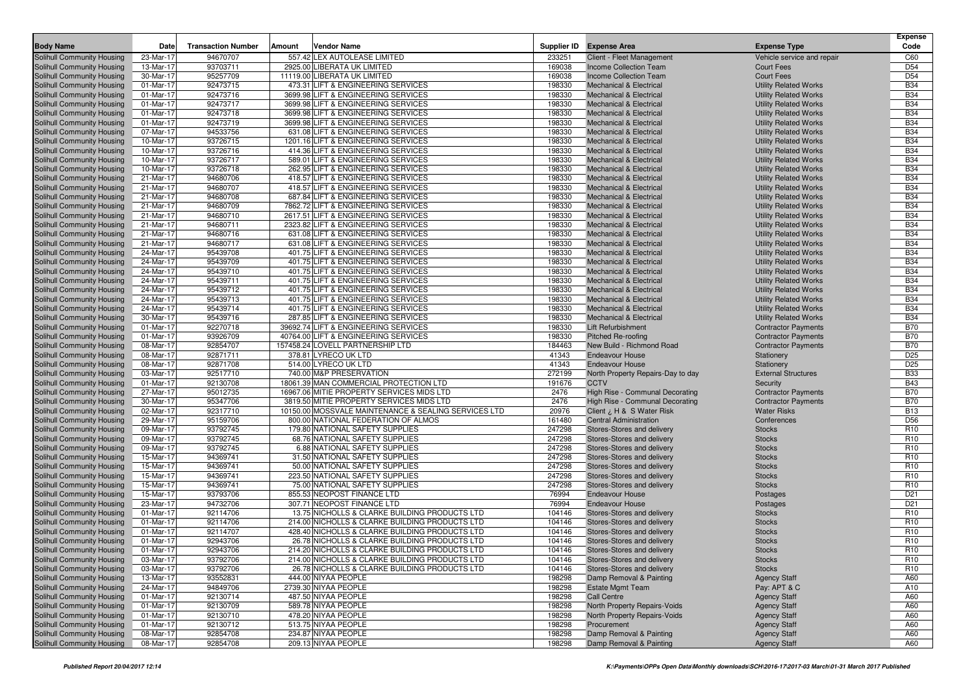| Supplier ID Expense Area<br>23-Mar-17<br>94670707<br>557.42 LEX AUTOLEASE LIMITED<br>233251<br>Client - Fleet Management<br>C60<br>Solihull Community Housing<br>Vehicle service and repair<br>93703711<br>169038<br>D <sub>54</sub><br>Solihull Community Housing<br>13-Mar-17<br>2925.00 LIBERATA UK LIMITED<br><b>Income Collection Team</b><br><b>Court Fees</b><br>D <sub>54</sub><br>95257709<br>11119.00 LIBERATA UK LIMITED<br>169038<br><b>Court Fees</b><br>Solihull Community Housing<br>30-Mar-17<br><b>Income Collection Team</b><br>92473715<br>473.31 LIFT & ENGINEERING SERVICES<br>198330<br><b>B34</b><br>Solihull Community Housing<br>01-Mar-17<br><b>Mechanical &amp; Electrical</b><br><b>Utility Related Works</b><br><b>B34</b><br>01-Mar-17<br>92473716<br>198330<br><b>Utility Related Works</b><br>Solihull Community Housing<br>3699.98 LIFT & ENGINEERING SERVICES<br><b>Mechanical &amp; Electrical</b><br><b>B34</b><br>Solihull Community Housing<br>01-Mar-17<br>92473717<br>3699.98 LIFT & ENGINEERING SERVICES<br>198330<br><b>Mechanical &amp; Electrical</b><br><b>Utility Related Works</b><br>01-Mar-17<br>92473718<br>3699.98 LIFT & ENGINEERING SERVICES<br>198330<br><b>B34</b><br>Solihull Community Housing<br><b>Mechanical &amp; Electrical</b><br><b>Utility Related Works</b><br><b>B34</b><br>$01-Mar-17$<br>92473719<br>3699.98 LIFT & ENGINEERING SERVICES<br>198330<br><b>Utility Related Works</b><br>Solihull Community Housing<br><b>Mechanical &amp; Electrical</b><br>94533756<br>198330<br><b>B34</b><br>Solihull Community Housing<br>07-Mar-17<br>631.08 LIFT & ENGINEERING SERVICES<br><b>Mechanical &amp; Electrical</b><br><b>Utility Related Works</b><br>10-Mar-17<br>93726715<br>1201.16 LIFT & ENGINEERING SERVICES<br>198330<br><b>B34</b><br>Solihull Community Housing<br><b>Mechanical &amp; Electrical</b><br><b>Utility Related Works</b><br><b>B34</b><br>198330<br>Solihull Community Housing<br>10-Mar-17<br>93726716<br>414.36 LIFT & ENGINEERING SERVICES<br><b>Mechanical &amp; Electrical</b><br><b>Utility Related Works</b><br>93726717<br>589.01 LIFT & ENGINEERING SERVICES<br>198330<br><b>B34</b><br>Solihull Community Housing<br>10-Mar-17<br><b>Mechanical &amp; Electrical</b><br><b>Utility Related Works</b><br>93726718<br>262.95 LIFT & ENGINEERING SERVICES<br>198330<br><b>B34</b><br>Solihull Community Housing<br>10-Mar-17<br><b>Utility Related Works</b><br><b>Mechanical &amp; Electrical</b><br>198330<br><b>B34</b><br>94680706<br>418.57 LIFT & ENGINEERING SERVICES<br>Solihull Community Housing<br>21-Mar-17<br><b>Mechanical &amp; Electrical</b><br><b>Utility Related Works</b><br>198330<br><b>B34</b><br>Solihull Community Housing<br>21-Mar-17<br>94680707<br>418.57 LIFT & ENGINEERING SERVICES<br><b>Mechanical &amp; Electrical</b><br><b>Utility Related Works</b><br>21-Mar-17<br>94680708<br>687.84 LIFT & ENGINEERING SERVICES<br>198330<br><b>B34</b><br>Solihull Community Housing<br><b>Mechanical &amp; Electrical</b><br><b>Utility Related Works</b><br><b>B34</b><br>94680709<br>198330<br>Solihull Community Housing<br>21-Mar-17<br>7862.72 LIFT & ENGINEERING SERVICES<br><b>Mechanical &amp; Electrical</b><br><b>Utility Related Works</b><br>198330<br><b>B34</b><br>Solihull Community Housing<br>21-Mar-17<br>94680710<br>2617.51 LIFT & ENGINEERING SERVICES<br><b>Mechanical &amp; Electrical</b><br><b>Utility Related Works</b><br>94680711<br>2323.82 LIFT & ENGINEERING SERVICES<br>198330<br><b>B34</b><br>Solihull Community Housing<br>21-Mar-17<br><b>Mechanical &amp; Electrical</b><br><b>Utility Related Works</b><br><b>B34</b><br>198330<br>Solihull Community Housing<br>21-Mar-17<br>94680716<br>631.08 LIFT & ENGINEERING SERVICES<br><b>Mechanical &amp; Electrical</b><br><b>Utility Related Works</b><br>21-Mar-17<br>94680717<br>631.08 LIFT & ENGINEERING SERVICES<br>198330<br><b>B34</b><br>Solihull Community Housing<br><b>Mechanical &amp; Electrical</b><br><b>Utility Related Works</b><br>95439708<br>198330<br><b>B34</b><br>Solihull Community Housing<br>24-Mar-17<br>401.75 LIFT & ENGINEERING SERVICES<br><b>Mechanical &amp; Electrical</b><br><b>Utility Related Works</b><br><b>B34</b><br>24-Mar-17<br>95439709<br>401.75 LIFT & ENGINEERING SERVICES<br>198330<br><b>Utility Related Works</b><br>Solihull Community Housing<br><b>Mechanical &amp; Electrical</b><br>24-Mar-17<br>95439710<br>198330<br><b>B34</b><br>Solihull Community Housing<br>401.75 LIFT & ENGINEERING SERVICES<br><b>Mechanical &amp; Electrical</b><br><b>Utility Related Works</b><br><b>B34</b><br>95439711<br>401.75 LIFT & ENGINEERING SERVICES<br>198330<br>Solihull Community Housing<br>24-Mar-17<br><b>Mechanical &amp; Electrical</b><br><b>Utility Related Works</b><br>95439712<br>401.75 LIFT & ENGINEERING SERVICES<br>198330<br><b>Utility Related Works</b><br><b>B34</b><br>Solihull Community Housing<br>24-Mar-17<br><b>Mechanical &amp; Electrical</b><br>95439713<br>198330<br><b>B34</b><br>Solihull Community Housing<br>24-Mar-17<br>401.75 LIFT & ENGINEERING SERVICES<br><b>Mechanical &amp; Electrical</b><br><b>Utility Related Works</b><br>198330<br><b>B34</b><br>Solihull Community Housing<br>24-Mar-17<br>95439714<br>401.75 LIFT & ENGINEERING SERVICES<br><b>Mechanical &amp; Electrical</b><br><b>Utility Related Works</b><br>95439716<br>287.85 LIFT & ENGINEERING SERVICES<br>198330<br><b>B34</b><br>Solihull Community Housing<br>30-Mar-17<br><b>Mechanical &amp; Electrical</b><br><b>Utility Related Works</b><br><b>B70</b><br>01-Mar-17<br>39692.74 LIFT & ENGINEERING SERVICES<br>198330<br>Solihull Community Housing<br>92270718<br><b>Lift Refurbishment</b><br><b>Contractor Payments</b><br>198330<br><b>B70</b><br>Solihull Community Housing<br>01-Mar-17<br>93926709<br>40764.00 LIFT & ENGINEERING SERVICES<br><b>Pitched Re-roofing</b><br><b>Contractor Payments</b><br>08-Mar-17<br>92854707<br>157458.24 LOVELL PARTNERSHIP LTD<br>184463<br>New Build - Richmond Road<br><b>B70</b><br>Solihull Community Housing<br><b>Contractor Payments</b><br>D <sub>25</sub><br>41343<br>Solihull Community Housing<br>08-Mar-17<br>92871711<br>378.81 LYRECO UK LTD<br><b>Endeavour House</b><br>Stationery<br>92871708<br>514.00 LYRECO UK LTD<br>41343<br>D <sub>25</sub><br>Solihull Community Housing<br>08-Mar-17<br><b>Endeavour House</b><br>Stationery<br>92517710<br>740.00 M&P PRESERVATION<br>272199<br><b>External Structures</b><br><b>B33</b><br>Solihull Community Housing<br>03-Mar-17<br>North Property Repairs-Day to day<br>18061.39 MAN COMMERCIAL PROTECTION LTD<br>191676<br><b>B43</b><br>01-Mar-17<br>92130708<br><b>CCTV</b><br>Security<br>Solihull Community Housing<br>27-Mar-17<br>95012735<br>16967.06 MITIE PROPERTY SERVICES MIDS LTD<br><b>B70</b><br>Solihull Community Housing<br>2476<br>High Rise - Communal Decorating<br><b>Contractor Payments</b><br>30-Mar-17<br>95347706<br>3819.50 MITIE PROPERTY SERVICES MIDS LTD<br>2476<br><b>B70</b><br>Solihull Community Housing<br>High Rise - Communal Decorating<br><b>Contractor Payments</b><br><b>B13</b><br>20976<br>Solihull Community Housing<br>02-Mar-17<br>92317710<br>10150.00 MOSSVALE MAINTENANCE & SEALING SERVICES LTD<br>Client ¿ H & S Water Risk<br><b>Water Risks</b><br>95159706<br>D <sub>56</sub><br>Solihull Community Housing<br>29-Mar-17<br>800.00 NATIONAL FEDERATION OF ALMOS<br>161480<br><b>Central Administration</b><br>Conferences<br>93792745<br>179.80 NATIONAL SAFETY SUPPLIES<br>247298<br>R <sub>10</sub><br>Solihull Community Housing<br>09-Mar-17<br>Stores-Stores and delivery<br><b>Stocks</b><br>R <sub>10</sub><br>247298<br>Solihull Community Housing<br>09-Mar-17<br>93792745<br>68.76 NATIONAL SAFETY SUPPLIES<br>Stores-Stores and delivery<br><b>Stocks</b><br>93792745<br>6.88 NATIONAL SAFETY SUPPLIES<br>247298<br>R <sub>10</sub><br>Solihull Community Housing<br>09-Mar-17<br>Stores-Stores and delivery<br><b>Stocks</b><br>31.50 NATIONAL SAFETY SUPPLIES<br>247298<br>R <sub>10</sub><br>Solihull Community Housing<br>15-Mar-17<br>94369741<br>Stores-Stores and delivery<br><b>Stocks</b><br>R <sub>10</sub><br>247298<br>Solihull Community Housing<br>15-Mar-17<br>94369741<br>50.00 NATIONAL SAFETY SUPPLIES<br>Stores-Stores and delivery<br><b>Stocks</b><br>15-Mar-17<br>94369741<br>223.50 NATIONAL SAFETY SUPPLIES<br>247298<br>R <sub>10</sub><br>Solihull Community Housing<br>Stores-Stores and delivery<br><b>Stocks</b><br>94369741<br>75.00 NATIONAL SAFETY SUPPLIES<br>247298<br>R <sub>10</sub><br>Solihull Community Housing<br>15-Mar-17<br>Stores-Stores and delivery<br><b>Stocks</b><br>93793706<br>855.53 NEOPOST FINANCE LTD<br>76994<br>D <sub>21</sub><br>Solihull Community Housing<br>15-Mar-17<br><b>Endeavour House</b><br>Postages<br>94732706<br>76994<br>D <sub>21</sub><br>Solihull Community Housing<br>23-Mar-17<br>307.71 NEOPOST FINANCE LTD<br><b>Endeavour House</b><br>Postages<br>13.75 NICHOLLS & CLARKE BUILDING PRODUCTS LTD<br>Solihull Community Housing<br>01-Mar-17<br>92114706<br>104146<br>Stores-Stores and delivery<br><b>Stocks</b><br>R <sub>10</sub><br>R <sub>10</sub><br>Solihull Community Housing<br>01-Mar-17<br>92114706<br>214.00 NICHOLLS & CLARKE BUILDING PRODUCTS LTD<br>104146<br>Stores-Stores and delivery<br><b>Stocks</b><br>R <sub>10</sub><br>01-Mar-17<br>92114707<br>428.40 NICHOLLS & CLARKE BUILDING PRODUCTS LTD<br>104146<br><b>Stocks</b><br>Solihull Community Housing<br>Stores-Stores and delivery<br>26.78 NICHOLLS & CLARKE BUILDING PRODUCTS LTD<br>R <sub>10</sub><br>Solihull Community Housing<br>01-Mar-17<br>92943706<br>104146<br>Stores-Stores and delivery<br><b>Stocks</b><br>Solihull Community Housing<br>01-Mar-17<br>92943706<br>214.20 NICHOLLS & CLARKE BUILDING PRODUCTS LTD<br>104146<br>Stores-Stores and delivery<br>R <sub>10</sub><br><b>Stocks</b><br>Solihull Community Housing<br>214.00 NICHOLLS & CLARKE BUILDING PRODUCTS LTD<br>R <sub>10</sub><br>03-Mar-17<br>93792706<br>104146<br>Stores-Stores and delivery<br><b>Stocks</b><br>Solihull Community Housing<br>26.78 NICHOLLS & CLARKE BUILDING PRODUCTS LTD<br>R <sub>10</sub><br>03-Mar-17<br>93792706<br>104146<br>Stores-Stores and delivery<br><b>Stocks</b><br>Solihull Community Housing<br>93552831<br>444.00 NIYAA PEOPLE<br>198298<br>Damp Removal & Painting<br>13-Mar-17<br><b>Agency Staff</b><br>A60<br>Solihull Community Housing<br>2739.30 NIYAA PEOPLE<br>198298<br>A10<br>24-Mar-17<br>94849706<br><b>Estate Mgmt Team</b><br>Pay: APT & C<br>Solihull Community Housing<br>92130714<br>487.50 NIYAA PEOPLE<br>198298<br>A60<br>01-Mar-17<br><b>Call Centre</b><br><b>Agency Staff</b><br>Solihull Community Housing<br>92130709<br>589.78 NIYAA PEOPLE<br>198298<br>North Property Repairs-Voids<br>01-Mar-17<br><b>Agency Staff</b><br>A60<br>198298<br>Solihull Community Housing<br>01-Mar-17<br>92130710<br>478.20 NIYAA PEOPLE<br>A60<br>North Property Repairs-Voids<br><b>Agency Staff</b><br>Solihull Community Housing<br>513.75 NIYAA PEOPLE<br>198298<br>Procurement<br><b>Agency Staff</b><br>A60<br>01-Mar-17<br>92130712<br>Solihull Community Housing<br>08-Mar-17<br>92854708<br>234.87 NIYAA PEOPLE<br>198298<br>Damp Removal & Painting<br><b>Agency Staff</b><br>A60<br>Solihull Community Housing<br>92854708<br>209.13 NIYAA PEOPLE<br>198298<br>Damp Removal & Painting<br><b>Agency Staff</b><br>A60<br>08-Mar-17 | <b>Body Name</b> | Date | <b>Transaction Number</b> | Amount | <b>Vendor Name</b> |  | <b>Expense Type</b> | <b>Expense</b><br>Code |
|-------------------------------------------------------------------------------------------------------------------------------------------------------------------------------------------------------------------------------------------------------------------------------------------------------------------------------------------------------------------------------------------------------------------------------------------------------------------------------------------------------------------------------------------------------------------------------------------------------------------------------------------------------------------------------------------------------------------------------------------------------------------------------------------------------------------------------------------------------------------------------------------------------------------------------------------------------------------------------------------------------------------------------------------------------------------------------------------------------------------------------------------------------------------------------------------------------------------------------------------------------------------------------------------------------------------------------------------------------------------------------------------------------------------------------------------------------------------------------------------------------------------------------------------------------------------------------------------------------------------------------------------------------------------------------------------------------------------------------------------------------------------------------------------------------------------------------------------------------------------------------------------------------------------------------------------------------------------------------------------------------------------------------------------------------------------------------------------------------------------------------------------------------------------------------------------------------------------------------------------------------------------------------------------------------------------------------------------------------------------------------------------------------------------------------------------------------------------------------------------------------------------------------------------------------------------------------------------------------------------------------------------------------------------------------------------------------------------------------------------------------------------------------------------------------------------------------------------------------------------------------------------------------------------------------------------------------------------------------------------------------------------------------------------------------------------------------------------------------------------------------------------------------------------------------------------------------------------------------------------------------------------------------------------------------------------------------------------------------------------------------------------------------------------------------------------------------------------------------------------------------------------------------------------------------------------------------------------------------------------------------------------------------------------------------------------------------------------------------------------------------------------------------------------------------------------------------------------------------------------------------------------------------------------------------------------------------------------------------------------------------------------------------------------------------------------------------------------------------------------------------------------------------------------------------------------------------------------------------------------------------------------------------------------------------------------------------------------------------------------------------------------------------------------------------------------------------------------------------------------------------------------------------------------------------------------------------------------------------------------------------------------------------------------------------------------------------------------------------------------------------------------------------------------------------------------------------------------------------------------------------------------------------------------------------------------------------------------------------------------------------------------------------------------------------------------------------------------------------------------------------------------------------------------------------------------------------------------------------------------------------------------------------------------------------------------------------------------------------------------------------------------------------------------------------------------------------------------------------------------------------------------------------------------------------------------------------------------------------------------------------------------------------------------------------------------------------------------------------------------------------------------------------------------------------------------------------------------------------------------------------------------------------------------------------------------------------------------------------------------------------------------------------------------------------------------------------------------------------------------------------------------------------------------------------------------------------------------------------------------------------------------------------------------------------------------------------------------------------------------------------------------------------------------------------------------------------------------------------------------------------------------------------------------------------------------------------------------------------------------------------------------------------------------------------------------------------------------------------------------------------------------------------------------------------------------------------------------------------------------------------------------------------------------------------------------------------------------------------------------------------------------------------------------------------------------------------------------------------------------------------------------------------------------------------------------------------------------------------------------------------------------------------------------------------------------------------------------------------------------------------------------------------------------------------------------------------------------------------------------------------------------------------------------------------------------------------------------------------------------------------------------------------------------------------------------------------------------------------------------------------------------------------------------------------------------------------------------------------------------------------------------------------------------------------------------------------------------------------------------------------------------------------------------------------------------------------------------------------------------------------------------------------------------------------------------------------------------------------------------------------------------------------------------------------------------------------------------------------------------------------------------------------------------------------------------------------------------------------------------------------------------------------------------------------------------------------------------------------------------------------------------------------------------------------------------------------------------------------------------------------------------------------------------------------------------------------------------------------------------------------------------------------------------------------------------------------------------------------------------------------------------------------------------------------------------------------------------------------------------------------------------------------------------------------------------------------------------------------------------------------------------------------------------------------------------------------------------------------------------------------------------------------------------------------------------------------------------------------------------------------------------------------------------------------------------------------------------------------------------------------------------------------------------------------------------------------------------------------------------------------------------------------------------------------------------------------------------------------------------------------------------------------------------------------------------------------------------------------------------------------------------------------------------------------------------------------------------------------------------------------------------------------------------------------------------------------------------------------------------------------------------------------------------------------------------------------------------------------------------------------------------------------------------------------------------------------------------------------------------------------------------------------------------------------------------------------------------------------------------------------------------------------------------------------------------------------------------------------------------------------------------------------------------------------------------------------------------------------------------------------------------------------------------------------------------------------------------------------------------------------------------------------------------------------------------------------------------------------------------------------------------------------------------------------------------------------------------------------------------------------------------------------------------------------------------------------------------------------------------------------------------------------------------------------------------------------------------------------------------------------------------------------------------------------------------------------------------------------|------------------|------|---------------------------|--------|--------------------|--|---------------------|------------------------|
|                                                                                                                                                                                                                                                                                                                                                                                                                                                                                                                                                                                                                                                                                                                                                                                                                                                                                                                                                                                                                                                                                                                                                                                                                                                                                                                                                                                                                                                                                                                                                                                                                                                                                                                                                                                                                                                                                                                                                                                                                                                                                                                                                                                                                                                                                                                                                                                                                                                                                                                                                                                                                                                                                                                                                                                                                                                                                                                                                                                                                                                                                                                                                                                                                                                                                                                                                                                                                                                                                                                                                                                                                                                                                                                                                                                                                                                                                                                                                                                                                                                                                                                                                                                                                                                                                                                                                                                                                                                                                                                                                                                                                                                                                                                                                                                                                                                                                                                                                                                                                                                                                                                                                                                                                                                                                                                                                                                                                                                                                                                                                                                                                                                                                                                                                                                                                                                                                                                                                                                                                                                                                                                                                                                                                                                                                                                                                                                                                                                                                                                                                                                                                                                                                                                                                                                                                                                                                                                                                                                                                                                                                                                                                                                                                                                                                                                                                                                                                                                                                                                                                                                                                                                                                                                                                                                                                                                                                                                                                                                                                                                                                                                                                                                                                                                                                                                                                                                                                                                                                                                                                                                                                                                                                                                                                                                                                                                                                                                                                                                                                                                                                                                                                                                                                                                                                                                                                                                                                                                                                                                                                                                                                                                                                                                                                                                                                                                                                                                                                                                                                                                                                                                                                                                                                                                                                                                                                                                                                                                                                                                                                                                                                                                                                                                                                                                                                                                                                                                                                                                                                                                                                                                                                                                                                                                                                                                                                                                                                                                                                                                                                                                                       |                  |      |                           |        |                    |  |                     |                        |
|                                                                                                                                                                                                                                                                                                                                                                                                                                                                                                                                                                                                                                                                                                                                                                                                                                                                                                                                                                                                                                                                                                                                                                                                                                                                                                                                                                                                                                                                                                                                                                                                                                                                                                                                                                                                                                                                                                                                                                                                                                                                                                                                                                                                                                                                                                                                                                                                                                                                                                                                                                                                                                                                                                                                                                                                                                                                                                                                                                                                                                                                                                                                                                                                                                                                                                                                                                                                                                                                                                                                                                                                                                                                                                                                                                                                                                                                                                                                                                                                                                                                                                                                                                                                                                                                                                                                                                                                                                                                                                                                                                                                                                                                                                                                                                                                                                                                                                                                                                                                                                                                                                                                                                                                                                                                                                                                                                                                                                                                                                                                                                                                                                                                                                                                                                                                                                                                                                                                                                                                                                                                                                                                                                                                                                                                                                                                                                                                                                                                                                                                                                                                                                                                                                                                                                                                                                                                                                                                                                                                                                                                                                                                                                                                                                                                                                                                                                                                                                                                                                                                                                                                                                                                                                                                                                                                                                                                                                                                                                                                                                                                                                                                                                                                                                                                                                                                                                                                                                                                                                                                                                                                                                                                                                                                                                                                                                                                                                                                                                                                                                                                                                                                                                                                                                                                                                                                                                                                                                                                                                                                                                                                                                                                                                                                                                                                                                                                                                                                                                                                                                                                                                                                                                                                                                                                                                                                                                                                                                                                                                                                                                                                                                                                                                                                                                                                                                                                                                                                                                                                                                                                                                                                                                                                                                                                                                                                                                                                                                                                                                                                                                                                       |                  |      |                           |        |                    |  |                     |                        |
|                                                                                                                                                                                                                                                                                                                                                                                                                                                                                                                                                                                                                                                                                                                                                                                                                                                                                                                                                                                                                                                                                                                                                                                                                                                                                                                                                                                                                                                                                                                                                                                                                                                                                                                                                                                                                                                                                                                                                                                                                                                                                                                                                                                                                                                                                                                                                                                                                                                                                                                                                                                                                                                                                                                                                                                                                                                                                                                                                                                                                                                                                                                                                                                                                                                                                                                                                                                                                                                                                                                                                                                                                                                                                                                                                                                                                                                                                                                                                                                                                                                                                                                                                                                                                                                                                                                                                                                                                                                                                                                                                                                                                                                                                                                                                                                                                                                                                                                                                                                                                                                                                                                                                                                                                                                                                                                                                                                                                                                                                                                                                                                                                                                                                                                                                                                                                                                                                                                                                                                                                                                                                                                                                                                                                                                                                                                                                                                                                                                                                                                                                                                                                                                                                                                                                                                                                                                                                                                                                                                                                                                                                                                                                                                                                                                                                                                                                                                                                                                                                                                                                                                                                                                                                                                                                                                                                                                                                                                                                                                                                                                                                                                                                                                                                                                                                                                                                                                                                                                                                                                                                                                                                                                                                                                                                                                                                                                                                                                                                                                                                                                                                                                                                                                                                                                                                                                                                                                                                                                                                                                                                                                                                                                                                                                                                                                                                                                                                                                                                                                                                                                                                                                                                                                                                                                                                                                                                                                                                                                                                                                                                                                                                                                                                                                                                                                                                                                                                                                                                                                                                                                                                                                                                                                                                                                                                                                                                                                                                                                                                                                                                                                                       |                  |      |                           |        |                    |  |                     |                        |
|                                                                                                                                                                                                                                                                                                                                                                                                                                                                                                                                                                                                                                                                                                                                                                                                                                                                                                                                                                                                                                                                                                                                                                                                                                                                                                                                                                                                                                                                                                                                                                                                                                                                                                                                                                                                                                                                                                                                                                                                                                                                                                                                                                                                                                                                                                                                                                                                                                                                                                                                                                                                                                                                                                                                                                                                                                                                                                                                                                                                                                                                                                                                                                                                                                                                                                                                                                                                                                                                                                                                                                                                                                                                                                                                                                                                                                                                                                                                                                                                                                                                                                                                                                                                                                                                                                                                                                                                                                                                                                                                                                                                                                                                                                                                                                                                                                                                                                                                                                                                                                                                                                                                                                                                                                                                                                                                                                                                                                                                                                                                                                                                                                                                                                                                                                                                                                                                                                                                                                                                                                                                                                                                                                                                                                                                                                                                                                                                                                                                                                                                                                                                                                                                                                                                                                                                                                                                                                                                                                                                                                                                                                                                                                                                                                                                                                                                                                                                                                                                                                                                                                                                                                                                                                                                                                                                                                                                                                                                                                                                                                                                                                                                                                                                                                                                                                                                                                                                                                                                                                                                                                                                                                                                                                                                                                                                                                                                                                                                                                                                                                                                                                                                                                                                                                                                                                                                                                                                                                                                                                                                                                                                                                                                                                                                                                                                                                                                                                                                                                                                                                                                                                                                                                                                                                                                                                                                                                                                                                                                                                                                                                                                                                                                                                                                                                                                                                                                                                                                                                                                                                                                                                                                                                                                                                                                                                                                                                                                                                                                                                                                                                                                       |                  |      |                           |        |                    |  |                     |                        |
|                                                                                                                                                                                                                                                                                                                                                                                                                                                                                                                                                                                                                                                                                                                                                                                                                                                                                                                                                                                                                                                                                                                                                                                                                                                                                                                                                                                                                                                                                                                                                                                                                                                                                                                                                                                                                                                                                                                                                                                                                                                                                                                                                                                                                                                                                                                                                                                                                                                                                                                                                                                                                                                                                                                                                                                                                                                                                                                                                                                                                                                                                                                                                                                                                                                                                                                                                                                                                                                                                                                                                                                                                                                                                                                                                                                                                                                                                                                                                                                                                                                                                                                                                                                                                                                                                                                                                                                                                                                                                                                                                                                                                                                                                                                                                                                                                                                                                                                                                                                                                                                                                                                                                                                                                                                                                                                                                                                                                                                                                                                                                                                                                                                                                                                                                                                                                                                                                                                                                                                                                                                                                                                                                                                                                                                                                                                                                                                                                                                                                                                                                                                                                                                                                                                                                                                                                                                                                                                                                                                                                                                                                                                                                                                                                                                                                                                                                                                                                                                                                                                                                                                                                                                                                                                                                                                                                                                                                                                                                                                                                                                                                                                                                                                                                                                                                                                                                                                                                                                                                                                                                                                                                                                                                                                                                                                                                                                                                                                                                                                                                                                                                                                                                                                                                                                                                                                                                                                                                                                                                                                                                                                                                                                                                                                                                                                                                                                                                                                                                                                                                                                                                                                                                                                                                                                                                                                                                                                                                                                                                                                                                                                                                                                                                                                                                                                                                                                                                                                                                                                                                                                                                                                                                                                                                                                                                                                                                                                                                                                                                                                                                                                                       |                  |      |                           |        |                    |  |                     |                        |
|                                                                                                                                                                                                                                                                                                                                                                                                                                                                                                                                                                                                                                                                                                                                                                                                                                                                                                                                                                                                                                                                                                                                                                                                                                                                                                                                                                                                                                                                                                                                                                                                                                                                                                                                                                                                                                                                                                                                                                                                                                                                                                                                                                                                                                                                                                                                                                                                                                                                                                                                                                                                                                                                                                                                                                                                                                                                                                                                                                                                                                                                                                                                                                                                                                                                                                                                                                                                                                                                                                                                                                                                                                                                                                                                                                                                                                                                                                                                                                                                                                                                                                                                                                                                                                                                                                                                                                                                                                                                                                                                                                                                                                                                                                                                                                                                                                                                                                                                                                                                                                                                                                                                                                                                                                                                                                                                                                                                                                                                                                                                                                                                                                                                                                                                                                                                                                                                                                                                                                                                                                                                                                                                                                                                                                                                                                                                                                                                                                                                                                                                                                                                                                                                                                                                                                                                                                                                                                                                                                                                                                                                                                                                                                                                                                                                                                                                                                                                                                                                                                                                                                                                                                                                                                                                                                                                                                                                                                                                                                                                                                                                                                                                                                                                                                                                                                                                                                                                                                                                                                                                                                                                                                                                                                                                                                                                                                                                                                                                                                                                                                                                                                                                                                                                                                                                                                                                                                                                                                                                                                                                                                                                                                                                                                                                                                                                                                                                                                                                                                                                                                                                                                                                                                                                                                                                                                                                                                                                                                                                                                                                                                                                                                                                                                                                                                                                                                                                                                                                                                                                                                                                                                                                                                                                                                                                                                                                                                                                                                                                                                                                                                                                       |                  |      |                           |        |                    |  |                     |                        |
|                                                                                                                                                                                                                                                                                                                                                                                                                                                                                                                                                                                                                                                                                                                                                                                                                                                                                                                                                                                                                                                                                                                                                                                                                                                                                                                                                                                                                                                                                                                                                                                                                                                                                                                                                                                                                                                                                                                                                                                                                                                                                                                                                                                                                                                                                                                                                                                                                                                                                                                                                                                                                                                                                                                                                                                                                                                                                                                                                                                                                                                                                                                                                                                                                                                                                                                                                                                                                                                                                                                                                                                                                                                                                                                                                                                                                                                                                                                                                                                                                                                                                                                                                                                                                                                                                                                                                                                                                                                                                                                                                                                                                                                                                                                                                                                                                                                                                                                                                                                                                                                                                                                                                                                                                                                                                                                                                                                                                                                                                                                                                                                                                                                                                                                                                                                                                                                                                                                                                                                                                                                                                                                                                                                                                                                                                                                                                                                                                                                                                                                                                                                                                                                                                                                                                                                                                                                                                                                                                                                                                                                                                                                                                                                                                                                                                                                                                                                                                                                                                                                                                                                                                                                                                                                                                                                                                                                                                                                                                                                                                                                                                                                                                                                                                                                                                                                                                                                                                                                                                                                                                                                                                                                                                                                                                                                                                                                                                                                                                                                                                                                                                                                                                                                                                                                                                                                                                                                                                                                                                                                                                                                                                                                                                                                                                                                                                                                                                                                                                                                                                                                                                                                                                                                                                                                                                                                                                                                                                                                                                                                                                                                                                                                                                                                                                                                                                                                                                                                                                                                                                                                                                                                                                                                                                                                                                                                                                                                                                                                                                                                                                                                                       |                  |      |                           |        |                    |  |                     |                        |
|                                                                                                                                                                                                                                                                                                                                                                                                                                                                                                                                                                                                                                                                                                                                                                                                                                                                                                                                                                                                                                                                                                                                                                                                                                                                                                                                                                                                                                                                                                                                                                                                                                                                                                                                                                                                                                                                                                                                                                                                                                                                                                                                                                                                                                                                                                                                                                                                                                                                                                                                                                                                                                                                                                                                                                                                                                                                                                                                                                                                                                                                                                                                                                                                                                                                                                                                                                                                                                                                                                                                                                                                                                                                                                                                                                                                                                                                                                                                                                                                                                                                                                                                                                                                                                                                                                                                                                                                                                                                                                                                                                                                                                                                                                                                                                                                                                                                                                                                                                                                                                                                                                                                                                                                                                                                                                                                                                                                                                                                                                                                                                                                                                                                                                                                                                                                                                                                                                                                                                                                                                                                                                                                                                                                                                                                                                                                                                                                                                                                                                                                                                                                                                                                                                                                                                                                                                                                                                                                                                                                                                                                                                                                                                                                                                                                                                                                                                                                                                                                                                                                                                                                                                                                                                                                                                                                                                                                                                                                                                                                                                                                                                                                                                                                                                                                                                                                                                                                                                                                                                                                                                                                                                                                                                                                                                                                                                                                                                                                                                                                                                                                                                                                                                                                                                                                                                                                                                                                                                                                                                                                                                                                                                                                                                                                                                                                                                                                                                                                                                                                                                                                                                                                                                                                                                                                                                                                                                                                                                                                                                                                                                                                                                                                                                                                                                                                                                                                                                                                                                                                                                                                                                                                                                                                                                                                                                                                                                                                                                                                                                                                                                                                       |                  |      |                           |        |                    |  |                     |                        |
|                                                                                                                                                                                                                                                                                                                                                                                                                                                                                                                                                                                                                                                                                                                                                                                                                                                                                                                                                                                                                                                                                                                                                                                                                                                                                                                                                                                                                                                                                                                                                                                                                                                                                                                                                                                                                                                                                                                                                                                                                                                                                                                                                                                                                                                                                                                                                                                                                                                                                                                                                                                                                                                                                                                                                                                                                                                                                                                                                                                                                                                                                                                                                                                                                                                                                                                                                                                                                                                                                                                                                                                                                                                                                                                                                                                                                                                                                                                                                                                                                                                                                                                                                                                                                                                                                                                                                                                                                                                                                                                                                                                                                                                                                                                                                                                                                                                                                                                                                                                                                                                                                                                                                                                                                                                                                                                                                                                                                                                                                                                                                                                                                                                                                                                                                                                                                                                                                                                                                                                                                                                                                                                                                                                                                                                                                                                                                                                                                                                                                                                                                                                                                                                                                                                                                                                                                                                                                                                                                                                                                                                                                                                                                                                                                                                                                                                                                                                                                                                                                                                                                                                                                                                                                                                                                                                                                                                                                                                                                                                                                                                                                                                                                                                                                                                                                                                                                                                                                                                                                                                                                                                                                                                                                                                                                                                                                                                                                                                                                                                                                                                                                                                                                                                                                                                                                                                                                                                                                                                                                                                                                                                                                                                                                                                                                                                                                                                                                                                                                                                                                                                                                                                                                                                                                                                                                                                                                                                                                                                                                                                                                                                                                                                                                                                                                                                                                                                                                                                                                                                                                                                                                                                                                                                                                                                                                                                                                                                                                                                                                                                                                                                                       |                  |      |                           |        |                    |  |                     |                        |
|                                                                                                                                                                                                                                                                                                                                                                                                                                                                                                                                                                                                                                                                                                                                                                                                                                                                                                                                                                                                                                                                                                                                                                                                                                                                                                                                                                                                                                                                                                                                                                                                                                                                                                                                                                                                                                                                                                                                                                                                                                                                                                                                                                                                                                                                                                                                                                                                                                                                                                                                                                                                                                                                                                                                                                                                                                                                                                                                                                                                                                                                                                                                                                                                                                                                                                                                                                                                                                                                                                                                                                                                                                                                                                                                                                                                                                                                                                                                                                                                                                                                                                                                                                                                                                                                                                                                                                                                                                                                                                                                                                                                                                                                                                                                                                                                                                                                                                                                                                                                                                                                                                                                                                                                                                                                                                                                                                                                                                                                                                                                                                                                                                                                                                                                                                                                                                                                                                                                                                                                                                                                                                                                                                                                                                                                                                                                                                                                                                                                                                                                                                                                                                                                                                                                                                                                                                                                                                                                                                                                                                                                                                                                                                                                                                                                                                                                                                                                                                                                                                                                                                                                                                                                                                                                                                                                                                                                                                                                                                                                                                                                                                                                                                                                                                                                                                                                                                                                                                                                                                                                                                                                                                                                                                                                                                                                                                                                                                                                                                                                                                                                                                                                                                                                                                                                                                                                                                                                                                                                                                                                                                                                                                                                                                                                                                                                                                                                                                                                                                                                                                                                                                                                                                                                                                                                                                                                                                                                                                                                                                                                                                                                                                                                                                                                                                                                                                                                                                                                                                                                                                                                                                                                                                                                                                                                                                                                                                                                                                                                                                                                                                                                       |                  |      |                           |        |                    |  |                     |                        |
|                                                                                                                                                                                                                                                                                                                                                                                                                                                                                                                                                                                                                                                                                                                                                                                                                                                                                                                                                                                                                                                                                                                                                                                                                                                                                                                                                                                                                                                                                                                                                                                                                                                                                                                                                                                                                                                                                                                                                                                                                                                                                                                                                                                                                                                                                                                                                                                                                                                                                                                                                                                                                                                                                                                                                                                                                                                                                                                                                                                                                                                                                                                                                                                                                                                                                                                                                                                                                                                                                                                                                                                                                                                                                                                                                                                                                                                                                                                                                                                                                                                                                                                                                                                                                                                                                                                                                                                                                                                                                                                                                                                                                                                                                                                                                                                                                                                                                                                                                                                                                                                                                                                                                                                                                                                                                                                                                                                                                                                                                                                                                                                                                                                                                                                                                                                                                                                                                                                                                                                                                                                                                                                                                                                                                                                                                                                                                                                                                                                                                                                                                                                                                                                                                                                                                                                                                                                                                                                                                                                                                                                                                                                                                                                                                                                                                                                                                                                                                                                                                                                                                                                                                                                                                                                                                                                                                                                                                                                                                                                                                                                                                                                                                                                                                                                                                                                                                                                                                                                                                                                                                                                                                                                                                                                                                                                                                                                                                                                                                                                                                                                                                                                                                                                                                                                                                                                                                                                                                                                                                                                                                                                                                                                                                                                                                                                                                                                                                                                                                                                                                                                                                                                                                                                                                                                                                                                                                                                                                                                                                                                                                                                                                                                                                                                                                                                                                                                                                                                                                                                                                                                                                                                                                                                                                                                                                                                                                                                                                                                                                                                                                                                                       |                  |      |                           |        |                    |  |                     |                        |
|                                                                                                                                                                                                                                                                                                                                                                                                                                                                                                                                                                                                                                                                                                                                                                                                                                                                                                                                                                                                                                                                                                                                                                                                                                                                                                                                                                                                                                                                                                                                                                                                                                                                                                                                                                                                                                                                                                                                                                                                                                                                                                                                                                                                                                                                                                                                                                                                                                                                                                                                                                                                                                                                                                                                                                                                                                                                                                                                                                                                                                                                                                                                                                                                                                                                                                                                                                                                                                                                                                                                                                                                                                                                                                                                                                                                                                                                                                                                                                                                                                                                                                                                                                                                                                                                                                                                                                                                                                                                                                                                                                                                                                                                                                                                                                                                                                                                                                                                                                                                                                                                                                                                                                                                                                                                                                                                                                                                                                                                                                                                                                                                                                                                                                                                                                                                                                                                                                                                                                                                                                                                                                                                                                                                                                                                                                                                                                                                                                                                                                                                                                                                                                                                                                                                                                                                                                                                                                                                                                                                                                                                                                                                                                                                                                                                                                                                                                                                                                                                                                                                                                                                                                                                                                                                                                                                                                                                                                                                                                                                                                                                                                                                                                                                                                                                                                                                                                                                                                                                                                                                                                                                                                                                                                                                                                                                                                                                                                                                                                                                                                                                                                                                                                                                                                                                                                                                                                                                                                                                                                                                                                                                                                                                                                                                                                                                                                                                                                                                                                                                                                                                                                                                                                                                                                                                                                                                                                                                                                                                                                                                                                                                                                                                                                                                                                                                                                                                                                                                                                                                                                                                                                                                                                                                                                                                                                                                                                                                                                                                                                                                                                                                       |                  |      |                           |        |                    |  |                     |                        |
|                                                                                                                                                                                                                                                                                                                                                                                                                                                                                                                                                                                                                                                                                                                                                                                                                                                                                                                                                                                                                                                                                                                                                                                                                                                                                                                                                                                                                                                                                                                                                                                                                                                                                                                                                                                                                                                                                                                                                                                                                                                                                                                                                                                                                                                                                                                                                                                                                                                                                                                                                                                                                                                                                                                                                                                                                                                                                                                                                                                                                                                                                                                                                                                                                                                                                                                                                                                                                                                                                                                                                                                                                                                                                                                                                                                                                                                                                                                                                                                                                                                                                                                                                                                                                                                                                                                                                                                                                                                                                                                                                                                                                                                                                                                                                                                                                                                                                                                                                                                                                                                                                                                                                                                                                                                                                                                                                                                                                                                                                                                                                                                                                                                                                                                                                                                                                                                                                                                                                                                                                                                                                                                                                                                                                                                                                                                                                                                                                                                                                                                                                                                                                                                                                                                                                                                                                                                                                                                                                                                                                                                                                                                                                                                                                                                                                                                                                                                                                                                                                                                                                                                                                                                                                                                                                                                                                                                                                                                                                                                                                                                                                                                                                                                                                                                                                                                                                                                                                                                                                                                                                                                                                                                                                                                                                                                                                                                                                                                                                                                                                                                                                                                                                                                                                                                                                                                                                                                                                                                                                                                                                                                                                                                                                                                                                                                                                                                                                                                                                                                                                                                                                                                                                                                                                                                                                                                                                                                                                                                                                                                                                                                                                                                                                                                                                                                                                                                                                                                                                                                                                                                                                                                                                                                                                                                                                                                                                                                                                                                                                                                                                                                                       |                  |      |                           |        |                    |  |                     |                        |
|                                                                                                                                                                                                                                                                                                                                                                                                                                                                                                                                                                                                                                                                                                                                                                                                                                                                                                                                                                                                                                                                                                                                                                                                                                                                                                                                                                                                                                                                                                                                                                                                                                                                                                                                                                                                                                                                                                                                                                                                                                                                                                                                                                                                                                                                                                                                                                                                                                                                                                                                                                                                                                                                                                                                                                                                                                                                                                                                                                                                                                                                                                                                                                                                                                                                                                                                                                                                                                                                                                                                                                                                                                                                                                                                                                                                                                                                                                                                                                                                                                                                                                                                                                                                                                                                                                                                                                                                                                                                                                                                                                                                                                                                                                                                                                                                                                                                                                                                                                                                                                                                                                                                                                                                                                                                                                                                                                                                                                                                                                                                                                                                                                                                                                                                                                                                                                                                                                                                                                                                                                                                                                                                                                                                                                                                                                                                                                                                                                                                                                                                                                                                                                                                                                                                                                                                                                                                                                                                                                                                                                                                                                                                                                                                                                                                                                                                                                                                                                                                                                                                                                                                                                                                                                                                                                                                                                                                                                                                                                                                                                                                                                                                                                                                                                                                                                                                                                                                                                                                                                                                                                                                                                                                                                                                                                                                                                                                                                                                                                                                                                                                                                                                                                                                                                                                                                                                                                                                                                                                                                                                                                                                                                                                                                                                                                                                                                                                                                                                                                                                                                                                                                                                                                                                                                                                                                                                                                                                                                                                                                                                                                                                                                                                                                                                                                                                                                                                                                                                                                                                                                                                                                                                                                                                                                                                                                                                                                                                                                                                                                                                                                                                       |                  |      |                           |        |                    |  |                     |                        |
|                                                                                                                                                                                                                                                                                                                                                                                                                                                                                                                                                                                                                                                                                                                                                                                                                                                                                                                                                                                                                                                                                                                                                                                                                                                                                                                                                                                                                                                                                                                                                                                                                                                                                                                                                                                                                                                                                                                                                                                                                                                                                                                                                                                                                                                                                                                                                                                                                                                                                                                                                                                                                                                                                                                                                                                                                                                                                                                                                                                                                                                                                                                                                                                                                                                                                                                                                                                                                                                                                                                                                                                                                                                                                                                                                                                                                                                                                                                                                                                                                                                                                                                                                                                                                                                                                                                                                                                                                                                                                                                                                                                                                                                                                                                                                                                                                                                                                                                                                                                                                                                                                                                                                                                                                                                                                                                                                                                                                                                                                                                                                                                                                                                                                                                                                                                                                                                                                                                                                                                                                                                                                                                                                                                                                                                                                                                                                                                                                                                                                                                                                                                                                                                                                                                                                                                                                                                                                                                                                                                                                                                                                                                                                                                                                                                                                                                                                                                                                                                                                                                                                                                                                                                                                                                                                                                                                                                                                                                                                                                                                                                                                                                                                                                                                                                                                                                                                                                                                                                                                                                                                                                                                                                                                                                                                                                                                                                                                                                                                                                                                                                                                                                                                                                                                                                                                                                                                                                                                                                                                                                                                                                                                                                                                                                                                                                                                                                                                                                                                                                                                                                                                                                                                                                                                                                                                                                                                                                                                                                                                                                                                                                                                                                                                                                                                                                                                                                                                                                                                                                                                                                                                                                                                                                                                                                                                                                                                                                                                                                                                                                                                                                                       |                  |      |                           |        |                    |  |                     |                        |
|                                                                                                                                                                                                                                                                                                                                                                                                                                                                                                                                                                                                                                                                                                                                                                                                                                                                                                                                                                                                                                                                                                                                                                                                                                                                                                                                                                                                                                                                                                                                                                                                                                                                                                                                                                                                                                                                                                                                                                                                                                                                                                                                                                                                                                                                                                                                                                                                                                                                                                                                                                                                                                                                                                                                                                                                                                                                                                                                                                                                                                                                                                                                                                                                                                                                                                                                                                                                                                                                                                                                                                                                                                                                                                                                                                                                                                                                                                                                                                                                                                                                                                                                                                                                                                                                                                                                                                                                                                                                                                                                                                                                                                                                                                                                                                                                                                                                                                                                                                                                                                                                                                                                                                                                                                                                                                                                                                                                                                                                                                                                                                                                                                                                                                                                                                                                                                                                                                                                                                                                                                                                                                                                                                                                                                                                                                                                                                                                                                                                                                                                                                                                                                                                                                                                                                                                                                                                                                                                                                                                                                                                                                                                                                                                                                                                                                                                                                                                                                                                                                                                                                                                                                                                                                                                                                                                                                                                                                                                                                                                                                                                                                                                                                                                                                                                                                                                                                                                                                                                                                                                                                                                                                                                                                                                                                                                                                                                                                                                                                                                                                                                                                                                                                                                                                                                                                                                                                                                                                                                                                                                                                                                                                                                                                                                                                                                                                                                                                                                                                                                                                                                                                                                                                                                                                                                                                                                                                                                                                                                                                                                                                                                                                                                                                                                                                                                                                                                                                                                                                                                                                                                                                                                                                                                                                                                                                                                                                                                                                                                                                                                                                                                       |                  |      |                           |        |                    |  |                     |                        |
|                                                                                                                                                                                                                                                                                                                                                                                                                                                                                                                                                                                                                                                                                                                                                                                                                                                                                                                                                                                                                                                                                                                                                                                                                                                                                                                                                                                                                                                                                                                                                                                                                                                                                                                                                                                                                                                                                                                                                                                                                                                                                                                                                                                                                                                                                                                                                                                                                                                                                                                                                                                                                                                                                                                                                                                                                                                                                                                                                                                                                                                                                                                                                                                                                                                                                                                                                                                                                                                                                                                                                                                                                                                                                                                                                                                                                                                                                                                                                                                                                                                                                                                                                                                                                                                                                                                                                                                                                                                                                                                                                                                                                                                                                                                                                                                                                                                                                                                                                                                                                                                                                                                                                                                                                                                                                                                                                                                                                                                                                                                                                                                                                                                                                                                                                                                                                                                                                                                                                                                                                                                                                                                                                                                                                                                                                                                                                                                                                                                                                                                                                                                                                                                                                                                                                                                                                                                                                                                                                                                                                                                                                                                                                                                                                                                                                                                                                                                                                                                                                                                                                                                                                                                                                                                                                                                                                                                                                                                                                                                                                                                                                                                                                                                                                                                                                                                                                                                                                                                                                                                                                                                                                                                                                                                                                                                                                                                                                                                                                                                                                                                                                                                                                                                                                                                                                                                                                                                                                                                                                                                                                                                                                                                                                                                                                                                                                                                                                                                                                                                                                                                                                                                                                                                                                                                                                                                                                                                                                                                                                                                                                                                                                                                                                                                                                                                                                                                                                                                                                                                                                                                                                                                                                                                                                                                                                                                                                                                                                                                                                                                                                                                                       |                  |      |                           |        |                    |  |                     |                        |
|                                                                                                                                                                                                                                                                                                                                                                                                                                                                                                                                                                                                                                                                                                                                                                                                                                                                                                                                                                                                                                                                                                                                                                                                                                                                                                                                                                                                                                                                                                                                                                                                                                                                                                                                                                                                                                                                                                                                                                                                                                                                                                                                                                                                                                                                                                                                                                                                                                                                                                                                                                                                                                                                                                                                                                                                                                                                                                                                                                                                                                                                                                                                                                                                                                                                                                                                                                                                                                                                                                                                                                                                                                                                                                                                                                                                                                                                                                                                                                                                                                                                                                                                                                                                                                                                                                                                                                                                                                                                                                                                                                                                                                                                                                                                                                                                                                                                                                                                                                                                                                                                                                                                                                                                                                                                                                                                                                                                                                                                                                                                                                                                                                                                                                                                                                                                                                                                                                                                                                                                                                                                                                                                                                                                                                                                                                                                                                                                                                                                                                                                                                                                                                                                                                                                                                                                                                                                                                                                                                                                                                                                                                                                                                                                                                                                                                                                                                                                                                                                                                                                                                                                                                                                                                                                                                                                                                                                                                                                                                                                                                                                                                                                                                                                                                                                                                                                                                                                                                                                                                                                                                                                                                                                                                                                                                                                                                                                                                                                                                                                                                                                                                                                                                                                                                                                                                                                                                                                                                                                                                                                                                                                                                                                                                                                                                                                                                                                                                                                                                                                                                                                                                                                                                                                                                                                                                                                                                                                                                                                                                                                                                                                                                                                                                                                                                                                                                                                                                                                                                                                                                                                                                                                                                                                                                                                                                                                                                                                                                                                                                                                                                                                       |                  |      |                           |        |                    |  |                     |                        |
|                                                                                                                                                                                                                                                                                                                                                                                                                                                                                                                                                                                                                                                                                                                                                                                                                                                                                                                                                                                                                                                                                                                                                                                                                                                                                                                                                                                                                                                                                                                                                                                                                                                                                                                                                                                                                                                                                                                                                                                                                                                                                                                                                                                                                                                                                                                                                                                                                                                                                                                                                                                                                                                                                                                                                                                                                                                                                                                                                                                                                                                                                                                                                                                                                                                                                                                                                                                                                                                                                                                                                                                                                                                                                                                                                                                                                                                                                                                                                                                                                                                                                                                                                                                                                                                                                                                                                                                                                                                                                                                                                                                                                                                                                                                                                                                                                                                                                                                                                                                                                                                                                                                                                                                                                                                                                                                                                                                                                                                                                                                                                                                                                                                                                                                                                                                                                                                                                                                                                                                                                                                                                                                                                                                                                                                                                                                                                                                                                                                                                                                                                                                                                                                                                                                                                                                                                                                                                                                                                                                                                                                                                                                                                                                                                                                                                                                                                                                                                                                                                                                                                                                                                                                                                                                                                                                                                                                                                                                                                                                                                                                                                                                                                                                                                                                                                                                                                                                                                                                                                                                                                                                                                                                                                                                                                                                                                                                                                                                                                                                                                                                                                                                                                                                                                                                                                                                                                                                                                                                                                                                                                                                                                                                                                                                                                                                                                                                                                                                                                                                                                                                                                                                                                                                                                                                                                                                                                                                                                                                                                                                                                                                                                                                                                                                                                                                                                                                                                                                                                                                                                                                                                                                                                                                                                                                                                                                                                                                                                                                                                                                                                                                                       |                  |      |                           |        |                    |  |                     |                        |
|                                                                                                                                                                                                                                                                                                                                                                                                                                                                                                                                                                                                                                                                                                                                                                                                                                                                                                                                                                                                                                                                                                                                                                                                                                                                                                                                                                                                                                                                                                                                                                                                                                                                                                                                                                                                                                                                                                                                                                                                                                                                                                                                                                                                                                                                                                                                                                                                                                                                                                                                                                                                                                                                                                                                                                                                                                                                                                                                                                                                                                                                                                                                                                                                                                                                                                                                                                                                                                                                                                                                                                                                                                                                                                                                                                                                                                                                                                                                                                                                                                                                                                                                                                                                                                                                                                                                                                                                                                                                                                                                                                                                                                                                                                                                                                                                                                                                                                                                                                                                                                                                                                                                                                                                                                                                                                                                                                                                                                                                                                                                                                                                                                                                                                                                                                                                                                                                                                                                                                                                                                                                                                                                                                                                                                                                                                                                                                                                                                                                                                                                                                                                                                                                                                                                                                                                                                                                                                                                                                                                                                                                                                                                                                                                                                                                                                                                                                                                                                                                                                                                                                                                                                                                                                                                                                                                                                                                                                                                                                                                                                                                                                                                                                                                                                                                                                                                                                                                                                                                                                                                                                                                                                                                                                                                                                                                                                                                                                                                                                                                                                                                                                                                                                                                                                                                                                                                                                                                                                                                                                                                                                                                                                                                                                                                                                                                                                                                                                                                                                                                                                                                                                                                                                                                                                                                                                                                                                                                                                                                                                                                                                                                                                                                                                                                                                                                                                                                                                                                                                                                                                                                                                                                                                                                                                                                                                                                                                                                                                                                                                                                                                                                       |                  |      |                           |        |                    |  |                     |                        |
|                                                                                                                                                                                                                                                                                                                                                                                                                                                                                                                                                                                                                                                                                                                                                                                                                                                                                                                                                                                                                                                                                                                                                                                                                                                                                                                                                                                                                                                                                                                                                                                                                                                                                                                                                                                                                                                                                                                                                                                                                                                                                                                                                                                                                                                                                                                                                                                                                                                                                                                                                                                                                                                                                                                                                                                                                                                                                                                                                                                                                                                                                                                                                                                                                                                                                                                                                                                                                                                                                                                                                                                                                                                                                                                                                                                                                                                                                                                                                                                                                                                                                                                                                                                                                                                                                                                                                                                                                                                                                                                                                                                                                                                                                                                                                                                                                                                                                                                                                                                                                                                                                                                                                                                                                                                                                                                                                                                                                                                                                                                                                                                                                                                                                                                                                                                                                                                                                                                                                                                                                                                                                                                                                                                                                                                                                                                                                                                                                                                                                                                                                                                                                                                                                                                                                                                                                                                                                                                                                                                                                                                                                                                                                                                                                                                                                                                                                                                                                                                                                                                                                                                                                                                                                                                                                                                                                                                                                                                                                                                                                                                                                                                                                                                                                                                                                                                                                                                                                                                                                                                                                                                                                                                                                                                                                                                                                                                                                                                                                                                                                                                                                                                                                                                                                                                                                                                                                                                                                                                                                                                                                                                                                                                                                                                                                                                                                                                                                                                                                                                                                                                                                                                                                                                                                                                                                                                                                                                                                                                                                                                                                                                                                                                                                                                                                                                                                                                                                                                                                                                                                                                                                                                                                                                                                                                                                                                                                                                                                                                                                                                                                                                                       |                  |      |                           |        |                    |  |                     |                        |
|                                                                                                                                                                                                                                                                                                                                                                                                                                                                                                                                                                                                                                                                                                                                                                                                                                                                                                                                                                                                                                                                                                                                                                                                                                                                                                                                                                                                                                                                                                                                                                                                                                                                                                                                                                                                                                                                                                                                                                                                                                                                                                                                                                                                                                                                                                                                                                                                                                                                                                                                                                                                                                                                                                                                                                                                                                                                                                                                                                                                                                                                                                                                                                                                                                                                                                                                                                                                                                                                                                                                                                                                                                                                                                                                                                                                                                                                                                                                                                                                                                                                                                                                                                                                                                                                                                                                                                                                                                                                                                                                                                                                                                                                                                                                                                                                                                                                                                                                                                                                                                                                                                                                                                                                                                                                                                                                                                                                                                                                                                                                                                                                                                                                                                                                                                                                                                                                                                                                                                                                                                                                                                                                                                                                                                                                                                                                                                                                                                                                                                                                                                                                                                                                                                                                                                                                                                                                                                                                                                                                                                                                                                                                                                                                                                                                                                                                                                                                                                                                                                                                                                                                                                                                                                                                                                                                                                                                                                                                                                                                                                                                                                                                                                                                                                                                                                                                                                                                                                                                                                                                                                                                                                                                                                                                                                                                                                                                                                                                                                                                                                                                                                                                                                                                                                                                                                                                                                                                                                                                                                                                                                                                                                                                                                                                                                                                                                                                                                                                                                                                                                                                                                                                                                                                                                                                                                                                                                                                                                                                                                                                                                                                                                                                                                                                                                                                                                                                                                                                                                                                                                                                                                                                                                                                                                                                                                                                                                                                                                                                                                                                                                                                       |                  |      |                           |        |                    |  |                     |                        |
|                                                                                                                                                                                                                                                                                                                                                                                                                                                                                                                                                                                                                                                                                                                                                                                                                                                                                                                                                                                                                                                                                                                                                                                                                                                                                                                                                                                                                                                                                                                                                                                                                                                                                                                                                                                                                                                                                                                                                                                                                                                                                                                                                                                                                                                                                                                                                                                                                                                                                                                                                                                                                                                                                                                                                                                                                                                                                                                                                                                                                                                                                                                                                                                                                                                                                                                                                                                                                                                                                                                                                                                                                                                                                                                                                                                                                                                                                                                                                                                                                                                                                                                                                                                                                                                                                                                                                                                                                                                                                                                                                                                                                                                                                                                                                                                                                                                                                                                                                                                                                                                                                                                                                                                                                                                                                                                                                                                                                                                                                                                                                                                                                                                                                                                                                                                                                                                                                                                                                                                                                                                                                                                                                                                                                                                                                                                                                                                                                                                                                                                                                                                                                                                                                                                                                                                                                                                                                                                                                                                                                                                                                                                                                                                                                                                                                                                                                                                                                                                                                                                                                                                                                                                                                                                                                                                                                                                                                                                                                                                                                                                                                                                                                                                                                                                                                                                                                                                                                                                                                                                                                                                                                                                                                                                                                                                                                                                                                                                                                                                                                                                                                                                                                                                                                                                                                                                                                                                                                                                                                                                                                                                                                                                                                                                                                                                                                                                                                                                                                                                                                                                                                                                                                                                                                                                                                                                                                                                                                                                                                                                                                                                                                                                                                                                                                                                                                                                                                                                                                                                                                                                                                                                                                                                                                                                                                                                                                                                                                                                                                                                                                                                                       |                  |      |                           |        |                    |  |                     |                        |
|                                                                                                                                                                                                                                                                                                                                                                                                                                                                                                                                                                                                                                                                                                                                                                                                                                                                                                                                                                                                                                                                                                                                                                                                                                                                                                                                                                                                                                                                                                                                                                                                                                                                                                                                                                                                                                                                                                                                                                                                                                                                                                                                                                                                                                                                                                                                                                                                                                                                                                                                                                                                                                                                                                                                                                                                                                                                                                                                                                                                                                                                                                                                                                                                                                                                                                                                                                                                                                                                                                                                                                                                                                                                                                                                                                                                                                                                                                                                                                                                                                                                                                                                                                                                                                                                                                                                                                                                                                                                                                                                                                                                                                                                                                                                                                                                                                                                                                                                                                                                                                                                                                                                                                                                                                                                                                                                                                                                                                                                                                                                                                                                                                                                                                                                                                                                                                                                                                                                                                                                                                                                                                                                                                                                                                                                                                                                                                                                                                                                                                                                                                                                                                                                                                                                                                                                                                                                                                                                                                                                                                                                                                                                                                                                                                                                                                                                                                                                                                                                                                                                                                                                                                                                                                                                                                                                                                                                                                                                                                                                                                                                                                                                                                                                                                                                                                                                                                                                                                                                                                                                                                                                                                                                                                                                                                                                                                                                                                                                                                                                                                                                                                                                                                                                                                                                                                                                                                                                                                                                                                                                                                                                                                                                                                                                                                                                                                                                                                                                                                                                                                                                                                                                                                                                                                                                                                                                                                                                                                                                                                                                                                                                                                                                                                                                                                                                                                                                                                                                                                                                                                                                                                                                                                                                                                                                                                                                                                                                                                                                                                                                                                                                       |                  |      |                           |        |                    |  |                     |                        |
|                                                                                                                                                                                                                                                                                                                                                                                                                                                                                                                                                                                                                                                                                                                                                                                                                                                                                                                                                                                                                                                                                                                                                                                                                                                                                                                                                                                                                                                                                                                                                                                                                                                                                                                                                                                                                                                                                                                                                                                                                                                                                                                                                                                                                                                                                                                                                                                                                                                                                                                                                                                                                                                                                                                                                                                                                                                                                                                                                                                                                                                                                                                                                                                                                                                                                                                                                                                                                                                                                                                                                                                                                                                                                                                                                                                                                                                                                                                                                                                                                                                                                                                                                                                                                                                                                                                                                                                                                                                                                                                                                                                                                                                                                                                                                                                                                                                                                                                                                                                                                                                                                                                                                                                                                                                                                                                                                                                                                                                                                                                                                                                                                                                                                                                                                                                                                                                                                                                                                                                                                                                                                                                                                                                                                                                                                                                                                                                                                                                                                                                                                                                                                                                                                                                                                                                                                                                                                                                                                                                                                                                                                                                                                                                                                                                                                                                                                                                                                                                                                                                                                                                                                                                                                                                                                                                                                                                                                                                                                                                                                                                                                                                                                                                                                                                                                                                                                                                                                                                                                                                                                                                                                                                                                                                                                                                                                                                                                                                                                                                                                                                                                                                                                                                                                                                                                                                                                                                                                                                                                                                                                                                                                                                                                                                                                                                                                                                                                                                                                                                                                                                                                                                                                                                                                                                                                                                                                                                                                                                                                                                                                                                                                                                                                                                                                                                                                                                                                                                                                                                                                                                                                                                                                                                                                                                                                                                                                                                                                                                                                                                                                                                                       |                  |      |                           |        |                    |  |                     |                        |
|                                                                                                                                                                                                                                                                                                                                                                                                                                                                                                                                                                                                                                                                                                                                                                                                                                                                                                                                                                                                                                                                                                                                                                                                                                                                                                                                                                                                                                                                                                                                                                                                                                                                                                                                                                                                                                                                                                                                                                                                                                                                                                                                                                                                                                                                                                                                                                                                                                                                                                                                                                                                                                                                                                                                                                                                                                                                                                                                                                                                                                                                                                                                                                                                                                                                                                                                                                                                                                                                                                                                                                                                                                                                                                                                                                                                                                                                                                                                                                                                                                                                                                                                                                                                                                                                                                                                                                                                                                                                                                                                                                                                                                                                                                                                                                                                                                                                                                                                                                                                                                                                                                                                                                                                                                                                                                                                                                                                                                                                                                                                                                                                                                                                                                                                                                                                                                                                                                                                                                                                                                                                                                                                                                                                                                                                                                                                                                                                                                                                                                                                                                                                                                                                                                                                                                                                                                                                                                                                                                                                                                                                                                                                                                                                                                                                                                                                                                                                                                                                                                                                                                                                                                                                                                                                                                                                                                                                                                                                                                                                                                                                                                                                                                                                                                                                                                                                                                                                                                                                                                                                                                                                                                                                                                                                                                                                                                                                                                                                                                                                                                                                                                                                                                                                                                                                                                                                                                                                                                                                                                                                                                                                                                                                                                                                                                                                                                                                                                                                                                                                                                                                                                                                                                                                                                                                                                                                                                                                                                                                                                                                                                                                                                                                                                                                                                                                                                                                                                                                                                                                                                                                                                                                                                                                                                                                                                                                                                                                                                                                                                                                                                                                       |                  |      |                           |        |                    |  |                     |                        |
|                                                                                                                                                                                                                                                                                                                                                                                                                                                                                                                                                                                                                                                                                                                                                                                                                                                                                                                                                                                                                                                                                                                                                                                                                                                                                                                                                                                                                                                                                                                                                                                                                                                                                                                                                                                                                                                                                                                                                                                                                                                                                                                                                                                                                                                                                                                                                                                                                                                                                                                                                                                                                                                                                                                                                                                                                                                                                                                                                                                                                                                                                                                                                                                                                                                                                                                                                                                                                                                                                                                                                                                                                                                                                                                                                                                                                                                                                                                                                                                                                                                                                                                                                                                                                                                                                                                                                                                                                                                                                                                                                                                                                                                                                                                                                                                                                                                                                                                                                                                                                                                                                                                                                                                                                                                                                                                                                                                                                                                                                                                                                                                                                                                                                                                                                                                                                                                                                                                                                                                                                                                                                                                                                                                                                                                                                                                                                                                                                                                                                                                                                                                                                                                                                                                                                                                                                                                                                                                                                                                                                                                                                                                                                                                                                                                                                                                                                                                                                                                                                                                                                                                                                                                                                                                                                                                                                                                                                                                                                                                                                                                                                                                                                                                                                                                                                                                                                                                                                                                                                                                                                                                                                                                                                                                                                                                                                                                                                                                                                                                                                                                                                                                                                                                                                                                                                                                                                                                                                                                                                                                                                                                                                                                                                                                                                                                                                                                                                                                                                                                                                                                                                                                                                                                                                                                                                                                                                                                                                                                                                                                                                                                                                                                                                                                                                                                                                                                                                                                                                                                                                                                                                                                                                                                                                                                                                                                                                                                                                                                                                                                                                                                                       |                  |      |                           |        |                    |  |                     |                        |
|                                                                                                                                                                                                                                                                                                                                                                                                                                                                                                                                                                                                                                                                                                                                                                                                                                                                                                                                                                                                                                                                                                                                                                                                                                                                                                                                                                                                                                                                                                                                                                                                                                                                                                                                                                                                                                                                                                                                                                                                                                                                                                                                                                                                                                                                                                                                                                                                                                                                                                                                                                                                                                                                                                                                                                                                                                                                                                                                                                                                                                                                                                                                                                                                                                                                                                                                                                                                                                                                                                                                                                                                                                                                                                                                                                                                                                                                                                                                                                                                                                                                                                                                                                                                                                                                                                                                                                                                                                                                                                                                                                                                                                                                                                                                                                                                                                                                                                                                                                                                                                                                                                                                                                                                                                                                                                                                                                                                                                                                                                                                                                                                                                                                                                                                                                                                                                                                                                                                                                                                                                                                                                                                                                                                                                                                                                                                                                                                                                                                                                                                                                                                                                                                                                                                                                                                                                                                                                                                                                                                                                                                                                                                                                                                                                                                                                                                                                                                                                                                                                                                                                                                                                                                                                                                                                                                                                                                                                                                                                                                                                                                                                                                                                                                                                                                                                                                                                                                                                                                                                                                                                                                                                                                                                                                                                                                                                                                                                                                                                                                                                                                                                                                                                                                                                                                                                                                                                                                                                                                                                                                                                                                                                                                                                                                                                                                                                                                                                                                                                                                                                                                                                                                                                                                                                                                                                                                                                                                                                                                                                                                                                                                                                                                                                                                                                                                                                                                                                                                                                                                                                                                                                                                                                                                                                                                                                                                                                                                                                                                                                                                                                                                       |                  |      |                           |        |                    |  |                     |                        |
|                                                                                                                                                                                                                                                                                                                                                                                                                                                                                                                                                                                                                                                                                                                                                                                                                                                                                                                                                                                                                                                                                                                                                                                                                                                                                                                                                                                                                                                                                                                                                                                                                                                                                                                                                                                                                                                                                                                                                                                                                                                                                                                                                                                                                                                                                                                                                                                                                                                                                                                                                                                                                                                                                                                                                                                                                                                                                                                                                                                                                                                                                                                                                                                                                                                                                                                                                                                                                                                                                                                                                                                                                                                                                                                                                                                                                                                                                                                                                                                                                                                                                                                                                                                                                                                                                                                                                                                                                                                                                                                                                                                                                                                                                                                                                                                                                                                                                                                                                                                                                                                                                                                                                                                                                                                                                                                                                                                                                                                                                                                                                                                                                                                                                                                                                                                                                                                                                                                                                                                                                                                                                                                                                                                                                                                                                                                                                                                                                                                                                                                                                                                                                                                                                                                                                                                                                                                                                                                                                                                                                                                                                                                                                                                                                                                                                                                                                                                                                                                                                                                                                                                                                                                                                                                                                                                                                                                                                                                                                                                                                                                                                                                                                                                                                                                                                                                                                                                                                                                                                                                                                                                                                                                                                                                                                                                                                                                                                                                                                                                                                                                                                                                                                                                                                                                                                                                                                                                                                                                                                                                                                                                                                                                                                                                                                                                                                                                                                                                                                                                                                                                                                                                                                                                                                                                                                                                                                                                                                                                                                                                                                                                                                                                                                                                                                                                                                                                                                                                                                                                                                                                                                                                                                                                                                                                                                                                                                                                                                                                                                                                                                                                                       |                  |      |                           |        |                    |  |                     |                        |
|                                                                                                                                                                                                                                                                                                                                                                                                                                                                                                                                                                                                                                                                                                                                                                                                                                                                                                                                                                                                                                                                                                                                                                                                                                                                                                                                                                                                                                                                                                                                                                                                                                                                                                                                                                                                                                                                                                                                                                                                                                                                                                                                                                                                                                                                                                                                                                                                                                                                                                                                                                                                                                                                                                                                                                                                                                                                                                                                                                                                                                                                                                                                                                                                                                                                                                                                                                                                                                                                                                                                                                                                                                                                                                                                                                                                                                                                                                                                                                                                                                                                                                                                                                                                                                                                                                                                                                                                                                                                                                                                                                                                                                                                                                                                                                                                                                                                                                                                                                                                                                                                                                                                                                                                                                                                                                                                                                                                                                                                                                                                                                                                                                                                                                                                                                                                                                                                                                                                                                                                                                                                                                                                                                                                                                                                                                                                                                                                                                                                                                                                                                                                                                                                                                                                                                                                                                                                                                                                                                                                                                                                                                                                                                                                                                                                                                                                                                                                                                                                                                                                                                                                                                                                                                                                                                                                                                                                                                                                                                                                                                                                                                                                                                                                                                                                                                                                                                                                                                                                                                                                                                                                                                                                                                                                                                                                                                                                                                                                                                                                                                                                                                                                                                                                                                                                                                                                                                                                                                                                                                                                                                                                                                                                                                                                                                                                                                                                                                                                                                                                                                                                                                                                                                                                                                                                                                                                                                                                                                                                                                                                                                                                                                                                                                                                                                                                                                                                                                                                                                                                                                                                                                                                                                                                                                                                                                                                                                                                                                                                                                                                                                                                       |                  |      |                           |        |                    |  |                     |                        |
|                                                                                                                                                                                                                                                                                                                                                                                                                                                                                                                                                                                                                                                                                                                                                                                                                                                                                                                                                                                                                                                                                                                                                                                                                                                                                                                                                                                                                                                                                                                                                                                                                                                                                                                                                                                                                                                                                                                                                                                                                                                                                                                                                                                                                                                                                                                                                                                                                                                                                                                                                                                                                                                                                                                                                                                                                                                                                                                                                                                                                                                                                                                                                                                                                                                                                                                                                                                                                                                                                                                                                                                                                                                                                                                                                                                                                                                                                                                                                                                                                                                                                                                                                                                                                                                                                                                                                                                                                                                                                                                                                                                                                                                                                                                                                                                                                                                                                                                                                                                                                                                                                                                                                                                                                                                                                                                                                                                                                                                                                                                                                                                                                                                                                                                                                                                                                                                                                                                                                                                                                                                                                                                                                                                                                                                                                                                                                                                                                                                                                                                                                                                                                                                                                                                                                                                                                                                                                                                                                                                                                                                                                                                                                                                                                                                                                                                                                                                                                                                                                                                                                                                                                                                                                                                                                                                                                                                                                                                                                                                                                                                                                                                                                                                                                                                                                                                                                                                                                                                                                                                                                                                                                                                                                                                                                                                                                                                                                                                                                                                                                                                                                                                                                                                                                                                                                                                                                                                                                                                                                                                                                                                                                                                                                                                                                                                                                                                                                                                                                                                                                                                                                                                                                                                                                                                                                                                                                                                                                                                                                                                                                                                                                                                                                                                                                                                                                                                                                                                                                                                                                                                                                                                                                                                                                                                                                                                                                                                                                                                                                                                                                                                                       |                  |      |                           |        |                    |  |                     |                        |
|                                                                                                                                                                                                                                                                                                                                                                                                                                                                                                                                                                                                                                                                                                                                                                                                                                                                                                                                                                                                                                                                                                                                                                                                                                                                                                                                                                                                                                                                                                                                                                                                                                                                                                                                                                                                                                                                                                                                                                                                                                                                                                                                                                                                                                                                                                                                                                                                                                                                                                                                                                                                                                                                                                                                                                                                                                                                                                                                                                                                                                                                                                                                                                                                                                                                                                                                                                                                                                                                                                                                                                                                                                                                                                                                                                                                                                                                                                                                                                                                                                                                                                                                                                                                                                                                                                                                                                                                                                                                                                                                                                                                                                                                                                                                                                                                                                                                                                                                                                                                                                                                                                                                                                                                                                                                                                                                                                                                                                                                                                                                                                                                                                                                                                                                                                                                                                                                                                                                                                                                                                                                                                                                                                                                                                                                                                                                                                                                                                                                                                                                                                                                                                                                                                                                                                                                                                                                                                                                                                                                                                                                                                                                                                                                                                                                                                                                                                                                                                                                                                                                                                                                                                                                                                                                                                                                                                                                                                                                                                                                                                                                                                                                                                                                                                                                                                                                                                                                                                                                                                                                                                                                                                                                                                                                                                                                                                                                                                                                                                                                                                                                                                                                                                                                                                                                                                                                                                                                                                                                                                                                                                                                                                                                                                                                                                                                                                                                                                                                                                                                                                                                                                                                                                                                                                                                                                                                                                                                                                                                                                                                                                                                                                                                                                                                                                                                                                                                                                                                                                                                                                                                                                                                                                                                                                                                                                                                                                                                                                                                                                                                                                                                       |                  |      |                           |        |                    |  |                     |                        |
|                                                                                                                                                                                                                                                                                                                                                                                                                                                                                                                                                                                                                                                                                                                                                                                                                                                                                                                                                                                                                                                                                                                                                                                                                                                                                                                                                                                                                                                                                                                                                                                                                                                                                                                                                                                                                                                                                                                                                                                                                                                                                                                                                                                                                                                                                                                                                                                                                                                                                                                                                                                                                                                                                                                                                                                                                                                                                                                                                                                                                                                                                                                                                                                                                                                                                                                                                                                                                                                                                                                                                                                                                                                                                                                                                                                                                                                                                                                                                                                                                                                                                                                                                                                                                                                                                                                                                                                                                                                                                                                                                                                                                                                                                                                                                                                                                                                                                                                                                                                                                                                                                                                                                                                                                                                                                                                                                                                                                                                                                                                                                                                                                                                                                                                                                                                                                                                                                                                                                                                                                                                                                                                                                                                                                                                                                                                                                                                                                                                                                                                                                                                                                                                                                                                                                                                                                                                                                                                                                                                                                                                                                                                                                                                                                                                                                                                                                                                                                                                                                                                                                                                                                                                                                                                                                                                                                                                                                                                                                                                                                                                                                                                                                                                                                                                                                                                                                                                                                                                                                                                                                                                                                                                                                                                                                                                                                                                                                                                                                                                                                                                                                                                                                                                                                                                                                                                                                                                                                                                                                                                                                                                                                                                                                                                                                                                                                                                                                                                                                                                                                                                                                                                                                                                                                                                                                                                                                                                                                                                                                                                                                                                                                                                                                                                                                                                                                                                                                                                                                                                                                                                                                                                                                                                                                                                                                                                                                                                                                                                                                                                                                                                                       |                  |      |                           |        |                    |  |                     |                        |
|                                                                                                                                                                                                                                                                                                                                                                                                                                                                                                                                                                                                                                                                                                                                                                                                                                                                                                                                                                                                                                                                                                                                                                                                                                                                                                                                                                                                                                                                                                                                                                                                                                                                                                                                                                                                                                                                                                                                                                                                                                                                                                                                                                                                                                                                                                                                                                                                                                                                                                                                                                                                                                                                                                                                                                                                                                                                                                                                                                                                                                                                                                                                                                                                                                                                                                                                                                                                                                                                                                                                                                                                                                                                                                                                                                                                                                                                                                                                                                                                                                                                                                                                                                                                                                                                                                                                                                                                                                                                                                                                                                                                                                                                                                                                                                                                                                                                                                                                                                                                                                                                                                                                                                                                                                                                                                                                                                                                                                                                                                                                                                                                                                                                                                                                                                                                                                                                                                                                                                                                                                                                                                                                                                                                                                                                                                                                                                                                                                                                                                                                                                                                                                                                                                                                                                                                                                                                                                                                                                                                                                                                                                                                                                                                                                                                                                                                                                                                                                                                                                                                                                                                                                                                                                                                                                                                                                                                                                                                                                                                                                                                                                                                                                                                                                                                                                                                                                                                                                                                                                                                                                                                                                                                                                                                                                                                                                                                                                                                                                                                                                                                                                                                                                                                                                                                                                                                                                                                                                                                                                                                                                                                                                                                                                                                                                                                                                                                                                                                                                                                                                                                                                                                                                                                                                                                                                                                                                                                                                                                                                                                                                                                                                                                                                                                                                                                                                                                                                                                                                                                                                                                                                                                                                                                                                                                                                                                                                                                                                                                                                                                                                                                       |                  |      |                           |        |                    |  |                     |                        |
|                                                                                                                                                                                                                                                                                                                                                                                                                                                                                                                                                                                                                                                                                                                                                                                                                                                                                                                                                                                                                                                                                                                                                                                                                                                                                                                                                                                                                                                                                                                                                                                                                                                                                                                                                                                                                                                                                                                                                                                                                                                                                                                                                                                                                                                                                                                                                                                                                                                                                                                                                                                                                                                                                                                                                                                                                                                                                                                                                                                                                                                                                                                                                                                                                                                                                                                                                                                                                                                                                                                                                                                                                                                                                                                                                                                                                                                                                                                                                                                                                                                                                                                                                                                                                                                                                                                                                                                                                                                                                                                                                                                                                                                                                                                                                                                                                                                                                                                                                                                                                                                                                                                                                                                                                                                                                                                                                                                                                                                                                                                                                                                                                                                                                                                                                                                                                                                                                                                                                                                                                                                                                                                                                                                                                                                                                                                                                                                                                                                                                                                                                                                                                                                                                                                                                                                                                                                                                                                                                                                                                                                                                                                                                                                                                                                                                                                                                                                                                                                                                                                                                                                                                                                                                                                                                                                                                                                                                                                                                                                                                                                                                                                                                                                                                                                                                                                                                                                                                                                                                                                                                                                                                                                                                                                                                                                                                                                                                                                                                                                                                                                                                                                                                                                                                                                                                                                                                                                                                                                                                                                                                                                                                                                                                                                                                                                                                                                                                                                                                                                                                                                                                                                                                                                                                                                                                                                                                                                                                                                                                                                                                                                                                                                                                                                                                                                                                                                                                                                                                                                                                                                                                                                                                                                                                                                                                                                                                                                                                                                                                                                                                                                                       |                  |      |                           |        |                    |  |                     |                        |
|                                                                                                                                                                                                                                                                                                                                                                                                                                                                                                                                                                                                                                                                                                                                                                                                                                                                                                                                                                                                                                                                                                                                                                                                                                                                                                                                                                                                                                                                                                                                                                                                                                                                                                                                                                                                                                                                                                                                                                                                                                                                                                                                                                                                                                                                                                                                                                                                                                                                                                                                                                                                                                                                                                                                                                                                                                                                                                                                                                                                                                                                                                                                                                                                                                                                                                                                                                                                                                                                                                                                                                                                                                                                                                                                                                                                                                                                                                                                                                                                                                                                                                                                                                                                                                                                                                                                                                                                                                                                                                                                                                                                                                                                                                                                                                                                                                                                                                                                                                                                                                                                                                                                                                                                                                                                                                                                                                                                                                                                                                                                                                                                                                                                                                                                                                                                                                                                                                                                                                                                                                                                                                                                                                                                                                                                                                                                                                                                                                                                                                                                                                                                                                                                                                                                                                                                                                                                                                                                                                                                                                                                                                                                                                                                                                                                                                                                                                                                                                                                                                                                                                                                                                                                                                                                                                                                                                                                                                                                                                                                                                                                                                                                                                                                                                                                                                                                                                                                                                                                                                                                                                                                                                                                                                                                                                                                                                                                                                                                                                                                                                                                                                                                                                                                                                                                                                                                                                                                                                                                                                                                                                                                                                                                                                                                                                                                                                                                                                                                                                                                                                                                                                                                                                                                                                                                                                                                                                                                                                                                                                                                                                                                                                                                                                                                                                                                                                                                                                                                                                                                                                                                                                                                                                                                                                                                                                                                                                                                                                                                                                                                                                                                       |                  |      |                           |        |                    |  |                     |                        |
|                                                                                                                                                                                                                                                                                                                                                                                                                                                                                                                                                                                                                                                                                                                                                                                                                                                                                                                                                                                                                                                                                                                                                                                                                                                                                                                                                                                                                                                                                                                                                                                                                                                                                                                                                                                                                                                                                                                                                                                                                                                                                                                                                                                                                                                                                                                                                                                                                                                                                                                                                                                                                                                                                                                                                                                                                                                                                                                                                                                                                                                                                                                                                                                                                                                                                                                                                                                                                                                                                                                                                                                                                                                                                                                                                                                                                                                                                                                                                                                                                                                                                                                                                                                                                                                                                                                                                                                                                                                                                                                                                                                                                                                                                                                                                                                                                                                                                                                                                                                                                                                                                                                                                                                                                                                                                                                                                                                                                                                                                                                                                                                                                                                                                                                                                                                                                                                                                                                                                                                                                                                                                                                                                                                                                                                                                                                                                                                                                                                                                                                                                                                                                                                                                                                                                                                                                                                                                                                                                                                                                                                                                                                                                                                                                                                                                                                                                                                                                                                                                                                                                                                                                                                                                                                                                                                                                                                                                                                                                                                                                                                                                                                                                                                                                                                                                                                                                                                                                                                                                                                                                                                                                                                                                                                                                                                                                                                                                                                                                                                                                                                                                                                                                                                                                                                                                                                                                                                                                                                                                                                                                                                                                                                                                                                                                                                                                                                                                                                                                                                                                                                                                                                                                                                                                                                                                                                                                                                                                                                                                                                                                                                                                                                                                                                                                                                                                                                                                                                                                                                                                                                                                                                                                                                                                                                                                                                                                                                                                                                                                                                                                                                                       |                  |      |                           |        |                    |  |                     |                        |
|                                                                                                                                                                                                                                                                                                                                                                                                                                                                                                                                                                                                                                                                                                                                                                                                                                                                                                                                                                                                                                                                                                                                                                                                                                                                                                                                                                                                                                                                                                                                                                                                                                                                                                                                                                                                                                                                                                                                                                                                                                                                                                                                                                                                                                                                                                                                                                                                                                                                                                                                                                                                                                                                                                                                                                                                                                                                                                                                                                                                                                                                                                                                                                                                                                                                                                                                                                                                                                                                                                                                                                                                                                                                                                                                                                                                                                                                                                                                                                                                                                                                                                                                                                                                                                                                                                                                                                                                                                                                                                                                                                                                                                                                                                                                                                                                                                                                                                                                                                                                                                                                                                                                                                                                                                                                                                                                                                                                                                                                                                                                                                                                                                                                                                                                                                                                                                                                                                                                                                                                                                                                                                                                                                                                                                                                                                                                                                                                                                                                                                                                                                                                                                                                                                                                                                                                                                                                                                                                                                                                                                                                                                                                                                                                                                                                                                                                                                                                                                                                                                                                                                                                                                                                                                                                                                                                                                                                                                                                                                                                                                                                                                                                                                                                                                                                                                                                                                                                                                                                                                                                                                                                                                                                                                                                                                                                                                                                                                                                                                                                                                                                                                                                                                                                                                                                                                                                                                                                                                                                                                                                                                                                                                                                                                                                                                                                                                                                                                                                                                                                                                                                                                                                                                                                                                                                                                                                                                                                                                                                                                                                                                                                                                                                                                                                                                                                                                                                                                                                                                                                                                                                                                                                                                                                                                                                                                                                                                                                                                                                                                                                                                                                       |                  |      |                           |        |                    |  |                     |                        |
|                                                                                                                                                                                                                                                                                                                                                                                                                                                                                                                                                                                                                                                                                                                                                                                                                                                                                                                                                                                                                                                                                                                                                                                                                                                                                                                                                                                                                                                                                                                                                                                                                                                                                                                                                                                                                                                                                                                                                                                                                                                                                                                                                                                                                                                                                                                                                                                                                                                                                                                                                                                                                                                                                                                                                                                                                                                                                                                                                                                                                                                                                                                                                                                                                                                                                                                                                                                                                                                                                                                                                                                                                                                                                                                                                                                                                                                                                                                                                                                                                                                                                                                                                                                                                                                                                                                                                                                                                                                                                                                                                                                                                                                                                                                                                                                                                                                                                                                                                                                                                                                                                                                                                                                                                                                                                                                                                                                                                                                                                                                                                                                                                                                                                                                                                                                                                                                                                                                                                                                                                                                                                                                                                                                                                                                                                                                                                                                                                                                                                                                                                                                                                                                                                                                                                                                                                                                                                                                                                                                                                                                                                                                                                                                                                                                                                                                                                                                                                                                                                                                                                                                                                                                                                                                                                                                                                                                                                                                                                                                                                                                                                                                                                                                                                                                                                                                                                                                                                                                                                                                                                                                                                                                                                                                                                                                                                                                                                                                                                                                                                                                                                                                                                                                                                                                                                                                                                                                                                                                                                                                                                                                                                                                                                                                                                                                                                                                                                                                                                                                                                                                                                                                                                                                                                                                                                                                                                                                                                                                                                                                                                                                                                                                                                                                                                                                                                                                                                                                                                                                                                                                                                                                                                                                                                                                                                                                                                                                                                                                                                                                                                                                                       |                  |      |                           |        |                    |  |                     |                        |
|                                                                                                                                                                                                                                                                                                                                                                                                                                                                                                                                                                                                                                                                                                                                                                                                                                                                                                                                                                                                                                                                                                                                                                                                                                                                                                                                                                                                                                                                                                                                                                                                                                                                                                                                                                                                                                                                                                                                                                                                                                                                                                                                                                                                                                                                                                                                                                                                                                                                                                                                                                                                                                                                                                                                                                                                                                                                                                                                                                                                                                                                                                                                                                                                                                                                                                                                                                                                                                                                                                                                                                                                                                                                                                                                                                                                                                                                                                                                                                                                                                                                                                                                                                                                                                                                                                                                                                                                                                                                                                                                                                                                                                                                                                                                                                                                                                                                                                                                                                                                                                                                                                                                                                                                                                                                                                                                                                                                                                                                                                                                                                                                                                                                                                                                                                                                                                                                                                                                                                                                                                                                                                                                                                                                                                                                                                                                                                                                                                                                                                                                                                                                                                                                                                                                                                                                                                                                                                                                                                                                                                                                                                                                                                                                                                                                                                                                                                                                                                                                                                                                                                                                                                                                                                                                                                                                                                                                                                                                                                                                                                                                                                                                                                                                                                                                                                                                                                                                                                                                                                                                                                                                                                                                                                                                                                                                                                                                                                                                                                                                                                                                                                                                                                                                                                                                                                                                                                                                                                                                                                                                                                                                                                                                                                                                                                                                                                                                                                                                                                                                                                                                                                                                                                                                                                                                                                                                                                                                                                                                                                                                                                                                                                                                                                                                                                                                                                                                                                                                                                                                                                                                                                                                                                                                                                                                                                                                                                                                                                                                                                                                                                                                       |                  |      |                           |        |                    |  |                     |                        |
|                                                                                                                                                                                                                                                                                                                                                                                                                                                                                                                                                                                                                                                                                                                                                                                                                                                                                                                                                                                                                                                                                                                                                                                                                                                                                                                                                                                                                                                                                                                                                                                                                                                                                                                                                                                                                                                                                                                                                                                                                                                                                                                                                                                                                                                                                                                                                                                                                                                                                                                                                                                                                                                                                                                                                                                                                                                                                                                                                                                                                                                                                                                                                                                                                                                                                                                                                                                                                                                                                                                                                                                                                                                                                                                                                                                                                                                                                                                                                                                                                                                                                                                                                                                                                                                                                                                                                                                                                                                                                                                                                                                                                                                                                                                                                                                                                                                                                                                                                                                                                                                                                                                                                                                                                                                                                                                                                                                                                                                                                                                                                                                                                                                                                                                                                                                                                                                                                                                                                                                                                                                                                                                                                                                                                                                                                                                                                                                                                                                                                                                                                                                                                                                                                                                                                                                                                                                                                                                                                                                                                                                                                                                                                                                                                                                                                                                                                                                                                                                                                                                                                                                                                                                                                                                                                                                                                                                                                                                                                                                                                                                                                                                                                                                                                                                                                                                                                                                                                                                                                                                                                                                                                                                                                                                                                                                                                                                                                                                                                                                                                                                                                                                                                                                                                                                                                                                                                                                                                                                                                                                                                                                                                                                                                                                                                                                                                                                                                                                                                                                                                                                                                                                                                                                                                                                                                                                                                                                                                                                                                                                                                                                                                                                                                                                                                                                                                                                                                                                                                                                                                                                                                                                                                                                                                                                                                                                                                                                                                                                                                                                                                                                                       |                  |      |                           |        |                    |  |                     |                        |
|                                                                                                                                                                                                                                                                                                                                                                                                                                                                                                                                                                                                                                                                                                                                                                                                                                                                                                                                                                                                                                                                                                                                                                                                                                                                                                                                                                                                                                                                                                                                                                                                                                                                                                                                                                                                                                                                                                                                                                                                                                                                                                                                                                                                                                                                                                                                                                                                                                                                                                                                                                                                                                                                                                                                                                                                                                                                                                                                                                                                                                                                                                                                                                                                                                                                                                                                                                                                                                                                                                                                                                                                                                                                                                                                                                                                                                                                                                                                                                                                                                                                                                                                                                                                                                                                                                                                                                                                                                                                                                                                                                                                                                                                                                                                                                                                                                                                                                                                                                                                                                                                                                                                                                                                                                                                                                                                                                                                                                                                                                                                                                                                                                                                                                                                                                                                                                                                                                                                                                                                                                                                                                                                                                                                                                                                                                                                                                                                                                                                                                                                                                                                                                                                                                                                                                                                                                                                                                                                                                                                                                                                                                                                                                                                                                                                                                                                                                                                                                                                                                                                                                                                                                                                                                                                                                                                                                                                                                                                                                                                                                                                                                                                                                                                                                                                                                                                                                                                                                                                                                                                                                                                                                                                                                                                                                                                                                                                                                                                                                                                                                                                                                                                                                                                                                                                                                                                                                                                                                                                                                                                                                                                                                                                                                                                                                                                                                                                                                                                                                                                                                                                                                                                                                                                                                                                                                                                                                                                                                                                                                                                                                                                                                                                                                                                                                                                                                                                                                                                                                                                                                                                                                                                                                                                                                                                                                                                                                                                                                                                                                                                                                                                       |                  |      |                           |        |                    |  |                     |                        |
|                                                                                                                                                                                                                                                                                                                                                                                                                                                                                                                                                                                                                                                                                                                                                                                                                                                                                                                                                                                                                                                                                                                                                                                                                                                                                                                                                                                                                                                                                                                                                                                                                                                                                                                                                                                                                                                                                                                                                                                                                                                                                                                                                                                                                                                                                                                                                                                                                                                                                                                                                                                                                                                                                                                                                                                                                                                                                                                                                                                                                                                                                                                                                                                                                                                                                                                                                                                                                                                                                                                                                                                                                                                                                                                                                                                                                                                                                                                                                                                                                                                                                                                                                                                                                                                                                                                                                                                                                                                                                                                                                                                                                                                                                                                                                                                                                                                                                                                                                                                                                                                                                                                                                                                                                                                                                                                                                                                                                                                                                                                                                                                                                                                                                                                                                                                                                                                                                                                                                                                                                                                                                                                                                                                                                                                                                                                                                                                                                                                                                                                                                                                                                                                                                                                                                                                                                                                                                                                                                                                                                                                                                                                                                                                                                                                                                                                                                                                                                                                                                                                                                                                                                                                                                                                                                                                                                                                                                                                                                                                                                                                                                                                                                                                                                                                                                                                                                                                                                                                                                                                                                                                                                                                                                                                                                                                                                                                                                                                                                                                                                                                                                                                                                                                                                                                                                                                                                                                                                                                                                                                                                                                                                                                                                                                                                                                                                                                                                                                                                                                                                                                                                                                                                                                                                                                                                                                                                                                                                                                                                                                                                                                                                                                                                                                                                                                                                                                                                                                                                                                                                                                                                                                                                                                                                                                                                                                                                                                                                                                                                                                                                                                                       |                  |      |                           |        |                    |  |                     |                        |
|                                                                                                                                                                                                                                                                                                                                                                                                                                                                                                                                                                                                                                                                                                                                                                                                                                                                                                                                                                                                                                                                                                                                                                                                                                                                                                                                                                                                                                                                                                                                                                                                                                                                                                                                                                                                                                                                                                                                                                                                                                                                                                                                                                                                                                                                                                                                                                                                                                                                                                                                                                                                                                                                                                                                                                                                                                                                                                                                                                                                                                                                                                                                                                                                                                                                                                                                                                                                                                                                                                                                                                                                                                                                                                                                                                                                                                                                                                                                                                                                                                                                                                                                                                                                                                                                                                                                                                                                                                                                                                                                                                                                                                                                                                                                                                                                                                                                                                                                                                                                                                                                                                                                                                                                                                                                                                                                                                                                                                                                                                                                                                                                                                                                                                                                                                                                                                                                                                                                                                                                                                                                                                                                                                                                                                                                                                                                                                                                                                                                                                                                                                                                                                                                                                                                                                                                                                                                                                                                                                                                                                                                                                                                                                                                                                                                                                                                                                                                                                                                                                                                                                                                                                                                                                                                                                                                                                                                                                                                                                                                                                                                                                                                                                                                                                                                                                                                                                                                                                                                                                                                                                                                                                                                                                                                                                                                                                                                                                                                                                                                                                                                                                                                                                                                                                                                                                                                                                                                                                                                                                                                                                                                                                                                                                                                                                                                                                                                                                                                                                                                                                                                                                                                                                                                                                                                                                                                                                                                                                                                                                                                                                                                                                                                                                                                                                                                                                                                                                                                                                                                                                                                                                                                                                                                                                                                                                                                                                                                                                                                                                                                                                                                       |                  |      |                           |        |                    |  |                     |                        |
|                                                                                                                                                                                                                                                                                                                                                                                                                                                                                                                                                                                                                                                                                                                                                                                                                                                                                                                                                                                                                                                                                                                                                                                                                                                                                                                                                                                                                                                                                                                                                                                                                                                                                                                                                                                                                                                                                                                                                                                                                                                                                                                                                                                                                                                                                                                                                                                                                                                                                                                                                                                                                                                                                                                                                                                                                                                                                                                                                                                                                                                                                                                                                                                                                                                                                                                                                                                                                                                                                                                                                                                                                                                                                                                                                                                                                                                                                                                                                                                                                                                                                                                                                                                                                                                                                                                                                                                                                                                                                                                                                                                                                                                                                                                                                                                                                                                                                                                                                                                                                                                                                                                                                                                                                                                                                                                                                                                                                                                                                                                                                                                                                                                                                                                                                                                                                                                                                                                                                                                                                                                                                                                                                                                                                                                                                                                                                                                                                                                                                                                                                                                                                                                                                                                                                                                                                                                                                                                                                                                                                                                                                                                                                                                                                                                                                                                                                                                                                                                                                                                                                                                                                                                                                                                                                                                                                                                                                                                                                                                                                                                                                                                                                                                                                                                                                                                                                                                                                                                                                                                                                                                                                                                                                                                                                                                                                                                                                                                                                                                                                                                                                                                                                                                                                                                                                                                                                                                                                                                                                                                                                                                                                                                                                                                                                                                                                                                                                                                                                                                                                                                                                                                                                                                                                                                                                                                                                                                                                                                                                                                                                                                                                                                                                                                                                                                                                                                                                                                                                                                                                                                                                                                                                                                                                                                                                                                                                                                                                                                                                                                                                                                                       |                  |      |                           |        |                    |  |                     |                        |
|                                                                                                                                                                                                                                                                                                                                                                                                                                                                                                                                                                                                                                                                                                                                                                                                                                                                                                                                                                                                                                                                                                                                                                                                                                                                                                                                                                                                                                                                                                                                                                                                                                                                                                                                                                                                                                                                                                                                                                                                                                                                                                                                                                                                                                                                                                                                                                                                                                                                                                                                                                                                                                                                                                                                                                                                                                                                                                                                                                                                                                                                                                                                                                                                                                                                                                                                                                                                                                                                                                                                                                                                                                                                                                                                                                                                                                                                                                                                                                                                                                                                                                                                                                                                                                                                                                                                                                                                                                                                                                                                                                                                                                                                                                                                                                                                                                                                                                                                                                                                                                                                                                                                                                                                                                                                                                                                                                                                                                                                                                                                                                                                                                                                                                                                                                                                                                                                                                                                                                                                                                                                                                                                                                                                                                                                                                                                                                                                                                                                                                                                                                                                                                                                                                                                                                                                                                                                                                                                                                                                                                                                                                                                                                                                                                                                                                                                                                                                                                                                                                                                                                                                                                                                                                                                                                                                                                                                                                                                                                                                                                                                                                                                                                                                                                                                                                                                                                                                                                                                                                                                                                                                                                                                                                                                                                                                                                                                                                                                                                                                                                                                                                                                                                                                                                                                                                                                                                                                                                                                                                                                                                                                                                                                                                                                                                                                                                                                                                                                                                                                                                                                                                                                                                                                                                                                                                                                                                                                                                                                                                                                                                                                                                                                                                                                                                                                                                                                                                                                                                                                                                                                                                                                                                                                                                                                                                                                                                                                                                                                                                                                                                                                       |                  |      |                           |        |                    |  |                     |                        |
|                                                                                                                                                                                                                                                                                                                                                                                                                                                                                                                                                                                                                                                                                                                                                                                                                                                                                                                                                                                                                                                                                                                                                                                                                                                                                                                                                                                                                                                                                                                                                                                                                                                                                                                                                                                                                                                                                                                                                                                                                                                                                                                                                                                                                                                                                                                                                                                                                                                                                                                                                                                                                                                                                                                                                                                                                                                                                                                                                                                                                                                                                                                                                                                                                                                                                                                                                                                                                                                                                                                                                                                                                                                                                                                                                                                                                                                                                                                                                                                                                                                                                                                                                                                                                                                                                                                                                                                                                                                                                                                                                                                                                                                                                                                                                                                                                                                                                                                                                                                                                                                                                                                                                                                                                                                                                                                                                                                                                                                                                                                                                                                                                                                                                                                                                                                                                                                                                                                                                                                                                                                                                                                                                                                                                                                                                                                                                                                                                                                                                                                                                                                                                                                                                                                                                                                                                                                                                                                                                                                                                                                                                                                                                                                                                                                                                                                                                                                                                                                                                                                                                                                                                                                                                                                                                                                                                                                                                                                                                                                                                                                                                                                                                                                                                                                                                                                                                                                                                                                                                                                                                                                                                                                                                                                                                                                                                                                                                                                                                                                                                                                                                                                                                                                                                                                                                                                                                                                                                                                                                                                                                                                                                                                                                                                                                                                                                                                                                                                                                                                                                                                                                                                                                                                                                                                                                                                                                                                                                                                                                                                                                                                                                                                                                                                                                                                                                                                                                                                                                                                                                                                                                                                                                                                                                                                                                                                                                                                                                                                                                                                                                                                                       |                  |      |                           |        |                    |  |                     |                        |
|                                                                                                                                                                                                                                                                                                                                                                                                                                                                                                                                                                                                                                                                                                                                                                                                                                                                                                                                                                                                                                                                                                                                                                                                                                                                                                                                                                                                                                                                                                                                                                                                                                                                                                                                                                                                                                                                                                                                                                                                                                                                                                                                                                                                                                                                                                                                                                                                                                                                                                                                                                                                                                                                                                                                                                                                                                                                                                                                                                                                                                                                                                                                                                                                                                                                                                                                                                                                                                                                                                                                                                                                                                                                                                                                                                                                                                                                                                                                                                                                                                                                                                                                                                                                                                                                                                                                                                                                                                                                                                                                                                                                                                                                                                                                                                                                                                                                                                                                                                                                                                                                                                                                                                                                                                                                                                                                                                                                                                                                                                                                                                                                                                                                                                                                                                                                                                                                                                                                                                                                                                                                                                                                                                                                                                                                                                                                                                                                                                                                                                                                                                                                                                                                                                                                                                                                                                                                                                                                                                                                                                                                                                                                                                                                                                                                                                                                                                                                                                                                                                                                                                                                                                                                                                                                                                                                                                                                                                                                                                                                                                                                                                                                                                                                                                                                                                                                                                                                                                                                                                                                                                                                                                                                                                                                                                                                                                                                                                                                                                                                                                                                                                                                                                                                                                                                                                                                                                                                                                                                                                                                                                                                                                                                                                                                                                                                                                                                                                                                                                                                                                                                                                                                                                                                                                                                                                                                                                                                                                                                                                                                                                                                                                                                                                                                                                                                                                                                                                                                                                                                                                                                                                                                                                                                                                                                                                                                                                                                                                                                                                                                                                                                       |                  |      |                           |        |                    |  |                     |                        |
|                                                                                                                                                                                                                                                                                                                                                                                                                                                                                                                                                                                                                                                                                                                                                                                                                                                                                                                                                                                                                                                                                                                                                                                                                                                                                                                                                                                                                                                                                                                                                                                                                                                                                                                                                                                                                                                                                                                                                                                                                                                                                                                                                                                                                                                                                                                                                                                                                                                                                                                                                                                                                                                                                                                                                                                                                                                                                                                                                                                                                                                                                                                                                                                                                                                                                                                                                                                                                                                                                                                                                                                                                                                                                                                                                                                                                                                                                                                                                                                                                                                                                                                                                                                                                                                                                                                                                                                                                                                                                                                                                                                                                                                                                                                                                                                                                                                                                                                                                                                                                                                                                                                                                                                                                                                                                                                                                                                                                                                                                                                                                                                                                                                                                                                                                                                                                                                                                                                                                                                                                                                                                                                                                                                                                                                                                                                                                                                                                                                                                                                                                                                                                                                                                                                                                                                                                                                                                                                                                                                                                                                                                                                                                                                                                                                                                                                                                                                                                                                                                                                                                                                                                                                                                                                                                                                                                                                                                                                                                                                                                                                                                                                                                                                                                                                                                                                                                                                                                                                                                                                                                                                                                                                                                                                                                                                                                                                                                                                                                                                                                                                                                                                                                                                                                                                                                                                                                                                                                                                                                                                                                                                                                                                                                                                                                                                                                                                                                                                                                                                                                                                                                                                                                                                                                                                                                                                                                                                                                                                                                                                                                                                                                                                                                                                                                                                                                                                                                                                                                                                                                                                                                                                                                                                                                                                                                                                                                                                                                                                                                                                                                                                                       |                  |      |                           |        |                    |  |                     |                        |
|                                                                                                                                                                                                                                                                                                                                                                                                                                                                                                                                                                                                                                                                                                                                                                                                                                                                                                                                                                                                                                                                                                                                                                                                                                                                                                                                                                                                                                                                                                                                                                                                                                                                                                                                                                                                                                                                                                                                                                                                                                                                                                                                                                                                                                                                                                                                                                                                                                                                                                                                                                                                                                                                                                                                                                                                                                                                                                                                                                                                                                                                                                                                                                                                                                                                                                                                                                                                                                                                                                                                                                                                                                                                                                                                                                                                                                                                                                                                                                                                                                                                                                                                                                                                                                                                                                                                                                                                                                                                                                                                                                                                                                                                                                                                                                                                                                                                                                                                                                                                                                                                                                                                                                                                                                                                                                                                                                                                                                                                                                                                                                                                                                                                                                                                                                                                                                                                                                                                                                                                                                                                                                                                                                                                                                                                                                                                                                                                                                                                                                                                                                                                                                                                                                                                                                                                                                                                                                                                                                                                                                                                                                                                                                                                                                                                                                                                                                                                                                                                                                                                                                                                                                                                                                                                                                                                                                                                                                                                                                                                                                                                                                                                                                                                                                                                                                                                                                                                                                                                                                                                                                                                                                                                                                                                                                                                                                                                                                                                                                                                                                                                                                                                                                                                                                                                                                                                                                                                                                                                                                                                                                                                                                                                                                                                                                                                                                                                                                                                                                                                                                                                                                                                                                                                                                                                                                                                                                                                                                                                                                                                                                                                                                                                                                                                                                                                                                                                                                                                                                                                                                                                                                                                                                                                                                                                                                                                                                                                                                                                                                                                                                                                       |                  |      |                           |        |                    |  |                     |                        |
|                                                                                                                                                                                                                                                                                                                                                                                                                                                                                                                                                                                                                                                                                                                                                                                                                                                                                                                                                                                                                                                                                                                                                                                                                                                                                                                                                                                                                                                                                                                                                                                                                                                                                                                                                                                                                                                                                                                                                                                                                                                                                                                                                                                                                                                                                                                                                                                                                                                                                                                                                                                                                                                                                                                                                                                                                                                                                                                                                                                                                                                                                                                                                                                                                                                                                                                                                                                                                                                                                                                                                                                                                                                                                                                                                                                                                                                                                                                                                                                                                                                                                                                                                                                                                                                                                                                                                                                                                                                                                                                                                                                                                                                                                                                                                                                                                                                                                                                                                                                                                                                                                                                                                                                                                                                                                                                                                                                                                                                                                                                                                                                                                                                                                                                                                                                                                                                                                                                                                                                                                                                                                                                                                                                                                                                                                                                                                                                                                                                                                                                                                                                                                                                                                                                                                                                                                                                                                                                                                                                                                                                                                                                                                                                                                                                                                                                                                                                                                                                                                                                                                                                                                                                                                                                                                                                                                                                                                                                                                                                                                                                                                                                                                                                                                                                                                                                                                                                                                                                                                                                                                                                                                                                                                                                                                                                                                                                                                                                                                                                                                                                                                                                                                                                                                                                                                                                                                                                                                                                                                                                                                                                                                                                                                                                                                                                                                                                                                                                                                                                                                                                                                                                                                                                                                                                                                                                                                                                                                                                                                                                                                                                                                                                                                                                                                                                                                                                                                                                                                                                                                                                                                                                                                                                                                                                                                                                                                                                                                                                                                                                                                                                                       |                  |      |                           |        |                    |  |                     |                        |
|                                                                                                                                                                                                                                                                                                                                                                                                                                                                                                                                                                                                                                                                                                                                                                                                                                                                                                                                                                                                                                                                                                                                                                                                                                                                                                                                                                                                                                                                                                                                                                                                                                                                                                                                                                                                                                                                                                                                                                                                                                                                                                                                                                                                                                                                                                                                                                                                                                                                                                                                                                                                                                                                                                                                                                                                                                                                                                                                                                                                                                                                                                                                                                                                                                                                                                                                                                                                                                                                                                                                                                                                                                                                                                                                                                                                                                                                                                                                                                                                                                                                                                                                                                                                                                                                                                                                                                                                                                                                                                                                                                                                                                                                                                                                                                                                                                                                                                                                                                                                                                                                                                                                                                                                                                                                                                                                                                                                                                                                                                                                                                                                                                                                                                                                                                                                                                                                                                                                                                                                                                                                                                                                                                                                                                                                                                                                                                                                                                                                                                                                                                                                                                                                                                                                                                                                                                                                                                                                                                                                                                                                                                                                                                                                                                                                                                                                                                                                                                                                                                                                                                                                                                                                                                                                                                                                                                                                                                                                                                                                                                                                                                                                                                                                                                                                                                                                                                                                                                                                                                                                                                                                                                                                                                                                                                                                                                                                                                                                                                                                                                                                                                                                                                                                                                                                                                                                                                                                                                                                                                                                                                                                                                                                                                                                                                                                                                                                                                                                                                                                                                                                                                                                                                                                                                                                                                                                                                                                                                                                                                                                                                                                                                                                                                                                                                                                                                                                                                                                                                                                                                                                                                                                                                                                                                                                                                                                                                                                                                                                                                                                                                                                       |                  |      |                           |        |                    |  |                     |                        |
|                                                                                                                                                                                                                                                                                                                                                                                                                                                                                                                                                                                                                                                                                                                                                                                                                                                                                                                                                                                                                                                                                                                                                                                                                                                                                                                                                                                                                                                                                                                                                                                                                                                                                                                                                                                                                                                                                                                                                                                                                                                                                                                                                                                                                                                                                                                                                                                                                                                                                                                                                                                                                                                                                                                                                                                                                                                                                                                                                                                                                                                                                                                                                                                                                                                                                                                                                                                                                                                                                                                                                                                                                                                                                                                                                                                                                                                                                                                                                                                                                                                                                                                                                                                                                                                                                                                                                                                                                                                                                                                                                                                                                                                                                                                                                                                                                                                                                                                                                                                                                                                                                                                                                                                                                                                                                                                                                                                                                                                                                                                                                                                                                                                                                                                                                                                                                                                                                                                                                                                                                                                                                                                                                                                                                                                                                                                                                                                                                                                                                                                                                                                                                                                                                                                                                                                                                                                                                                                                                                                                                                                                                                                                                                                                                                                                                                                                                                                                                                                                                                                                                                                                                                                                                                                                                                                                                                                                                                                                                                                                                                                                                                                                                                                                                                                                                                                                                                                                                                                                                                                                                                                                                                                                                                                                                                                                                                                                                                                                                                                                                                                                                                                                                                                                                                                                                                                                                                                                                                                                                                                                                                                                                                                                                                                                                                                                                                                                                                                                                                                                                                                                                                                                                                                                                                                                                                                                                                                                                                                                                                                                                                                                                                                                                                                                                                                                                                                                                                                                                                                                                                                                                                                                                                                                                                                                                                                                                                                                                                                                                                                                                                                                       |                  |      |                           |        |                    |  |                     |                        |
|                                                                                                                                                                                                                                                                                                                                                                                                                                                                                                                                                                                                                                                                                                                                                                                                                                                                                                                                                                                                                                                                                                                                                                                                                                                                                                                                                                                                                                                                                                                                                                                                                                                                                                                                                                                                                                                                                                                                                                                                                                                                                                                                                                                                                                                                                                                                                                                                                                                                                                                                                                                                                                                                                                                                                                                                                                                                                                                                                                                                                                                                                                                                                                                                                                                                                                                                                                                                                                                                                                                                                                                                                                                                                                                                                                                                                                                                                                                                                                                                                                                                                                                                                                                                                                                                                                                                                                                                                                                                                                                                                                                                                                                                                                                                                                                                                                                                                                                                                                                                                                                                                                                                                                                                                                                                                                                                                                                                                                                                                                                                                                                                                                                                                                                                                                                                                                                                                                                                                                                                                                                                                                                                                                                                                                                                                                                                                                                                                                                                                                                                                                                                                                                                                                                                                                                                                                                                                                                                                                                                                                                                                                                                                                                                                                                                                                                                                                                                                                                                                                                                                                                                                                                                                                                                                                                                                                                                                                                                                                                                                                                                                                                                                                                                                                                                                                                                                                                                                                                                                                                                                                                                                                                                                                                                                                                                                                                                                                                                                                                                                                                                                                                                                                                                                                                                                                                                                                                                                                                                                                                                                                                                                                                                                                                                                                                                                                                                                                                                                                                                                                                                                                                                                                                                                                                                                                                                                                                                                                                                                                                                                                                                                                                                                                                                                                                                                                                                                                                                                                                                                                                                                                                                                                                                                                                                                                                                                                                                                                                                                                                                                                                                       |                  |      |                           |        |                    |  |                     |                        |
|                                                                                                                                                                                                                                                                                                                                                                                                                                                                                                                                                                                                                                                                                                                                                                                                                                                                                                                                                                                                                                                                                                                                                                                                                                                                                                                                                                                                                                                                                                                                                                                                                                                                                                                                                                                                                                                                                                                                                                                                                                                                                                                                                                                                                                                                                                                                                                                                                                                                                                                                                                                                                                                                                                                                                                                                                                                                                                                                                                                                                                                                                                                                                                                                                                                                                                                                                                                                                                                                                                                                                                                                                                                                                                                                                                                                                                                                                                                                                                                                                                                                                                                                                                                                                                                                                                                                                                                                                                                                                                                                                                                                                                                                                                                                                                                                                                                                                                                                                                                                                                                                                                                                                                                                                                                                                                                                                                                                                                                                                                                                                                                                                                                                                                                                                                                                                                                                                                                                                                                                                                                                                                                                                                                                                                                                                                                                                                                                                                                                                                                                                                                                                                                                                                                                                                                                                                                                                                                                                                                                                                                                                                                                                                                                                                                                                                                                                                                                                                                                                                                                                                                                                                                                                                                                                                                                                                                                                                                                                                                                                                                                                                                                                                                                                                                                                                                                                                                                                                                                                                                                                                                                                                                                                                                                                                                                                                                                                                                                                                                                                                                                                                                                                                                                                                                                                                                                                                                                                                                                                                                                                                                                                                                                                                                                                                                                                                                                                                                                                                                                                                                                                                                                                                                                                                                                                                                                                                                                                                                                                                                                                                                                                                                                                                                                                                                                                                                                                                                                                                                                                                                                                                                                                                                                                                                                                                                                                                                                                                                                                                                                                                                                       |                  |      |                           |        |                    |  |                     |                        |
|                                                                                                                                                                                                                                                                                                                                                                                                                                                                                                                                                                                                                                                                                                                                                                                                                                                                                                                                                                                                                                                                                                                                                                                                                                                                                                                                                                                                                                                                                                                                                                                                                                                                                                                                                                                                                                                                                                                                                                                                                                                                                                                                                                                                                                                                                                                                                                                                                                                                                                                                                                                                                                                                                                                                                                                                                                                                                                                                                                                                                                                                                                                                                                                                                                                                                                                                                                                                                                                                                                                                                                                                                                                                                                                                                                                                                                                                                                                                                                                                                                                                                                                                                                                                                                                                                                                                                                                                                                                                                                                                                                                                                                                                                                                                                                                                                                                                                                                                                                                                                                                                                                                                                                                                                                                                                                                                                                                                                                                                                                                                                                                                                                                                                                                                                                                                                                                                                                                                                                                                                                                                                                                                                                                                                                                                                                                                                                                                                                                                                                                                                                                                                                                                                                                                                                                                                                                                                                                                                                                                                                                                                                                                                                                                                                                                                                                                                                                                                                                                                                                                                                                                                                                                                                                                                                                                                                                                                                                                                                                                                                                                                                                                                                                                                                                                                                                                                                                                                                                                                                                                                                                                                                                                                                                                                                                                                                                                                                                                                                                                                                                                                                                                                                                                                                                                                                                                                                                                                                                                                                                                                                                                                                                                                                                                                                                                                                                                                                                                                                                                                                                                                                                                                                                                                                                                                                                                                                                                                                                                                                                                                                                                                                                                                                                                                                                                                                                                                                                                                                                                                                                                                                                                                                                                                                                                                                                                                                                                                                                                                                                                                                                                       |                  |      |                           |        |                    |  |                     |                        |
|                                                                                                                                                                                                                                                                                                                                                                                                                                                                                                                                                                                                                                                                                                                                                                                                                                                                                                                                                                                                                                                                                                                                                                                                                                                                                                                                                                                                                                                                                                                                                                                                                                                                                                                                                                                                                                                                                                                                                                                                                                                                                                                                                                                                                                                                                                                                                                                                                                                                                                                                                                                                                                                                                                                                                                                                                                                                                                                                                                                                                                                                                                                                                                                                                                                                                                                                                                                                                                                                                                                                                                                                                                                                                                                                                                                                                                                                                                                                                                                                                                                                                                                                                                                                                                                                                                                                                                                                                                                                                                                                                                                                                                                                                                                                                                                                                                                                                                                                                                                                                                                                                                                                                                                                                                                                                                                                                                                                                                                                                                                                                                                                                                                                                                                                                                                                                                                                                                                                                                                                                                                                                                                                                                                                                                                                                                                                                                                                                                                                                                                                                                                                                                                                                                                                                                                                                                                                                                                                                                                                                                                                                                                                                                                                                                                                                                                                                                                                                                                                                                                                                                                                                                                                                                                                                                                                                                                                                                                                                                                                                                                                                                                                                                                                                                                                                                                                                                                                                                                                                                                                                                                                                                                                                                                                                                                                                                                                                                                                                                                                                                                                                                                                                                                                                                                                                                                                                                                                                                                                                                                                                                                                                                                                                                                                                                                                                                                                                                                                                                                                                                                                                                                                                                                                                                                                                                                                                                                                                                                                                                                                                                                                                                                                                                                                                                                                                                                                                                                                                                                                                                                                                                                                                                                                                                                                                                                                                                                                                                                                                                                                                                                                       |                  |      |                           |        |                    |  |                     |                        |
|                                                                                                                                                                                                                                                                                                                                                                                                                                                                                                                                                                                                                                                                                                                                                                                                                                                                                                                                                                                                                                                                                                                                                                                                                                                                                                                                                                                                                                                                                                                                                                                                                                                                                                                                                                                                                                                                                                                                                                                                                                                                                                                                                                                                                                                                                                                                                                                                                                                                                                                                                                                                                                                                                                                                                                                                                                                                                                                                                                                                                                                                                                                                                                                                                                                                                                                                                                                                                                                                                                                                                                                                                                                                                                                                                                                                                                                                                                                                                                                                                                                                                                                                                                                                                                                                                                                                                                                                                                                                                                                                                                                                                                                                                                                                                                                                                                                                                                                                                                                                                                                                                                                                                                                                                                                                                                                                                                                                                                                                                                                                                                                                                                                                                                                                                                                                                                                                                                                                                                                                                                                                                                                                                                                                                                                                                                                                                                                                                                                                                                                                                                                                                                                                                                                                                                                                                                                                                                                                                                                                                                                                                                                                                                                                                                                                                                                                                                                                                                                                                                                                                                                                                                                                                                                                                                                                                                                                                                                                                                                                                                                                                                                                                                                                                                                                                                                                                                                                                                                                                                                                                                                                                                                                                                                                                                                                                                                                                                                                                                                                                                                                                                                                                                                                                                                                                                                                                                                                                                                                                                                                                                                                                                                                                                                                                                                                                                                                                                                                                                                                                                                                                                                                                                                                                                                                                                                                                                                                                                                                                                                                                                                                                                                                                                                                                                                                                                                                                                                                                                                                                                                                                                                                                                                                                                                                                                                                                                                                                                                                                                                                                                                                       |                  |      |                           |        |                    |  |                     |                        |
|                                                                                                                                                                                                                                                                                                                                                                                                                                                                                                                                                                                                                                                                                                                                                                                                                                                                                                                                                                                                                                                                                                                                                                                                                                                                                                                                                                                                                                                                                                                                                                                                                                                                                                                                                                                                                                                                                                                                                                                                                                                                                                                                                                                                                                                                                                                                                                                                                                                                                                                                                                                                                                                                                                                                                                                                                                                                                                                                                                                                                                                                                                                                                                                                                                                                                                                                                                                                                                                                                                                                                                                                                                                                                                                                                                                                                                                                                                                                                                                                                                                                                                                                                                                                                                                                                                                                                                                                                                                                                                                                                                                                                                                                                                                                                                                                                                                                                                                                                                                                                                                                                                                                                                                                                                                                                                                                                                                                                                                                                                                                                                                                                                                                                                                                                                                                                                                                                                                                                                                                                                                                                                                                                                                                                                                                                                                                                                                                                                                                                                                                                                                                                                                                                                                                                                                                                                                                                                                                                                                                                                                                                                                                                                                                                                                                                                                                                                                                                                                                                                                                                                                                                                                                                                                                                                                                                                                                                                                                                                                                                                                                                                                                                                                                                                                                                                                                                                                                                                                                                                                                                                                                                                                                                                                                                                                                                                                                                                                                                                                                                                                                                                                                                                                                                                                                                                                                                                                                                                                                                                                                                                                                                                                                                                                                                                                                                                                                                                                                                                                                                                                                                                                                                                                                                                                                                                                                                                                                                                                                                                                                                                                                                                                                                                                                                                                                                                                                                                                                                                                                                                                                                                                                                                                                                                                                                                                                                                                                                                                                                                                                                                                                       |                  |      |                           |        |                    |  |                     |                        |
|                                                                                                                                                                                                                                                                                                                                                                                                                                                                                                                                                                                                                                                                                                                                                                                                                                                                                                                                                                                                                                                                                                                                                                                                                                                                                                                                                                                                                                                                                                                                                                                                                                                                                                                                                                                                                                                                                                                                                                                                                                                                                                                                                                                                                                                                                                                                                                                                                                                                                                                                                                                                                                                                                                                                                                                                                                                                                                                                                                                                                                                                                                                                                                                                                                                                                                                                                                                                                                                                                                                                                                                                                                                                                                                                                                                                                                                                                                                                                                                                                                                                                                                                                                                                                                                                                                                                                                                                                                                                                                                                                                                                                                                                                                                                                                                                                                                                                                                                                                                                                                                                                                                                                                                                                                                                                                                                                                                                                                                                                                                                                                                                                                                                                                                                                                                                                                                                                                                                                                                                                                                                                                                                                                                                                                                                                                                                                                                                                                                                                                                                                                                                                                                                                                                                                                                                                                                                                                                                                                                                                                                                                                                                                                                                                                                                                                                                                                                                                                                                                                                                                                                                                                                                                                                                                                                                                                                                                                                                                                                                                                                                                                                                                                                                                                                                                                                                                                                                                                                                                                                                                                                                                                                                                                                                                                                                                                                                                                                                                                                                                                                                                                                                                                                                                                                                                                                                                                                                                                                                                                                                                                                                                                                                                                                                                                                                                                                                                                                                                                                                                                                                                                                                                                                                                                                                                                                                                                                                                                                                                                                                                                                                                                                                                                                                                                                                                                                                                                                                                                                                                                                                                                                                                                                                                                                                                                                                                                                                                                                                                                                                                                                                       |                  |      |                           |        |                    |  |                     |                        |
|                                                                                                                                                                                                                                                                                                                                                                                                                                                                                                                                                                                                                                                                                                                                                                                                                                                                                                                                                                                                                                                                                                                                                                                                                                                                                                                                                                                                                                                                                                                                                                                                                                                                                                                                                                                                                                                                                                                                                                                                                                                                                                                                                                                                                                                                                                                                                                                                                                                                                                                                                                                                                                                                                                                                                                                                                                                                                                                                                                                                                                                                                                                                                                                                                                                                                                                                                                                                                                                                                                                                                                                                                                                                                                                                                                                                                                                                                                                                                                                                                                                                                                                                                                                                                                                                                                                                                                                                                                                                                                                                                                                                                                                                                                                                                                                                                                                                                                                                                                                                                                                                                                                                                                                                                                                                                                                                                                                                                                                                                                                                                                                                                                                                                                                                                                                                                                                                                                                                                                                                                                                                                                                                                                                                                                                                                                                                                                                                                                                                                                                                                                                                                                                                                                                                                                                                                                                                                                                                                                                                                                                                                                                                                                                                                                                                                                                                                                                                                                                                                                                                                                                                                                                                                                                                                                                                                                                                                                                                                                                                                                                                                                                                                                                                                                                                                                                                                                                                                                                                                                                                                                                                                                                                                                                                                                                                                                                                                                                                                                                                                                                                                                                                                                                                                                                                                                                                                                                                                                                                                                                                                                                                                                                                                                                                                                                                                                                                                                                                                                                                                                                                                                                                                                                                                                                                                                                                                                                                                                                                                                                                                                                                                                                                                                                                                                                                                                                                                                                                                                                                                                                                                                                                                                                                                                                                                                                                                                                                                                                                                                                                                                                                       |                  |      |                           |        |                    |  |                     |                        |
|                                                                                                                                                                                                                                                                                                                                                                                                                                                                                                                                                                                                                                                                                                                                                                                                                                                                                                                                                                                                                                                                                                                                                                                                                                                                                                                                                                                                                                                                                                                                                                                                                                                                                                                                                                                                                                                                                                                                                                                                                                                                                                                                                                                                                                                                                                                                                                                                                                                                                                                                                                                                                                                                                                                                                                                                                                                                                                                                                                                                                                                                                                                                                                                                                                                                                                                                                                                                                                                                                                                                                                                                                                                                                                                                                                                                                                                                                                                                                                                                                                                                                                                                                                                                                                                                                                                                                                                                                                                                                                                                                                                                                                                                                                                                                                                                                                                                                                                                                                                                                                                                                                                                                                                                                                                                                                                                                                                                                                                                                                                                                                                                                                                                                                                                                                                                                                                                                                                                                                                                                                                                                                                                                                                                                                                                                                                                                                                                                                                                                                                                                                                                                                                                                                                                                                                                                                                                                                                                                                                                                                                                                                                                                                                                                                                                                                                                                                                                                                                                                                                                                                                                                                                                                                                                                                                                                                                                                                                                                                                                                                                                                                                                                                                                                                                                                                                                                                                                                                                                                                                                                                                                                                                                                                                                                                                                                                                                                                                                                                                                                                                                                                                                                                                                                                                                                                                                                                                                                                                                                                                                                                                                                                                                                                                                                                                                                                                                                                                                                                                                                                                                                                                                                                                                                                                                                                                                                                                                                                                                                                                                                                                                                                                                                                                                                                                                                                                                                                                                                                                                                                                                                                                                                                                                                                                                                                                                                                                                                                                                                                                                                                                                       |                  |      |                           |        |                    |  |                     |                        |
|                                                                                                                                                                                                                                                                                                                                                                                                                                                                                                                                                                                                                                                                                                                                                                                                                                                                                                                                                                                                                                                                                                                                                                                                                                                                                                                                                                                                                                                                                                                                                                                                                                                                                                                                                                                                                                                                                                                                                                                                                                                                                                                                                                                                                                                                                                                                                                                                                                                                                                                                                                                                                                                                                                                                                                                                                                                                                                                                                                                                                                                                                                                                                                                                                                                                                                                                                                                                                                                                                                                                                                                                                                                                                                                                                                                                                                                                                                                                                                                                                                                                                                                                                                                                                                                                                                                                                                                                                                                                                                                                                                                                                                                                                                                                                                                                                                                                                                                                                                                                                                                                                                                                                                                                                                                                                                                                                                                                                                                                                                                                                                                                                                                                                                                                                                                                                                                                                                                                                                                                                                                                                                                                                                                                                                                                                                                                                                                                                                                                                                                                                                                                                                                                                                                                                                                                                                                                                                                                                                                                                                                                                                                                                                                                                                                                                                                                                                                                                                                                                                                                                                                                                                                                                                                                                                                                                                                                                                                                                                                                                                                                                                                                                                                                                                                                                                                                                                                                                                                                                                                                                                                                                                                                                                                                                                                                                                                                                                                                                                                                                                                                                                                                                                                                                                                                                                                                                                                                                                                                                                                                                                                                                                                                                                                                                                                                                                                                                                                                                                                                                                                                                                                                                                                                                                                                                                                                                                                                                                                                                                                                                                                                                                                                                                                                                                                                                                                                                                                                                                                                                                                                                                                                                                                                                                                                                                                                                                                                                                                                                                                                                                                                       |                  |      |                           |        |                    |  |                     |                        |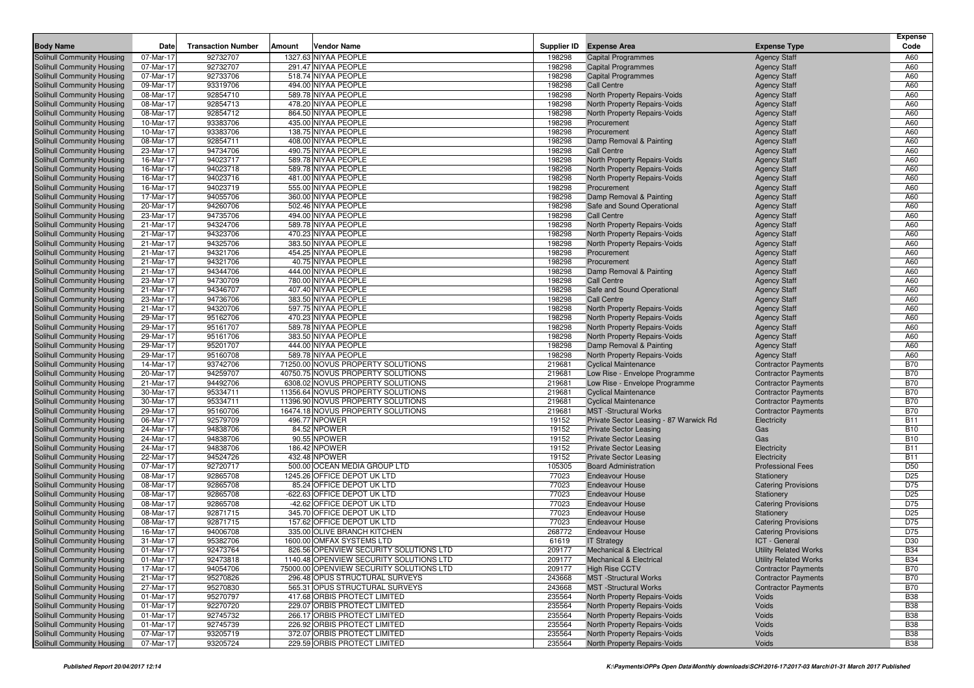|                                                          |                        |                           |        |                                               |                  |                                                                     |                                            | <b>Expense</b>                |
|----------------------------------------------------------|------------------------|---------------------------|--------|-----------------------------------------------|------------------|---------------------------------------------------------------------|--------------------------------------------|-------------------------------|
| <b>Body Name</b>                                         | Date                   | <b>Transaction Number</b> | Amount | <b>Vendor Name</b>                            |                  | Supplier ID Expense Area                                            | <b>Expense Type</b>                        | Code                          |
| Solihull Community Housing                               | 07-Mar-17              | 92732707                  |        | 1327.63 NIYAA PEOPLE                          | 198298           | <b>Capital Programmes</b>                                           | <b>Agency Staff</b>                        | A60                           |
| Solihull Community Housing                               | 07-Mar-17              | 92732707                  |        | 291.47 NIYAA PEOPLE                           | 198298           | <b>Capital Programmes</b>                                           | <b>Agency Staff</b>                        | A60                           |
| Solihull Community Housing                               | 07-Mar-17              | 92733706                  |        | 518.74 NIYAA PEOPLE                           | 198298           | <b>Capital Programmes</b>                                           | <b>Agency Staff</b>                        | A60                           |
| Solihull Community Housing                               | 09-Mar-17              | 93319706                  |        | 494.00 NIYAA PEOPLE                           | 198298           | <b>Call Centre</b>                                                  | <b>Agency Staff</b>                        | A60                           |
| Solihull Community Housing                               | 08-Mar-17              | 92854710                  |        | 589.78 NIYAA PEOPLE                           | 198298           | North Property Repairs-Voids                                        | <b>Agency Staff</b>                        | A60                           |
| Solihull Community Housing                               | 08-Mar-17              | 92854713                  |        | 478.20 NIYAA PEOPLE                           | 198298           | North Property Repairs-Voids                                        | <b>Agency Staff</b>                        | A60                           |
| Solihull Community Housing                               | 08-Mar-17              | 92854712                  |        | 864.50 NIYAA PEOPLE                           | 198298           | North Property Repairs-Voids                                        | <b>Agency Staff</b>                        | A60                           |
| Solihull Community Housing                               | 10-Mar-17              | 93383706                  |        | 435.00 NIYAA PEOPLE                           | 198298           | Procurement                                                         | <b>Agency Staff</b>                        | A60                           |
| Solihull Community Housing                               | 10-Mar-17              | 93383706                  |        | 138.75 NIYAA PEOPLE                           | 198298           | Procurement                                                         | <b>Agency Staff</b>                        | A60                           |
| Solihull Community Housing                               | 08-Mar-17              | 92854711                  |        | 408.00 NIYAA PEOPLE                           | 198298<br>198298 | Damp Removal & Painting                                             | <b>Agency Staff</b>                        | A60                           |
| Solihull Community Housing                               | 23-Mar-17              | 94734706                  |        | 490.75 NIYAA PEOPLE                           |                  | <b>Call Centre</b>                                                  | <b>Agency Staff</b>                        | A60                           |
| Solihull Community Housing                               | 16-Mar-17              | 94023717<br>94023718      |        | 589.78 NIYAA PEOPLE<br>589.78 NIYAA PEOPLE    | 198298<br>198298 | North Property Repairs-Voids                                        | <b>Agency Staff</b>                        | A60<br>A60                    |
| Solihull Community Housing                               | 16-Mar-17<br>16-Mar-17 | 94023716                  |        | 481.00 NIYAA PEOPLE                           | 198298           | North Property Repairs-Voids<br><b>North Property Repairs-Voids</b> | <b>Agency Staff</b>                        | A60                           |
| Solihull Community Housing<br>Solihull Community Housing | 16-Mar-17              | 94023719                  |        | 555.00 NIYAA PEOPLE                           | 198298           | Procurement                                                         | <b>Agency Staff</b><br><b>Agency Staff</b> | A60                           |
| Solihull Community Housing                               | 17-Mar-17              | 94055706                  |        | 360.00 NIYAA PEOPLE                           | 198298           | Damp Removal & Painting                                             |                                            | A60                           |
| Solihull Community Housing                               | 20-Mar-17              | 94260706                  |        | 502.46 NIYAA PEOPLE                           | 198298           | Safe and Sound Operational                                          | <b>Agency Staff</b><br><b>Agency Staff</b> | A60                           |
| Solihull Community Housing                               | 23-Mar-17              | 94735706                  |        | 494.00 NIYAA PEOPLE                           | 198298           | <b>Call Centre</b>                                                  | <b>Agency Staff</b>                        | A60                           |
| Solihull Community Housing                               | 21-Mar-17              | 94324706                  |        | 589.78 NIYAA PEOPLE                           | 198298           | North Property Repairs-Voids                                        | <b>Agency Staff</b>                        | A60                           |
| Solihull Community Housing                               | 21-Mar-17              | 94323706                  |        | 470.23 NIYAA PEOPLE                           | 198298           | North Property Repairs-Voids                                        | <b>Agency Staff</b>                        | A60                           |
| Solihull Community Housing                               | 21-Mar-17              | 94325706                  |        | 383.50 NIYAA PEOPLE                           | 198298           | North Property Repairs-Voids                                        | <b>Agency Staff</b>                        | A60                           |
| Solihull Community Housing                               | 21-Mar-17              | 94321706                  |        | 454.25 NIYAA PEOPLE                           | 198298           | Procurement                                                         | <b>Agency Staff</b>                        | A60                           |
| Solihull Community Housing                               | 21-Mar-17              | 94321706                  |        | 40.75 NIYAA PEOPLE                            | 198298           | Procurement                                                         | <b>Agency Staff</b>                        | A60                           |
| Solihull Community Housing                               | 21-Mar-17              | 94344706                  |        | 444.00 NIYAA PEOPLE                           | 198298           | Damp Removal & Painting                                             | <b>Agency Staff</b>                        | A60                           |
| Solihull Community Housing                               | 23-Mar-17              | 94730709                  |        | 780.00 NIYAA PEOPLE                           | 198298           | <b>Call Centre</b>                                                  | <b>Agency Staff</b>                        | A60                           |
| Solihull Community Housing                               | 21-Mar-17              | 94346707                  |        | 407.40 NIYAA PEOPLE                           | 198298           | Safe and Sound Operational                                          | <b>Agency Staff</b>                        | A60                           |
| Solihull Community Housing                               | 23-Mar-17              | 94736706                  |        | 383.50 NIYAA PEOPLE                           | 198298           | <b>Call Centre</b>                                                  | <b>Agency Staff</b>                        | A60                           |
| Solihull Community Housing                               | 21-Mar-17              | 94320706                  |        | 597.75 NIYAA PEOPLE                           | 198298           | North Property Repairs-Voids                                        | <b>Agency Staff</b>                        | A60                           |
| Solihull Community Housing                               | 29-Mar-17              | 95162706                  |        | 470.23 NIYAA PEOPLE                           | 198298           | North Property Repairs-Voids                                        | <b>Agency Staff</b>                        | A60                           |
| Solihull Community Housing                               | 29-Mar-17              | 95161707                  |        | 589.78 NIYAA PEOPLE                           | 198298           | North Property Repairs-Voids                                        | <b>Agency Staff</b>                        | A60                           |
| Solihull Community Housing                               | 29-Mar-17              | 95161706                  |        | 383.50 NIYAA PEOPLE                           | 198298           | North Property Repairs-Voids                                        | <b>Agency Staff</b>                        | A60                           |
| Solihull Community Housing                               | 29-Mar-17              | 95201707                  |        | 444.00 NIYAA PEOPLE                           | 198298           | Damp Removal & Painting                                             | <b>Agency Staff</b>                        | A60                           |
| Solihull Community Housing                               | 29-Mar-17              | 95160708                  |        | 589.78 NIYAA PEOPLE                           | 198298           | North Property Repairs-Voids                                        | <b>Agency Staff</b>                        | A60                           |
| Solihull Community Housing                               | 14-Mar-17              | 93742706                  |        | 71250.00 NOVUS PROPERTY SOLUTIONS             | 219681           | <b>Cyclical Maintenance</b>                                         | <b>Contractor Payments</b>                 | <b>B70</b>                    |
| Solihull Community Housing                               | 20-Mar-17              | 94259707                  |        | 40750.75 NOVUS PROPERTY SOLUTIONS             | 219681           | Low Rise - Envelope Programme                                       | <b>Contractor Payments</b>                 | <b>B70</b>                    |
| Solihull Community Housing                               | 21-Mar-17              | 94492706                  |        | 6308.02 NOVUS PROPERTY SOLUTIONS              | 219681           | Low Rise - Envelope Programme                                       | <b>Contractor Payments</b>                 | <b>B70</b>                    |
| Solihull Community Housing                               | 30-Mar-17              | 95334711                  |        | 11356.64 NOVUS PROPERTY SOLUTIONS             | 219681           | <b>Cyclical Maintenance</b>                                         | <b>Contractor Payments</b>                 | <b>B70</b>                    |
| Solihull Community Housing                               | 30-Mar-17              | 95334711                  |        | 11396.90 NOVUS PROPERTY SOLUTIONS             | 219681           | <b>Cyclical Maintenance</b>                                         | <b>Contractor Payments</b>                 | <b>B70</b>                    |
| Solihull Community Housing                               | 29-Mar-17              | 95160706                  |        | 16474.18 NOVUS PROPERTY SOLUTIONS             | 219681           | <b>MST</b> -Structural Works                                        | <b>Contractor Payments</b>                 | <b>B70</b>                    |
| Solihull Community Housing                               | 06-Mar-17              | 92579709                  |        | 496.77 NPOWER                                 | 19152            | Private Sector Leasing - 87 Warwick Rd                              | Electricity                                | <b>B11</b>                    |
| Solihull Community Housing                               | 24-Mar-17              | 94838706                  |        | 84.52 NPOWER                                  | 19152            | <b>Private Sector Leasing</b>                                       | Gas                                        | <b>B10</b>                    |
| Solihull Community Housing                               | 24-Mar-17              | 94838706                  |        | 90.55 NPOWER                                  | 19152            | <b>Private Sector Leasing</b>                                       | Gas                                        | <b>B10</b>                    |
| Solihull Community Housing                               | 24-Mar-17              | 94838706                  |        | 186.42 NPOWER                                 | 19152            | <b>Private Sector Leasing</b>                                       | Electricity                                | <b>B11</b>                    |
| Solihull Community Housing<br>Solihull Community Housing | 22-Mar-17<br>07-Mar-17 | 94524726<br>92720717      |        | 432.48 NPOWER<br>500.00 OCEAN MEDIA GROUP LTD | 19152<br>105305  | <b>Private Sector Leasing</b><br><b>Board Administration</b>        | Electricity<br><b>Professional Fees</b>    | <b>B11</b><br>D <sub>50</sub> |
| Solihull Community Housing                               | 08-Mar-17              | 92865708                  |        | 1245.26 OFFICE DEPOT UK LTD                   | 77023            | <b>Endeavour House</b>                                              | Stationery                                 | D <sub>25</sub>               |
| Solihull Community Housing                               | 08-Mar-17              | 92865708                  |        | 85.24 OFFICE DEPOT UK LTD                     | 77023            | <b>Endeavour House</b>                                              | <b>Catering Provisions</b>                 | D75                           |
| Solihull Community Housing                               | 08-Mar-17              | 92865708                  |        | -622.63 OFFICE DEPOT UK LTD                   | 77023            | <b>Endeavour House</b>                                              | Stationery                                 | D <sub>25</sub>               |
| Solihull Community Housing                               | 08-Mar-17              | 92865708                  |        | -42.62 OFFICE DEPOT UK LTD                    | 77023            | <b>Endeavour House</b>                                              | <b>Catering Provisions</b>                 | D75                           |
| Solihull Community Housing                               | 08-Mar-17              | 92871715                  |        | 345.70 OFFICE DEPOT UK LTD                    | 77023            | <b>Endeavour House</b>                                              | Stationery                                 | D <sub>25</sub>               |
| Solihull Community Housing                               | 08-Mar-17              | 92871715                  |        | 157.62 OFFICE DEPOT UK LTD                    | 77023            | <b>Endeavour House</b>                                              | <b>Catering Provisions</b>                 | D75                           |
| Solihull Community Housing                               | 16-Mar-17              | 94006708                  |        | 335.00 OLIVE BRANCH KITCHEN                   | 268772           | <b>Endeavour House</b>                                              | <b>Catering Provisions</b>                 | D75                           |
| Solihull Community Housing                               | 31-Mar-17              | 95382706                  |        | 1600.00 OMFAX SYSTEMS LTD                     | 61619            | <b>IT Strategy</b>                                                  | ICT - General                              | D30                           |
| Solihull Community Housing                               | 01-Mar-17              | 92473764                  |        | 826.56 OPENVIEW SECURITY SOLUTIONS LTD        | 209177           | <b>Mechanical &amp; Electrical</b>                                  | <b>Utility Related Works</b>               | <b>B34</b>                    |
| Solihull Community Housing                               | 01-Mar-17              | 92473818                  |        | 1140.48 OPENVIEW SECURITY SOLUTIONS LTD       | 209177           | Mechanical & Electrical                                             | <b>Utility Related Works</b>               | <b>B34</b>                    |
| Solihull Community Housing                               | 17-Mar-17              | 94054706                  |        | 75000.00 OPENVIEW SECURITY SOLUTIONS LTD      | 209177           | <b>High Rise CCTV</b>                                               | <b>Contractor Payments</b>                 | <b>B70</b>                    |
| Solihull Community Housing                               | 21-Mar-17              | 95270826                  |        | 296.48 OPUS STRUCTURAL SURVEYS                | 243668           | <b>MST</b> -Structural Works                                        | <b>Contractor Payments</b>                 | <b>B70</b>                    |
| Solihull Community Housing                               | 27-Mar-17              | 95270830                  |        | 565.31 OPUS STRUCTURAL SURVEYS                | 243668           | <b>MST</b> -Structural Works                                        | <b>Contractor Payments</b>                 | <b>B70</b>                    |
| Solihull Community Housing                               | 01-Mar-17              | 95270797                  |        | 417.68 ORBIS PROTECT LIMITED                  | 235564           | North Property Repairs-Voids                                        | Voids                                      | <b>B38</b>                    |
| Solihull Community Housing                               | 01-Mar-17              | 92270720                  |        | 229.07 ORBIS PROTECT LIMITED                  | 235564           | North Property Repairs-Voids                                        | Voids                                      | <b>B38</b>                    |
| Solihull Community Housing                               | 01-Mar-17              | 92745732                  |        | 266.17 ORBIS PROTECT LIMITED                  | 235564           | North Property Repairs-Voids                                        | Voids                                      | <b>B38</b>                    |
| Solihull Community Housing                               | 01-Mar-17              | 92745739                  |        | 226.92 ORBIS PROTECT LIMITED                  | 235564           | North Property Repairs-Voids                                        | Voids                                      | <b>B38</b>                    |
| Solihull Community Housing                               | 07-Mar-17              | 93205719                  |        | 372.07 ORBIS PROTECT LIMITED                  | 235564           | North Property Repairs-Voids                                        | Voids                                      | <b>B38</b>                    |
| Solihull Community Housing                               | 07-Mar-17              | 93205724                  |        | 229.59 ORBIS PROTECT LIMITED                  | 235564           | North Property Repairs-Voids                                        | Voids                                      | <b>B38</b>                    |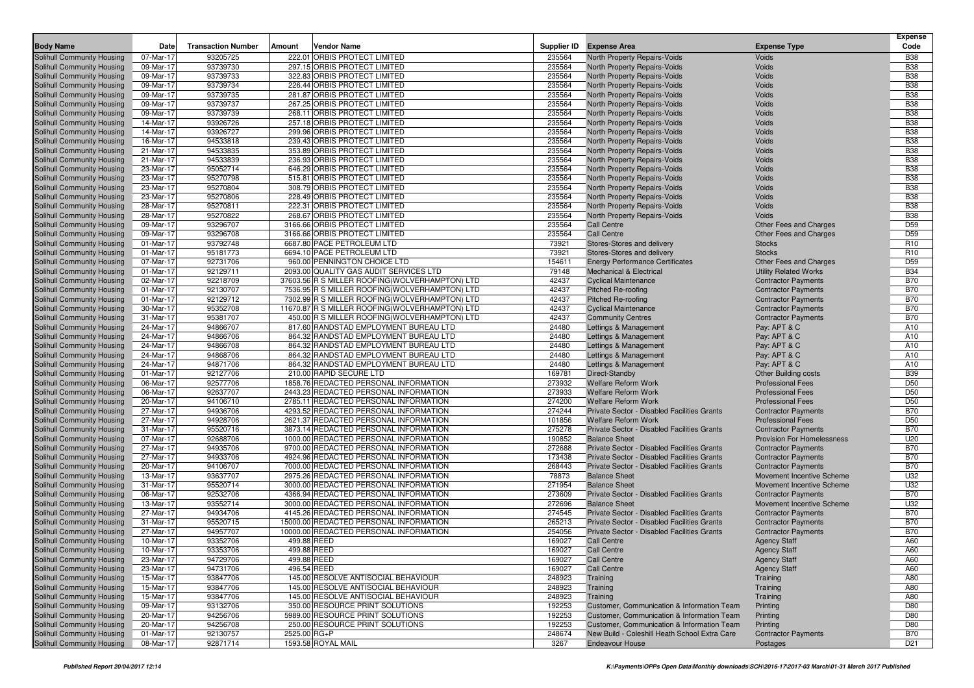|                            |           |                           |              |                                                 |        |                                               |                              | <b>Expense</b>  |
|----------------------------|-----------|---------------------------|--------------|-------------------------------------------------|--------|-----------------------------------------------|------------------------------|-----------------|
| <b>Body Name</b>           | Date      | <b>Transaction Number</b> | Amount       | <b>Vendor Name</b>                              |        | Supplier ID Expense Area                      | <b>Expense Type</b>          | Code            |
| Solihull Community Housing | 07-Mar-17 | 93205725                  |              | 222.01 ORBIS PROTECT LIMITED                    | 235564 | North Property Repairs-Voids                  | <b>Voids</b>                 | <b>B38</b>      |
| Solihull Community Housing | 09-Mar-17 | 93739730                  |              | 297.15 ORBIS PROTECT LIMITED                    | 235564 | <b>North Property Repairs-Voids</b>           | <b>Voids</b>                 | <b>B38</b>      |
| Solihull Community Housing | 09-Mar-17 | 93739733                  |              | 322.83 ORBIS PROTECT LIMITED                    | 235564 | North Property Repairs-Voids                  | Voids                        | <b>B38</b>      |
| Solihull Community Housing | 09-Mar-17 | 93739734                  |              | 226.44 ORBIS PROTECT LIMITED                    | 235564 | North Property Repairs-Voids                  | Voids                        | <b>B38</b>      |
| Solihull Community Housing | 09-Mar-17 | 93739735                  |              | 281.87 ORBIS PROTECT LIMITED                    | 235564 | North Property Repairs-Voids                  | <b>Voids</b>                 | <b>B38</b>      |
| Solihull Community Housing | 09-Mar-17 | 93739737                  |              | 267.25 ORBIS PROTECT LIMITED                    | 235564 | North Property Repairs-Voids                  | Voids                        | <b>B38</b>      |
| Solihull Community Housing | 09-Mar-17 | 93739739                  |              | 268.11 ORBIS PROTECT LIMITED                    | 235564 | <b>North Property Repairs-Voids</b>           | Voids                        | <b>B38</b>      |
| Solihull Community Housing | 14-Mar-17 | 93926726                  |              | 257.18 ORBIS PROTECT LIMITED                    | 235564 | North Property Repairs-Voids                  | Voids                        | <b>B38</b>      |
| Solihull Community Housing | 14-Mar-17 | 93926727                  |              | 299.96 ORBIS PROTECT LIMITED                    | 235564 | North Property Repairs-Voids                  | Voids                        | <b>B38</b>      |
| Solihull Community Housing | 16-Mar-17 | 94533818                  |              | 239.43 ORBIS PROTECT LIMITED                    | 235564 | North Property Repairs-Voids                  | Voids                        | <b>B38</b>      |
| Solihull Community Housing | 21-Mar-17 | 94533835                  |              | 353.89 ORBIS PROTECT LIMITED                    | 235564 | North Property Repairs-Voids                  | Voids                        | <b>B38</b>      |
| Solihull Community Housing | 21-Mar-17 | 94533839                  |              | 236.93 ORBIS PROTECT LIMITED                    | 235564 | North Property Repairs-Voids                  | Voids                        | <b>B38</b>      |
| Solihull Community Housing | 23-Mar-17 | 95052714                  |              | 646.29 ORBIS PROTECT LIMITED                    | 235564 | North Property Repairs-Voids                  | Voids                        | <b>B38</b>      |
| Solihull Community Housing | 23-Mar-17 | 95270798                  |              | 515.81 ORBIS PROTECT LIMITED                    | 235564 | <b>North Property Repairs-Voids</b>           | Voids                        | <b>B38</b>      |
| Solihull Community Housing | 23-Mar-17 | 95270804                  |              | 308.79 ORBIS PROTECT LIMITED                    | 235564 | North Property Repairs-Voids                  | Voids                        | <b>B38</b>      |
| Solihull Community Housing | 23-Mar-17 | 95270806                  |              | 228.49 ORBIS PROTECT LIMITED                    | 235564 | North Property Repairs-Voids                  | Voids                        | <b>B38</b>      |
| Solihull Community Housing | 28-Mar-17 | 95270811                  |              | 222.31 ORBIS PROTECT LIMITED                    | 235564 | North Property Repairs-Voids                  | Voids                        | <b>B38</b>      |
| Solihull Community Housing | 28-Mar-17 | 95270822                  |              | 268.67 ORBIS PROTECT LIMITED                    | 235564 | North Property Repairs-Voids                  | Voids                        | <b>B38</b>      |
| Solihull Community Housing | 09-Mar-17 | 93296707                  |              | 3166.66 ORBIS PROTECT LIMITED                   | 235564 | <b>Call Centre</b>                            | Other Fees and Charges       | D59             |
| Solihull Community Housing | 09-Mar-17 | 93296708                  |              | 3166.66 ORBIS PROTECT LIMITED                   | 235564 | <b>Call Centre</b>                            | Other Fees and Charges       | D <sub>59</sub> |
| Solihull Community Housing | 01-Mar-17 | 93792748                  |              | 6687.80 PACE PETROLEUM LTD                      | 73921  | Stores-Stores and delivery                    | <b>Stocks</b>                | R <sub>10</sub> |
| Solihull Community Housing | 01-Mar-17 | 95181773                  |              | 6694.10 PACE PETROLEUM LTD                      | 73921  | Stores-Stores and delivery                    | <b>Stocks</b>                | R <sub>10</sub> |
| Solihull Community Housing | 07-Mar-17 | 92731706                  |              | 960.00 PENNINGTON CHOICE LTD                    | 154611 | <b>Energy Performance Certificates</b>        | Other Fees and Charges       | D <sub>59</sub> |
| Solihull Community Housing | 01-Mar-17 | 92129711                  |              | 2093.00 QUALITY GAS AUDIT SERVICES LTD          | 79148  | <b>Mechanical &amp; Electrical</b>            | <b>Utility Related Works</b> | <b>B34</b>      |
| Solihull Community Housing | 02-Mar-17 | 92218709                  |              | 37603.56 R S MILLER ROOFING(WOLVERHAMPTON) LTD  | 42437  | <b>Cyclical Maintenance</b>                   | <b>Contractor Payments</b>   | <b>B70</b>      |
| Solihull Community Housing | 01-Mar-17 | 92130707                  |              | 7536.95 R S MILLER ROOFING (WOLVERHAMPTON) LTD  | 42437  | <b>Pitched Re-roofing</b>                     | <b>Contractor Payments</b>   | <b>B70</b>      |
| Solihull Community Housing | 01-Mar-17 | 92129712                  |              | 7302.99 R S MILLER ROOFING (WOLVERHAMPTON) LTD  | 42437  | <b>Pitched Re-roofing</b>                     | <b>Contractor Payments</b>   | <b>B70</b>      |
| Solihull Community Housing | 30-Mar-17 | 95352708                  |              | 11670.87 R S MILLER ROOFING (WOLVERHAMPTON) LTD | 42437  | <b>Cyclical Maintenance</b>                   | <b>Contractor Payments</b>   | <b>B70</b>      |
| Solihull Community Housing | 31-Mar-17 | 95381707                  |              | 450.00 R S MILLER ROOFING(WOLVERHAMPTON) LTD    | 42437  | <b>Community Centres</b>                      | <b>Contractor Payments</b>   | <b>B70</b>      |
| Solihull Community Housing | 24-Mar-17 | 94866707                  |              | 817.60 RANDSTAD EMPLOYMENT BUREAU LTD           | 24480  | Lettings & Management                         | Pay: APT & C                 | A10             |
| Solihull Community Housing | 24-Mar-17 | 94866706                  |              | 864.32 RANDSTAD EMPLOYMENT BUREAU LTD           | 24480  | Lettings & Management                         | Pay: APT & C                 | A10             |
| Solihull Community Housing | 24-Mar-17 | 94866708                  |              | 864.32 RANDSTAD EMPLOYMENT BUREAU LTD           | 24480  | Lettings & Management                         | Pay: APT & C                 | A10             |
| Solihull Community Housing | 24-Mar-17 | 94868706                  |              | 864.32 RANDSTAD EMPLOYMENT BUREAU LTD           | 24480  | Lettings & Management                         | Pay: APT & C                 | A10             |
| Solihull Community Housing | 24-Mar-17 | 94871706                  |              | 864.32 RANDSTAD EMPLOYMENT BUREAU LTD           | 24480  | Lettings & Management                         | Pay: APT & C                 | A10             |
| Solihull Community Housing | 01-Mar-17 | 92127706                  |              | 210.00 RAPID SECURE LTD                         | 169781 | Direct-Standby                                | <b>Other Building costs</b>  | <b>B39</b>      |
| Solihull Community Housing | 06-Mar-17 | 92577706                  |              | 1858.76 REDACTED PERSONAL INFORMATION           | 273932 | <b>Welfare Reform Work</b>                    | <b>Professional Fees</b>     | D50             |
| Solihull Community Housing | 06-Mar-17 | 92637707                  |              | 2443.23 REDACTED PERSONAL INFORMATION           | 273933 | <b>Welfare Reform Work</b>                    | <b>Professional Fees</b>     | D50             |
| Solihull Community Housing | 20-Mar-17 | 94106710                  |              | 2785.11 REDACTED PERSONAL INFORMATION           | 274200 | <b>Welfare Reform Work</b>                    | <b>Professional Fees</b>     | D50             |
| Solihull Community Housing | 27-Mar-17 | 94936706                  |              | 4293.52 REDACTED PERSONAL INFORMATION           | 274244 | Private Sector - Disabled Facilities Grants   | <b>Contractor Payments</b>   | <b>B70</b>      |
| Solihull Community Housing | 27-Mar-17 | 94928706                  |              | 2621.37 REDACTED PERSONAL INFORMATION           | 101856 | <b>Welfare Reform Work</b>                    | <b>Professional Fees</b>     | D50             |
| Solihull Community Housing | 31-Mar-17 | 95520716                  |              | 3873.14 REDACTED PERSONAL INFORMATION           | 275278 | Private Sector - Disabled Facilities Grants   | <b>Contractor Payments</b>   | <b>B70</b>      |
| Solihull Community Housing | 07-Mar-17 | 92688706                  |              | 1000.00 REDACTED PERSONAL INFORMATION           | 190852 | <b>Balance Sheet</b>                          | Provision For Homelessness   | U20             |
| Solihull Community Housing | 27-Mar-17 | 94935706                  |              | 9700.00 REDACTED PERSONAL INFORMATION           | 272688 | Private Sector - Disabled Facilities Grants   | <b>Contractor Payments</b>   | <b>B70</b>      |
| Solihull Community Housing | 27-Mar-17 | 94933706                  |              | 4924.96 REDACTED PERSONAL INFORMATION           | 173438 | Private Sector - Disabled Facilities Grants   | <b>Contractor Payments</b>   | <b>B70</b>      |
| Solihull Community Housing | 20-Mar-17 | 94106707                  |              | 7000.00 REDACTED PERSONAL INFORMATION           | 268443 | Private Sector - Disabled Facilities Grants   | <b>Contractor Payments</b>   | <b>B70</b>      |
| Solihull Community Housing | 13-Mar-17 | 93637707                  |              | 2975.26 REDACTED PERSONAL INFORMATION           | 78873  | <b>Balance Sheet</b>                          | Movement Incentive Scheme    | U32             |
| Solihull Community Housing | 31-Mar-17 | 95520714                  |              | 3000.00 REDACTED PERSONAL INFORMATION           | 271954 | <b>Balance Sheet</b>                          | Movement Incentive Scheme    | U32             |
| Solihull Community Housing | 06-Mar-17 | 92532706                  |              | 4366.94 REDACTED PERSONAL INFORMATION           | 273609 | Private Sector - Disabled Facilities Grants   | <b>Contractor Payments</b>   | <b>B70</b>      |
| Solihull Community Housing | 13-Mar-17 | 93552714                  |              | 3000.00 REDACTED PERSONAL INFORMATION           | 272696 | <b>Balance Sheet</b>                          | Movement Incentive Scheme    | U32             |
| Solihull Community Housing | 27-Mar-17 | 94934706                  |              | 4145.26 REDACTED PERSONAL INFORMATION           | 274545 | Private Sector - Disabled Facilities Grants   | <b>Contractor Payments</b>   | <b>B70</b>      |
| Solihull Community Housing | 31-Mar-17 | 95520715                  |              | 15000.00 REDACTED PERSONAL INFORMATION          | 265213 | Private Sector - Disabled Facilities Grants   | <b>Contractor Payments</b>   | <b>B70</b>      |
| Solihull Community Housing | 27-Mar-17 | 94957707                  |              | 10000.00 REDACTED PERSONAL INFORMATION          | 254056 | Private Sector - Disabled Facilities Grants   | <b>Contractor Payments</b>   | <b>B70</b>      |
| Solihull Community Housing | 10-Mar-17 | 93352706                  | 499.88 REED  |                                                 | 169027 | <b>Call Centre</b>                            | <b>Agency Staff</b>          | A60             |
| Solihull Community Housing | 10-Mar-17 | 93353706                  | 499.88 REED  |                                                 | 169027 | <b>Call Centre</b>                            | <b>Agency Staff</b>          | A60             |
| Solihull Community Housing | 23-Mar-17 | 94729706                  | 499.88 REED  |                                                 | 169027 | <b>Call Centre</b>                            | <b>Agency Staff</b>          | A60             |
| Solihull Community Housing | 23-Mar-17 | 94731706                  | 496.54 REED  |                                                 | 169027 | <b>Call Centre</b>                            | <b>Agency Staff</b>          | A60             |
| Solihull Community Housing | 15-Mar-17 | 93847706                  |              | 145.00 RESOLVE ANTISOCIAL BEHAVIOUR             | 248923 | Training                                      | Training                     | A80             |
| Solihull Community Housing | 15-Mar-17 | 93847706                  |              | 145.00 RESOLVE ANTISOCIAL BEHAVIOUR             | 248923 | Training                                      | Training                     | A80             |
| Solihull Community Housing | 15-Mar-17 | 93847706                  |              | 145.00 RESOLVE ANTISOCIAL BEHAVIOUR             | 248923 | Training                                      | Training                     | A80             |
| Solihull Community Housing | 09-Mar-17 | 93132706                  |              | 350.00 RESOURCE PRINT SOLUTIONS                 | 192253 | Customer, Communication & Information Team    | Printing                     | D80             |
| Solihull Community Housing | 20-Mar-17 | 94256706                  |              | 5989.00 RESOURCE PRINT SOLUTIONS                | 192253 | Customer, Communication & Information Team    | Printing                     | D80             |
| Solihull Community Housing | 20-Mar-17 | 94256708                  |              | 250.00 RESOURCE PRINT SOLUTIONS                 | 192253 | Customer, Communication & Information Team    | Printing                     | D80             |
| Solihull Community Housing | 01-Mar-17 | 92130757                  | 2525.00 RG+P |                                                 | 248674 | New Build - Coleshill Heath School Extra Care | <b>Contractor Payments</b>   | <b>B70</b>      |
| Solihull Community Housing | 08-Mar-17 | 92871714                  |              | 1593.58 ROYAL MAIL                              | 3267   | <b>Endeavour House</b>                        | Postages                     | D <sub>21</sub> |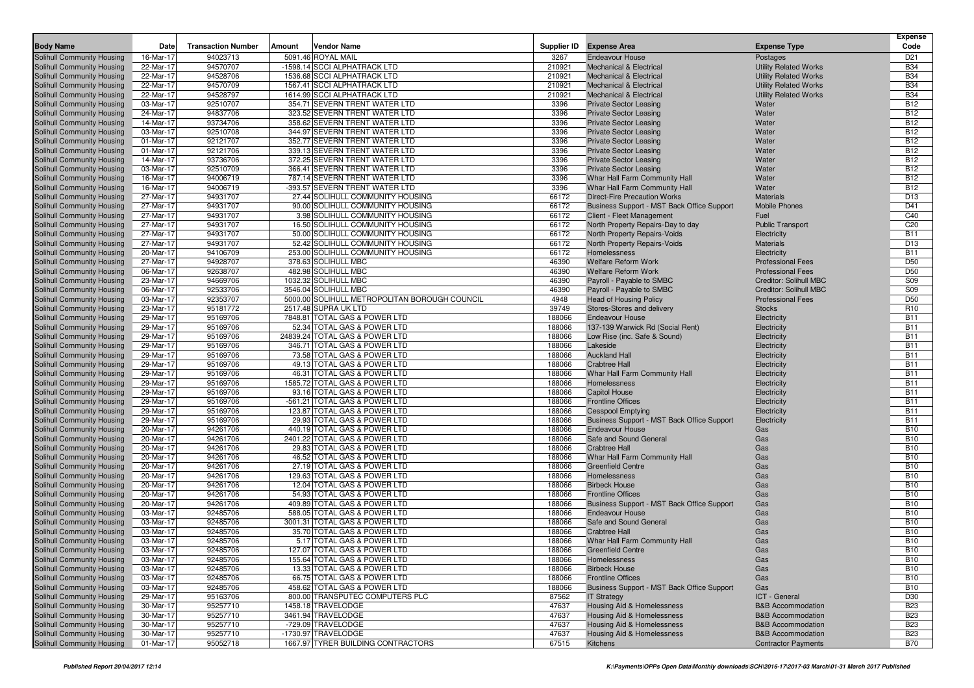| <b>Body Name</b>                                         | Date                   | <b>Transaction Number</b> | Amount | <b>Vendor Name</b>                            |                | Supplier ID Expense Area                   | <b>Expense Type</b>           | <b>Expense</b><br>Code   |
|----------------------------------------------------------|------------------------|---------------------------|--------|-----------------------------------------------|----------------|--------------------------------------------|-------------------------------|--------------------------|
| Solihull Community Housing                               | 16-Mar-17              | 94023713                  |        | 5091.46 ROYAL MAIL                            | 3267           | <b>Endeavour House</b>                     | Postages                      | D <sub>21</sub>          |
| Solihull Community Housing                               | 22-Mar-17              | 94570707                  |        | -1598.14 SCCI ALPHATRACK LTD                  | 210921         | <b>Mechanical &amp; Electrical</b>         | <b>Utility Related Works</b>  | <b>B34</b>               |
| Solihull Community Housing                               | 22-Mar-17              | 94528706                  |        | 1536.68 SCCI ALPHATRACK LTD                   | 210921         | <b>Mechanical &amp; Electrical</b>         | <b>Utility Related Works</b>  | <b>B34</b>               |
| Solihull Community Housing                               | 22-Mar-17              | 94570709                  |        | 1567.41 SCCI ALPHATRACK LTD                   | 210921         | <b>Mechanical &amp; Electrical</b>         | <b>Utility Related Works</b>  | <b>B34</b>               |
| Solihull Community Housing                               | 22-Mar-17              | 94528797                  |        | 1614.99 SCCI ALPHATRACK LTD                   | 210921         | <b>Mechanical &amp; Electrical</b>         | <b>Utility Related Works</b>  | <b>B34</b>               |
| Solihull Community Housing                               | 03-Mar-17              | 92510707                  |        | 354.71 SEVERN TRENT WATER LTD                 | 3396           | <b>Private Sector Leasing</b>              | Water                         | <b>B12</b>               |
| Solihull Community Housing                               | 24-Mar-17              | 94837706                  |        | 323.52 SEVERN TRENT WATER LTD                 | 3396           | <b>Private Sector Leasing</b>              | Water                         | <b>B12</b>               |
| Solihull Community Housing                               | 14-Mar-17              | 93734706                  |        | 358.62 SEVERN TRENT WATER LTD                 | 3396           | <b>Private Sector Leasing</b>              | Water                         | <b>B12</b>               |
| Solihull Community Housing                               | 03-Mar-17              | 92510708                  |        | 344.97 SEVERN TRENT WATER LTD                 | 3396           | <b>Private Sector Leasing</b>              | Water                         | <b>B12</b>               |
| Solihull Community Housing                               | 01-Mar-17              | 92121707                  |        | 352.77 SEVERN TRENT WATER LTD                 | 3396           | <b>Private Sector Leasing</b>              | Water                         | <b>B12</b>               |
| Solihull Community Housing                               | 01-Mar-17              | 92121706                  |        | 339.13 SEVERN TRENT WATER LTD                 | 3396           | <b>Private Sector Leasing</b>              | Water                         | <b>B12</b>               |
| Solihull Community Housing                               | 14-Mar-17              | 93736706                  |        | 372.25 SEVERN TRENT WATER LTD                 | 3396           | <b>Private Sector Leasing</b>              | Water                         | <b>B12</b>               |
| Solihull Community Housing                               | 03-Mar-17              | 92510709                  |        | 366.41 SEVERN TRENT WATER LTD                 | 3396           | <b>Private Sector Leasing</b>              | Water                         | <b>B12</b>               |
| Solihull Community Housing                               | 16-Mar-17              | 94006719                  |        | 787.14 SEVERN TRENT WATER LTD                 | 3396           | Whar Hall Farm Community Hall              | Water                         | <b>B12</b>               |
| Solihull Community Housing                               | 16-Mar-17              | 94006719                  |        | -393.57 SEVERN TRENT WATER LTD                | 3396           | Whar Hall Farm Community Hall              | Water                         | <b>B12</b>               |
| Solihull Community Housing                               | 27-Mar-17              | 94931707                  |        | 27.44 SOLIHULL COMMUNITY HOUSING              | 66172          | <b>Direct-Fire Precaution Works</b>        | <b>Materials</b>              | D <sub>13</sub>          |
| Solihull Community Housing                               | 27-Mar-17              | 94931707                  |        | 90.00 SOLIHULL COMMUNITY HOUSING              | 66172          | Business Support - MST Back Office Support | <b>Mobile Phones</b>          | D41                      |
| Solihull Community Housing                               | 27-Mar-17              | 94931707                  |        | 3.98 SOLIHULL COMMUNITY HOUSING               | 66172          | Client - Fleet Management                  | Fuel                          | C40                      |
| Solihull Community Housing                               | 27-Mar-17              | 94931707                  |        | 16.50 SOLIHULL COMMUNITY HOUSING              | 66172          | North Property Repairs-Day to day          | <b>Public Transport</b>       | C <sub>20</sub>          |
| Solihull Community Housing                               | 27-Mar-17              | 94931707                  |        | 50.00 SOLIHULL COMMUNITY HOUSING              | 66172          | North Property Repairs-Voids               | Electricity                   | <b>B11</b>               |
| Solihull Community Housing                               | 27-Mar-17              | 94931707                  |        | 52.42 SOLIHULL COMMUNITY HOUSING              | 66172          | North Property Repairs-Voids               | <b>Materials</b>              | D <sub>13</sub>          |
| Solihull Community Housing                               | 20-Mar-17              | 94106709                  |        | 253.00 SOLIHULL COMMUNITY HOUSING             | 66172          | Homelessness                               | Electricity                   | <b>B11</b>               |
| Solihull Community Housing                               | 27-Mar-17              | 94928707                  |        | 378.63 SOLIHULL MBC                           | 46390          | <b>Welfare Reform Work</b>                 | <b>Professional Fees</b>      | D <sub>50</sub>          |
| Solihull Community Housing                               | 06-Mar-17              | 92638707                  |        | 482.98 SOLIHULL MBC                           | 46390          | <b>Welfare Reform Work</b>                 | <b>Professional Fees</b>      | D <sub>50</sub>          |
| Solihull Community Housing                               | 23-Mar-17              | 94669706                  |        | 1032.32 SOLIHULL MBC                          | 46390          | Payroll - Payable to SMBC                  | <b>Creditor: Solihull MBC</b> | S09                      |
| Solihull Community Housing                               | 06-Mar-17              | 92533706                  |        | 3546.04 SOLIHULL MBC                          | 46390          | Payroll - Payable to SMBC                  | <b>Creditor: Solihull MBC</b> | S09                      |
| Solihull Community Housing                               | 03-Mar-17              | 92353707                  |        | 5000.00 SOLIHULL METROPOLITAN BOROUGH COUNCIL | 4948           | <b>Head of Housing Policy</b>              | <b>Professional Fees</b>      | D <sub>50</sub>          |
| Solihull Community Housing                               | 23-Mar-17              | 95181772                  |        | 2517.48 SUPRA UK LTD                          | 39749          | Stores-Stores and delivery                 | <b>Stocks</b>                 | R <sub>10</sub>          |
| Solihull Community Housing                               | 29-Mar-17              | 95169706                  |        | 7848.81 TOTAL GAS & POWER LTD                 | 188066         | <b>Endeavour House</b>                     | Electricity                   | <b>B11</b>               |
| Solihull Community Housing                               | 29-Mar-17              | 95169706                  |        | 52.34 TOTAL GAS & POWER LTD                   | 188066         | 137-139 Warwick Rd (Social Rent)           | Electricity                   | <b>B11</b>               |
| Solihull Community Housing                               | 29-Mar-17              | 95169706                  |        | 24839.24 TOTAL GAS & POWER LTD                | 188066         | Low Rise (inc. Safe & Sound)               | Electricity                   | <b>B11</b>               |
| Solihull Community Housing                               | 29-Mar-17              | 95169706                  |        | 346.71 TOTAL GAS & POWER LTD                  | 188066         | Lakeside                                   | Electricity                   | <b>B11</b>               |
| Solihull Community Housing                               | 29-Mar-17              | 95169706                  |        | 73.58 TOTAL GAS & POWER LTD                   | 188066         | <b>Auckland Hall</b>                       | Electricity                   | <b>B11</b>               |
| Solihull Community Housing                               | 29-Mar-17              | 95169706                  |        | 49.13 TOTAL GAS & POWER LTD                   | 188066         | <b>Crabtree Hall</b>                       | Electricity                   | <b>B11</b>               |
| Solihull Community Housing                               | 29-Mar-17              | 95169706                  |        | 46.31 TOTAL GAS & POWER LTD                   | 188066         | Whar Hall Farm Community Hall              | Electricity                   | <b>B11</b>               |
| Solihull Community Housing                               | 29-Mar-17              | 95169706                  |        | 1585.72 TOTAL GAS & POWER LTD                 | 188066         | Homelessness                               | Electricity                   | <b>B11</b>               |
| Solihull Community Housing                               | 29-Mar-17              | 95169706                  |        | 93.16 TOTAL GAS & POWER LTD                   | 188066         | <b>Capitol House</b>                       | Electricity                   | <b>B11</b>               |
| Solihull Community Housing                               | 29-Mar-17              | 95169706                  |        | -561.21 TOTAL GAS & POWER LTD                 | 188066         | <b>Frontline Offices</b>                   | Electricity                   | <b>B11</b>               |
| Solihull Community Housing                               | 29-Mar-17              | 95169706                  |        | 123.87 TOTAL GAS & POWER LTD                  | 188066         | <b>Cesspool Emptying</b>                   | Electricity                   | <b>B11</b>               |
| Solihull Community Housing                               | 29-Mar-17              | 95169706                  |        | 29.93 TOTAL GAS & POWER LTD                   | 188066         | Business Support - MST Back Office Support | Electricity                   | <b>B11</b>               |
| Solihull Community Housing                               | 20-Mar-17              | 94261706                  |        | 440.19 TOTAL GAS & POWER LTD                  | 188066         | <b>Endeavour House</b>                     | Gas                           | <b>B10</b>               |
| Solihull Community Housing                               | 20-Mar-17              | 94261706                  |        | 2401.22 TOTAL GAS & POWER LTD                 | 188066         | Safe and Sound General                     | Gas                           | <b>B10</b>               |
| Solihull Community Housing                               | 20-Mar-17              | 94261706                  |        | 29.83 TOTAL GAS & POWER LTD                   | 188066         | <b>Crabtree Hall</b>                       | Gas                           | <b>B10</b>               |
| Solihull Community Housing                               | 20-Mar-17              | 94261706                  |        | 46.52 TOTAL GAS & POWER LTD                   | 188066         | Whar Hall Farm Community Hall              | Gas                           | <b>B10</b>               |
| Solihull Community Housing                               | 20-Mar-17              | 94261706                  |        | 27.19 TOTAL GAS & POWER LTD                   | 188066         | <b>Greenfield Centre</b>                   | Gas                           | <b>B10</b>               |
| Solihull Community Housing                               | 20-Mar-17              | 94261706                  |        | 129.63 TOTAL GAS & POWER LTD                  | 188066         | Homelessness                               | Gas                           | <b>B10</b>               |
| Solihull Community Housing                               | 20-Mar-17              | 94261706                  |        | 12.04 TOTAL GAS & POWER LTD                   | 188066         | <b>Birbeck House</b>                       | Gas                           | <b>B10</b>               |
| Solihull Community Housing                               | 20-Mar-17              | 94261706                  |        | 54.93 TOTAL GAS & POWER LTD                   | 188066         | <b>Frontline Offices</b>                   | Gas                           | <b>B10</b>               |
| Solihull Community Housing                               | 20-Mar-17              | 94261706                  |        | 409.89 TOTAL GAS & POWER LTD                  | 188066         | Business Support - MST Back Office Support | Gas                           | <b>B10</b>               |
| Solihull Community Housing                               | 03-Mar-17              | 92485706                  |        | 588.05 TOTAL GAS & POWER LTD                  | 188066         | <b>Endeavour House</b>                     | Gas                           | <b>B10</b>               |
| Solihull Community Housing                               | 03-Mar-17              | 92485706                  |        | 3001.31 TOTAL GAS & POWER LTD                 | 188066         | Safe and Sound General                     | Gas                           | <b>B10</b>               |
| Solihull Community Housing                               | 03-Mar-17              | 92485706                  |        | 35.70 TOTAL GAS & POWER LTD                   | 188066         | <b>Crabtree Hall</b>                       | Gas                           | <b>B10</b>               |
| Solihull Community Housing                               | 03-Mar-17              | 92485706                  |        | 5.17 TOTAL GAS & POWER LTD                    | 188066         | Whar Hall Farm Community Hall              | Gas                           | <b>B10</b>               |
| Solihull Community Housing                               | 03-Mar-17              | 92485706                  |        | 127.07 TOTAL GAS & POWER LTD                  | 188066         | <b>Greenfield Centre</b>                   | Gas                           | <b>B10</b>               |
| Solihull Community Housing                               | 03-Mar-17              | 92485706                  |        | 155.64 TOTAL GAS & POWER LTD                  | 188066         | Homelessness                               | Gas                           | <b>B10</b>               |
| Solihull Community Housing                               | 03-Mar-17              | 92485706                  |        | 13.33 TOTAL GAS & POWER LTD                   | 188066         | <b>Birbeck House</b>                       | Gas                           | <b>B10</b>               |
| Solihull Community Housing                               | 03-Mar-17              | 92485706                  |        | 66.75 TOTAL GAS & POWER LTD                   | 188066         | <b>Frontline Offices</b>                   | Gas                           | <b>B10</b>               |
| Solihull Community Housing                               | 03-Mar-17              | 92485706                  |        | 458.62 TOTAL GAS & POWER LTD                  | 188066         | Business Support - MST Back Office Support | Gas                           | <b>B10</b>               |
| Solihull Community Housing                               | 29-Mar-17              | 95163706                  |        | 800.00 TRANSPUTEC COMPUTERS PLC               | 87562          | <b>IT Strategy</b>                         | ICT - General                 | D30                      |
| Solihull Community Housing                               | 30-Mar-17              | 95257710                  |        | 1458.18 TRAVELODGE                            | 47637          | Housing Aid & Homelessness                 | <b>B&amp;B</b> Accommodation  | <b>B23</b>               |
| Solihull Community Housing                               | 30-Mar-17              | 95257710                  |        | 3461.94 TRAVELODGE                            | 47637          | Housing Aid & Homelessness                 | <b>B&amp;B</b> Accommodation  | <b>B23</b>               |
| Solihull Community Housing<br>Solihull Community Housing | 30-Mar-17<br>30-Mar-17 | 95257710                  |        | -729.09 TRAVELODGE<br>-1730.97 TRAVELODGE     | 47637<br>47637 | Housing Aid & Homelessness                 | <b>B&amp;B Accommodation</b>  | <b>B23</b>               |
| Solihull Community Housing                               |                        | 95257710                  |        |                                               |                | Housing Aid & Homelessness                 | <b>B&amp;B</b> Accommodation  | <b>B23</b><br><b>B70</b> |
|                                                          | 01-Mar-17              | 95052718                  |        | 1667.97 TYRER BUILDING CONTRACTORS            | 67515          | Kitchens                                   | <b>Contractor Payments</b>    |                          |